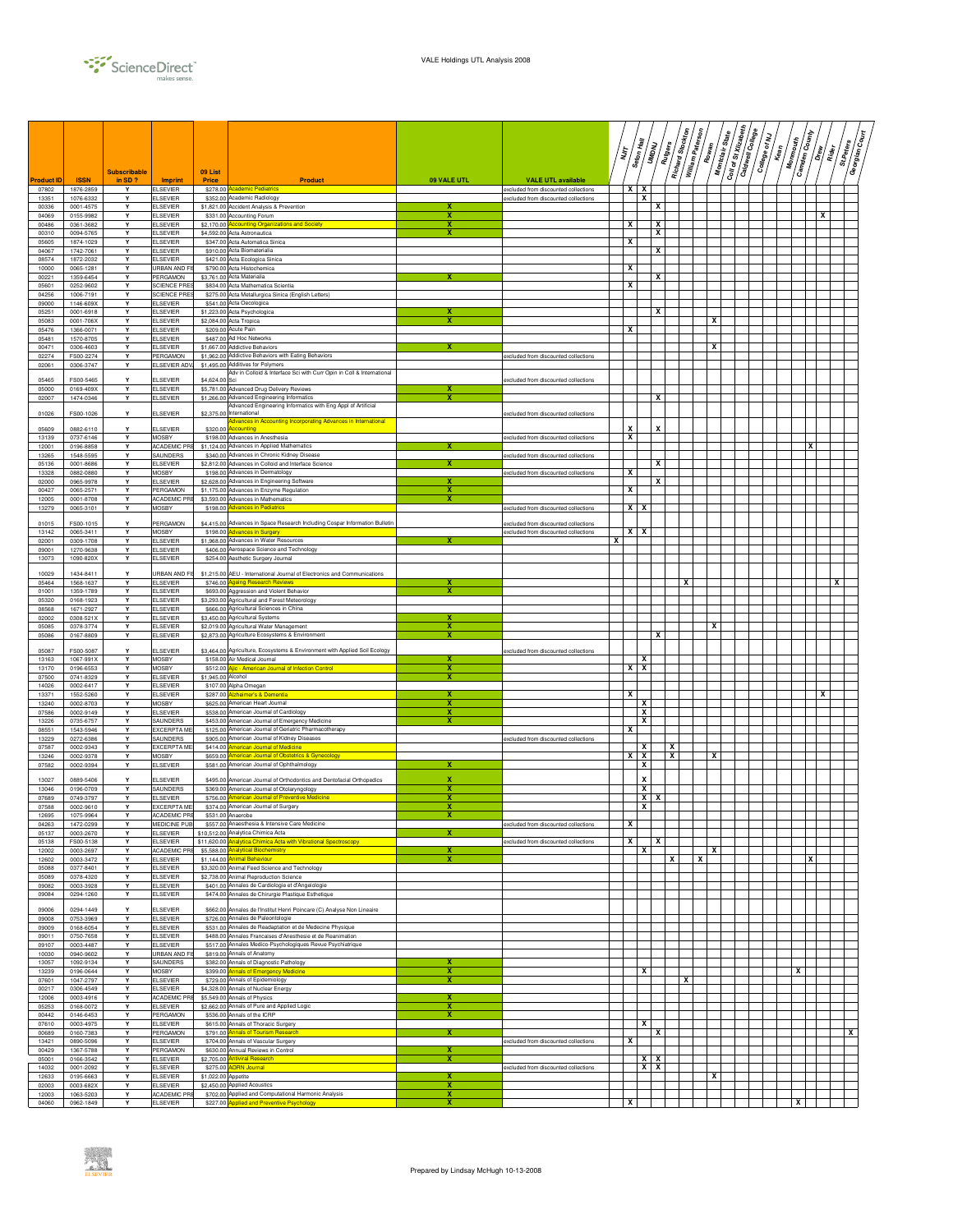

|                     |                          | <b>Subscribable</b> |                                           | 09 List             |                                                                                                                        |             |                                                                   |   | ינג<br>א | Seton Hall<br>UMDNU      | Rutgers | Richard Stockton | William Paterson<br>Rowan | Montclair State         | Coll of St Xillzabeth<br>Caldwell College | College of NJ<br>Kean<br>Kean | <b>Monmouth</b> | Camden County<br> _/<br> a | St.Peters<br>$\overline{\tilde{R}}$ | ≣/<br>ئ<br>Georgian |
|---------------------|--------------------------|---------------------|-------------------------------------------|---------------------|------------------------------------------------------------------------------------------------------------------------|-------------|-------------------------------------------------------------------|---|----------|--------------------------|---------|------------------|---------------------------|-------------------------|-------------------------------------------|-------------------------------|-----------------|----------------------------|-------------------------------------|---------------------|
| Product ID<br>07802 | <b>ISSN</b><br>1876-2859 | in SD?<br>Y         | <b>Imprint</b><br><b>ELSEVIER</b>         | Price               | <b>Product</b><br>\$278.00 Academic Pediatrics                                                                         | 09 VALE UTL | <b>VALE UTL available</b><br>excluded from discounted collections |   | x        | x                        |         |                  |                           |                         |                                           |                               |                 |                            |                                     |                     |
| 13351<br>00336      | 1076-6332<br>0001-4575   | Υ<br>Y              | <b>ELSEVIER</b><br><b>ELSEVIER</b>        |                     | \$352.00 Academic Radiology<br>\$1,821.00 Accident Analysis & Prevention                                               |             | excluded from discounted collections                              |   |          | X                        | х       |                  |                           |                         |                                           |                               |                 |                            |                                     |                     |
| 04069               | 0155-9982                | Υ<br>Y              | <b>ELSEVIER</b>                           |                     | \$331.00 Accounting Forum                                                                                              | x<br>x      |                                                                   |   | x        |                          | X       |                  |                           |                         |                                           |                               |                 | х                          |                                     |                     |
| 00486<br>00310      | 0361-3682<br>0094-5765   | Υ                   | <b>ELSEVIER</b><br><b>ELSEVIER</b>        |                     | \$2,170.00 Accounting Organizations and Society<br>\$4,592.00 Acta Astronautica                                        | х           |                                                                   |   |          |                          | х       |                  |                           |                         |                                           |                               |                 |                            |                                     |                     |
| 05605<br>04067      | 1874-1029<br>1742-7061   | Y<br>Y              | <b>ELSEVIER</b><br><b>ELSEVIER</b>        |                     | \$347.00 Acta Automatica Sinica<br>\$910.00 Acta Biomaterialia                                                         |             |                                                                   |   | х        |                          | х       |                  |                           |                         |                                           |                               |                 |                            |                                     |                     |
| 08574               | 1872-2032                | Y                   | <b>ELSEVIER</b>                           |                     | \$421.00 Acta Ecologica Sinica                                                                                         |             |                                                                   |   |          |                          |         |                  |                           |                         |                                           |                               |                 |                            |                                     |                     |
| 10000<br>00221      | 0065-1281<br>1359-6454   | Y<br>Y              | URBAN AND F<br>PERGAMON                   |                     | \$790.00 Acta Histochemica<br>\$3,761.00 Acta Materialia                                                               | x           |                                                                   |   | х        |                          | X       |                  |                           |                         |                                           |                               |                 |                            |                                     |                     |
| 05601<br>04256      | 0252-9602<br>1006-7191   | Y<br>Y              | <b>SCIENCE PRE</b><br><b>SCIENCE PRES</b> |                     | \$834.00 Acta Mathematica Scientia<br>\$275.00 Acta Metallurgica Sinica (English Letters)                              |             |                                                                   |   | x        |                          |         |                  |                           |                         |                                           |                               |                 |                            |                                     |                     |
| 09000               | 1146-609X                | Υ                   | <b>ELSEVIER</b>                           |                     | \$541.00 Acta Oecologica                                                                                               |             |                                                                   |   |          |                          |         |                  |                           |                         |                                           |                               |                 |                            |                                     |                     |
| 05251<br>05083      | 0001-6918<br>0001-706X   | Υ<br>Y              | <b>ELSEVIER</b><br><b>ELSEVIER</b>        |                     | \$1,223.00 Acta Psychologica<br>\$2,084.00 Acta Tropica                                                                | x           |                                                                   |   |          |                          | x       |                  |                           | x                       |                                           |                               |                 |                            |                                     |                     |
| 05476<br>05481      | 1366-0071<br>1570-8705   | Y<br>Υ              | <b>ELSEVIER</b><br><b>ELSEVIER</b>        |                     | \$209.00 Acute Pain<br>\$487.00 Ad Hoc Networks                                                                        |             |                                                                   |   | х        |                          |         |                  |                           |                         |                                           |                               |                 |                            |                                     |                     |
| 00471               | 0306-4603                | Y                   | <b>ELSEVIER</b>                           |                     | \$1,667.00 Addictive Behaviors                                                                                         |             |                                                                   |   |          |                          |         |                  |                           | $\overline{\mathbf{x}}$ |                                           |                               |                 |                            |                                     |                     |
| 02274<br>02061      | FS00-2274<br>0306-3747   | Y<br>Y              | PERGAMON<br>ELSEVIER ADY                  |                     | \$1,962.00 Addictive Behaviors with Eating Behaviors<br>\$1,495.00 Additives for Polymers                              |             | excluded from discounted collections                              |   |          |                          |         |                  |                           |                         |                                           |                               |                 |                            |                                     |                     |
| 05465               | FS00-5465                |                     | <b>ELSEVIER</b>                           | \$4,624.00 Sci      | Adv in Colloid & Interface Sci with Curr Opin in Coll & International                                                  |             | excluded from discounted collections                              |   |          |                          |         |                  |                           |                         |                                           |                               |                 |                            |                                     |                     |
| 05000<br>02007      | 0169-409X<br>1474-0346   | Y<br>Y              | <b>ELSEVIER</b><br><b>ELSEVIER</b>        |                     | \$5,781.00 Advanced Drug Delivery Reviews<br>\$1,266.00 Advanced Engineering Informatics                               | x<br>x      |                                                                   |   |          |                          | x       |                  |                           |                         |                                           |                               |                 |                            |                                     |                     |
|                     |                          |                     |                                           |                     | Advanced Engineering Informatics with Eng Appl of Artificial                                                           |             |                                                                   |   |          |                          |         |                  |                           |                         |                                           |                               |                 |                            |                                     |                     |
| 01026               | FS00-1026                | Y                   | <b>ELSEVIER</b>                           |                     | \$2,375.00 International<br><b>Advances in Accounting Incorporating Advances in International</b>                      |             | excluded from discounted collections                              |   |          |                          | X       |                  |                           |                         |                                           |                               |                 |                            |                                     |                     |
| 05609<br>13139      | 0882-6110<br>0737-6146   | Y<br>Y              | <b>ELSEVIER</b><br><b>MOSBY</b>           |                     | \$320.00 Accounting<br>\$198.00 Advances in Anesthesia                                                                 |             | excluded from discounted collections.                             |   | X<br>х   |                          |         |                  |                           |                         |                                           |                               |                 |                            |                                     |                     |
| 12001<br>13265      | 0196-8858<br>1548-5595   | Y<br>Y              | ACADEMIC PR<br>SAUNDERS                   |                     | \$1,124.00 Advances in Applied Mathematics<br>\$340.00 Advances in Chronic Kidney Disease                              |             | excluded from discounted collections                              |   |          |                          |         |                  |                           |                         |                                           |                               |                 |                            |                                     |                     |
| 05136               | 0001-8686                | Y                   | <b>ELSEVIER</b>                           |                     | \$2,812.00 Advances in Colloid and Interface Science                                                                   | x           |                                                                   |   |          |                          | X       |                  |                           |                         |                                           |                               |                 |                            |                                     |                     |
| 13328<br>02000      | 0882-0880<br>0965-9978   | Y<br>Y              | <b>MOSBY</b><br><b>ELSEVIER</b>           |                     | \$198.00 Advances in Dermatology<br>\$2,628.00 Advances in Engineering Software                                        | x           | excluded from discounted collections                              |   | x        |                          | х       |                  |                           |                         |                                           |                               |                 |                            |                                     |                     |
| 00427<br>12005      | 0065-2571<br>0001-8708   | Υ<br>Υ              | PERGAMON<br>ACADEMIC PR                   |                     | \$1,175.00 Advances in Enzyme Regulation<br>\$3,593.00 Advances in Mathematics                                         | х<br>x      |                                                                   |   | х        |                          |         |                  |                           |                         |                                           |                               |                 |                            |                                     |                     |
| 13279               | 0065-3101                | Υ                   | <b>MOSBY</b>                              |                     | \$198.00 Advances in Pediatrics                                                                                        |             | excluded from discounted collections                              |   | X        | x                        |         |                  |                           |                         |                                           |                               |                 |                            |                                     |                     |
| 01015               | FS00-1015                | Y                   | PERGAMON                                  |                     | \$4,415.00 Advances in Space Research Including Cospar Information Bulletin                                            |             | excluded from discounted collections                              |   |          |                          |         |                  |                           |                         |                                           |                               |                 |                            |                                     |                     |
| 13142<br>02001      | 0065-3411<br>0309-1708   | Υ<br>Y              | <b>MOSBY</b><br><b>ELSEVIER</b>           |                     | \$198.00 Advances in Surgery<br>\$1,968.00 Advances in Water Resources                                                 |             | excluded from discounted collections                              | x |          | $x \mid x$               |         |                  |                           |                         |                                           |                               |                 |                            |                                     |                     |
| 09001               | 1270-9638                | Y                   | <b>ELSEVIER</b>                           |                     | \$406.00 Aerospace Science and Technology                                                                              |             |                                                                   |   |          |                          |         |                  |                           |                         |                                           |                               |                 |                            |                                     |                     |
| 13073               | 1090-820X                | Υ                   | <b>ELSEVIER</b>                           |                     | \$254.00 Aesthetic Surgery Journal                                                                                     |             |                                                                   |   |          |                          |         |                  |                           |                         |                                           |                               |                 |                            |                                     |                     |
| 10029<br>05464      | 1434-8411<br>1568-1637   | Y                   | JRBAN AND F<br><b>ELSEVIER</b>            |                     | \$1,215.00 AEU - International Journal of Electronics and Communications<br>\$746.00 Ageing Research Reviews           | x           |                                                                   |   |          |                          |         | x                |                           |                         |                                           |                               |                 |                            | x                                   |                     |
| 01001<br>05320      | 1359-1789<br>0168-1923   | Y<br>Y              | <b>ELSEVIER</b><br><b>ELSEVIER</b>        |                     | \$693.00 Aggression and Violent Behavior<br>\$3,293.00 Agricultural and Forest Meteorology                             | x           |                                                                   |   |          |                          |         |                  |                           |                         |                                           |                               |                 |                            |                                     |                     |
| 08568               | 1671-2927                | Y                   | <b>ELSEVIER</b>                           |                     | \$666.00 Agricultural Sciences in China                                                                                |             |                                                                   |   |          |                          |         |                  |                           |                         |                                           |                               |                 |                            |                                     |                     |
| 02002<br>05085      | 0308-521X<br>0378-3774   | Υ<br>Y              | <b>ELSEVIER</b><br><b>ELSEVIER</b>        |                     | \$3,450.00 Agricultural Systems<br>\$2,019.00 Agricultural Water Management                                            | x           |                                                                   |   |          |                          |         |                  |                           | x                       |                                           |                               |                 |                            |                                     |                     |
| 05086               | 0167-8809                | Y                   | <b>ELSEVIER</b>                           |                     | \$2,873.00 Agriculture Ecosystems & Environment                                                                        | х           |                                                                   |   |          |                          | х       |                  |                           |                         |                                           |                               |                 |                            |                                     |                     |
| 05087<br>13163      | FS00-5087<br>1067-991X   | Υ<br>Y              | <b>ELSEVIER</b><br><b>MOSBY</b>           |                     | \$3,464.00 Agriculture, Ecosystems & Environment with Applied Soil Ecology<br>\$158.00 Air Medical Journal             |             | excluded from discounted collections                              |   |          | $\mathbf{x}$             |         |                  |                           |                         |                                           |                               |                 |                            |                                     |                     |
| 13170               | 0196-6553                | Y                   | <b>MOSBY</b>                              |                     | \$512.00 Ajic - American Journal of Infection Control                                                                  | x           |                                                                   |   |          | $x \mid x$               |         |                  |                           |                         |                                           |                               |                 |                            |                                     |                     |
| 07500<br>14026      | 0741-8329<br>0002-6417   | Y<br>Υ              | <b>ELSEVIER</b><br><b>ELSEVIER</b>        | \$1,945.00 Alcohol  | \$107.00 Alpha Omegan                                                                                                  | x           |                                                                   |   |          |                          |         |                  |                           |                         |                                           |                               |                 |                            |                                     |                     |
| 13371<br>13240      | 1552-5260<br>0002-8703   | Y<br>Y              | <b>ELSEVIER</b><br><b>MOSBY</b>           |                     | \$287.00 Alzheimer's & Dementia<br>\$625.00 American Heart Journal                                                     | x<br>х      |                                                                   |   | x        | x                        |         |                  |                           |                         |                                           |                               |                 | x                          |                                     |                     |
| 07586               | 0002-9149                | Y                   | <b>ELSEVIER</b>                           |                     | \$538.00 American Journal of Cardiology                                                                                | x           |                                                                   |   |          | х                        |         |                  |                           |                         |                                           |                               |                 |                            |                                     |                     |
| 13226<br>08551      | 0735-6757<br>1543-5946   | Y<br>Y              | SAUNDERS<br><b>EXCERPTA MI</b>            |                     | \$453.00 American Journal of Emergency Medicine<br>\$125.00 American Journal of Geriatric Pharmacotherapy              |             |                                                                   |   | x        | X                        |         |                  |                           |                         |                                           |                               |                 |                            |                                     |                     |
| 13229<br>07587      | 0272-6386<br>0002-9343   | Υ<br>Y              | SAUNDERS<br><b>EXCERPTA ME</b>            |                     | \$905.00 American Journal of Kidney Diseases<br>\$414.00 American Journal of Medicine                                  |             | excluded from discounted collections                              |   |          | х                        | X       |                  |                           |                         |                                           |                               |                 |                            |                                     |                     |
| 13246               | 0002-9378                | Υ                   | <b>MOSBY</b>                              |                     | \$659.00 American Journal of Obstetrics & Gynecology                                                                   |             |                                                                   |   |          | $x \mid x$               | х       |                  |                           | x                       |                                           |                               |                 |                            |                                     |                     |
| 07582               | 0002-9394                | Υ                   | <b>ELSEVIER</b>                           |                     | \$581.00 American Journal of Ophthalmology                                                                             | x           |                                                                   |   |          | x                        |         |                  |                           |                         |                                           |                               |                 |                            |                                     |                     |
| 13027<br>13046      | 0889-5406<br>0196-0709   | Y<br>Y              | <b>ELSEVIER</b><br>SAUNDERS               |                     | \$495.00 American Journal of Orthodontics and Dentofacial Orthopedics<br>\$369.00 American Journal of Otolaryngology   | x<br>x      |                                                                   |   |          | x<br>x                   |         |                  |                           |                         |                                           |                               |                 |                            |                                     |                     |
| 07689               | 0749-3797                | Υ                   | <b>ELSEVIER</b>                           |                     | \$756.00 American Journal of Preventive Medicine                                                                       | х<br>x      |                                                                   |   |          | $x \mid x$               |         |                  |                           |                         |                                           |                               |                 |                            |                                     |                     |
| 07588<br>12695      | 0002-9610<br>1075-9964   | Υ<br>Y              | <b>EXCERPTA ME</b><br>ACADEMIC PRE        |                     | \$374.00 American Journal of Surgery<br>\$531.00 Anaerobe                                                              |             |                                                                   |   |          | x                        |         |                  |                           |                         |                                           |                               |                 |                            |                                     |                     |
| 04263<br>05137      | 1472-0299<br>0003-2670   | Y<br>Υ              | MEDICINE PUB<br><b>ELSEVIER</b>           |                     | \$557.00 Anaesthesia & Intensive Care Medicine<br>\$10,512.00 Analytica Chimica Acta                                   |             | excluded from discounted collections                              |   | x        |                          |         |                  |                           |                         |                                           |                               |                 |                            |                                     |                     |
| 05138<br>12002      | FS00-5138<br>0003-2697   | Y<br>Y              | <b>ELSEVIER</b><br><b>ACADEMIC PF</b>     |                     | \$11,620.00 Analytica Chimica Acta with Vibrational Spectroscopy<br>\$5,588.00 Analytical Biochemistry                 | x           | excluded from discounted collections                              |   | х        | x                        | ΙX.     |                  |                           | x                       |                                           |                               |                 |                            |                                     |                     |
| 12602               | 0003-3472                | Y                   | <b>ELSEVIER</b>                           |                     | \$1,144.00 Animal Behaviour                                                                                            | х           |                                                                   |   |          |                          | x       |                  | x                         |                         |                                           |                               |                 | x                          |                                     |                     |
| 05088<br>05089      | 0377-8401<br>0378-4320   | Υ<br>Υ              | <b>ELSEVIER</b><br><b>ELSEVIER</b>        |                     | \$3,320.00 Animal Feed Science and Technology<br>\$2,738.00 Animal Reproduction Science                                |             |                                                                   |   |          |                          |         |                  |                           |                         |                                           |                               |                 |                            |                                     |                     |
| 09082<br>09084      | 0003-3928<br>0294-1260   | Y<br>Y              | <b>ELSEVIER</b><br><b>ELSEVIER</b>        |                     | \$401.00 Annales de Cardiologie et d'Angelologie<br>\$474.00 Annales de Chirurgie Plastique Esthetique                 |             |                                                                   |   |          |                          |         |                  |                           |                         |                                           |                               |                 |                            |                                     |                     |
|                     |                          |                     |                                           |                     |                                                                                                                        |             |                                                                   |   |          |                          |         |                  |                           |                         |                                           |                               |                 |                            |                                     |                     |
| 09006<br>09008      | 0294-1449<br>0753-3969   | Y                   | <b>ELSEVIER</b><br><b>ELSEVIER</b>        |                     | \$662.00 Annales de l'Institut Henri Poincare (C) Analyse Non Lineaire<br>\$726.00 Annales de Paleontologie            |             |                                                                   |   |          |                          |         |                  |                           |                         |                                           |                               |                 |                            |                                     |                     |
| 09009<br>09011      | 0168-6054<br>0750-7658   | Y<br>Y              | <b>ELSEVIER</b><br><b>ELSEVIER</b>        |                     | \$531.00 Annales de Readaptation et de Medecine Physique<br>\$488.00 Annales Francaises d'Anesthesie et de Reanimation |             |                                                                   |   |          |                          |         |                  |                           |                         |                                           |                               |                 |                            |                                     |                     |
| 09107               | 0003-4487                | Υ                   | <b>ELSEVIER</b>                           |                     | \$517.00 Annales Medico-Psychologiques Revue Psychiatrique                                                             |             |                                                                   |   |          |                          |         |                  |                           |                         |                                           |                               |                 |                            |                                     |                     |
| 10030<br>13057      | 0940-9602<br>1092-9134   | Y<br>Y              | URBAN AND F<br>SAUNDERS                   |                     | \$819.00 Annals of Anatomy<br>\$382.00 Annals of Diagnostic Pathology                                                  | x           |                                                                   |   |          |                          |         |                  |                           |                         |                                           |                               |                 |                            |                                     |                     |
| 13239<br>07601      | 0196-0644<br>1047-2797   | Y<br>Υ              | <b>MOSBY</b><br><b>ELSEVIER</b>           |                     | \$399.00 Annals of Emergency Medicine<br>\$729.00 Annals of Epidemiology                                               | х<br>x      |                                                                   |   |          | x                        |         | x                |                           |                         |                                           |                               | x               |                            |                                     |                     |
| 00217               | 0306-4549                | Υ                   | <b>ELSEVIER</b>                           |                     | \$4,328.00 Annals of Nuclear Energy                                                                                    |             |                                                                   |   |          |                          |         |                  |                           |                         |                                           |                               |                 |                            |                                     |                     |
| 12006<br>05253      | 0003-4916<br>0168-0072   | Y<br>Y              | ACADEMIC PR<br><b>ELSEVIER</b>            |                     | \$5,549.00 Annals of Physics<br>\$2,662.00 Annals of Pure and Applied Logic                                            | x<br>x      |                                                                   |   |          |                          |         |                  |                           |                         |                                           |                               |                 |                            |                                     |                     |
| 00442<br>07610      | 0146-6453<br>0003-4975   | Υ<br>Y              | PERGAMON<br><b>ELSEVIER</b>               |                     | \$536.00 Annals of the ICRP<br>\$615.00 Annals of Thoracic Surgery                                                     | х           |                                                                   |   |          | $\mathbf{x}$             |         |                  |                           |                         |                                           |                               |                 |                            |                                     |                     |
| 00689               | 0160-7383                | Y                   | PERGAMON                                  |                     | \$791.00 Annals of Tourism Research                                                                                    | x           |                                                                   |   |          |                          | X       |                  |                           |                         |                                           |                               |                 |                            |                                     | х                   |
| 13421<br>00429      | 0890-5096<br>1367-5788   | Y<br>Υ              | <b>ELSEVIER</b><br>PERGAMON               |                     | \$704.00 Annals of Vascular Surgery<br>\$630.00 Annual Reviews in Control                                              | x           | excluded from discounted collections                              |   | x        |                          |         |                  |                           |                         |                                           |                               |                 |                            |                                     |                     |
| 05001<br>14032      | 0166-3542<br>0001-2092   | Y<br>Υ              | <b>ELSEVIER</b><br><b>ELSEVIER</b>        |                     | \$2,705.00 Antiviral Research<br>\$275.00 AORN Journal                                                                 | x           | excluded from discounted collections                              |   |          | $x \mid x$<br>$x \mid x$ |         |                  |                           |                         |                                           |                               |                 |                            |                                     |                     |
| 12633               | 0195-6663                | Y                   | <b>ELSEVIER</b>                           | \$1,022.00 Appetite |                                                                                                                        | x           |                                                                   |   |          |                          |         |                  |                           | x                       |                                           |                               |                 |                            |                                     |                     |
| 02003<br>12003      | 0003-682X<br>1063-5203   | Y<br>Υ              | <b>ELSEVIER</b><br>ACADEMIC PR            |                     | \$2,450.00 Applied Acoustics<br>\$702.00 Applied and Computational Harmonic Analysis                                   | x<br>X      |                                                                   |   |          |                          |         |                  |                           |                         |                                           |                               |                 |                            |                                     |                     |
| 04060               | 0962-1849                | Y                   | <b>ELSEVIER</b>                           |                     | \$227.00 Applied and Preventive Psychology                                                                             | X           |                                                                   |   | X        |                          |         |                  |                           |                         |                                           |                               | x               |                            |                                     |                     |

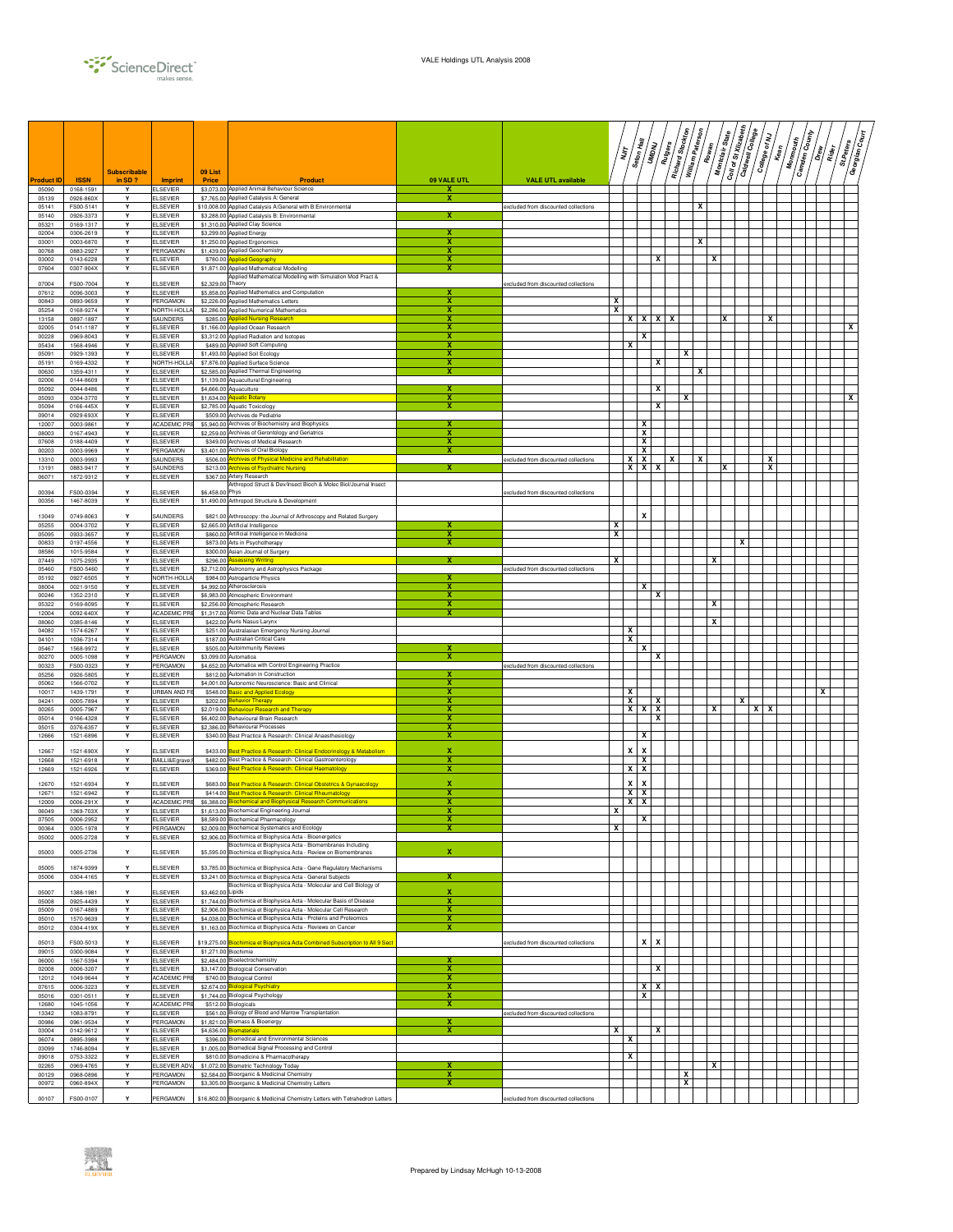|                   |                        |                                  |                                    | 09 List                              |                                                                                                                                          |                         |                                       | ΪŢ | Seton Hall                     | <b>RADAN</b>     | Richard Stockton<br>Rutgers | William Paterson | Rowan | Montclair State | Coll of st Xiizabeth<br>Caldwell College | <b>Pallege of My</b> | $k_{\text{em}}$ | <b>Camden County</b><br>Monmouth | -<br>  0 | $\sqrt{\frac{1}{\widetilde{M}_H}}$ | $\begin{picture}(120,110) \put(0,0){\line(1,0){15}} \put(15,0){\line(1,0){15}} \put(15,0){\line(1,0){15}} \put(15,0){\line(1,0){15}} \put(15,0){\line(1,0){15}} \put(15,0){\line(1,0){15}} \put(15,0){\line(1,0){15}} \put(15,0){\line(1,0){15}} \put(15,0){\line(1,0){15}} \put(15,0){\line(1,0){15}} \put(15,0){\line(1,0){15}} \put(15,0){\line$<br>Georgian |
|-------------------|------------------------|----------------------------------|------------------------------------|--------------------------------------|------------------------------------------------------------------------------------------------------------------------------------------|-------------------------|---------------------------------------|----|--------------------------------|------------------|-----------------------------|------------------|-------|-----------------|------------------------------------------|----------------------|-----------------|----------------------------------|----------|------------------------------------|-----------------------------------------------------------------------------------------------------------------------------------------------------------------------------------------------------------------------------------------------------------------------------------------------------------------------------------------------------------------|
| <b>Product ID</b> | <b>ISSN</b>            | <b>Subscribable</b><br>in $SD$ ? | <b>Imprint</b>                     | Price                                | <b>Product</b>                                                                                                                           | 09 VALE UTL             | <b>VALE UTL available</b>             |    |                                |                  |                             |                  |       |                 |                                          |                      |                 |                                  |          |                                    |                                                                                                                                                                                                                                                                                                                                                                 |
| 05090<br>05139    | 0168-1591<br>0926-860X | Y<br>Y                           | <b>ELSEVIER</b><br><b>ELSEVIER</b> |                                      | \$3,073.00 Applied Animal Behaviour Science<br>\$7,765.00 Applied Catalysis A: General                                                   | x<br>х                  |                                       |    |                                |                  |                             |                  |       |                 |                                          |                      |                 |                                  |          |                                    |                                                                                                                                                                                                                                                                                                                                                                 |
| 05141             | FS00-5141              | Y                                | <b>ELSEVIER</b>                    |                                      | \$10,008.00 Applied Catalysis A:General with B:Environmental                                                                             |                         | excluded from discounted collections  |    |                                |                  |                             | x                |       |                 |                                          |                      |                 |                                  |          |                                    |                                                                                                                                                                                                                                                                                                                                                                 |
| 05140<br>05321    | 0926-3373<br>0169-1317 | Υ<br>Y                           | <b>ELSEVIER</b><br><b>ELSEVIER</b> |                                      | \$3,288.00 Applied Catalysis B: Environmental<br>\$1,310.00 Applied Clay Science                                                         |                         |                                       |    |                                |                  |                             |                  |       |                 |                                          |                      |                 |                                  |          |                                    |                                                                                                                                                                                                                                                                                                                                                                 |
| 02004             | 0306-2619              | Y                                | <b>ELSEVIER</b>                    | \$3,299.00 Applied Energy            |                                                                                                                                          | x                       |                                       |    |                                |                  |                             |                  |       |                 |                                          |                      |                 |                                  |          |                                    |                                                                                                                                                                                                                                                                                                                                                                 |
| 03001<br>00768    | 0003-6870<br>0883-2927 | Y<br>Υ                           | <b>ELSEVIER</b><br>PERGAMON        |                                      | \$1,250.00 Applied Ergonomics<br>\$1,439.00 Applied Geochemistry                                                                         | x<br>x                  |                                       |    |                                |                  |                             | x                |       |                 |                                          |                      |                 |                                  |          |                                    |                                                                                                                                                                                                                                                                                                                                                                 |
| 03002             | 0143-6228              | Y                                | <b>ELSEVIER</b>                    |                                      | \$780.00 Applied Geography                                                                                                               | х                       |                                       |    |                                | x                |                             |                  | x     |                 |                                          |                      |                 |                                  |          |                                    |                                                                                                                                                                                                                                                                                                                                                                 |
| 07604             | 0307-904X              | Υ                                | <b>ELSEVIER</b>                    |                                      | \$1,871.00 Applied Mathematical Modelling<br>Applied Mathematical Modelling with Simulation Mod Pract &                                  | х                       |                                       |    |                                |                  |                             |                  |       |                 |                                          |                      |                 |                                  |          |                                    |                                                                                                                                                                                                                                                                                                                                                                 |
| 07004<br>07612    | FS00-7004<br>0096-3003 | Υ                                | <b>ELSEVIER</b><br><b>ELSEVIER</b> | \$2,329.00 Theory                    | \$5,858.00 Applied Mathematics and Computation                                                                                           | х                       | excluded from discounted collections  |    |                                |                  |                             |                  |       |                 |                                          |                      |                 |                                  |          |                                    |                                                                                                                                                                                                                                                                                                                                                                 |
| 00843             | 0893-9659              | Υ                                | PERGAMON                           |                                      | \$2,226.00 Applied Mathematics Letters                                                                                                   | х                       |                                       | x  |                                |                  |                             |                  |       |                 |                                          |                      |                 |                                  |          |                                    |                                                                                                                                                                                                                                                                                                                                                                 |
| 05254<br>13158    | 0168-9274<br>0897-1897 | Y<br>Y                           | NORTH-HOLLA<br>SAUNDERS            | \$285.00                             | \$2,286.00 Applied Numerical Mathematics<br>oplied Nursing Re                                                                            | х<br>x                  |                                       | x  |                                | $X$ $X$ $X$      |                             |                  |       | ΙX              |                                          |                      |                 |                                  |          |                                    |                                                                                                                                                                                                                                                                                                                                                                 |
| 02005             | 0141-1187              | Υ                                | <b>ELSEVIER</b>                    |                                      | \$1,166.00 Applied Ocean Research                                                                                                        | x                       |                                       |    |                                |                  |                             |                  |       |                 |                                          |                      |                 |                                  |          |                                    | X                                                                                                                                                                                                                                                                                                                                                               |
| 00228<br>05434    | 0969-8043<br>1568-4946 | Y<br>Y                           | <b>ELSEVIER</b><br><b>ELSEVIER</b> |                                      | \$3,312.00 Applied Radiation and Isotopes<br>\$489.00 Applied Soft Computing                                                             | x<br>x                  |                                       |    | x<br>x                         |                  |                             |                  |       |                 |                                          |                      |                 |                                  |          |                                    |                                                                                                                                                                                                                                                                                                                                                                 |
| 05091             | 0929-1393              | Y                                | <b>ELSEVIER</b>                    |                                      | \$1,493.00 Applied Soil Ecology                                                                                                          | х                       |                                       |    |                                |                  |                             | x                |       |                 |                                          |                      |                 |                                  |          |                                    |                                                                                                                                                                                                                                                                                                                                                                 |
| 05191<br>00630    | 0169-4332<br>1359-4311 | Υ<br>Y                           | NORTH-HOLLA<br><b>ELSEVIER</b>     |                                      | \$7,876.00 Applied Surface Science<br>\$2,585,00 Applied Thermal Engineering                                                             | x<br>x                  |                                       |    |                                | x                |                             | x                |       |                 |                                          |                      |                 |                                  |          |                                    |                                                                                                                                                                                                                                                                                                                                                                 |
| 02006             | 0144-8609              | Y                                | <b>ELSEVIER</b>                    |                                      | \$1,139.00 Aquacultural Engineering                                                                                                      |                         |                                       |    |                                |                  |                             |                  |       |                 |                                          |                      |                 |                                  |          |                                    |                                                                                                                                                                                                                                                                                                                                                                 |
| 05092<br>05093    | 0044-8486<br>0304-3770 | Y<br>Υ                           | <b>ELSEVIER</b><br><b>ELSEVIER</b> | \$4,666.00 Aquaculture<br>\$1,634.00 | <b><u>iquatic Botan</u></b>                                                                                                              | X                       |                                       |    |                                | x                |                             | x                |       |                 |                                          |                      |                 |                                  |          |                                    | X                                                                                                                                                                                                                                                                                                                                                               |
| 05094             | 0166-445X              | Y                                | <b>ELSEVIER</b>                    |                                      | \$2,785.00 Aquatic Toxicology                                                                                                            | $\overline{\mathbf{x}}$ |                                       |    |                                | x                |                             |                  |       |                 |                                          |                      |                 |                                  |          |                                    |                                                                                                                                                                                                                                                                                                                                                                 |
| 09014<br>12007    | 0929-693X<br>0003-9861 | Υ<br>Y                           | <b>ELSEVIER</b><br>ACADEMIC PF     |                                      | \$509.00 Archives de Pediatrie<br>\$5,940.00 Archives of Biochemistry and Biophysics                                                     |                         |                                       |    | X                              |                  |                             |                  |       |                 |                                          |                      |                 |                                  |          |                                    |                                                                                                                                                                                                                                                                                                                                                                 |
| 08003             | 0167-4943              | Υ                                | <b>ELSEVIER</b>                    |                                      | \$2,259.00 Archives of Gerontology and Geriatrics                                                                                        | х                       |                                       |    |                                | x                |                             |                  |       |                 |                                          |                      |                 |                                  |          |                                    |                                                                                                                                                                                                                                                                                                                                                                 |
| 07608<br>00203    | 0188-4409<br>0003-9969 | Y<br>Y                           | <b>ELSEVIER</b><br>PERGAMON        |                                      | \$349.00 Archives of Medical Research<br>\$3,401.00 Archives of Oral Biology                                                             | x<br>х                  |                                       |    |                                | X<br>x           |                             |                  |       |                 |                                          |                      |                 |                                  |          |                                    |                                                                                                                                                                                                                                                                                                                                                                 |
| 13310             | 0003-9993              | Y                                | SAUNDERS                           | \$506.00                             | <u>rchives of Physical Medicine and Rehabilitation</u>                                                                                   |                         | excluded from discounted collections  |    | <b>XX</b>                      |                  | x                           | X                |       |                 |                                          |                      | x               |                                  |          |                                    |                                                                                                                                                                                                                                                                                                                                                                 |
| 13191<br>06071    | 0883-9417<br>1872-9312 | Υ<br>Υ                           | SAUNDERS<br><b>ELSEVIER</b>        | \$213.00                             | rchives of Psychiatric Nursing<br>\$367.00 Artery Research                                                                               |                         |                                       |    | $X$ $X$ $X$                    |                  |                             |                  |       | x               |                                          |                      | x               |                                  |          |                                    |                                                                                                                                                                                                                                                                                                                                                                 |
| 00394             | FS00-0394              | Y                                | <b>ELSEVIER</b>                    | \$6,458,00 Phys                      | Arthropod Struct & Dev/Insect Bioch & Molec Biol/Journal Insect                                                                          |                         | excluded from discounted collections  |    |                                |                  |                             |                  |       |                 |                                          |                      |                 |                                  |          |                                    |                                                                                                                                                                                                                                                                                                                                                                 |
| 00356             | 1467-8039              | Υ                                | <b>ELSEVIER</b>                    |                                      | \$1,490.00 Arthropod Structure & Development                                                                                             |                         |                                       |    |                                |                  |                             |                  |       |                 |                                          |                      |                 |                                  |          |                                    |                                                                                                                                                                                                                                                                                                                                                                 |
| 13049             | 0749-8063              |                                  | SAUNDERS                           |                                      | \$821.00 Arthroscopy: the Journal of Arthroscopy and Related Surgery                                                                     |                         |                                       |    |                                | X                |                             |                  |       |                 |                                          |                      |                 |                                  |          |                                    |                                                                                                                                                                                                                                                                                                                                                                 |
| 05255             | 0004-3702              | Υ                                | <b>ELSEVIER</b>                    |                                      | \$2,665.00 Artificial Intelligence                                                                                                       | x                       |                                       | x  |                                |                  |                             |                  |       |                 |                                          |                      |                 |                                  |          |                                    |                                                                                                                                                                                                                                                                                                                                                                 |
| 05095<br>00833    | 0933-3657<br>0197-4556 | Y<br>Y                           | <b>ELSEVIER</b><br><b>ELSEVIER</b> |                                      | \$860.00 Artificial Intelligence in Medicine<br>\$873.00 Arts in Psychotherapy                                                           | х<br>х                  |                                       | x  |                                |                  |                             |                  |       |                 | x                                        |                      |                 |                                  |          |                                    |                                                                                                                                                                                                                                                                                                                                                                 |
| 08586             | 1015-9584              | Υ                                | <b>ELSEVIER</b>                    |                                      | \$300.00 Asian Journal of Surgery                                                                                                        |                         |                                       |    |                                |                  |                             |                  |       |                 |                                          |                      |                 |                                  |          |                                    |                                                                                                                                                                                                                                                                                                                                                                 |
| 07449<br>05460    | 1075-2935<br>FS00-5460 | Y<br>$\mathbf{v}$                | <b>ELSEVIER</b><br><b>ELSEVIER</b> | \$296.00                             | ssessing Writing<br>\$2.712.00 Astronomy and Astrophysics Package                                                                        | x                       | excluded from discounted collections  | x  |                                |                  |                             |                  | x     |                 |                                          |                      |                 |                                  |          |                                    |                                                                                                                                                                                                                                                                                                                                                                 |
| 05192             | 0927-6505              | Y                                | NORTH-HOLL                         |                                      | \$984.00 Astroparticle Physics                                                                                                           | х                       |                                       |    |                                |                  |                             |                  |       |                 |                                          |                      |                 |                                  |          |                                    |                                                                                                                                                                                                                                                                                                                                                                 |
| 08004<br>00246    | 0021-9150<br>1352-2310 | Υ<br>Y                           | <b>ELSEVIER</b><br><b>ELSEVIER</b> | \$4,992.00 Atherosclerosis           | \$6,983.00 Atmospheric Environment                                                                                                       | x<br>х                  |                                       |    |                                | x<br>x           |                             |                  |       |                 |                                          |                      |                 |                                  |          |                                    |                                                                                                                                                                                                                                                                                                                                                                 |
| 05322             | 0169-8095              | Y                                | <b>ELSEVIER</b>                    |                                      | \$2,256.00 Atmospheric Research                                                                                                          | х                       |                                       |    |                                |                  |                             |                  | x     |                 |                                          |                      |                 |                                  |          |                                    |                                                                                                                                                                                                                                                                                                                                                                 |
| 12004<br>08060    | 0092-640X<br>0385-8146 | Y<br>Υ                           | ACADEMIC PR<br><b>ELSEVIER</b>     |                                      | \$1,317.00 Atomic Data and Nuclear Data Tables<br>\$422.00 Auris Nasus Larynx                                                            | х                       |                                       |    |                                |                  |                             |                  | X     |                 |                                          |                      |                 |                                  |          |                                    |                                                                                                                                                                                                                                                                                                                                                                 |
| 04082<br>04101    | 1574-6267<br>1036-7314 | Υ<br>Υ                           | <b>ELSEVIER</b><br><b>ELSEVIER</b> |                                      | \$251.00 Australasian Emergency Nursing Journal<br>\$187.00 Australian Critical Care                                                     |                         |                                       |    | $\mathbf{x}$<br>x              |                  |                             |                  |       |                 |                                          |                      |                 |                                  |          |                                    |                                                                                                                                                                                                                                                                                                                                                                 |
| 05467             | 1568-9972              | Y                                | <b>ELSEVIER</b>                    |                                      | \$505.00 Autoimmunity Reviews                                                                                                            |                         |                                       |    |                                | X                |                             |                  |       |                 |                                          |                      |                 |                                  |          |                                    |                                                                                                                                                                                                                                                                                                                                                                 |
| 00270             | 0005-1098              | Υ<br>Y                           | PERGAMON<br>PERGAMON               | \$3,099.00 Automatica                |                                                                                                                                          | x                       |                                       |    |                                | x                |                             |                  |       |                 |                                          |                      |                 |                                  |          |                                    |                                                                                                                                                                                                                                                                                                                                                                 |
| 00323<br>05256    | FS00-0323<br>0926-5805 | Y                                | <b>ELSEVIER</b>                    |                                      | \$4,652.00 Automatica with Control Engineering Practice<br>\$812.00 Automation in Construction                                           | х                       | excluded from discounted collections  |    |                                |                  |                             |                  |       |                 |                                          |                      |                 |                                  |          |                                    |                                                                                                                                                                                                                                                                                                                                                                 |
| 05062<br>10017    | 1566-0702<br>1439-1791 | Y<br>Υ                           | <b>ELSEVIER</b><br>URBAN AND F     | \$548.00                             | \$4,001.00 Autonomic Neuroscience: Basic and Clinical                                                                                    | x<br>X                  |                                       |    | х                              |                  |                             |                  |       |                 |                                          |                      |                 |                                  | x        |                                    |                                                                                                                                                                                                                                                                                                                                                                 |
| 04241             | 0005-7894              | Y                                | <b>ELSEVIER</b>                    | \$202.00                             | asic and Applied Ecology<br>ehavior Therapy                                                                                              | x                       |                                       |    | ×                              | ΙX               |                             |                  |       |                 | x                                        |                      |                 |                                  |          |                                    |                                                                                                                                                                                                                                                                                                                                                                 |
| 00265<br>05014    | 0005-7967<br>0166-4328 | $\mathbf{v}$<br>Y                | <b>ELSEVIER</b><br><b>ELSEVIER</b> | \$2,019.00                           | <b>Jehaviour Research and Therapy</b><br>\$6,402.00 Behavioural Brain Research                                                           | x<br>x                  |                                       |    |                                | $X$ $X$ $X$<br>x |                             |                  | x     |                 |                                          | $X$   $X$            |                 |                                  |          |                                    |                                                                                                                                                                                                                                                                                                                                                                 |
| 05015             | 0376-6357              | Y                                | <b>ELSEVIER</b>                    |                                      | \$2,386.00 Behavioural Processes                                                                                                         | х                       |                                       |    |                                |                  |                             |                  |       |                 |                                          |                      |                 |                                  |          |                                    |                                                                                                                                                                                                                                                                                                                                                                 |
| 12666             | 1521-6896              | Υ                                | <b>ELSEVIER</b>                    |                                      | \$340.00 Best Practice & Research: Clinical Anaesthesiology                                                                              | х                       |                                       |    |                                | х                |                             |                  |       |                 |                                          |                      |                 |                                  |          |                                    |                                                                                                                                                                                                                                                                                                                                                                 |
| 12667             | 1521-690X              | Y                                | <b>ELSEVIER</b>                    | \$433.00                             | lest Practice & Research: Clinical Endocrinology & Metabolism                                                                            | x                       |                                       |    | x<br>$\boldsymbol{\mathsf{x}}$ |                  |                             |                  |       |                 |                                          |                      |                 |                                  |          |                                    |                                                                                                                                                                                                                                                                                                                                                                 |
| 12668<br>12669    | 1521-6918<br>1521-6926 | Y<br>Υ                           | <b>BAILLIÈ</b><br><b>ELSEVIER</b>  |                                      | \$482.00 Best Practice & Research: Clinical Gastroenterology<br>\$369.00 Best Practice & Research: Clinical Haematology                  | x<br>x                  |                                       |    | X<br>$x \mid x$                |                  |                             |                  |       |                 |                                          |                      |                 |                                  |          |                                    |                                                                                                                                                                                                                                                                                                                                                                 |
| 12670             | 1521-6934              | Y                                | <b>ELSEVIER</b>                    | \$683.00                             | Best Practice & Research: Clinical Obstetrics & Gynaecology                                                                              | $\mathbf{x}$            |                                       |    | x<br>$\boldsymbol{\mathsf{x}}$ |                  |                             |                  |       |                 |                                          |                      |                 |                                  |          |                                    |                                                                                                                                                                                                                                                                                                                                                                 |
| 12671             | 1521-6942              | Y                                | <b>ELSEVIER</b>                    | \$414.00                             | <b>Jest Practice &amp; Research: Clinical Rheumatology</b>                                                                               | x                       |                                       |    | $X$   $X$                      |                  |                             |                  |       |                 |                                          |                      |                 |                                  |          |                                    |                                                                                                                                                                                                                                                                                                                                                                 |
| 12009<br>06049    | 0006-291X<br>1369-703X | Y<br>Υ                           | ACADEMIC PR<br><b>ELSEVIER</b>     | \$6,388.00                           | <b>Biochemical and Biophysical Research Communications</b><br>\$1,613.00 Biochemical Engineering Journal                                 | x<br>x                  |                                       | x  | $x \mid x$                     |                  |                             |                  |       |                 |                                          |                      |                 |                                  |          |                                    |                                                                                                                                                                                                                                                                                                                                                                 |
| 07505             | 0006-2952              | Υ                                | <b>ELSEVIER</b>                    |                                      | \$8,589.00 Biochemical Pharmacology                                                                                                      |                         |                                       |    | X                              |                  |                             |                  |       |                 |                                          |                      |                 |                                  |          |                                    |                                                                                                                                                                                                                                                                                                                                                                 |
| 00364<br>05002    | 0305-1978<br>0005-2728 | Y<br>Y                           | PERGAMON<br><b>ELSEVIER</b>        |                                      | \$2,009.00 Biochemical Systematics and Ecology<br>\$2,906.00 Biochimica et Biophysica Acta - Bioenergetics                               |                         |                                       | х  |                                |                  |                             |                  |       |                 |                                          |                      |                 |                                  |          |                                    |                                                                                                                                                                                                                                                                                                                                                                 |
| 05003             | 0005-2736              | Y                                | <b>ELSEVIER</b>                    |                                      | Biochimica et Biophysica Acta - Biomembranes Including<br>\$5,595.00 Biochimica et Biophysica Acta - Review on Biomembranes              | x                       |                                       |    |                                |                  |                             |                  |       |                 |                                          |                      |                 |                                  |          |                                    |                                                                                                                                                                                                                                                                                                                                                                 |
|                   |                        |                                  |                                    |                                      |                                                                                                                                          |                         |                                       |    |                                |                  |                             |                  |       |                 |                                          |                      |                 |                                  |          |                                    |                                                                                                                                                                                                                                                                                                                                                                 |
| 05005<br>05006    | 1874-9399<br>0304-4165 | Y<br>Y                           | <b>ELSEVIER</b><br><b>ELSEVIER</b> |                                      | \$3,785.00 Biochimica et Biophysica Acta - Gene Regulatory Mechanisms<br>\$3,241.00 Biochimica et Biophysica Acta - General Subjects     | х                       |                                       |    |                                |                  |                             |                  |       |                 |                                          |                      |                 |                                  |          |                                    |                                                                                                                                                                                                                                                                                                                                                                 |
| 05007             | 1388-1981              | Y                                | <b>ELSEVIER</b>                    | \$3,462.00 Lipids                    | Biochimica et Biophysica Acta - Molecular and Cell Biology of                                                                            | x                       |                                       |    |                                |                  |                             |                  |       |                 |                                          |                      |                 |                                  |          |                                    |                                                                                                                                                                                                                                                                                                                                                                 |
| 05008             | 0925-4439              | Y                                | <b>ELSEVIER</b>                    |                                      | \$1,744.00 Biochimica et Biophysica Acta - Molecular Basis of Disease                                                                    | $\overline{\mathbf{x}}$ |                                       |    |                                |                  |                             |                  |       |                 |                                          |                      |                 |                                  |          |                                    |                                                                                                                                                                                                                                                                                                                                                                 |
| 05009<br>05010    | 0167-4889<br>1570-9639 | Υ<br>Y                           | <b>ELSEVIER</b><br><b>ELSEVIER</b> |                                      | \$2,906.00 Biochimica et Biophysica Acta - Molecular Cell Research<br>\$4,038.00 Biochimica et Biophysica Acta - Proteins and Proteomics | x<br>x                  |                                       |    |                                |                  |                             |                  |       |                 |                                          |                      |                 |                                  |          |                                    |                                                                                                                                                                                                                                                                                                                                                                 |
| 05012             | 0304-419X              | Υ                                | <b>ELSEVIER</b>                    |                                      | \$1,163.00 Biochimica et Biophysica Acta - Reviews on Cancer                                                                             | x                       |                                       |    |                                |                  |                             |                  |       |                 |                                          |                      |                 |                                  |          |                                    |                                                                                                                                                                                                                                                                                                                                                                 |
| 05013             | FS00-5013              | Y                                | <b>ELSEVIER</b>                    |                                      | \$19,275.00 Biochimica et Biophysica Acta Combined Subscription to All 9 Sect                                                            |                         | excluded from discounted collections. |    |                                | $x \mid x$       |                             |                  |       |                 |                                          |                      |                 |                                  |          |                                    |                                                                                                                                                                                                                                                                                                                                                                 |
| 09015             | 0300-9084              | $\mathbf{v}$                     | <b>ELSEVIER</b>                    | \$1,271,00 Biochimie                 |                                                                                                                                          |                         |                                       |    |                                |                  |                             |                  |       |                 |                                          |                      |                 |                                  |          |                                    |                                                                                                                                                                                                                                                                                                                                                                 |
| 06000<br>02008    | 1567-5394<br>0006-3207 | Y<br>Υ                           | <b>ELSEVIER</b><br><b>ELSEVIER</b> |                                      | \$2,484.00 Bioelectrochemistry<br>\$3,147.00 Biological Conservation                                                                     | x                       |                                       |    |                                | х                |                             |                  |       |                 |                                          |                      |                 |                                  |          |                                    |                                                                                                                                                                                                                                                                                                                                                                 |
| 12012             | 1049-9644              | Υ                                | ACADEMIC PRE                       |                                      | \$740.00 Biological Control                                                                                                              | х                       |                                       |    |                                |                  |                             |                  |       |                 |                                          |                      |                 |                                  |          |                                    |                                                                                                                                                                                                                                                                                                                                                                 |
| 07615<br>05016    | 0006-3223<br>0301-0511 | Y<br>Y                           | <b>ELSEVIER</b><br><b>ELSEVIER</b> | \$2,674.00                           | <b>Biological Psychiatry</b><br>\$1,744.00 Biological Psychology                                                                         | х<br>×                  |                                       |    |                                | <b>XX</b><br>x   |                             |                  |       |                 |                                          |                      |                 |                                  |          |                                    |                                                                                                                                                                                                                                                                                                                                                                 |
| 12680             | 1045-1056              | Υ                                | ACADEMIC PR                        | \$512.00 Biologicals                 |                                                                                                                                          | X                       |                                       |    |                                |                  |                             |                  |       |                 |                                          |                      |                 |                                  |          |                                    |                                                                                                                                                                                                                                                                                                                                                                 |
| 13342<br>00986    | 1083-8791<br>0961-9534 | Y<br>Υ                           | <b>ELSEVIER</b><br>PERGAMON        |                                      | \$561.00 Biology of Blood and Marrow Transplantation<br>\$1,821.00 Biomass & Bioenergy                                                   | x                       | excluded from discounted collections  |    |                                |                  |                             |                  |       |                 |                                          |                      |                 |                                  |          |                                    |                                                                                                                                                                                                                                                                                                                                                                 |
| 03004             | 0142-9612              | Y                                | <b>ELSEVIER</b>                    | \$4,636.00 Biomaterials              |                                                                                                                                          | х                       |                                       | x  |                                | х                |                             |                  |       |                 |                                          |                      |                 |                                  |          |                                    |                                                                                                                                                                                                                                                                                                                                                                 |
| 06074<br>03099    | 0895-3988<br>1746-8094 | Υ<br>Y                           | <b>ELSEVIER</b><br><b>ELSEVIER</b> |                                      | \$396.00 Biomedical and Environmental Sciences<br>\$1,005.00 Biomedical Signal Processing and Control                                    |                         |                                       |    | x                              |                  |                             |                  |       |                 |                                          |                      |                 |                                  |          |                                    |                                                                                                                                                                                                                                                                                                                                                                 |
| 09018             | 0753-3322              | Y<br>Y                           | <b>ELSEVIER</b>                    |                                      | \$810.00 Biomedicine & Pharmacotherapy                                                                                                   |                         |                                       |    | x                              |                  |                             |                  |       |                 |                                          |                      |                 |                                  |          |                                    |                                                                                                                                                                                                                                                                                                                                                                 |
| 02265<br>00129    | 0969-4765<br>0968-0896 | Υ                                | ELSEVIER ADV<br>PERGAMON           |                                      | \$1,072.00 Biometric Technology Today<br>\$2,584.00 Bioorganic & Medicinal Chemistry                                                     | X                       |                                       |    |                                |                  |                             | x                | х     |                 |                                          |                      |                 |                                  |          |                                    |                                                                                                                                                                                                                                                                                                                                                                 |
| 00972             | 0960-894X              | Υ                                | PERGAMON                           |                                      | \$3,305.00 Bioorganic & Medicinal Chemistry Letters                                                                                      | x                       |                                       |    |                                |                  |                             | x                |       |                 |                                          |                      |                 |                                  |          |                                    |                                                                                                                                                                                                                                                                                                                                                                 |
| 00107             | FS00-0107              | Y                                | PERGAMON                           |                                      | \$16,802.00 Bioorganic & Medicinal Chemistry Letters with Tetrahedron Letters                                                            |                         | excluded from discounted collections  |    |                                |                  |                             |                  |       |                 |                                          |                      |                 |                                  |          |                                    |                                                                                                                                                                                                                                                                                                                                                                 |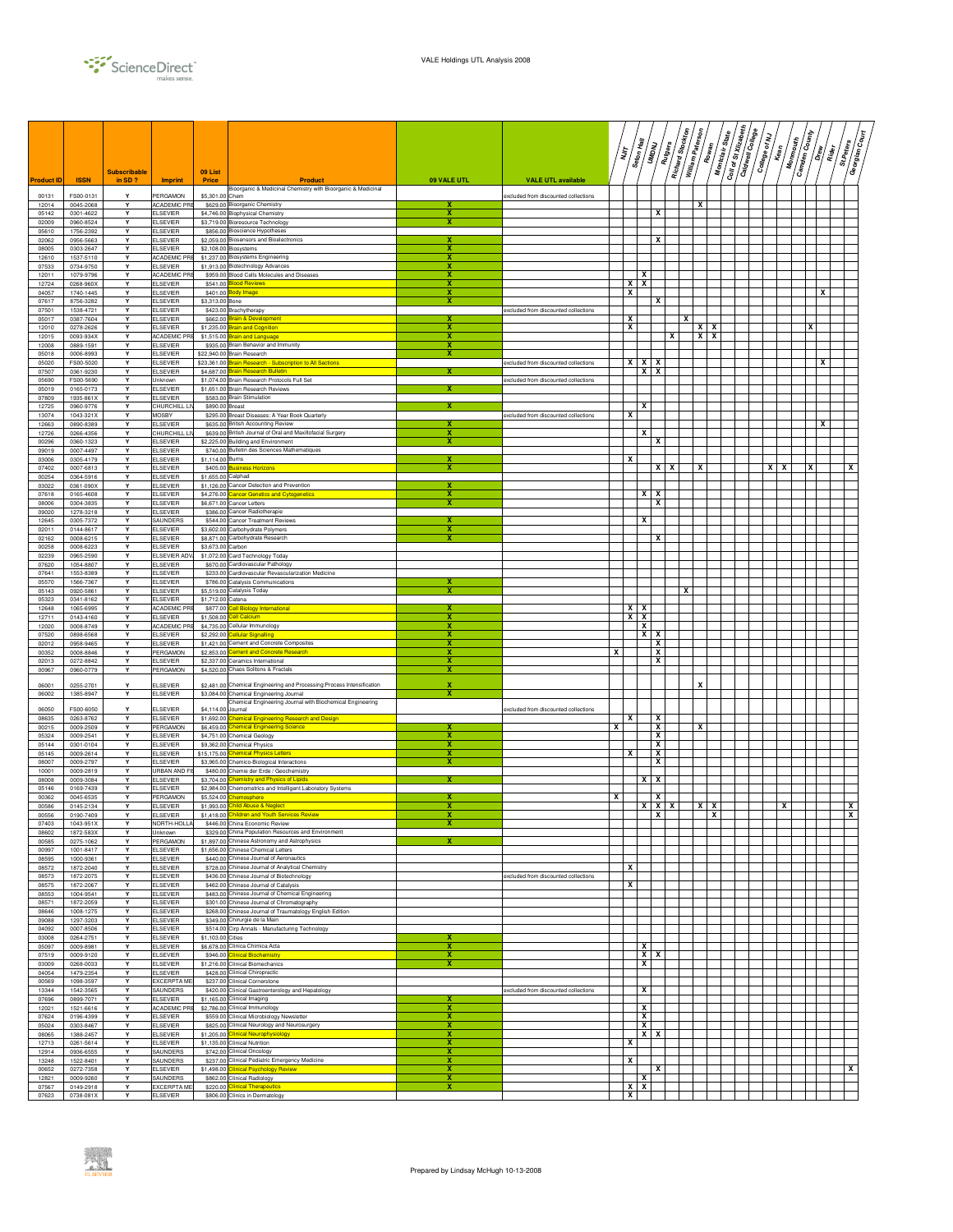

|                   |                        |                               |                                    |                    |                                                                                                                   |                  |                                      |   | ΪŢ                | Seton Hall       | UMDNU             | Richard Stockton<br>$\sqrt{\frac{2}{\pi}}\frac{d\theta}{d\theta}$ | William Paterson | Rowan | Montclair State | Coll of St Xilzabeth<br>Caldwell College | College of NJ | $\sqrt{\frac{2}{n}}$ | Monnouth<br>Camden County | $\left \frac{\tilde{s}}{\tilde{s}}\right $ if | St.Peters | چ/<br>چ<br>Georgian |
|-------------------|------------------------|-------------------------------|------------------------------------|--------------------|-------------------------------------------------------------------------------------------------------------------|------------------|--------------------------------------|---|-------------------|------------------|-------------------|-------------------------------------------------------------------|------------------|-------|-----------------|------------------------------------------|---------------|----------------------|---------------------------|-----------------------------------------------|-----------|---------------------|
| <b>Product ID</b> | <b>ISSN</b>            | <b>Subscribable</b><br>in SD? | <b>Imprint</b>                     | 09 List<br>Price   | Product                                                                                                           | 09 VALE UTL      | <b>VALE UTL available</b>            |   |                   |                  |                   |                                                                   |                  |       |                 |                                          |               |                      |                           |                                               |           |                     |
| 00131             | FS00-0131              |                               | PERGAMON                           | \$5,301.00 Chem    | Bioorganic & Medicinal Chemistry with Bioorganic & Medicinal                                                      |                  | excluded from discounted collections |   |                   |                  |                   |                                                                   |                  |       |                 |                                          |               |                      |                           |                                               |           |                     |
| 12014<br>05142    | 0045-2068<br>0301-4622 | Y<br>Y                        | ACADEMIC PRI<br><b>ELSEVIER</b>    |                    | \$629.00 Bioorganic Chemistry<br>\$4,746.00 Biophysical Chemistry                                                 | x<br>х           |                                      |   |                   |                  | x                 |                                                                   | x                |       |                 |                                          |               |                      |                           |                                               |           |                     |
| 02009<br>05610    | 0960-8524<br>1756-2392 | Y<br>Y                        | ELSEVIER<br><b>ELSEVIER</b>        |                    | \$3,719.00 Bioresource Technology<br>\$856.00 Bioscience Hypotheses                                               | х                |                                      |   |                   |                  |                   |                                                                   |                  |       |                 |                                          |               |                      |                           |                                               |           |                     |
| 02062<br>08005    | 0956-5663<br>0303-2647 | Y<br>Y                        | <b>ELSEVIER</b><br><b>ELSEVIER</b> |                    | \$2,059.00 Biosensors and Bioelectronics<br>$$2,108.00$ Biosystems                                                | x                |                                      |   |                   |                  | х                 |                                                                   |                  |       |                 |                                          |               |                      |                           |                                               |           |                     |
| 12610<br>07533    | 1537-5110<br>0734-9750 | Y<br>Y                        | ACADEMIC PR<br><b>ELSEVIER</b>     |                    | \$1,237.00 Biosystems Engineering<br>\$1,913.00 Biotechnology Advances                                            | ×<br>х           |                                      |   |                   |                  |                   |                                                                   |                  |       |                 |                                          |               |                      |                           |                                               |           |                     |
| 12011             | 1079-9796              | Y                             | ACADEMIC PR                        |                    | \$959.00 Blood Cells Molecules and Diseases                                                                       | х                |                                      |   |                   | х                |                   |                                                                   |                  |       |                 |                                          |               |                      |                           |                                               |           |                     |
| 12724<br>04057    | 0268-960X<br>1740-1445 | Y<br>Y                        | <b>ELSEVIER</b><br><b>ELSEVIER</b> |                    | \$541.00 Blood Reviews<br>\$401.00 Body Image                                                                     | x                |                                      |   | x                 | $x \mid x$       |                   |                                                                   |                  |       |                 |                                          |               |                      |                           | х                                             |           |                     |
| 07617<br>07501    | 8756-3282<br>1538-4721 | Y<br>Y                        | <b>ELSEVIER</b><br><b>ELSEVIER</b> | \$3,313.00 Bone    | \$423.00 Brachytherapy                                                                                            | x                | excluded from discounted collections |   |                   |                  | х                 |                                                                   |                  |       |                 |                                          |               |                      |                           |                                               |           |                     |
| 05017<br>12010    | 0387-7604<br>0278-2626 | Y<br>Υ                        | <b>ELSEVIER</b><br><b>ELSEVIER</b> |                    | \$662.00 Brain & Development<br>\$1,235.00 Brain and Cognition                                                    | x<br>x           |                                      |   | $\mathbf{x}$<br>х |                  |                   | x                                                                 | x                | x     |                 |                                          |               |                      | x                         |                                               |           |                     |
| 12015<br>12008    | 0093-934X<br>0889-1591 | Y<br>Y                        | ACADEMIC PF<br><b>ELSEVIER</b>     |                    | \$1,515.00 Brain and Language<br>\$935.00 Brain Behavior and Immunity                                             | x<br>х           |                                      |   |                   |                  |                   | x                                                                 | x                | x     |                 |                                          |               |                      |                           |                                               |           |                     |
| 05018             | 0006-8993              | Y                             | <b>ELSEVIER</b>                    |                    | \$22,940.00 Brain Research                                                                                        | x                |                                      |   |                   |                  |                   |                                                                   |                  |       |                 |                                          |               |                      |                           |                                               |           |                     |
| 05020<br>07507    | FS00-5020<br>0361-9230 | Y<br>Y                        | <b>ELSEVIER</b><br>ELSEVIER        | \$4,687.00         | \$23,361.00 Brain Research - Subscription to All Sections<br><b>Brain Research Bulletir</b>                       |                  | excluded from discounted collections |   |                   | $X$ $X$ $X$<br>x | X                 |                                                                   |                  |       |                 |                                          |               |                      |                           | x                                             |           |                     |
| 05690<br>05019    | FS00-5690<br>0165-0173 | Y<br>Y                        | <b>Jnknown</b><br><b>ELSEVIER</b>  |                    | \$1,074.00 Brain Research Protocols Full Set<br>\$1,651.00 Brain Research Reviews                                 | x                | excluded from discounted collections |   |                   |                  |                   |                                                                   |                  |       |                 |                                          |               |                      |                           |                                               |           |                     |
| 07809<br>12725    | 1935-861X<br>0960-9776 | $\mathbf{v}$<br>Y             | <b>ELSEVIER</b><br>CHURCHILL LI    | \$890.00 Breast    | \$583.00 Brain Stimulation                                                                                        | x                |                                      |   |                   | х                |                   |                                                                   |                  |       |                 |                                          |               |                      |                           |                                               |           |                     |
| 13074<br>12663    | 1043-321X<br>0890-8389 | Y<br>Y                        | <b>MOSBY</b><br><b>ELSEVIER</b>    |                    | \$295.00 Breast Diseases: A Year Book Quarterly<br>\$635.00 British Accounting Review                             | x                | excluded from discounted collections |   | x                 |                  |                   |                                                                   |                  |       |                 |                                          |               |                      |                           | х                                             |           |                     |
| 12726             | 0266-4356              | Y                             | CHURCHILL LN                       |                    | \$639.00 British Journal of Oral and Maxillofacial Surgery                                                        | x                |                                      |   |                   | x                |                   |                                                                   |                  |       |                 |                                          |               |                      |                           |                                               |           |                     |
| 00296<br>09019    | 0360-1323<br>0007-4497 | Y<br>Y                        | <b>ELSEVIER</b><br><b>ELSEVIER</b> |                    | \$2,225.00 Building and Environment<br>\$740.00 Bulletin des Sciences Mathematiques                               | x                |                                      |   |                   |                  | х                 |                                                                   |                  |       |                 |                                          |               |                      |                           |                                               |           |                     |
| 03006<br>07402    | 0305-4179<br>0007-6813 | Y<br>Υ                        | ELSEVIER<br><b>ELSEVIER</b>        | \$1,114.00 Burns   | \$405.00 Business Horizons                                                                                        | x<br>x           |                                      |   | X                 |                  |                   | $x \mid x$                                                        | x                |       |                 |                                          |               | x<br>x               | x                         |                                               |           | x                   |
| 00254<br>03022    | 0364-5916<br>0361-090X | Y<br>Y                        | <b>ELSEVIER</b><br><b>ELSEVIER</b> | \$1,655.00 Calphad | \$1,126.00 Cancer Detection and Prevention                                                                        | x                |                                      |   |                   |                  |                   |                                                                   |                  |       |                 |                                          |               |                      |                           |                                               |           |                     |
| 07618<br>08006    | 0165-4608<br>0304-3835 | Y<br>Y                        | <b>ELSEVIER</b><br><b>ELSEVIER</b> |                    | \$4,276.00 Cancer Genetics and Cytogenetics<br>\$6,671.00 Cancer Letters                                          | x<br>x           |                                      |   |                   | x                | х<br>x            |                                                                   |                  |       |                 |                                          |               |                      |                           |                                               |           |                     |
| 09020             | 1278-3218              | Y                             | <b>ELSEVIER</b>                    |                    | \$386.00 Cancer Radiotherapie                                                                                     |                  |                                      |   |                   |                  |                   |                                                                   |                  |       |                 |                                          |               |                      |                           |                                               |           |                     |
| 12645<br>02011    | 0305-7372<br>0144-8617 | Y<br>Y                        | SAUNDERS<br><b>ELSEVIER</b>        |                    | \$544.00 Cancer Treatment Reviews<br>\$3,602.00 Carbohydrate Polymers                                             | x                |                                      |   |                   | х                |                   |                                                                   |                  |       |                 |                                          |               |                      |                           |                                               |           |                     |
| 02162<br>00258    | 0008-6215<br>0008-6223 | Y<br>Υ                        | <b>ELSEVIER</b><br><b>ELSEVIER</b> | \$3,673.00 Carbon  | \$8,871.00 Carbohydrate Research                                                                                  | x                |                                      |   |                   |                  | X                 |                                                                   |                  |       |                 |                                          |               |                      |                           |                                               |           |                     |
| 02239<br>07620    | 0965-2590<br>1054-8807 | Y<br>Y                        | ELSEVIER ADV<br><b>ELSEVIER</b>    |                    | \$1,072.00 Card Technology Today<br>\$670.00 Cardiovascular Pathology                                             |                  |                                      |   |                   |                  |                   |                                                                   |                  |       |                 |                                          |               |                      |                           |                                               |           |                     |
| 07641<br>05570    | 1553-8389<br>1566-7367 | Y<br>Y                        | <b>ELSEVIER</b><br><b>ELSEVIER</b> |                    | \$233.00 Cardiovascular Revascularization Medicine<br>\$786.00 Catalysis Communications                           | x                |                                      |   |                   |                  |                   |                                                                   |                  |       |                 |                                          |               |                      |                           |                                               |           |                     |
| 05143             | 0920-5861              | Y                             | ELSEVIER                           |                    | \$5,519.00 Catalysis Today                                                                                        | х                |                                      |   |                   |                  |                   |                                                                   | x                |       |                 |                                          |               |                      |                           |                                               |           |                     |
| 05323<br>12648    | 0341-8162<br>1065-6995 | Y<br>Y                        | <b>ELSEVIER</b><br>ACADEMIC PR     | \$1,712.00 Catena  | \$877.00 Cell Biology International                                                                               | x                |                                      |   |                   | $X$ $X$          |                   |                                                                   |                  |       |                 |                                          |               |                      |                           |                                               |           |                     |
| 12711<br>12020    | 0143-4160<br>0008-8749 | Y<br>Y                        | <b>ELSEVIER</b><br>ACADEMIC PR     |                    | \$1,508.00 Cell Calcium<br>\$4,735.00 Cellular Immunology                                                         | x<br>x           |                                      |   |                   | $X$   $X$<br>x   |                   |                                                                   |                  |       |                 |                                          |               |                      |                           |                                               |           |                     |
| 07520<br>02012    | 0898-6568<br>0958-9465 | Y<br>Y                        | <b>ELSEVIER</b><br><b>ELSEVIER</b> |                    | \$2,292.00 Cellular Signalling<br>\$1,421.00 Cement and Concrete Composites                                       | x<br>x           |                                      |   |                   | x                | X<br>x            |                                                                   |                  |       |                 |                                          |               |                      |                           |                                               |           |                     |
| 00352<br>02013    | 0008-8846<br>0272-8842 | Y<br>Y                        | PERGAMON<br>ELSEVIER               |                    | \$2,853.00 Cement and Concrete Research<br>\$2,337.00 Ceramics International                                      | x<br>x           |                                      | x |                   |                  | x<br>x            |                                                                   |                  |       |                 |                                          |               |                      |                           |                                               |           |                     |
| 00967             | 0960-0779              | Υ                             | PERGAMON                           |                    | \$4,520.00 Chaos Solitons & Fractals                                                                              | x                |                                      |   |                   |                  |                   |                                                                   |                  |       |                 |                                          |               |                      |                           |                                               |           |                     |
| 06001<br>06002    | 0255-2701<br>1385-8947 | Y<br>Y                        | <b>ELSEVIER</b><br><b>ELSEVIER</b> |                    | \$2,481.00 Chemical Engineering and Processing:Process Intensification<br>\$3,084.00 Chemical Engineering Journal | x<br>x           |                                      |   |                   |                  |                   |                                                                   |                  |       |                 |                                          |               |                      |                           |                                               |           |                     |
| 06050             | FS00-6050              | Y                             | ELSEVIER                           | \$4,114.00 Journal | Chemical Engineering Journal with Biochemical Engineering                                                         |                  | excluded from discounted collections |   |                   |                  |                   |                                                                   |                  |       |                 |                                          |               |                      |                           |                                               |           |                     |
| 08635             | 0263-8762              | Y                             | <b>ELSEVIER</b><br>PERGAMON        |                    | \$1,692.00 Chemical Engineering Research and Design                                                               | x                |                                      | x | x                 |                  | х                 |                                                                   | x                |       |                 |                                          |               |                      |                           |                                               |           |                     |
| 00215<br>05324    | 0009-2509<br>0009-2541 | Y<br>Y                        | <b>ELSEVIER</b>                    |                    | \$6,459.00 Chemical Engineering Science<br>\$4,751.00 Chemical Geology                                            | x                |                                      |   |                   |                  | х<br>х            |                                                                   |                  |       |                 |                                          |               |                      |                           |                                               |           |                     |
| 05144<br>05145    | 0301-0104<br>0009-2614 | Y<br>Y                        | <b>ELSEVIER</b><br><b>ELSEVIER</b> | \$15,175.00        | \$9,362.00 Chemical Physics<br><b>Chemical Physics Letters</b>                                                    | X<br>x           |                                      |   | x                 |                  | х<br>X            |                                                                   |                  |       |                 |                                          |               |                      |                           |                                               |           |                     |
| 08007<br>10001    | 0009-2797<br>0009-2819 | Y<br>Υ                        | <b>ELSEVIER</b><br>URBAN AND F     |                    | \$3,965.00 Chemico-Biological Interactions<br>\$480.00 Chemie der Erde / Geochemistry                             | x                |                                      |   |                   |                  | х                 |                                                                   |                  |       |                 |                                          |               |                      |                           |                                               |           |                     |
| 08008<br>05146    | 0009-3084<br>0169-7439 | Y<br>Y                        | <b>ELSEVIER</b><br><b>ELSEVIER</b> |                    | \$3,704.00 Chemistry and Physics of Lipids<br>\$2,984.00 Chemometrics and Intelligent Laboratory Systems          | x                |                                      |   |                   | x                | x                 |                                                                   |                  |       |                 |                                          |               |                      |                           |                                               |           |                     |
| 00362<br>00586    | 0045-6535<br>0145-2134 | Y<br>Y                        | PERGAMON<br>ELSEVIER               |                    | \$5,524.00 Chemosphere<br>\$1,993.00 Child Abuse & Neglect                                                        | x<br>X           |                                      | x |                   | x                | х<br>$\mathbf{x}$ | x                                                                 | x                | x     |                 |                                          |               | x                    |                           |                                               |           | x                   |
| 00556             | 0190-7409              |                               | <b>ELSEVIER</b>                    |                    | \$1,418.00 Children and Youth Services Review                                                                     | x                |                                      |   |                   |                  | X I               |                                                                   |                  | x     |                 |                                          |               |                      |                           |                                               |           | х                   |
| 07403<br>08602    | 1043-951X<br>1872-583X | Y                             | NORTH-HOLLA<br>Unknown             |                    | \$446.00 China Economic Review<br>\$329.00 China Population Resources and Environment                             |                  |                                      |   |                   |                  |                   |                                                                   |                  |       |                 |                                          |               |                      |                           |                                               |           |                     |
| 00585<br>00997    | 0275-1062<br>1001-8417 | Υ<br>Y                        | PERGAMON<br><b>ELSEVIER</b>        |                    | \$1.897.00 Chinese Astronomy and Astrophysics<br>\$1,656.00 Chinese Chemical Letters                              |                  |                                      |   |                   |                  |                   |                                                                   |                  |       |                 |                                          |               |                      |                           |                                               |           |                     |
| 08595<br>08572    | 1000-9361<br>1872-2040 | Y<br>Y                        | <b>ELSEVIER</b><br><b>ELSEVIER</b> |                    | \$440.00 Chinese Journal of Aeronautics<br>\$728.00 Chinese Journal of Analytical Chemistry                       |                  |                                      |   | x                 |                  |                   |                                                                   |                  |       |                 |                                          |               |                      |                           |                                               |           |                     |
| 08573<br>08575    | 1872-2075<br>1872-2067 | Y<br>Y                        | <b>ELSEVIER</b><br>ELSEVIER        |                    | \$436.00 Chinese Journal of Biotechnology<br>\$462.00 Chinese Journal of Catalysis                                |                  | excluded from discounted collections |   | x                 |                  |                   |                                                                   |                  |       |                 |                                          |               |                      |                           |                                               |           |                     |
| 08553<br>08571    | 1004-9541              | Y<br>Y                        | <b>ELSEVIER</b>                    |                    | \$483.00 Chinese Journal of Chemical Engineering<br>\$301.00 Chinese Journal of Chromatography                    |                  |                                      |   |                   |                  |                   |                                                                   |                  |       |                 |                                          |               |                      |                           |                                               |           |                     |
| 08646             | 1872-2059<br>1008-1275 | Y                             | <b>ELSEVIER</b><br><b>ELSEVIER</b> |                    | \$268.00 Chinese Journal of Traumatology English Edition                                                          |                  |                                      |   |                   |                  |                   |                                                                   |                  |       |                 |                                          |               |                      |                           |                                               |           |                     |
| 09088<br>04092    | 1297-3203<br>0007-8506 | Y<br>Y                        | <b>ELSEVIER</b><br><b>ELSEVIER</b> |                    | \$349.00 Chirurgie de la Main<br>\$514.00 Cirp Annals - Manufacturing Technology                                  |                  |                                      |   |                   |                  |                   |                                                                   |                  |       |                 |                                          |               |                      |                           |                                               |           |                     |
| 03008<br>05097    | 0264-2751<br>0009-8981 | Y<br>Y                        | <b>ELSEVIER</b><br><b>ELSEVIER</b> | \$1,103.00 Cities  | \$6,678.00 Clinica Chimica Acta                                                                                   | х<br>$\mathbf x$ |                                      |   |                   | x                |                   |                                                                   |                  |       |                 |                                          |               |                      |                           |                                               |           |                     |
| 07519<br>03009    | 0009-9120<br>0268-0033 | Y<br>Y                        | <b>ELSEVIER</b><br><b>ELSEVIER</b> |                    | \$946.00 Clinical Biochemistry<br>\$1,216.00 Clinical Biomechanics                                                | x<br>x           |                                      |   |                   | х<br>х           | х                 |                                                                   |                  |       |                 |                                          |               |                      |                           |                                               |           |                     |
| 04054<br>00569    | 1479-2354              | Y<br>Y                        | <b>ELSEVIER</b>                    |                    | \$428.00 Clinical Chiropractic<br>\$237.00 Clinical Cornerstone                                                   |                  |                                      |   |                   |                  |                   |                                                                   |                  |       |                 |                                          |               |                      |                           |                                               |           |                     |
| 13344             | 1098-3597<br>1542-3565 | Y                             | <b>EXCERPTA ME</b><br>SAUNDERS     |                    | \$420.00 Clinical Gastroenterology and Hepatology                                                                 |                  | excluded from discounted collections |   |                   | х                |                   |                                                                   |                  |       |                 |                                          |               |                      |                           |                                               |           |                     |
| 07696<br>12021    | 0899-7071<br>1521-6616 | Y<br>Y                        | <b>ELSEVIER</b><br>ACADEMIC PRE    |                    | \$1,165.00 Clinical Imaging<br>\$2,786.00 Clinical Immunology                                                     | x                |                                      |   |                   | x                |                   |                                                                   |                  |       |                 |                                          |               |                      |                           |                                               |           |                     |
| 07624<br>05024    | 0196-4399<br>0303-8467 | Y<br>Y                        | <b>ELSEVIER</b><br><b>ELSEVIER</b> |                    | \$559.00 Clinical Microbiology Newsletter<br>\$825.00 Clinical Neurology and Neurosurgery                         | x<br>x           |                                      |   |                   | х<br>x           |                   |                                                                   |                  |       |                 |                                          |               |                      |                           |                                               |           |                     |
| 08065<br>12713    | 1388-2457<br>0261-5614 | Y<br>Y                        | ELSEVIER<br><b>ELSEVIER</b>        | \$1,205.00         | <b>Slinical Neurophysiology</b><br>\$1,135.00 Clinical Nutrition                                                  | x<br>x           |                                      |   | x                 | x                | x                 |                                                                   |                  |       |                 |                                          |               |                      |                           |                                               |           |                     |
| 12914<br>13248    | 0936-6555<br>1522-8401 | Y<br>Y                        | SAUNDERS<br>SAUNDERS               |                    | \$742.00 Clinical Oncology<br>\$237.00 Clinical Pediatric Emergency Medicine                                      | x<br>x           |                                      |   | x                 |                  |                   |                                                                   |                  |       |                 |                                          |               |                      |                           |                                               |           |                     |
| 00652<br>12821    | 0272-7358<br>0009-9260 | Y<br>Y                        | ELSEVIER<br>SAUNDERS               |                    | \$1,498.00 Clinical Psychology Review<br>\$862.00 Clinical Radiology                                              | ×<br>x           |                                      |   |                   | x                | X                 |                                                                   |                  |       |                 |                                          |               |                      |                           |                                               |           | x                   |
| 07567<br>07623    | 0149-2918<br>0738-081X | Y<br>Y                        | EXCERPTA ME<br>ELSEVIER            |                    | \$220.00 Clinical Therapeutics<br>\$806.00 Clinics in Dermatology                                                 | x                |                                      |   | x                 | $x \mid x$       |                   |                                                                   |                  |       |                 |                                          |               |                      |                           |                                               |           |                     |
|                   |                        |                               |                                    |                    |                                                                                                                   |                  |                                      |   |                   |                  |                   |                                                                   |                  |       |                 |                                          |               |                      |                           |                                               |           |                     |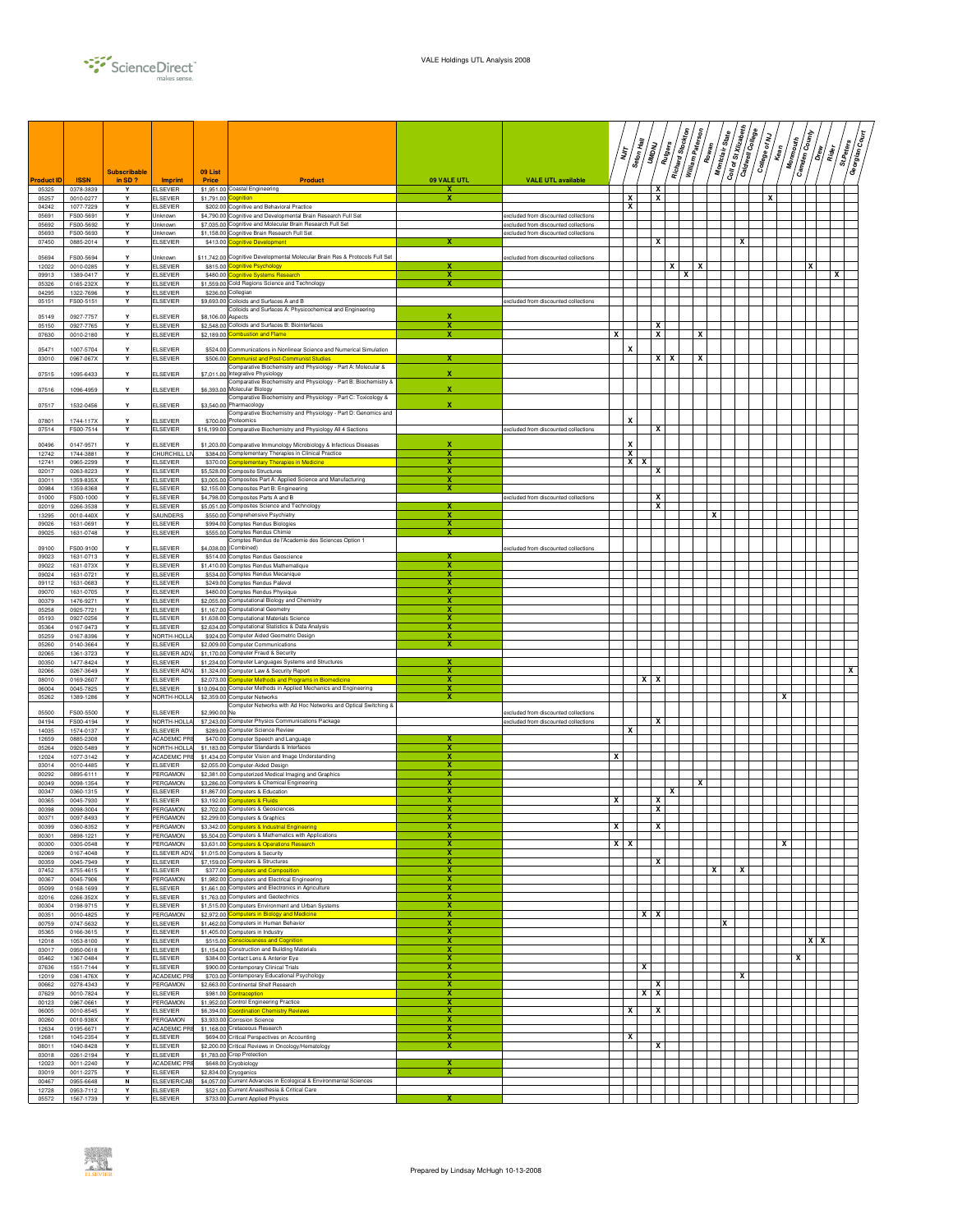

|                           |                          | <b>Subscribable</b> |                                        | 09 List                  |                                                                                                                    |                            |                                                                              | דן<br>דו   |        | Seton Hall<br><b>ROWE</b> | Rutgers | Richard Stockton | William Paterson | Rowan | Montclair State | $\boxed{\frac{C_{0ll}}{\sigma\ell\,S\ell\,X_{ll}z_{2l}b_{2\ell\ell\ell}}$ | Caldwell College | College of NJ<br>y<br>Mean | <b>Mommouth</b> | <b>Camden County</b><br>/ ถ้ | n<br>E | St.Peters<br>Georgian | /៖<br>ខ |
|---------------------------|--------------------------|---------------------|----------------------------------------|--------------------------|--------------------------------------------------------------------------------------------------------------------|----------------------------|------------------------------------------------------------------------------|------------|--------|---------------------------|---------|------------------|------------------|-------|-----------------|---------------------------------------------------------------------------|------------------|----------------------------|-----------------|------------------------------|--------|-----------------------|---------|
| <b>roduct ID</b><br>05325 | <b>ISSN</b><br>0378-3839 | in $SD$ ?<br>Y      | Imprint<br><b>ELSEVIER</b>             | Price                    | Product<br>\$1,951.00 Coastal Engineering                                                                          | 09 VALE UTL<br>$\mathbf x$ | <b>VALE UTL available</b>                                                    |            |        |                           | x       |                  |                  |       |                 |                                                                           |                  |                            |                 |                              |        |                       |         |
| 05257                     | 0010-0277                | Y                   | ELSEVIER                               | \$1,791.00               | ognition                                                                                                           | х                          |                                                                              |            | x      |                           | x       |                  |                  |       |                 |                                                                           |                  | x                          |                 |                              |        |                       |         |
| 04242                     | 1077-7229                | Y<br>Y              | <b>ELSEVIER</b>                        |                          | \$202.00 Cognitive and Behavioral Practice<br>Cognitive and Developmental Brain Research Full Set                  |                            |                                                                              |            | x      |                           |         |                  |                  |       |                 |                                                                           |                  |                            |                 |                              |        |                       |         |
| 05691<br>05692            | FS00-5691<br>FS00-5692   | Υ                   | Unknown<br>Unknown                     | \$4,790.00<br>\$7,035.00 | Cognitive and Molecular Brain Research Full Set                                                                    |                            | excluded from discounted collections<br>excluded from discounted collections |            |        |                           |         |                  |                  |       |                 |                                                                           |                  |                            |                 |                              |        |                       |         |
| 05693                     | FS00-5693                | Y                   | <b>Jnknown</b>                         | \$1,158.00               | Cognitive Brain Research Full Set                                                                                  |                            | excluded from discounted collections                                         |            |        |                           |         |                  |                  |       |                 |                                                                           |                  |                            |                 |                              |        |                       |         |
| 07450                     | 0885-2014                | Y                   | ELSEVIER                               | \$413.00                 | gnitive Development                                                                                                |                            |                                                                              |            |        |                           | x       |                  |                  |       |                 | х                                                                         |                  |                            |                 |                              |        |                       |         |
| 05694<br>12022            | FS00-5694<br>0010-0285   | Y<br>Y              | <b>Unknown</b><br>ELSEVIER             | \$11,742.00<br>\$815.00  | Cognitive Developmental Molecular Brain Res & Protocols Full Set<br><mark>xgnitive Psychology</mark>               |                            | excluded from discounted collections                                         |            |        |                           |         | x                |                  | x     |                 |                                                                           |                  |                            |                 | x                            |        |                       |         |
| 09913                     | 1389-0417                | Y                   | LSEVIER                                | \$480.00                 | ognitive Systems Research                                                                                          | X                          |                                                                              |            |        |                           |         |                  | x                |       |                 |                                                                           |                  |                            |                 |                              | x      |                       |         |
| 05326                     | 0165-232X                | Y                   | <b>ELSEVIER</b>                        | \$1,559.00               | Cold Regions Science and Technology                                                                                | x                          |                                                                              |            |        |                           |         |                  |                  |       |                 |                                                                           |                  |                            |                 |                              |        |                       |         |
| 04295<br>05151            | 1322-7696<br>FS00-5151   | Y<br>Y              | <b>ELSEVIER</b><br><b>ELSEVIER</b>     | \$236.00<br>\$9,693.00   | Collegian<br>Colloids and Surfaces A and B                                                                         |                            | excluded from discounted collections                                         |            |        |                           |         |                  |                  |       |                 |                                                                           |                  |                            |                 |                              |        |                       |         |
| 05149                     | 0927-7757                | Y                   | ELSEVIER                               | \$8,106.0                | Colloids and Surfaces A: Physicochemical and Engineering<br>Aspects                                                | x                          |                                                                              |            |        |                           |         |                  |                  |       |                 |                                                                           |                  |                            |                 |                              |        |                       |         |
| 05150                     | 0927-7765                | Y                   | <b>ELSEVIER</b>                        | \$2,548.00               | Colloids and Surfaces B: Biointerfaces                                                                             | x                          |                                                                              |            |        |                           | X       |                  |                  |       |                 |                                                                           |                  |                            |                 |                              |        |                       |         |
| 07630                     | 0010-2180                | Y                   | <b>ELSEVIER</b>                        | \$2,189.00               | ombustion and Flame                                                                                                | x                          |                                                                              | x          |        |                           | x       |                  |                  | x     |                 |                                                                           |                  |                            |                 |                              |        |                       |         |
| 05471                     | 1007-5704                |                     | LSEVIER                                | \$524.00                 | Communications in Nonlinear Science and Numerical Simulation                                                       |                            |                                                                              |            | X      |                           |         |                  |                  |       |                 |                                                                           |                  |                            |                 |                              |        |                       |         |
| 03010                     | 0967-067X                | Y                   | <b>ELSEVIER</b>                        | \$506.00                 | ommunist and Post-Communist Studies<br>Comparative Biochemistry and Physiology - Part A: Molecular &               |                            |                                                                              |            |        |                           | $X$ $X$ |                  |                  | x     |                 |                                                                           |                  |                            |                 |                              |        |                       |         |
| 07515                     | 1095-6433                | Y                   | ELSEVIER                               | \$7,011.00               | Integrative Physiology                                                                                             | $\mathbf x$                |                                                                              |            |        |                           |         |                  |                  |       |                 |                                                                           |                  |                            |                 |                              |        |                       |         |
| 07516                     | 1096-4959                | Y                   | ELSEVIER                               | \$6,393.0                | Comparative Biochemistry and Physiology - Part B: Biochemistry &<br>Molecular Biology                              | x                          |                                                                              |            |        |                           |         |                  |                  |       |                 |                                                                           |                  |                            |                 |                              |        |                       |         |
|                           |                          |                     |                                        |                          | Comparative Biochemistry and Physiology - Part C: Toxicology &                                                     |                            |                                                                              |            |        |                           |         |                  |                  |       |                 |                                                                           |                  |                            |                 |                              |        |                       |         |
| 07517                     | 1532-0456                | $\mathbf v$         | ELSEVIER                               | \$3,540.0                | Pharmacology<br>Comparative Biochemistry and Physiology - Part D: Genomics and                                     | x                          |                                                                              |            |        |                           |         |                  |                  |       |                 |                                                                           |                  |                            |                 |                              |        |                       |         |
| 07801                     | 1744-117X                | Y                   | <b>ELSEVIER</b>                        | \$700.00                 | Proteomics<br>\$16,199.00 Comparative Biochemistry and Physiology All 4 Sections                                   |                            |                                                                              |            | X      |                           | x       |                  |                  |       |                 |                                                                           |                  |                            |                 |                              |        |                       |         |
| 07514                     | FS00-7514                | Υ                   | ELSEVIER                               |                          |                                                                                                                    |                            | excluded from discounted collections                                         |            |        |                           |         |                  |                  |       |                 |                                                                           |                  |                            |                 |                              |        |                       |         |
| 00496<br>12742            | 0147-9571<br>1744-3881   | Y<br>Y              | ELSEVIER<br>CHURCHILL LI               | \$1,203.00               | Comparative Immunology Microbiology & Infectious Diseases<br>\$384.00 Complementary Therapies in Clinical Practice | х<br>x                     |                                                                              |            | X<br>X |                           |         |                  |                  |       |                 |                                                                           |                  |                            |                 |                              |        |                       |         |
| 12741                     | 0965-2299                | Υ                   | <b>ELSEVIER</b>                        | \$370.00                 | omplementary Therapies in Medicine                                                                                 | х                          |                                                                              |            | X      |                           |         |                  |                  |       |                 |                                                                           |                  |                            |                 |                              |        |                       |         |
| 02017                     | 0263-8223                | Y                   | ELSEVIER                               | \$5,528.00               | Composite Structures                                                                                               | x<br>x                     |                                                                              |            |        |                           | x       |                  |                  |       |                 |                                                                           |                  |                            |                 |                              |        |                       |         |
| 03011<br>00984            | 1359-835X<br>1359-8368   | Υ<br>Y              | <b>ELSEVIER</b><br><b>ELSEVIER</b>     | \$3,005.00<br>\$2,155.0  | Composites Part A: Applied Science and Manufacturing<br>Composites Part B: Engineering                             | $\overline{\mathbf{x}}$    |                                                                              |            |        |                           |         |                  |                  |       |                 |                                                                           |                  |                            |                 |                              |        |                       |         |
| 01000                     | FS00-1000                | Υ                   | <b>ELSEVIER</b>                        | \$4,798.00               | Composites Parts A and B                                                                                           |                            | excluded from discounted collections                                         |            |        |                           | x       |                  |                  |       |                 |                                                                           |                  |                            |                 |                              |        |                       |         |
| 02019<br>13295            | 0266-3538<br>0010-440X   | Y<br>Y              | ELSEVIER<br>SAUNDERS                   | \$5,051.00               | Composites Science and Technology<br>\$550.00 Comprehensive Psychiatry                                             | x<br>x                     |                                                                              |            |        |                           | x       |                  |                  |       | x               |                                                                           |                  |                            |                 |                              |        |                       |         |
| 09026                     | 1631-0691                | Y                   | <b>ELSEVIER</b>                        | \$994.00                 | <b>Comptes Rendus Biologies</b>                                                                                    | х                          |                                                                              |            |        |                           |         |                  |                  |       |                 |                                                                           |                  |                            |                 |                              |        |                       |         |
| 09025                     | 1631-0748                | Y                   | ELSEVIER                               | \$555.00                 | Comptes Rendus Chimie<br>Comptes Rendus de l'Academie des Sciences Option 1                                        | х                          |                                                                              |            |        |                           |         |                  |                  |       |                 |                                                                           |                  |                            |                 |                              |        |                       |         |
| 09100                     | FS00-9100                |                     | ELSEVIER                               | \$4,038.0                | (Combined)                                                                                                         |                            | excluded from discounted collections                                         |            |        |                           |         |                  |                  |       |                 |                                                                           |                  |                            |                 |                              |        |                       |         |
| 09023<br>09022            | 1631-0713<br>1631-073X   | Y<br>Y              | <b>ELSEVIER</b><br><b>ELSEVIER</b>     | \$1,410.00               | \$514.00 Comptes Rendus Geoscience<br>Comptes Rendus Mathematique                                                  | х<br>х                     |                                                                              |            |        |                           |         |                  |                  |       |                 |                                                                           |                  |                            |                 |                              |        |                       |         |
| 09024                     | 1631-0721                | Υ                   | ELSEVIER                               | \$534.00                 | Comptes Rendus Mecanique                                                                                           | х                          |                                                                              |            |        |                           |         |                  |                  |       |                 |                                                                           |                  |                            |                 |                              |        |                       |         |
| 09112                     | 1631-0683                | Y                   | ELSEVIER                               | \$249.00                 | Comptes Rendus Palevol                                                                                             | х<br>x                     |                                                                              |            |        |                           |         |                  |                  |       |                 |                                                                           |                  |                            |                 |                              |        |                       |         |
| 09070<br>00379            | 1631-0705<br>1476-9271   | Υ<br>Y              | <b>ELSEVIER</b><br><b>ELSEVIER</b>     | \$480.00<br>\$2,055.00   | Comptes Rendus Physique<br>Computational Biology and Chemistry                                                     | x                          |                                                                              |            |        |                           |         |                  |                  |       |                 |                                                                           |                  |                            |                 |                              |        |                       |         |
| 05258                     | 0925-7721                | Y                   | <b>ELSEVIER</b>                        | \$1,167.00               | Computational Geometry                                                                                             | x                          |                                                                              |            |        |                           |         |                  |                  |       |                 |                                                                           |                  |                            |                 |                              |        |                       |         |
| 05193<br>05364            | 0927-0256<br>0167-9473   | Y<br>Y              | ELSEVIER<br>ELSEVIER                   | \$1,638.00<br>\$2,634.00 | Computational Materials Science<br>Computational Statistics & Data Analysis                                        | х<br>х                     |                                                                              |            |        |                           |         |                  |                  |       |                 |                                                                           |                  |                            |                 |                              |        |                       |         |
| 05259                     | 0167-8396                | Y                   | NORTH-HOLL                             | \$924.00                 | Computer Aided Geometric Design                                                                                    | х                          |                                                                              |            |        |                           |         |                  |                  |       |                 |                                                                           |                  |                            |                 |                              |        |                       |         |
| 05260<br>02065            | 0140-3664<br>1361-3723   | Y<br>Y              | <b>ELSEVIER</b><br><b>ELSEVIER ADV</b> | \$2,009.00<br>\$1,170.00 | Computer Communications<br>Computer Fraud & Security                                                               | x                          |                                                                              |            |        |                           |         |                  |                  |       |                 |                                                                           |                  |                            |                 |                              |        |                       |         |
| 00350                     | 1477-8424                | Y                   | ELSEVIER                               | \$1,234.00               | Computer Languages Systems and Structures                                                                          |                            |                                                                              |            |        |                           |         |                  |                  |       |                 |                                                                           |                  |                            |                 |                              |        |                       |         |
| 02066<br>08010            | 0267-3649<br>0169-2607   | Y<br>$\mathbf{v}$   | ELSEVIER ADY<br><b>ELSEVIER</b>        | \$1,324.00<br>\$2,073.00 | Computer Law & Security Report<br>omputer Methods and Programs in Biomedicine                                      | x<br>x                     |                                                                              |            |        | $x \mid x$                |         |                  |                  |       |                 |                                                                           |                  |                            |                 |                              |        | х                     |         |
| 06004                     | 0045-7825                | Y                   | ELSEVIER                               | \$10,094.00              | Computer Methods in Applied Mechanics and Engineering                                                              | х                          |                                                                              |            |        |                           |         |                  |                  |       |                 |                                                                           |                  |                            |                 |                              |        |                       |         |
| 05262                     | 1389-1286                | Y                   | NORTH-HOLLA                            |                          | \$2,359.00 Computer Networks                                                                                       | x                          |                                                                              |            |        |                           |         |                  |                  |       |                 |                                                                           |                  |                            | X               |                              |        |                       |         |
| 05500                     | FS00-5500                | Y                   | <b>ELSEVIER</b>                        | \$2,990.00               | Computer Networks with Ad Hoc Networks and Optical Switching &<br>Ne                                               |                            | excluded from discounted collections                                         |            |        |                           |         |                  |                  |       |                 |                                                                           |                  |                            |                 |                              |        |                       |         |
| 04194                     | FS00-4194                | Y<br>Y              | NORTH-HOLLA                            | \$7,243.00               | Computer Physics Communications Package                                                                            |                            | excluded from discounted collections                                         |            |        |                           | x       |                  |                  |       |                 |                                                                           |                  |                            |                 |                              |        |                       |         |
| 14035<br>12659            | 1574-0137<br>0885-2308   | Y                   | ELSEVIER<br>ACADEMIC PRE               | \$470.00                 | \$289.00 Computer Science Review<br>Computer Speech and Language                                                   |                            |                                                                              |            | x      |                           |         |                  |                  |       |                 |                                                                           |                  |                            |                 |                              |        |                       |         |
| 05264                     | 0920-5489                | Y                   | NORTH-HOLLA                            | \$1,183.00               | Computer Standards & Interfaces                                                                                    | х                          |                                                                              |            |        |                           |         |                  |                  |       |                 |                                                                           |                  |                            |                 |                              |        |                       |         |
| 12024<br>03014            | 1077-3142<br>0010-4485   | Υ<br>Y              | ACADEMIC PRE<br>ELSEVIER               | \$1,434.00<br>\$2,055.00 | Computer Vision and Image Understanding<br>Computer-Aided Design                                                   | х<br>x                     |                                                                              | x          |        |                           |         |                  |                  |       |                 |                                                                           |                  |                            |                 |                              |        |                       |         |
| 00292                     | 0895-6111                | Y                   | PERGAMON                               | \$2,381.00               | Computerized Medical Imaging and Graphics                                                                          | x                          |                                                                              |            |        |                           |         |                  |                  |       |                 |                                                                           |                  |                            |                 |                              |        |                       |         |
| 00349<br>00347            | 0098-1354<br>0360-1315   | Y<br>Y              | PERGAMON<br><b>ELSEVIER</b>            | \$3,286.0<br>\$1,867.00  | Computers & Chemical Engineering<br>Computers & Education                                                          | x<br>x                     |                                                                              |            |        |                           |         | x                |                  | x     |                 |                                                                           |                  |                            |                 |                              |        |                       |         |
| 00365                     | 0045-7930                | Y                   | ELSEVIER                               | \$3,192.00               | omputers & Fluids                                                                                                  | х                          |                                                                              | x          |        |                           | х       |                  |                  |       |                 |                                                                           |                  |                            |                 |                              |        |                       |         |
| 00398                     | 0098-3004                | Y                   | PERGAMON<br>PERGAMON                   |                          | \$2,702.00 Computers & Geosciences                                                                                 | ×                          |                                                                              |            |        |                           | x       |                  |                  |       |                 |                                                                           |                  |                            |                 |                              |        |                       |         |
| 00371<br>00399            | 0097-8493<br>0360-8352   | Y<br>Y              | PERGAMON                               | \$3,342.00               | \$2,299.00 Computers & Graphics<br>omputers & Industrial Engineering                                               | х                          |                                                                              | x          |        |                           | x       |                  |                  |       |                 |                                                                           |                  |                            |                 |                              |        |                       |         |
| 00301                     | 0898-1221                | Y                   | PERGAMON                               | \$5,504.00               | Computers & Mathematics with Applications                                                                          | х                          |                                                                              |            |        |                           |         |                  |                  |       |                 |                                                                           |                  |                            |                 |                              |        |                       |         |
| 00300<br>02069            | 0305-0548<br>0167-4048   | Y<br>Y              | PERGAMON<br>ELSEVIER ADY               | \$3,631.00               | <b>Iomputers &amp; Operations Research</b><br>\$1,015.00 Computers & Security                                      | X<br>x                     |                                                                              | $x \mid x$ |        |                           |         |                  |                  |       |                 |                                                                           |                  |                            | х               |                              |        |                       |         |
| 00359                     | 0045-7949                | Y                   | <b>ELSEVIER</b>                        | \$7,159.00               | Computers & Structures                                                                                             | x                          |                                                                              |            |        |                           | x       |                  |                  |       |                 |                                                                           |                  |                            |                 |                              |        |                       |         |
| 07452                     | 8755-4615                | Y<br>Y              | <b>ELSEVIER</b>                        | \$377.00                 | <b>Iomputers and Composition</b><br>Computers and Electrical Engineering                                           | x<br>x                     |                                                                              |            |        |                           |         |                  |                  |       | x               | x                                                                         |                  |                            |                 |                              |        |                       |         |
| 00367<br>05099            | 0045-7906<br>0168-1699   | Y                   | PERGAMON<br>ELSEVIER                   | \$1,982.00               | \$1,661.00 Computers and Electronics in Agriculture                                                                | x                          |                                                                              |            |        |                           |         |                  |                  |       |                 |                                                                           |                  |                            |                 |                              |        |                       |         |
| 02016                     | 0266-352X                | Y                   | <b>ELSEVIER</b>                        | \$1,763.00               | Computers and Geotechnics                                                                                          | х                          |                                                                              |            |        |                           |         |                  |                  |       |                 |                                                                           |                  |                            |                 |                              |        |                       |         |
| 00304<br>00351            | 0198-9715<br>0010-4825   | Y<br>Y              | <b>ELSEVIER</b><br>PERGAMON            | \$1,515.00<br>\$2,972.00 | Computers Environment and Urban Systems<br>omputers in Biology and Medicine                                        | х<br>x                     |                                                                              |            |        | <b>XX</b>                 |         |                  |                  |       |                 |                                                                           |                  |                            |                 |                              |        |                       |         |
| 00759                     | 0747-5632                | Y                   | <b>ELSEVIER</b>                        | \$1,462.00               | Computers in Human Behavior                                                                                        | X                          |                                                                              |            |        |                           |         |                  |                  |       | x               |                                                                           |                  |                            |                 |                              |        |                       |         |
| 05365<br>12018            | 0166-3615<br>1053-8100   | Y<br>$\mathbf{v}$   | <b>ELSEVIER</b><br><b>ELSEVIER</b>     | \$1,405.00<br>\$515.00   | Computers in Industry<br>onsciousness and Cognition                                                                | x<br>x                     |                                                                              |            |        |                           |         |                  |                  |       |                 |                                                                           |                  |                            |                 | XX                           |        |                       |         |
| 03017                     | 0950-0618                | Y                   | ELSEVIER                               |                          | \$1,154,00 Construction and Building Materials                                                                     | x                          |                                                                              |            |        |                           |         |                  |                  |       |                 |                                                                           |                  |                            |                 |                              |        |                       |         |
| 05462<br>07636            | 1367-0484<br>1551-7144   | Y<br>Y              | ELSEVIER<br><b>ELSEVIER</b>            | \$900.00                 | \$384.00 Contact Lens & Anterior Eye<br>Contemporary Clinical Trials                                               | х<br>х                     |                                                                              |            |        | x                         |         |                  |                  |       |                 |                                                                           |                  |                            |                 | x                            |        |                       |         |
| 12019                     | 0361-476X                | Y                   | ACADEMIC PRE                           | \$703.00                 | Contemporary Educational Psychology                                                                                | х                          |                                                                              |            |        |                           |         |                  |                  |       |                 | x                                                                         |                  |                            |                 |                              |        |                       |         |
| 00662                     | 0278-4343                | Y                   | PERGAMON                               | \$2,663.00               | Continental Shelf Research                                                                                         | х                          |                                                                              |            |        |                           | X       |                  |                  |       |                 |                                                                           |                  |                            |                 |                              |        |                       |         |
| 07629<br>00123            | 0010-7824<br>0967-0661   | Y<br>Y              | <b>ELSEVIER</b><br>PERGAMON            | \$981.00<br>\$1,952.00   | <b>ontraception</b><br>Control Engineering Practice                                                                | x<br>x                     |                                                                              |            |        | $X$ $X$                   |         |                  |                  |       |                 |                                                                           |                  |                            |                 |                              |        |                       |         |
| 06005                     | 0010-8545                | Y                   | <b>ELSEVIER</b>                        | \$6,394.00               | oordination Chemistry Reviews                                                                                      | x                          |                                                                              |            | x      |                           | x       |                  |                  |       |                 |                                                                           |                  |                            |                 |                              |        |                       |         |
| 00260<br>12634            | 0010-938X<br>0195-6671   | Y<br>Y              | PERGAMON<br>ACADEMIC PRE               | \$3,933.00               | Corrosion Science<br>\$1,168.00 Cretaceous Research                                                                | x<br>х                     |                                                                              |            |        |                           |         |                  |                  |       |                 |                                                                           |                  |                            |                 |                              |        |                       |         |
| 12681                     | 1045-2354                | Y                   | <b>ELSEVIER</b>                        | \$694.00                 | Critical Perspectives on Accounting                                                                                | х                          |                                                                              |            | x      |                           |         |                  |                  |       |                 |                                                                           |                  |                            |                 |                              |        |                       |         |
| 08011<br>03018            | 1040-8428<br>0261-2194   | Y<br>Υ              | <b>ELSEVIER</b><br>LSEVIER             | \$2,200.00<br>\$1,783.00 | Critical Reviews in Oncology/Hematology<br>Crop Protection                                                         | х                          |                                                                              |            |        |                           | x       |                  |                  |       |                 |                                                                           |                  |                            |                 |                              |        |                       |         |
| 12023                     | 0011-2240                | Y                   | ACADEMIC PRI                           | \$648.00                 | Cryobiology                                                                                                        |                            |                                                                              |            |        |                           |         |                  |                  |       |                 |                                                                           |                  |                            |                 |                              |        |                       |         |
| 03019                     | 0011-2275                | Y                   | <b>ELSEVIER</b>                        | \$2,834.00               | cryogenics                                                                                                         | x                          |                                                                              |            |        |                           |         |                  |                  |       |                 |                                                                           |                  |                            |                 |                              |        |                       |         |
| 00467<br>12728            | 0955-6648<br>0953-7112   | N<br>Y              | ELSEVIER/CAB<br><b>ELSEVIER</b>        | \$4,057.0<br>\$521.00    | Current Advances in Ecological & Environmental Sciences<br>Current Anaesthesia & Critical Care                     |                            |                                                                              |            |        |                           |         |                  |                  |       |                 |                                                                           |                  |                            |                 |                              |        |                       |         |
| 05572                     | 1567-1739                | Y                   | <b>ELSEVIER</b>                        |                          | \$733.00 Current Applied Physics                                                                                   | x                          |                                                                              |            |        |                           |         |                  |                  |       |                 |                                                                           |                  |                            |                 |                              |        |                       |         |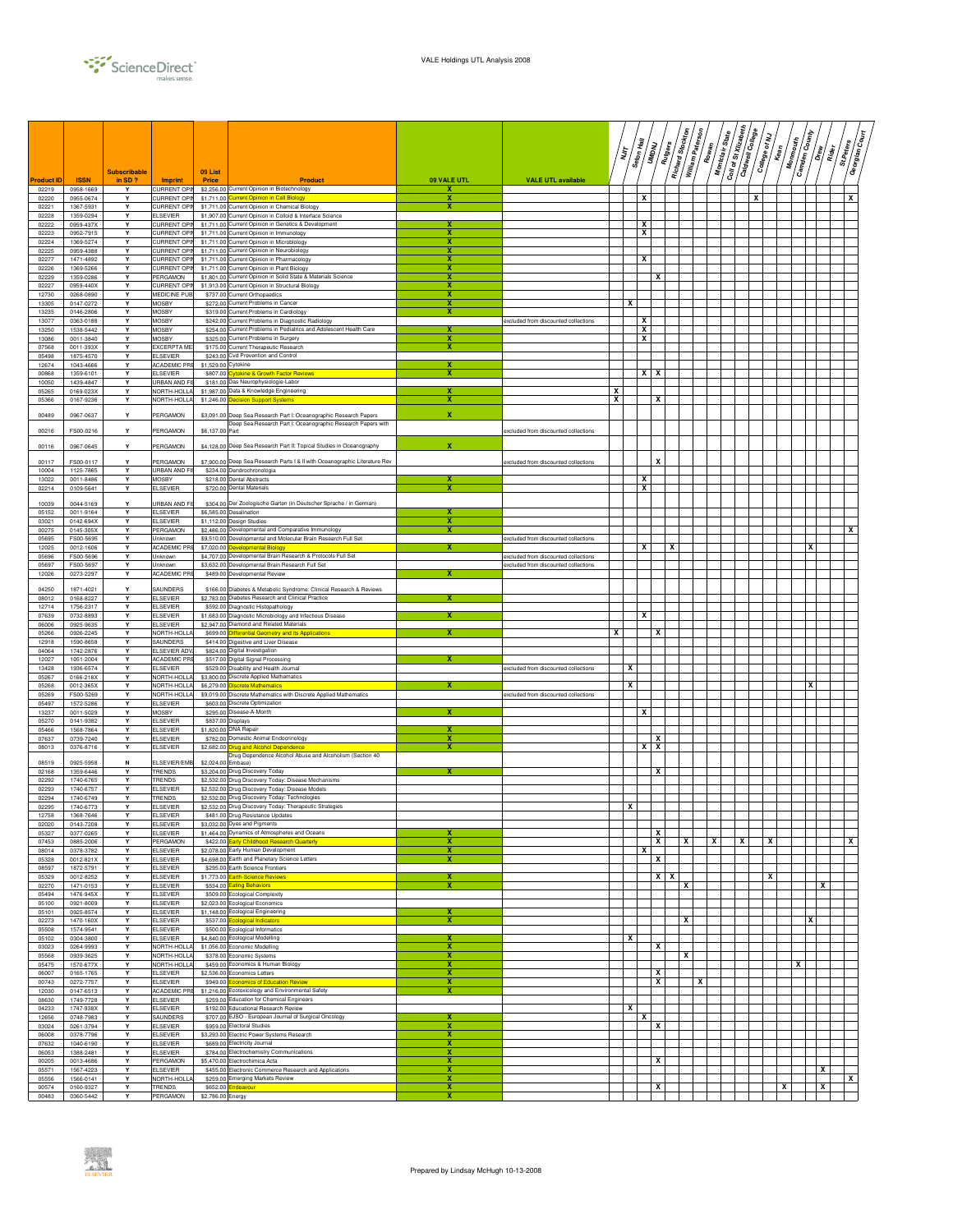

| <b>roduct ID</b><br>02219<br>0958-1669<br>Y<br><b>CURRENT OPIN</b><br>\$2,256.00 Current Opinion in Biotechnology<br>x<br>CURRENT OPIN<br>0955-0674<br>Y<br>\$1,711.00<br>urrent Opinion in Cell Biology<br>х<br>x<br>x<br>02220<br>1367-5931<br><b>CURRENT OPIN</b><br>\$1,711.00<br>Current Opinion in Chemical Biology<br>02221<br>Y<br>х<br>Current Opinion in Colloid & Interface Science<br>02228<br>1359-0294<br>Y<br><b>LSEVIER</b><br>\$1,907.00<br>x<br>0959-437X<br>Y<br>CURRENT OPI<br>\$1,711.00<br>Current Opinion in Genetics & Development<br>02222<br>x<br>x<br>Y<br><b>CURRENT OPIN</b><br>Current Opinion in Immunology<br>02223<br>0952-7915<br>\$1,711.0<br>1369-5274<br>$\mathbf{v}$<br>CURRENT OPIN<br>Current Opinion in Microbiology<br>x<br>02224<br>\$1,711.0<br>Current Opinion in Neurobiology<br>x<br>02225<br>0959-4388<br>Y<br>CURRENT OPIN<br>\$1,711.0<br>1471-4892<br>Y<br><b>CURRENT OPIN</b><br>\$1,711.00<br>Current Opinion in Pharmacology<br>х<br>x<br>02277<br><b>CURRENT OPIN</b><br>Current Opinion in Plant Biology<br>x<br>02226<br>1369-5266<br>Y<br>\$1,711.00<br>PERGAMON<br>\$1,801.00<br>Current Opinion in Solid State & Materials Science<br>1359-0286<br>Y<br>х<br>x<br>02229<br>Current Opinion in Structural Biology<br>02227<br>0959-440X<br>Y<br>CURRENT OPIN<br>\$1,913.00<br>x<br>x<br>0268-0890<br>Y<br>MEDICINE PUB<br>\$737.00<br>Current Orthopaedics<br>12730<br>x<br>x<br>Y<br>13305<br>0147-0272<br>MOSBY<br>\$272.0<br><b>Current Problems in Cancer</b><br>Y<br><b>MOSBY</b><br>x<br>13235<br>0146-2806<br>\$319.0<br><b>Current Problems in Cardiology</b><br>13077<br>0363-0188<br>Y<br><b>MOSBY</b><br>\$242.0<br>Current Problems in Diagnostic Radiology<br>x<br>excluded from discounted collections<br>13250<br>1538-5442<br>Y<br><b>MOSBY</b><br>\$254.00 Current Problems in Pediatrics and Adolescent Health Care<br>х<br>x<br>13086<br>Y<br><b>MOSBY</b><br>\$325.00<br>x<br>0011-3840<br>Current Problems in Surgery<br>х<br>0011-393X<br>Υ<br>EXCERPTA ME<br>07568<br>\$175.00<br>Current Therapeutic Research<br>х<br><b>LSEVIER</b><br>05498<br>1875-4570<br>Y<br>\$243.00<br><b>Cvd Prevention and Control</b><br>12674<br>1043-4666<br>Y<br>ACADEMIC PRE<br>\$1,529.00<br>Cytokine<br>$\overline{\mathbf{x}}$<br>$x \mid x$<br>Y<br>\$807.0<br>00868<br>1359-6101<br><b>ELSEVIER</b><br>tokine & Growth Factor Reviews<br>1439-4847<br>Y<br>Das Neurophysiologie-Labor<br>10050<br>URBAN AND FI<br>\$181.0<br>Y<br>x<br>0169-023X<br>NORTH-HOLLA<br>\$1,987.0<br>Data & Knowledge Engineering<br>05265<br>x<br>х<br>05366<br>0167-9236<br>Y<br>NORTH-HOLLA<br>\$1,246.00<br>ecision Support Systems<br>х<br>$\mathbf x$<br>Y<br>PERGAMON<br>00489<br>0967-0637<br>\$3,091.0<br>Jeep Sea Research Part I: Oceanographic Research Papers<br>Deep Sea Research Part I: Oceanographic Research Papers with<br>FS00-0216<br>PERGAMON<br>\$6,137.00<br>Part<br>00216<br>Y<br>excluded from discounted collections<br>00116<br>0967-0645<br>Y<br>PERGAMON<br>\$4,128.00 Deep Sea Research Part II: Topical Studies in Oceanography<br>х<br>x<br>00117<br>FS00-0117<br>Y<br>PERGAMON<br>Deep Sea Research Parts I & II with Oceanographic Literature Rev<br>\$7,900.0<br>excluded from discounted collections<br>1125-7865<br>Y<br>URBAN AND FI<br>\$234.00 Dendrochronologia<br>10004<br>\$218.00 Dental Abstracts<br>13022<br>0011-8486<br>Y<br>MOSBY<br>x<br>0109-5641<br>Y<br><b>ELSEVIER</b><br>\$720.00 Dental Materials<br>x<br>02214<br>х<br>Der Zoologische Garten (in Deutscher Sprache / in German)<br>0044-5169<br>10039<br>Y<br>JRBAN AND F<br>\$304.0<br>Y<br>05152<br><b>ELSEVIER</b><br>\$6,585.00<br>Desalination<br>0011-9164<br>03021<br>0142-694X<br>Y<br>ELSEVIER<br>\$1,112.00 Design Studies<br>х<br>0145-305X<br>Y<br>PERGAMON<br>\$2,486.00<br>Developmental and Comparative Immunology<br>х<br>00275<br>Developmental and Molecular Brain Research Full Set<br>05695<br>FS00-5695<br>Y<br>Unknown<br>\$9,510.00<br>excluded from discounted collections<br>ACADEMIC PR<br>evelopmental Biology<br>12025<br>0012-1606<br>Y<br>\$7,020.00<br>x<br>х<br>x<br>x<br>Developmental Brain Research & Protocols Full Set<br>05696<br>FS00-5696<br>Y<br><b>Jnknown</b><br>\$4,707.00<br>excluded from discounted collections<br>FS00-5697<br>Y<br>Unknown<br>\$3,632.00<br>Developmental Brain Research Full Set<br>excluded from discounted collections<br>05697<br>Developmental Review<br>Y<br>ACADEMIC PRI<br>\$489.00<br>12026<br>0273-2297<br>04250<br>1871-4021<br>Y<br>AUNDERS<br>\$166.00<br>Diabetes & Metabolic Syndrome: Clinical Research & Reviews<br>08012<br>0168-8227<br>Y<br><b>ELSEVIER</b><br>\$2,783.00 Diabetes Research and Clinical Practice<br>Y<br><b>ELSEVIER</b><br>12714<br>1756-2317<br>\$592.00<br>Diagnostic Histopathology<br>x<br>$\mathbf{v}$<br>Diagnostic Microbiology and Infectious Disease<br>07639<br><b>ELSEVIER</b><br>x<br>0732-8893<br>\$1,683.00<br>Diamond and Related Materials<br>06006<br>0925-9635<br>Y<br><b>ELSEVIER</b><br>\$2,947.00<br><b>Ifferential Geometry and its Applications</b><br>x<br>x<br>05266<br>0926-2245<br>Y<br>NORTH-HOLL<br>\$699.00<br>х<br>1590-8658<br>Υ<br>SAUNDERS<br>\$414.00 Digestive and Liver Disease<br>12918<br>ELSEVIER ADV<br>\$824.00<br>Digital Investigation<br>04064<br>1742-2876<br>Y<br>ACADEMIC PRE<br>Digital Signal Processing<br>12027<br>1051-2004<br>Y<br>\$517.00<br>х<br>Disability and Health Journal<br>X<br>13428<br>1936-6574<br>Y<br>ELSEVIER<br>\$529.00<br>excluded from discounted collections<br>05267<br>0166-218X<br>Y<br>NORTH-HOLLA<br>\$3,800.00<br>Discrete Applied Mathematics<br>x<br>iscrete Mathematics<br>Y<br>05268<br>0012-365X<br>NORTH-HOLLA<br>\$6,279.00<br>FS00-5269<br>Υ<br>NORTH-HOLLA<br>Discrete Mathematics with Discrete Applied Mathematics<br>05269<br>\$9,019.00<br>excluded from discounted collections<br>05497<br>1572-5286<br>Y<br>ELSEVIER<br>\$603.00<br>Discrete Optimization<br>13237<br>0011-5029<br>Y<br>MOSBY<br>\$295.00 Disease-A-Month<br>x<br>х<br>Y<br><b>ELSEVIER</b><br>\$837.00<br>05270<br>0141-9382<br>Displays<br>1568-7864<br>ELSEVIER<br>\$1,820.00<br><b>DNA Repair</b><br>05466<br>Y<br>х<br>Domestic Animal Endocrinology<br>07637<br>0739-7240<br>Y<br>LSEVIER<br>\$782.00<br>x<br>$X$ $X$<br>08013<br>0376-8716<br>Y<br>ELSEVIER<br>\$2,682.00<br>ug and Alcohol Dependence<br>Drug Dependence Alcohol Abuse and Alcoholism (Section 40<br>ELSEVIER/EME<br>08519<br>0925-5958<br>N<br>\$2,024.0<br>Embase)<br>1359-6446<br>Y<br>TRENDS<br>\$3,204.00<br>Drug Discovery Today<br>x<br>02168<br>Drug Discovery Today: Disease Mechanisms<br>02292<br>1740-6765<br>Y<br><b>TRENDS</b><br>\$2,532.00<br>1740-6757<br><b>ELSEVIER</b><br>\$2,532.00<br>Drug Discovery Today: Disease Models<br>02293<br>Y<br>Y<br>\$2,532.00<br>Drug Discovery Today: Technologies<br>02294<br>1740-6749<br>TRENDS<br>1740-6773<br>$\mathbf{v}$<br><b>ELSEVIER</b><br>Drug Discovery Today: Therapeutic Strategies<br>x<br>02295<br>\$2,532.00<br>\$481.00 Drug Resistance Updates<br>12758<br>1368-7646<br>Y<br>ELSEVIER<br>02020<br>0143-7208<br><b>ELSEVIER</b><br>\$3,032.00 Dyes and Pigments<br>0377-0265<br>Y<br>\$1,464.00 Dynamics of Atmospheres and Oceans<br>x<br>05327<br><b>ELSEVIER</b><br>x<br>0885-2006<br>PERGAMON<br>\$422.00 Early Childhood Research Quarterly<br>х<br>x<br>x<br>07453<br>Y<br>х<br>x<br>x<br>08014<br>0378-3782<br>Y<br>ELSEVIER<br>\$2,078.00 Early Human Development<br>x<br>$\overline{\mathbf{x}}$<br>X<br>05328<br>0012-821X<br>Y<br><b>ELSEVIER</b><br>\$4,698.00 Earth and Planetary Science Letters<br>Y<br>08597<br>1872-5791<br><b>ELSEVIER</b><br>\$295.00<br>Earth Science Frontiers<br>Y<br>x<br><b>XX</b><br>х<br>05329<br>0012-8252<br><b>ELSEVIER</b><br>\$1,773.00<br>Earth-Science Reviews<br>x<br>02270<br>1471-0153<br>Y<br><b>ELSEVIER</b><br>\$534.00<br><b>Eating Behaviors</b><br>x<br>x<br>05494<br>1476-945X<br><b>ELSEVIER</b><br>\$509.00 Ecological Complexity<br>Y<br><b>ELSEVIER</b><br>\$2,023.00<br>05100<br>0921-8009<br>Y<br>Ecological Economics<br><b>ELSEVIER</b><br>05101<br>0925-8574<br>Y<br>\$1,148.00 Ecological Engineering<br>х<br>x<br>x<br>02273<br>1470-160X<br>Y<br>ELSEVIER<br>\$537.00<br>x<br>pological Indicators<br>05508<br>1574-9541<br>Y<br><b>ELSEVIER</b><br>\$500.00<br>Ecological Informatics<br>x<br>Y<br>x<br>05102<br>0304-3800<br><b>ELSEVIER</b><br>\$4,840.0<br>Ecological Modelling<br>$\mathbf{x}$<br>x<br>Y<br>\$1,056.0<br>Economic Modelling<br>03023<br>0264-9993<br>NORTH-HOLL<br>Y<br>x<br>x<br>Economic Systems<br>05568<br>0939-3625<br>NORTH-HOLLA<br>\$378.00<br>x<br>05475<br>1570-677X<br>Y<br>NORTH-HOLLA<br>\$459.00<br>Economics & Human Biology<br>х<br>06007<br>0165-1765<br>Υ<br><b>ELSEVIER</b><br>\$2,536.00<br>Economics Letters<br>х<br>x<br>conomics of Education Review<br><b>ELSEVIER</b><br>\$949.0<br>х<br>x<br>00743<br>0272-7757<br>Y<br>x<br>12030<br>0147-6513<br>Υ<br>ACADEMIC PRE<br>\$1,216.00<br>Ecotoxicology and Environmental Safety<br>x<br>Education for Chemical Engineers<br>08630<br>1749-7728<br>Υ<br>ELSEVIER<br>\$259.00<br>x<br>04233<br>1747-938X<br>Y<br><b>ELSEVIER</b><br>Educational Research Review<br>\$192.00<br>x<br>Y<br>EJSO - European Journal of Surgical Oncology<br>x<br>12656<br>0748-7983<br>SAUNDERS<br>\$707.00<br><b>Electoral Studies</b><br>x<br>x<br>03024<br>0261-3794<br>Y<br><b>ELSEVIER</b><br>\$959.00<br>Electric Power Systems Research<br>x<br>06008<br>0378-7796<br>Y<br><b>ELSEVIER</b><br>\$3,293.00<br>07632<br>1040-6190<br><b>ELSEVIER</b><br>\$689.00 Electricity Journal<br>х<br>Y<br>\$784.00<br>Electrochemistry Communications<br>х<br>06053<br>1388-2481<br>Y<br><b>ELSEVIER</b><br>PERGAMON<br>\$5,470.00<br>Electrochimica Acta<br>00205<br>0013-4686<br>Y<br>х<br>x<br>Electronic Commerce Research and Applications<br>05571<br>1567-4223<br>Y<br>ELSEVIER<br>\$455.00<br>x<br>x<br>NORTH-HOLLA<br><b>Emerging Markets Review</b><br>х<br>05556<br>1566-0141<br>Υ<br>\$259.00<br>$\overline{\mathbf{x}}$<br>$\mathbf{x}$<br>$\mathbf{x}$<br>$\mathbf{x}$<br>Y<br>00574<br>0160-9327<br><b>TRENDS</b><br>\$652.00<br>ndeavour<br>0360-5442<br>x<br>00483<br>Y<br>PERGAMON<br>\$2,786.00 Energy |             | <b>Subscribable</b> |                | 09 List |                |             |                           | ΪŢ | Seton Hall | UMDNU | <b>Rutgers</b> | Richard Stockton | William Paterson | Rowan | Coll of St Xilzabeth<br>Montclair State | Caldwell College | College of NJ<br>Kean | Monmouth | <b>Camden County</b><br>$\sqrt{\frac{2}{\alpha}}$ | Rider | हु<br> हु<br>St.Peters<br>Georgian |
|---------------------------------------------------------------------------------------------------------------------------------------------------------------------------------------------------------------------------------------------------------------------------------------------------------------------------------------------------------------------------------------------------------------------------------------------------------------------------------------------------------------------------------------------------------------------------------------------------------------------------------------------------------------------------------------------------------------------------------------------------------------------------------------------------------------------------------------------------------------------------------------------------------------------------------------------------------------------------------------------------------------------------------------------------------------------------------------------------------------------------------------------------------------------------------------------------------------------------------------------------------------------------------------------------------------------------------------------------------------------------------------------------------------------------------------------------------------------------------------------------------------------------------------------------------------------------------------------------------------------------------------------------------------------------------------------------------------------------------------------------------------------------------------------------------------------------------------------------------------------------------------------------------------------------------------------------------------------------------------------------------------------------------------------------------------------------------------------------------------------------------------------------------------------------------------------------------------------------------------------------------------------------------------------------------------------------------------------------------------------------------------------------------------------------------------------------------------------------------------------------------------------------------------------------------------------------------------------------------------------------------------------------------------------------------------------------------------------------------------------------------------------------------------------------------------------------------------------------------------------------------------------------------------------------------------------------------------------------------------------------------------------------------------------------------------------------------------------------------------------------------------------------------------------------------------------------------------------------------------------------------------------------------------------------------------------------------------------------------------------------------------------------------------------------------------------------------------------------------------------------------------------------------------------------------------------------------------------------------------------------------------------------------------------------------------------------------------------------------------------------------------------------------------------------------------------------------------------------------------------------------------------------------------------------------------------------------------------------------------------------------------------------------------------------------------------------------------------------------------------------------------------------------------------------------------------------------------------------------------------------------------------------------------------------------------------------------------------------------------------------------------------------------------------------------------------------------------------------------------------------------------------------------------------------------------------------------------------------------------------------------------------------------------------------------------------------------------------------------------------------------------------------------------------------------------------------------------------------------------------------------------------------------------------------------------------------------------------------------------------------------------------------------------------------------------------------------------------------------------------------------------------------------------------------------------------------------------------------------------------------------------------------------------------------------------------------------------------------------------------------------------------------------------------------------------------------------------------------------------------------------------------------------------------------------------------------------------------------------------------------------------------------------------------------------------------------------------------------------------------------------------------------------------------------------------------------------------------------------------------------------------------------------------------------------------------------------------------------------------------------------------------------------------------------------------------------------------------------------------------------------------------------------------------------------------------------------------------------------------------------------------------------------------------------------------------------------------------------------------------------------------------------------------------------------------------------------------------------------------------------------------------------------------------------------------------------------------------------------------------------------------------------------------------------------------------------------------------------------------------------------------------------------------------------------------------------------------------------------------------------------------------------------------------------------------------------------------------------------------------------------------------------------------------------------------------------------------------------------------------------------------------------------------------------------------------------------------------------------------------------------------------------------------------------------------------------------------------------------------------------------------------------------------------------------------------------------------------------------------------------------------------------------------------------------------------------------------------------------------------------------------------------------------------------------------------------------------------------------------------------------------------------------------------------------------------------------------------------------------------------------------------------------------------------------------------------------------------------------------------------------------------------------------------------------------------------------------------------------------------------------------------------------------------------------------------------------------------------------------------------------------------------------------------------------------------------------------------------------------------------------------------------------------------------------------------------------------------------------------------------------------------------------------------------------------------------------------------------------------------------------------------------------------------------------------------------------------------------------------------------------------------------------------------------------------------------------------------------------------------------------------------------------------------------------------------------------------------------------------------------------------------------------------------------------------------------------------------------------------------------------------------------------------------------------------------------------------------------------------------------------------------------------------------------------------------------------------------------------------------------------------------------------------------------------------------------------------------------------------------------------------------------------------------------------------------------------------------------------------------------------------------------------------------------------------------------------------------------------------------------------------------------------------------------------------------------------------------------------------------------------------------------------------------------------------------------------------------------------------------------------------------------------------------------------------------------------------------------------------------------------------------------------------------------------------------------------------------------------------------------------------------------------------------------------------------------------------------------------|-------------|---------------------|----------------|---------|----------------|-------------|---------------------------|----|------------|-------|----------------|------------------|------------------|-------|-----------------------------------------|------------------|-----------------------|----------|---------------------------------------------------|-------|------------------------------------|
|                                                                                                                                                                                                                                                                                                                                                                                                                                                                                                                                                                                                                                                                                                                                                                                                                                                                                                                                                                                                                                                                                                                                                                                                                                                                                                                                                                                                                                                                                                                                                                                                                                                                                                                                                                                                                                                                                                                                                                                                                                                                                                                                                                                                                                                                                                                                                                                                                                                                                                                                                                                                                                                                                                                                                                                                                                                                                                                                                                                                                                                                                                                                                                                                                                                                                                                                                                                                                                                                                                                                                                                                                                                                                                                                                                                                                                                                                                                                                                                                                                                                                                                                                                                                                                                                                                                                                                                                                                                                                                                                                                                                                                                                                                                                                                                                                                                                                                                                                                                                                                                                                                                                                                                                                                                                                                                                                                                                                                                                                                                                                                                                                                                                                                                                                                                                                                                                                                                                                                                                                                                                                                                                                                                                                                                                                                                                                                                                                                                                                                                                                                                                                                                                                                                                                                                                                                                                                                                                                                                                                                                                                                                                                                                                                                                                                                                                                                                                                                                                                                                                                                                                                                                                                                                                                                                                                                                                                                                                                                                                                                                                                                                                                                                                                                                                                                                                                                                                                                                                                                                                                                                                                                                                                                                                                                                                                                                                                                                                                                                                                                                                                                                                                                                                                                                                                                                                                                                                                                                                                                                                                                                                                                                                                                                                                                                                                                                                                                                                                                                                                                                                                                                                                                                                                                                                                                                                                         | <b>ISSN</b> | in $SD$ ?           | <b>Imprint</b> | Price   | <b>Product</b> | 09 VALE UTL | <b>VALE UTL available</b> |    |            |       |                |                  |                  |       |                                         |                  |                       |          |                                                   |       |                                    |
|                                                                                                                                                                                                                                                                                                                                                                                                                                                                                                                                                                                                                                                                                                                                                                                                                                                                                                                                                                                                                                                                                                                                                                                                                                                                                                                                                                                                                                                                                                                                                                                                                                                                                                                                                                                                                                                                                                                                                                                                                                                                                                                                                                                                                                                                                                                                                                                                                                                                                                                                                                                                                                                                                                                                                                                                                                                                                                                                                                                                                                                                                                                                                                                                                                                                                                                                                                                                                                                                                                                                                                                                                                                                                                                                                                                                                                                                                                                                                                                                                                                                                                                                                                                                                                                                                                                                                                                                                                                                                                                                                                                                                                                                                                                                                                                                                                                                                                                                                                                                                                                                                                                                                                                                                                                                                                                                                                                                                                                                                                                                                                                                                                                                                                                                                                                                                                                                                                                                                                                                                                                                                                                                                                                                                                                                                                                                                                                                                                                                                                                                                                                                                                                                                                                                                                                                                                                                                                                                                                                                                                                                                                                                                                                                                                                                                                                                                                                                                                                                                                                                                                                                                                                                                                                                                                                                                                                                                                                                                                                                                                                                                                                                                                                                                                                                                                                                                                                                                                                                                                                                                                                                                                                                                                                                                                                                                                                                                                                                                                                                                                                                                                                                                                                                                                                                                                                                                                                                                                                                                                                                                                                                                                                                                                                                                                                                                                                                                                                                                                                                                                                                                                                                                                                                                                                                                                                                                         |             |                     |                |         |                |             |                           |    |            |       |                |                  |                  |       |                                         |                  |                       |          |                                                   |       | x                                  |
|                                                                                                                                                                                                                                                                                                                                                                                                                                                                                                                                                                                                                                                                                                                                                                                                                                                                                                                                                                                                                                                                                                                                                                                                                                                                                                                                                                                                                                                                                                                                                                                                                                                                                                                                                                                                                                                                                                                                                                                                                                                                                                                                                                                                                                                                                                                                                                                                                                                                                                                                                                                                                                                                                                                                                                                                                                                                                                                                                                                                                                                                                                                                                                                                                                                                                                                                                                                                                                                                                                                                                                                                                                                                                                                                                                                                                                                                                                                                                                                                                                                                                                                                                                                                                                                                                                                                                                                                                                                                                                                                                                                                                                                                                                                                                                                                                                                                                                                                                                                                                                                                                                                                                                                                                                                                                                                                                                                                                                                                                                                                                                                                                                                                                                                                                                                                                                                                                                                                                                                                                                                                                                                                                                                                                                                                                                                                                                                                                                                                                                                                                                                                                                                                                                                                                                                                                                                                                                                                                                                                                                                                                                                                                                                                                                                                                                                                                                                                                                                                                                                                                                                                                                                                                                                                                                                                                                                                                                                                                                                                                                                                                                                                                                                                                                                                                                                                                                                                                                                                                                                                                                                                                                                                                                                                                                                                                                                                                                                                                                                                                                                                                                                                                                                                                                                                                                                                                                                                                                                                                                                                                                                                                                                                                                                                                                                                                                                                                                                                                                                                                                                                                                                                                                                                                                                                                                                                                         |             |                     |                |         |                |             |                           |    |            |       |                |                  |                  |       |                                         |                  |                       |          |                                                   |       |                                    |
|                                                                                                                                                                                                                                                                                                                                                                                                                                                                                                                                                                                                                                                                                                                                                                                                                                                                                                                                                                                                                                                                                                                                                                                                                                                                                                                                                                                                                                                                                                                                                                                                                                                                                                                                                                                                                                                                                                                                                                                                                                                                                                                                                                                                                                                                                                                                                                                                                                                                                                                                                                                                                                                                                                                                                                                                                                                                                                                                                                                                                                                                                                                                                                                                                                                                                                                                                                                                                                                                                                                                                                                                                                                                                                                                                                                                                                                                                                                                                                                                                                                                                                                                                                                                                                                                                                                                                                                                                                                                                                                                                                                                                                                                                                                                                                                                                                                                                                                                                                                                                                                                                                                                                                                                                                                                                                                                                                                                                                                                                                                                                                                                                                                                                                                                                                                                                                                                                                                                                                                                                                                                                                                                                                                                                                                                                                                                                                                                                                                                                                                                                                                                                                                                                                                                                                                                                                                                                                                                                                                                                                                                                                                                                                                                                                                                                                                                                                                                                                                                                                                                                                                                                                                                                                                                                                                                                                                                                                                                                                                                                                                                                                                                                                                                                                                                                                                                                                                                                                                                                                                                                                                                                                                                                                                                                                                                                                                                                                                                                                                                                                                                                                                                                                                                                                                                                                                                                                                                                                                                                                                                                                                                                                                                                                                                                                                                                                                                                                                                                                                                                                                                                                                                                                                                                                                                                                                                                         |             |                     |                |         |                |             |                           |    |            |       |                |                  |                  |       |                                         |                  |                       |          |                                                   |       |                                    |
|                                                                                                                                                                                                                                                                                                                                                                                                                                                                                                                                                                                                                                                                                                                                                                                                                                                                                                                                                                                                                                                                                                                                                                                                                                                                                                                                                                                                                                                                                                                                                                                                                                                                                                                                                                                                                                                                                                                                                                                                                                                                                                                                                                                                                                                                                                                                                                                                                                                                                                                                                                                                                                                                                                                                                                                                                                                                                                                                                                                                                                                                                                                                                                                                                                                                                                                                                                                                                                                                                                                                                                                                                                                                                                                                                                                                                                                                                                                                                                                                                                                                                                                                                                                                                                                                                                                                                                                                                                                                                                                                                                                                                                                                                                                                                                                                                                                                                                                                                                                                                                                                                                                                                                                                                                                                                                                                                                                                                                                                                                                                                                                                                                                                                                                                                                                                                                                                                                                                                                                                                                                                                                                                                                                                                                                                                                                                                                                                                                                                                                                                                                                                                                                                                                                                                                                                                                                                                                                                                                                                                                                                                                                                                                                                                                                                                                                                                                                                                                                                                                                                                                                                                                                                                                                                                                                                                                                                                                                                                                                                                                                                                                                                                                                                                                                                                                                                                                                                                                                                                                                                                                                                                                                                                                                                                                                                                                                                                                                                                                                                                                                                                                                                                                                                                                                                                                                                                                                                                                                                                                                                                                                                                                                                                                                                                                                                                                                                                                                                                                                                                                                                                                                                                                                                                                                                                                                                                         |             |                     |                |         |                |             |                           |    |            |       |                |                  |                  |       |                                         |                  |                       |          |                                                   |       |                                    |
|                                                                                                                                                                                                                                                                                                                                                                                                                                                                                                                                                                                                                                                                                                                                                                                                                                                                                                                                                                                                                                                                                                                                                                                                                                                                                                                                                                                                                                                                                                                                                                                                                                                                                                                                                                                                                                                                                                                                                                                                                                                                                                                                                                                                                                                                                                                                                                                                                                                                                                                                                                                                                                                                                                                                                                                                                                                                                                                                                                                                                                                                                                                                                                                                                                                                                                                                                                                                                                                                                                                                                                                                                                                                                                                                                                                                                                                                                                                                                                                                                                                                                                                                                                                                                                                                                                                                                                                                                                                                                                                                                                                                                                                                                                                                                                                                                                                                                                                                                                                                                                                                                                                                                                                                                                                                                                                                                                                                                                                                                                                                                                                                                                                                                                                                                                                                                                                                                                                                                                                                                                                                                                                                                                                                                                                                                                                                                                                                                                                                                                                                                                                                                                                                                                                                                                                                                                                                                                                                                                                                                                                                                                                                                                                                                                                                                                                                                                                                                                                                                                                                                                                                                                                                                                                                                                                                                                                                                                                                                                                                                                                                                                                                                                                                                                                                                                                                                                                                                                                                                                                                                                                                                                                                                                                                                                                                                                                                                                                                                                                                                                                                                                                                                                                                                                                                                                                                                                                                                                                                                                                                                                                                                                                                                                                                                                                                                                                                                                                                                                                                                                                                                                                                                                                                                                                                                                                                                         |             |                     |                |         |                |             |                           |    |            |       |                |                  |                  |       |                                         |                  |                       |          |                                                   |       |                                    |
|                                                                                                                                                                                                                                                                                                                                                                                                                                                                                                                                                                                                                                                                                                                                                                                                                                                                                                                                                                                                                                                                                                                                                                                                                                                                                                                                                                                                                                                                                                                                                                                                                                                                                                                                                                                                                                                                                                                                                                                                                                                                                                                                                                                                                                                                                                                                                                                                                                                                                                                                                                                                                                                                                                                                                                                                                                                                                                                                                                                                                                                                                                                                                                                                                                                                                                                                                                                                                                                                                                                                                                                                                                                                                                                                                                                                                                                                                                                                                                                                                                                                                                                                                                                                                                                                                                                                                                                                                                                                                                                                                                                                                                                                                                                                                                                                                                                                                                                                                                                                                                                                                                                                                                                                                                                                                                                                                                                                                                                                                                                                                                                                                                                                                                                                                                                                                                                                                                                                                                                                                                                                                                                                                                                                                                                                                                                                                                                                                                                                                                                                                                                                                                                                                                                                                                                                                                                                                                                                                                                                                                                                                                                                                                                                                                                                                                                                                                                                                                                                                                                                                                                                                                                                                                                                                                                                                                                                                                                                                                                                                                                                                                                                                                                                                                                                                                                                                                                                                                                                                                                                                                                                                                                                                                                                                                                                                                                                                                                                                                                                                                                                                                                                                                                                                                                                                                                                                                                                                                                                                                                                                                                                                                                                                                                                                                                                                                                                                                                                                                                                                                                                                                                                                                                                                                                                                                                                                         |             |                     |                |         |                |             |                           |    |            |       |                |                  |                  |       |                                         |                  |                       |          |                                                   |       |                                    |
|                                                                                                                                                                                                                                                                                                                                                                                                                                                                                                                                                                                                                                                                                                                                                                                                                                                                                                                                                                                                                                                                                                                                                                                                                                                                                                                                                                                                                                                                                                                                                                                                                                                                                                                                                                                                                                                                                                                                                                                                                                                                                                                                                                                                                                                                                                                                                                                                                                                                                                                                                                                                                                                                                                                                                                                                                                                                                                                                                                                                                                                                                                                                                                                                                                                                                                                                                                                                                                                                                                                                                                                                                                                                                                                                                                                                                                                                                                                                                                                                                                                                                                                                                                                                                                                                                                                                                                                                                                                                                                                                                                                                                                                                                                                                                                                                                                                                                                                                                                                                                                                                                                                                                                                                                                                                                                                                                                                                                                                                                                                                                                                                                                                                                                                                                                                                                                                                                                                                                                                                                                                                                                                                                                                                                                                                                                                                                                                                                                                                                                                                                                                                                                                                                                                                                                                                                                                                                                                                                                                                                                                                                                                                                                                                                                                                                                                                                                                                                                                                                                                                                                                                                                                                                                                                                                                                                                                                                                                                                                                                                                                                                                                                                                                                                                                                                                                                                                                                                                                                                                                                                                                                                                                                                                                                                                                                                                                                                                                                                                                                                                                                                                                                                                                                                                                                                                                                                                                                                                                                                                                                                                                                                                                                                                                                                                                                                                                                                                                                                                                                                                                                                                                                                                                                                                                                                                                                                         |             |                     |                |         |                |             |                           |    |            |       |                |                  |                  |       |                                         |                  |                       |          |                                                   |       |                                    |
|                                                                                                                                                                                                                                                                                                                                                                                                                                                                                                                                                                                                                                                                                                                                                                                                                                                                                                                                                                                                                                                                                                                                                                                                                                                                                                                                                                                                                                                                                                                                                                                                                                                                                                                                                                                                                                                                                                                                                                                                                                                                                                                                                                                                                                                                                                                                                                                                                                                                                                                                                                                                                                                                                                                                                                                                                                                                                                                                                                                                                                                                                                                                                                                                                                                                                                                                                                                                                                                                                                                                                                                                                                                                                                                                                                                                                                                                                                                                                                                                                                                                                                                                                                                                                                                                                                                                                                                                                                                                                                                                                                                                                                                                                                                                                                                                                                                                                                                                                                                                                                                                                                                                                                                                                                                                                                                                                                                                                                                                                                                                                                                                                                                                                                                                                                                                                                                                                                                                                                                                                                                                                                                                                                                                                                                                                                                                                                                                                                                                                                                                                                                                                                                                                                                                                                                                                                                                                                                                                                                                                                                                                                                                                                                                                                                                                                                                                                                                                                                                                                                                                                                                                                                                                                                                                                                                                                                                                                                                                                                                                                                                                                                                                                                                                                                                                                                                                                                                                                                                                                                                                                                                                                                                                                                                                                                                                                                                                                                                                                                                                                                                                                                                                                                                                                                                                                                                                                                                                                                                                                                                                                                                                                                                                                                                                                                                                                                                                                                                                                                                                                                                                                                                                                                                                                                                                                                                                         |             |                     |                |         |                |             |                           |    |            |       |                |                  |                  |       |                                         |                  |                       |          |                                                   |       |                                    |
|                                                                                                                                                                                                                                                                                                                                                                                                                                                                                                                                                                                                                                                                                                                                                                                                                                                                                                                                                                                                                                                                                                                                                                                                                                                                                                                                                                                                                                                                                                                                                                                                                                                                                                                                                                                                                                                                                                                                                                                                                                                                                                                                                                                                                                                                                                                                                                                                                                                                                                                                                                                                                                                                                                                                                                                                                                                                                                                                                                                                                                                                                                                                                                                                                                                                                                                                                                                                                                                                                                                                                                                                                                                                                                                                                                                                                                                                                                                                                                                                                                                                                                                                                                                                                                                                                                                                                                                                                                                                                                                                                                                                                                                                                                                                                                                                                                                                                                                                                                                                                                                                                                                                                                                                                                                                                                                                                                                                                                                                                                                                                                                                                                                                                                                                                                                                                                                                                                                                                                                                                                                                                                                                                                                                                                                                                                                                                                                                                                                                                                                                                                                                                                                                                                                                                                                                                                                                                                                                                                                                                                                                                                                                                                                                                                                                                                                                                                                                                                                                                                                                                                                                                                                                                                                                                                                                                                                                                                                                                                                                                                                                                                                                                                                                                                                                                                                                                                                                                                                                                                                                                                                                                                                                                                                                                                                                                                                                                                                                                                                                                                                                                                                                                                                                                                                                                                                                                                                                                                                                                                                                                                                                                                                                                                                                                                                                                                                                                                                                                                                                                                                                                                                                                                                                                                                                                                                                                         |             |                     |                |         |                |             |                           |    |            |       |                |                  |                  |       |                                         |                  |                       |          |                                                   |       |                                    |
|                                                                                                                                                                                                                                                                                                                                                                                                                                                                                                                                                                                                                                                                                                                                                                                                                                                                                                                                                                                                                                                                                                                                                                                                                                                                                                                                                                                                                                                                                                                                                                                                                                                                                                                                                                                                                                                                                                                                                                                                                                                                                                                                                                                                                                                                                                                                                                                                                                                                                                                                                                                                                                                                                                                                                                                                                                                                                                                                                                                                                                                                                                                                                                                                                                                                                                                                                                                                                                                                                                                                                                                                                                                                                                                                                                                                                                                                                                                                                                                                                                                                                                                                                                                                                                                                                                                                                                                                                                                                                                                                                                                                                                                                                                                                                                                                                                                                                                                                                                                                                                                                                                                                                                                                                                                                                                                                                                                                                                                                                                                                                                                                                                                                                                                                                                                                                                                                                                                                                                                                                                                                                                                                                                                                                                                                                                                                                                                                                                                                                                                                                                                                                                                                                                                                                                                                                                                                                                                                                                                                                                                                                                                                                                                                                                                                                                                                                                                                                                                                                                                                                                                                                                                                                                                                                                                                                                                                                                                                                                                                                                                                                                                                                                                                                                                                                                                                                                                                                                                                                                                                                                                                                                                                                                                                                                                                                                                                                                                                                                                                                                                                                                                                                                                                                                                                                                                                                                                                                                                                                                                                                                                                                                                                                                                                                                                                                                                                                                                                                                                                                                                                                                                                                                                                                                                                                                                                                         |             |                     |                |         |                |             |                           |    |            |       |                |                  |                  |       |                                         |                  |                       |          |                                                   |       |                                    |
|                                                                                                                                                                                                                                                                                                                                                                                                                                                                                                                                                                                                                                                                                                                                                                                                                                                                                                                                                                                                                                                                                                                                                                                                                                                                                                                                                                                                                                                                                                                                                                                                                                                                                                                                                                                                                                                                                                                                                                                                                                                                                                                                                                                                                                                                                                                                                                                                                                                                                                                                                                                                                                                                                                                                                                                                                                                                                                                                                                                                                                                                                                                                                                                                                                                                                                                                                                                                                                                                                                                                                                                                                                                                                                                                                                                                                                                                                                                                                                                                                                                                                                                                                                                                                                                                                                                                                                                                                                                                                                                                                                                                                                                                                                                                                                                                                                                                                                                                                                                                                                                                                                                                                                                                                                                                                                                                                                                                                                                                                                                                                                                                                                                                                                                                                                                                                                                                                                                                                                                                                                                                                                                                                                                                                                                                                                                                                                                                                                                                                                                                                                                                                                                                                                                                                                                                                                                                                                                                                                                                                                                                                                                                                                                                                                                                                                                                                                                                                                                                                                                                                                                                                                                                                                                                                                                                                                                                                                                                                                                                                                                                                                                                                                                                                                                                                                                                                                                                                                                                                                                                                                                                                                                                                                                                                                                                                                                                                                                                                                                                                                                                                                                                                                                                                                                                                                                                                                                                                                                                                                                                                                                                                                                                                                                                                                                                                                                                                                                                                                                                                                                                                                                                                                                                                                                                                                                                                         |             |                     |                |         |                |             |                           |    |            |       |                |                  |                  |       |                                         |                  |                       |          |                                                   |       |                                    |
|                                                                                                                                                                                                                                                                                                                                                                                                                                                                                                                                                                                                                                                                                                                                                                                                                                                                                                                                                                                                                                                                                                                                                                                                                                                                                                                                                                                                                                                                                                                                                                                                                                                                                                                                                                                                                                                                                                                                                                                                                                                                                                                                                                                                                                                                                                                                                                                                                                                                                                                                                                                                                                                                                                                                                                                                                                                                                                                                                                                                                                                                                                                                                                                                                                                                                                                                                                                                                                                                                                                                                                                                                                                                                                                                                                                                                                                                                                                                                                                                                                                                                                                                                                                                                                                                                                                                                                                                                                                                                                                                                                                                                                                                                                                                                                                                                                                                                                                                                                                                                                                                                                                                                                                                                                                                                                                                                                                                                                                                                                                                                                                                                                                                                                                                                                                                                                                                                                                                                                                                                                                                                                                                                                                                                                                                                                                                                                                                                                                                                                                                                                                                                                                                                                                                                                                                                                                                                                                                                                                                                                                                                                                                                                                                                                                                                                                                                                                                                                                                                                                                                                                                                                                                                                                                                                                                                                                                                                                                                                                                                                                                                                                                                                                                                                                                                                                                                                                                                                                                                                                                                                                                                                                                                                                                                                                                                                                                                                                                                                                                                                                                                                                                                                                                                                                                                                                                                                                                                                                                                                                                                                                                                                                                                                                                                                                                                                                                                                                                                                                                                                                                                                                                                                                                                                                                                                                                                         |             |                     |                |         |                |             |                           |    |            |       |                |                  |                  |       |                                         |                  |                       |          |                                                   |       |                                    |
|                                                                                                                                                                                                                                                                                                                                                                                                                                                                                                                                                                                                                                                                                                                                                                                                                                                                                                                                                                                                                                                                                                                                                                                                                                                                                                                                                                                                                                                                                                                                                                                                                                                                                                                                                                                                                                                                                                                                                                                                                                                                                                                                                                                                                                                                                                                                                                                                                                                                                                                                                                                                                                                                                                                                                                                                                                                                                                                                                                                                                                                                                                                                                                                                                                                                                                                                                                                                                                                                                                                                                                                                                                                                                                                                                                                                                                                                                                                                                                                                                                                                                                                                                                                                                                                                                                                                                                                                                                                                                                                                                                                                                                                                                                                                                                                                                                                                                                                                                                                                                                                                                                                                                                                                                                                                                                                                                                                                                                                                                                                                                                                                                                                                                                                                                                                                                                                                                                                                                                                                                                                                                                                                                                                                                                                                                                                                                                                                                                                                                                                                                                                                                                                                                                                                                                                                                                                                                                                                                                                                                                                                                                                                                                                                                                                                                                                                                                                                                                                                                                                                                                                                                                                                                                                                                                                                                                                                                                                                                                                                                                                                                                                                                                                                                                                                                                                                                                                                                                                                                                                                                                                                                                                                                                                                                                                                                                                                                                                                                                                                                                                                                                                                                                                                                                                                                                                                                                                                                                                                                                                                                                                                                                                                                                                                                                                                                                                                                                                                                                                                                                                                                                                                                                                                                                                                                                                                                         |             |                     |                |         |                |             |                           |    |            |       |                |                  |                  |       |                                         |                  |                       |          |                                                   |       |                                    |
|                                                                                                                                                                                                                                                                                                                                                                                                                                                                                                                                                                                                                                                                                                                                                                                                                                                                                                                                                                                                                                                                                                                                                                                                                                                                                                                                                                                                                                                                                                                                                                                                                                                                                                                                                                                                                                                                                                                                                                                                                                                                                                                                                                                                                                                                                                                                                                                                                                                                                                                                                                                                                                                                                                                                                                                                                                                                                                                                                                                                                                                                                                                                                                                                                                                                                                                                                                                                                                                                                                                                                                                                                                                                                                                                                                                                                                                                                                                                                                                                                                                                                                                                                                                                                                                                                                                                                                                                                                                                                                                                                                                                                                                                                                                                                                                                                                                                                                                                                                                                                                                                                                                                                                                                                                                                                                                                                                                                                                                                                                                                                                                                                                                                                                                                                                                                                                                                                                                                                                                                                                                                                                                                                                                                                                                                                                                                                                                                                                                                                                                                                                                                                                                                                                                                                                                                                                                                                                                                                                                                                                                                                                                                                                                                                                                                                                                                                                                                                                                                                                                                                                                                                                                                                                                                                                                                                                                                                                                                                                                                                                                                                                                                                                                                                                                                                                                                                                                                                                                                                                                                                                                                                                                                                                                                                                                                                                                                                                                                                                                                                                                                                                                                                                                                                                                                                                                                                                                                                                                                                                                                                                                                                                                                                                                                                                                                                                                                                                                                                                                                                                                                                                                                                                                                                                                                                                                                                         |             |                     |                |         |                |             |                           |    |            |       |                |                  |                  |       |                                         |                  |                       |          |                                                   |       |                                    |
|                                                                                                                                                                                                                                                                                                                                                                                                                                                                                                                                                                                                                                                                                                                                                                                                                                                                                                                                                                                                                                                                                                                                                                                                                                                                                                                                                                                                                                                                                                                                                                                                                                                                                                                                                                                                                                                                                                                                                                                                                                                                                                                                                                                                                                                                                                                                                                                                                                                                                                                                                                                                                                                                                                                                                                                                                                                                                                                                                                                                                                                                                                                                                                                                                                                                                                                                                                                                                                                                                                                                                                                                                                                                                                                                                                                                                                                                                                                                                                                                                                                                                                                                                                                                                                                                                                                                                                                                                                                                                                                                                                                                                                                                                                                                                                                                                                                                                                                                                                                                                                                                                                                                                                                                                                                                                                                                                                                                                                                                                                                                                                                                                                                                                                                                                                                                                                                                                                                                                                                                                                                                                                                                                                                                                                                                                                                                                                                                                                                                                                                                                                                                                                                                                                                                                                                                                                                                                                                                                                                                                                                                                                                                                                                                                                                                                                                                                                                                                                                                                                                                                                                                                                                                                                                                                                                                                                                                                                                                                                                                                                                                                                                                                                                                                                                                                                                                                                                                                                                                                                                                                                                                                                                                                                                                                                                                                                                                                                                                                                                                                                                                                                                                                                                                                                                                                                                                                                                                                                                                                                                                                                                                                                                                                                                                                                                                                                                                                                                                                                                                                                                                                                                                                                                                                                                                                                                                                         |             |                     |                |         |                |             |                           |    |            |       |                |                  |                  |       |                                         |                  |                       |          |                                                   |       |                                    |
|                                                                                                                                                                                                                                                                                                                                                                                                                                                                                                                                                                                                                                                                                                                                                                                                                                                                                                                                                                                                                                                                                                                                                                                                                                                                                                                                                                                                                                                                                                                                                                                                                                                                                                                                                                                                                                                                                                                                                                                                                                                                                                                                                                                                                                                                                                                                                                                                                                                                                                                                                                                                                                                                                                                                                                                                                                                                                                                                                                                                                                                                                                                                                                                                                                                                                                                                                                                                                                                                                                                                                                                                                                                                                                                                                                                                                                                                                                                                                                                                                                                                                                                                                                                                                                                                                                                                                                                                                                                                                                                                                                                                                                                                                                                                                                                                                                                                                                                                                                                                                                                                                                                                                                                                                                                                                                                                                                                                                                                                                                                                                                                                                                                                                                                                                                                                                                                                                                                                                                                                                                                                                                                                                                                                                                                                                                                                                                                                                                                                                                                                                                                                                                                                                                                                                                                                                                                                                                                                                                                                                                                                                                                                                                                                                                                                                                                                                                                                                                                                                                                                                                                                                                                                                                                                                                                                                                                                                                                                                                                                                                                                                                                                                                                                                                                                                                                                                                                                                                                                                                                                                                                                                                                                                                                                                                                                                                                                                                                                                                                                                                                                                                                                                                                                                                                                                                                                                                                                                                                                                                                                                                                                                                                                                                                                                                                                                                                                                                                                                                                                                                                                                                                                                                                                                                                                                                                                                         |             |                     |                |         |                |             |                           |    |            |       |                |                  |                  |       |                                         |                  |                       |          |                                                   |       |                                    |
|                                                                                                                                                                                                                                                                                                                                                                                                                                                                                                                                                                                                                                                                                                                                                                                                                                                                                                                                                                                                                                                                                                                                                                                                                                                                                                                                                                                                                                                                                                                                                                                                                                                                                                                                                                                                                                                                                                                                                                                                                                                                                                                                                                                                                                                                                                                                                                                                                                                                                                                                                                                                                                                                                                                                                                                                                                                                                                                                                                                                                                                                                                                                                                                                                                                                                                                                                                                                                                                                                                                                                                                                                                                                                                                                                                                                                                                                                                                                                                                                                                                                                                                                                                                                                                                                                                                                                                                                                                                                                                                                                                                                                                                                                                                                                                                                                                                                                                                                                                                                                                                                                                                                                                                                                                                                                                                                                                                                                                                                                                                                                                                                                                                                                                                                                                                                                                                                                                                                                                                                                                                                                                                                                                                                                                                                                                                                                                                                                                                                                                                                                                                                                                                                                                                                                                                                                                                                                                                                                                                                                                                                                                                                                                                                                                                                                                                                                                                                                                                                                                                                                                                                                                                                                                                                                                                                                                                                                                                                                                                                                                                                                                                                                                                                                                                                                                                                                                                                                                                                                                                                                                                                                                                                                                                                                                                                                                                                                                                                                                                                                                                                                                                                                                                                                                                                                                                                                                                                                                                                                                                                                                                                                                                                                                                                                                                                                                                                                                                                                                                                                                                                                                                                                                                                                                                                                                                                                         |             |                     |                |         |                |             |                           |    |            |       |                |                  |                  |       |                                         |                  |                       |          |                                                   |       |                                    |
|                                                                                                                                                                                                                                                                                                                                                                                                                                                                                                                                                                                                                                                                                                                                                                                                                                                                                                                                                                                                                                                                                                                                                                                                                                                                                                                                                                                                                                                                                                                                                                                                                                                                                                                                                                                                                                                                                                                                                                                                                                                                                                                                                                                                                                                                                                                                                                                                                                                                                                                                                                                                                                                                                                                                                                                                                                                                                                                                                                                                                                                                                                                                                                                                                                                                                                                                                                                                                                                                                                                                                                                                                                                                                                                                                                                                                                                                                                                                                                                                                                                                                                                                                                                                                                                                                                                                                                                                                                                                                                                                                                                                                                                                                                                                                                                                                                                                                                                                                                                                                                                                                                                                                                                                                                                                                                                                                                                                                                                                                                                                                                                                                                                                                                                                                                                                                                                                                                                                                                                                                                                                                                                                                                                                                                                                                                                                                                                                                                                                                                                                                                                                                                                                                                                                                                                                                                                                                                                                                                                                                                                                                                                                                                                                                                                                                                                                                                                                                                                                                                                                                                                                                                                                                                                                                                                                                                                                                                                                                                                                                                                                                                                                                                                                                                                                                                                                                                                                                                                                                                                                                                                                                                                                                                                                                                                                                                                                                                                                                                                                                                                                                                                                                                                                                                                                                                                                                                                                                                                                                                                                                                                                                                                                                                                                                                                                                                                                                                                                                                                                                                                                                                                                                                                                                                                                                                                                                         |             |                     |                |         |                |             |                           |    |            |       |                |                  |                  |       |                                         |                  |                       |          |                                                   |       |                                    |
|                                                                                                                                                                                                                                                                                                                                                                                                                                                                                                                                                                                                                                                                                                                                                                                                                                                                                                                                                                                                                                                                                                                                                                                                                                                                                                                                                                                                                                                                                                                                                                                                                                                                                                                                                                                                                                                                                                                                                                                                                                                                                                                                                                                                                                                                                                                                                                                                                                                                                                                                                                                                                                                                                                                                                                                                                                                                                                                                                                                                                                                                                                                                                                                                                                                                                                                                                                                                                                                                                                                                                                                                                                                                                                                                                                                                                                                                                                                                                                                                                                                                                                                                                                                                                                                                                                                                                                                                                                                                                                                                                                                                                                                                                                                                                                                                                                                                                                                                                                                                                                                                                                                                                                                                                                                                                                                                                                                                                                                                                                                                                                                                                                                                                                                                                                                                                                                                                                                                                                                                                                                                                                                                                                                                                                                                                                                                                                                                                                                                                                                                                                                                                                                                                                                                                                                                                                                                                                                                                                                                                                                                                                                                                                                                                                                                                                                                                                                                                                                                                                                                                                                                                                                                                                                                                                                                                                                                                                                                                                                                                                                                                                                                                                                                                                                                                                                                                                                                                                                                                                                                                                                                                                                                                                                                                                                                                                                                                                                                                                                                                                                                                                                                                                                                                                                                                                                                                                                                                                                                                                                                                                                                                                                                                                                                                                                                                                                                                                                                                                                                                                                                                                                                                                                                                                                                                                                                                         |             |                     |                |         |                |             |                           |    |            |       |                |                  |                  |       |                                         |                  |                       |          |                                                   |       |                                    |
|                                                                                                                                                                                                                                                                                                                                                                                                                                                                                                                                                                                                                                                                                                                                                                                                                                                                                                                                                                                                                                                                                                                                                                                                                                                                                                                                                                                                                                                                                                                                                                                                                                                                                                                                                                                                                                                                                                                                                                                                                                                                                                                                                                                                                                                                                                                                                                                                                                                                                                                                                                                                                                                                                                                                                                                                                                                                                                                                                                                                                                                                                                                                                                                                                                                                                                                                                                                                                                                                                                                                                                                                                                                                                                                                                                                                                                                                                                                                                                                                                                                                                                                                                                                                                                                                                                                                                                                                                                                                                                                                                                                                                                                                                                                                                                                                                                                                                                                                                                                                                                                                                                                                                                                                                                                                                                                                                                                                                                                                                                                                                                                                                                                                                                                                                                                                                                                                                                                                                                                                                                                                                                                                                                                                                                                                                                                                                                                                                                                                                                                                                                                                                                                                                                                                                                                                                                                                                                                                                                                                                                                                                                                                                                                                                                                                                                                                                                                                                                                                                                                                                                                                                                                                                                                                                                                                                                                                                                                                                                                                                                                                                                                                                                                                                                                                                                                                                                                                                                                                                                                                                                                                                                                                                                                                                                                                                                                                                                                                                                                                                                                                                                                                                                                                                                                                                                                                                                                                                                                                                                                                                                                                                                                                                                                                                                                                                                                                                                                                                                                                                                                                                                                                                                                                                                                                                                                                                         |             |                     |                |         |                |             |                           |    |            |       |                |                  |                  |       |                                         |                  |                       |          |                                                   |       |                                    |
|                                                                                                                                                                                                                                                                                                                                                                                                                                                                                                                                                                                                                                                                                                                                                                                                                                                                                                                                                                                                                                                                                                                                                                                                                                                                                                                                                                                                                                                                                                                                                                                                                                                                                                                                                                                                                                                                                                                                                                                                                                                                                                                                                                                                                                                                                                                                                                                                                                                                                                                                                                                                                                                                                                                                                                                                                                                                                                                                                                                                                                                                                                                                                                                                                                                                                                                                                                                                                                                                                                                                                                                                                                                                                                                                                                                                                                                                                                                                                                                                                                                                                                                                                                                                                                                                                                                                                                                                                                                                                                                                                                                                                                                                                                                                                                                                                                                                                                                                                                                                                                                                                                                                                                                                                                                                                                                                                                                                                                                                                                                                                                                                                                                                                                                                                                                                                                                                                                                                                                                                                                                                                                                                                                                                                                                                                                                                                                                                                                                                                                                                                                                                                                                                                                                                                                                                                                                                                                                                                                                                                                                                                                                                                                                                                                                                                                                                                                                                                                                                                                                                                                                                                                                                                                                                                                                                                                                                                                                                                                                                                                                                                                                                                                                                                                                                                                                                                                                                                                                                                                                                                                                                                                                                                                                                                                                                                                                                                                                                                                                                                                                                                                                                                                                                                                                                                                                                                                                                                                                                                                                                                                                                                                                                                                                                                                                                                                                                                                                                                                                                                                                                                                                                                                                                                                                                                                                                                         |             |                     |                |         |                |             |                           |    |            |       |                |                  |                  |       |                                         |                  |                       |          |                                                   |       |                                    |
|                                                                                                                                                                                                                                                                                                                                                                                                                                                                                                                                                                                                                                                                                                                                                                                                                                                                                                                                                                                                                                                                                                                                                                                                                                                                                                                                                                                                                                                                                                                                                                                                                                                                                                                                                                                                                                                                                                                                                                                                                                                                                                                                                                                                                                                                                                                                                                                                                                                                                                                                                                                                                                                                                                                                                                                                                                                                                                                                                                                                                                                                                                                                                                                                                                                                                                                                                                                                                                                                                                                                                                                                                                                                                                                                                                                                                                                                                                                                                                                                                                                                                                                                                                                                                                                                                                                                                                                                                                                                                                                                                                                                                                                                                                                                                                                                                                                                                                                                                                                                                                                                                                                                                                                                                                                                                                                                                                                                                                                                                                                                                                                                                                                                                                                                                                                                                                                                                                                                                                                                                                                                                                                                                                                                                                                                                                                                                                                                                                                                                                                                                                                                                                                                                                                                                                                                                                                                                                                                                                                                                                                                                                                                                                                                                                                                                                                                                                                                                                                                                                                                                                                                                                                                                                                                                                                                                                                                                                                                                                                                                                                                                                                                                                                                                                                                                                                                                                                                                                                                                                                                                                                                                                                                                                                                                                                                                                                                                                                                                                                                                                                                                                                                                                                                                                                                                                                                                                                                                                                                                                                                                                                                                                                                                                                                                                                                                                                                                                                                                                                                                                                                                                                                                                                                                                                                                                                                                         |             |                     |                |         |                |             |                           |    |            |       |                |                  |                  |       |                                         |                  |                       |          |                                                   |       |                                    |
|                                                                                                                                                                                                                                                                                                                                                                                                                                                                                                                                                                                                                                                                                                                                                                                                                                                                                                                                                                                                                                                                                                                                                                                                                                                                                                                                                                                                                                                                                                                                                                                                                                                                                                                                                                                                                                                                                                                                                                                                                                                                                                                                                                                                                                                                                                                                                                                                                                                                                                                                                                                                                                                                                                                                                                                                                                                                                                                                                                                                                                                                                                                                                                                                                                                                                                                                                                                                                                                                                                                                                                                                                                                                                                                                                                                                                                                                                                                                                                                                                                                                                                                                                                                                                                                                                                                                                                                                                                                                                                                                                                                                                                                                                                                                                                                                                                                                                                                                                                                                                                                                                                                                                                                                                                                                                                                                                                                                                                                                                                                                                                                                                                                                                                                                                                                                                                                                                                                                                                                                                                                                                                                                                                                                                                                                                                                                                                                                                                                                                                                                                                                                                                                                                                                                                                                                                                                                                                                                                                                                                                                                                                                                                                                                                                                                                                                                                                                                                                                                                                                                                                                                                                                                                                                                                                                                                                                                                                                                                                                                                                                                                                                                                                                                                                                                                                                                                                                                                                                                                                                                                                                                                                                                                                                                                                                                                                                                                                                                                                                                                                                                                                                                                                                                                                                                                                                                                                                                                                                                                                                                                                                                                                                                                                                                                                                                                                                                                                                                                                                                                                                                                                                                                                                                                                                                                                                                                         |             |                     |                |         |                |             |                           |    |            |       |                |                  |                  |       |                                         |                  |                       |          |                                                   |       |                                    |
|                                                                                                                                                                                                                                                                                                                                                                                                                                                                                                                                                                                                                                                                                                                                                                                                                                                                                                                                                                                                                                                                                                                                                                                                                                                                                                                                                                                                                                                                                                                                                                                                                                                                                                                                                                                                                                                                                                                                                                                                                                                                                                                                                                                                                                                                                                                                                                                                                                                                                                                                                                                                                                                                                                                                                                                                                                                                                                                                                                                                                                                                                                                                                                                                                                                                                                                                                                                                                                                                                                                                                                                                                                                                                                                                                                                                                                                                                                                                                                                                                                                                                                                                                                                                                                                                                                                                                                                                                                                                                                                                                                                                                                                                                                                                                                                                                                                                                                                                                                                                                                                                                                                                                                                                                                                                                                                                                                                                                                                                                                                                                                                                                                                                                                                                                                                                                                                                                                                                                                                                                                                                                                                                                                                                                                                                                                                                                                                                                                                                                                                                                                                                                                                                                                                                                                                                                                                                                                                                                                                                                                                                                                                                                                                                                                                                                                                                                                                                                                                                                                                                                                                                                                                                                                                                                                                                                                                                                                                                                                                                                                                                                                                                                                                                                                                                                                                                                                                                                                                                                                                                                                                                                                                                                                                                                                                                                                                                                                                                                                                                                                                                                                                                                                                                                                                                                                                                                                                                                                                                                                                                                                                                                                                                                                                                                                                                                                                                                                                                                                                                                                                                                                                                                                                                                                                                                                                                                         |             |                     |                |         |                |             |                           |    |            |       |                |                  |                  |       |                                         |                  |                       |          |                                                   |       | x                                  |
|                                                                                                                                                                                                                                                                                                                                                                                                                                                                                                                                                                                                                                                                                                                                                                                                                                                                                                                                                                                                                                                                                                                                                                                                                                                                                                                                                                                                                                                                                                                                                                                                                                                                                                                                                                                                                                                                                                                                                                                                                                                                                                                                                                                                                                                                                                                                                                                                                                                                                                                                                                                                                                                                                                                                                                                                                                                                                                                                                                                                                                                                                                                                                                                                                                                                                                                                                                                                                                                                                                                                                                                                                                                                                                                                                                                                                                                                                                                                                                                                                                                                                                                                                                                                                                                                                                                                                                                                                                                                                                                                                                                                                                                                                                                                                                                                                                                                                                                                                                                                                                                                                                                                                                                                                                                                                                                                                                                                                                                                                                                                                                                                                                                                                                                                                                                                                                                                                                                                                                                                                                                                                                                                                                                                                                                                                                                                                                                                                                                                                                                                                                                                                                                                                                                                                                                                                                                                                                                                                                                                                                                                                                                                                                                                                                                                                                                                                                                                                                                                                                                                                                                                                                                                                                                                                                                                                                                                                                                                                                                                                                                                                                                                                                                                                                                                                                                                                                                                                                                                                                                                                                                                                                                                                                                                                                                                                                                                                                                                                                                                                                                                                                                                                                                                                                                                                                                                                                                                                                                                                                                                                                                                                                                                                                                                                                                                                                                                                                                                                                                                                                                                                                                                                                                                                                                                                                                                                         |             |                     |                |         |                |             |                           |    |            |       |                |                  |                  |       |                                         |                  |                       |          |                                                   |       |                                    |
|                                                                                                                                                                                                                                                                                                                                                                                                                                                                                                                                                                                                                                                                                                                                                                                                                                                                                                                                                                                                                                                                                                                                                                                                                                                                                                                                                                                                                                                                                                                                                                                                                                                                                                                                                                                                                                                                                                                                                                                                                                                                                                                                                                                                                                                                                                                                                                                                                                                                                                                                                                                                                                                                                                                                                                                                                                                                                                                                                                                                                                                                                                                                                                                                                                                                                                                                                                                                                                                                                                                                                                                                                                                                                                                                                                                                                                                                                                                                                                                                                                                                                                                                                                                                                                                                                                                                                                                                                                                                                                                                                                                                                                                                                                                                                                                                                                                                                                                                                                                                                                                                                                                                                                                                                                                                                                                                                                                                                                                                                                                                                                                                                                                                                                                                                                                                                                                                                                                                                                                                                                                                                                                                                                                                                                                                                                                                                                                                                                                                                                                                                                                                                                                                                                                                                                                                                                                                                                                                                                                                                                                                                                                                                                                                                                                                                                                                                                                                                                                                                                                                                                                                                                                                                                                                                                                                                                                                                                                                                                                                                                                                                                                                                                                                                                                                                                                                                                                                                                                                                                                                                                                                                                                                                                                                                                                                                                                                                                                                                                                                                                                                                                                                                                                                                                                                                                                                                                                                                                                                                                                                                                                                                                                                                                                                                                                                                                                                                                                                                                                                                                                                                                                                                                                                                                                                                                                                                         |             |                     |                |         |                |             |                           |    |            |       |                |                  |                  |       |                                         |                  |                       |          |                                                   |       |                                    |
|                                                                                                                                                                                                                                                                                                                                                                                                                                                                                                                                                                                                                                                                                                                                                                                                                                                                                                                                                                                                                                                                                                                                                                                                                                                                                                                                                                                                                                                                                                                                                                                                                                                                                                                                                                                                                                                                                                                                                                                                                                                                                                                                                                                                                                                                                                                                                                                                                                                                                                                                                                                                                                                                                                                                                                                                                                                                                                                                                                                                                                                                                                                                                                                                                                                                                                                                                                                                                                                                                                                                                                                                                                                                                                                                                                                                                                                                                                                                                                                                                                                                                                                                                                                                                                                                                                                                                                                                                                                                                                                                                                                                                                                                                                                                                                                                                                                                                                                                                                                                                                                                                                                                                                                                                                                                                                                                                                                                                                                                                                                                                                                                                                                                                                                                                                                                                                                                                                                                                                                                                                                                                                                                                                                                                                                                                                                                                                                                                                                                                                                                                                                                                                                                                                                                                                                                                                                                                                                                                                                                                                                                                                                                                                                                                                                                                                                                                                                                                                                                                                                                                                                                                                                                                                                                                                                                                                                                                                                                                                                                                                                                                                                                                                                                                                                                                                                                                                                                                                                                                                                                                                                                                                                                                                                                                                                                                                                                                                                                                                                                                                                                                                                                                                                                                                                                                                                                                                                                                                                                                                                                                                                                                                                                                                                                                                                                                                                                                                                                                                                                                                                                                                                                                                                                                                                                                                                                                         |             |                     |                |         |                |             |                           |    |            |       |                |                  |                  |       |                                         |                  |                       |          |                                                   |       |                                    |
|                                                                                                                                                                                                                                                                                                                                                                                                                                                                                                                                                                                                                                                                                                                                                                                                                                                                                                                                                                                                                                                                                                                                                                                                                                                                                                                                                                                                                                                                                                                                                                                                                                                                                                                                                                                                                                                                                                                                                                                                                                                                                                                                                                                                                                                                                                                                                                                                                                                                                                                                                                                                                                                                                                                                                                                                                                                                                                                                                                                                                                                                                                                                                                                                                                                                                                                                                                                                                                                                                                                                                                                                                                                                                                                                                                                                                                                                                                                                                                                                                                                                                                                                                                                                                                                                                                                                                                                                                                                                                                                                                                                                                                                                                                                                                                                                                                                                                                                                                                                                                                                                                                                                                                                                                                                                                                                                                                                                                                                                                                                                                                                                                                                                                                                                                                                                                                                                                                                                                                                                                                                                                                                                                                                                                                                                                                                                                                                                                                                                                                                                                                                                                                                                                                                                                                                                                                                                                                                                                                                                                                                                                                                                                                                                                                                                                                                                                                                                                                                                                                                                                                                                                                                                                                                                                                                                                                                                                                                                                                                                                                                                                                                                                                                                                                                                                                                                                                                                                                                                                                                                                                                                                                                                                                                                                                                                                                                                                                                                                                                                                                                                                                                                                                                                                                                                                                                                                                                                                                                                                                                                                                                                                                                                                                                                                                                                                                                                                                                                                                                                                                                                                                                                                                                                                                                                                                                                                         |             |                     |                |         |                |             |                           |    |            |       |                |                  |                  |       |                                         |                  |                       |          |                                                   |       |                                    |
|                                                                                                                                                                                                                                                                                                                                                                                                                                                                                                                                                                                                                                                                                                                                                                                                                                                                                                                                                                                                                                                                                                                                                                                                                                                                                                                                                                                                                                                                                                                                                                                                                                                                                                                                                                                                                                                                                                                                                                                                                                                                                                                                                                                                                                                                                                                                                                                                                                                                                                                                                                                                                                                                                                                                                                                                                                                                                                                                                                                                                                                                                                                                                                                                                                                                                                                                                                                                                                                                                                                                                                                                                                                                                                                                                                                                                                                                                                                                                                                                                                                                                                                                                                                                                                                                                                                                                                                                                                                                                                                                                                                                                                                                                                                                                                                                                                                                                                                                                                                                                                                                                                                                                                                                                                                                                                                                                                                                                                                                                                                                                                                                                                                                                                                                                                                                                                                                                                                                                                                                                                                                                                                                                                                                                                                                                                                                                                                                                                                                                                                                                                                                                                                                                                                                                                                                                                                                                                                                                                                                                                                                                                                                                                                                                                                                                                                                                                                                                                                                                                                                                                                                                                                                                                                                                                                                                                                                                                                                                                                                                                                                                                                                                                                                                                                                                                                                                                                                                                                                                                                                                                                                                                                                                                                                                                                                                                                                                                                                                                                                                                                                                                                                                                                                                                                                                                                                                                                                                                                                                                                                                                                                                                                                                                                                                                                                                                                                                                                                                                                                                                                                                                                                                                                                                                                                                                                                                         |             |                     |                |         |                |             |                           |    |            |       |                |                  |                  |       |                                         |                  |                       |          |                                                   |       |                                    |
|                                                                                                                                                                                                                                                                                                                                                                                                                                                                                                                                                                                                                                                                                                                                                                                                                                                                                                                                                                                                                                                                                                                                                                                                                                                                                                                                                                                                                                                                                                                                                                                                                                                                                                                                                                                                                                                                                                                                                                                                                                                                                                                                                                                                                                                                                                                                                                                                                                                                                                                                                                                                                                                                                                                                                                                                                                                                                                                                                                                                                                                                                                                                                                                                                                                                                                                                                                                                                                                                                                                                                                                                                                                                                                                                                                                                                                                                                                                                                                                                                                                                                                                                                                                                                                                                                                                                                                                                                                                                                                                                                                                                                                                                                                                                                                                                                                                                                                                                                                                                                                                                                                                                                                                                                                                                                                                                                                                                                                                                                                                                                                                                                                                                                                                                                                                                                                                                                                                                                                                                                                                                                                                                                                                                                                                                                                                                                                                                                                                                                                                                                                                                                                                                                                                                                                                                                                                                                                                                                                                                                                                                                                                                                                                                                                                                                                                                                                                                                                                                                                                                                                                                                                                                                                                                                                                                                                                                                                                                                                                                                                                                                                                                                                                                                                                                                                                                                                                                                                                                                                                                                                                                                                                                                                                                                                                                                                                                                                                                                                                                                                                                                                                                                                                                                                                                                                                                                                                                                                                                                                                                                                                                                                                                                                                                                                                                                                                                                                                                                                                                                                                                                                                                                                                                                                                                                                                                                         |             |                     |                |         |                |             |                           |    |            |       |                |                  |                  |       |                                         |                  |                       |          |                                                   |       |                                    |
|                                                                                                                                                                                                                                                                                                                                                                                                                                                                                                                                                                                                                                                                                                                                                                                                                                                                                                                                                                                                                                                                                                                                                                                                                                                                                                                                                                                                                                                                                                                                                                                                                                                                                                                                                                                                                                                                                                                                                                                                                                                                                                                                                                                                                                                                                                                                                                                                                                                                                                                                                                                                                                                                                                                                                                                                                                                                                                                                                                                                                                                                                                                                                                                                                                                                                                                                                                                                                                                                                                                                                                                                                                                                                                                                                                                                                                                                                                                                                                                                                                                                                                                                                                                                                                                                                                                                                                                                                                                                                                                                                                                                                                                                                                                                                                                                                                                                                                                                                                                                                                                                                                                                                                                                                                                                                                                                                                                                                                                                                                                                                                                                                                                                                                                                                                                                                                                                                                                                                                                                                                                                                                                                                                                                                                                                                                                                                                                                                                                                                                                                                                                                                                                                                                                                                                                                                                                                                                                                                                                                                                                                                                                                                                                                                                                                                                                                                                                                                                                                                                                                                                                                                                                                                                                                                                                                                                                                                                                                                                                                                                                                                                                                                                                                                                                                                                                                                                                                                                                                                                                                                                                                                                                                                                                                                                                                                                                                                                                                                                                                                                                                                                                                                                                                                                                                                                                                                                                                                                                                                                                                                                                                                                                                                                                                                                                                                                                                                                                                                                                                                                                                                                                                                                                                                                                                                                                                                         |             |                     |                |         |                |             |                           |    |            |       |                |                  |                  |       |                                         |                  |                       |          |                                                   |       |                                    |
|                                                                                                                                                                                                                                                                                                                                                                                                                                                                                                                                                                                                                                                                                                                                                                                                                                                                                                                                                                                                                                                                                                                                                                                                                                                                                                                                                                                                                                                                                                                                                                                                                                                                                                                                                                                                                                                                                                                                                                                                                                                                                                                                                                                                                                                                                                                                                                                                                                                                                                                                                                                                                                                                                                                                                                                                                                                                                                                                                                                                                                                                                                                                                                                                                                                                                                                                                                                                                                                                                                                                                                                                                                                                                                                                                                                                                                                                                                                                                                                                                                                                                                                                                                                                                                                                                                                                                                                                                                                                                                                                                                                                                                                                                                                                                                                                                                                                                                                                                                                                                                                                                                                                                                                                                                                                                                                                                                                                                                                                                                                                                                                                                                                                                                                                                                                                                                                                                                                                                                                                                                                                                                                                                                                                                                                                                                                                                                                                                                                                                                                                                                                                                                                                                                                                                                                                                                                                                                                                                                                                                                                                                                                                                                                                                                                                                                                                                                                                                                                                                                                                                                                                                                                                                                                                                                                                                                                                                                                                                                                                                                                                                                                                                                                                                                                                                                                                                                                                                                                                                                                                                                                                                                                                                                                                                                                                                                                                                                                                                                                                                                                                                                                                                                                                                                                                                                                                                                                                                                                                                                                                                                                                                                                                                                                                                                                                                                                                                                                                                                                                                                                                                                                                                                                                                                                                                                                                                         |             |                     |                |         |                |             |                           |    |            |       |                |                  |                  |       |                                         |                  |                       |          |                                                   |       |                                    |
|                                                                                                                                                                                                                                                                                                                                                                                                                                                                                                                                                                                                                                                                                                                                                                                                                                                                                                                                                                                                                                                                                                                                                                                                                                                                                                                                                                                                                                                                                                                                                                                                                                                                                                                                                                                                                                                                                                                                                                                                                                                                                                                                                                                                                                                                                                                                                                                                                                                                                                                                                                                                                                                                                                                                                                                                                                                                                                                                                                                                                                                                                                                                                                                                                                                                                                                                                                                                                                                                                                                                                                                                                                                                                                                                                                                                                                                                                                                                                                                                                                                                                                                                                                                                                                                                                                                                                                                                                                                                                                                                                                                                                                                                                                                                                                                                                                                                                                                                                                                                                                                                                                                                                                                                                                                                                                                                                                                                                                                                                                                                                                                                                                                                                                                                                                                                                                                                                                                                                                                                                                                                                                                                                                                                                                                                                                                                                                                                                                                                                                                                                                                                                                                                                                                                                                                                                                                                                                                                                                                                                                                                                                                                                                                                                                                                                                                                                                                                                                                                                                                                                                                                                                                                                                                                                                                                                                                                                                                                                                                                                                                                                                                                                                                                                                                                                                                                                                                                                                                                                                                                                                                                                                                                                                                                                                                                                                                                                                                                                                                                                                                                                                                                                                                                                                                                                                                                                                                                                                                                                                                                                                                                                                                                                                                                                                                                                                                                                                                                                                                                                                                                                                                                                                                                                                                                                                                                                         |             |                     |                |         |                |             |                           |    |            |       |                |                  |                  |       |                                         |                  |                       |          |                                                   |       |                                    |
|                                                                                                                                                                                                                                                                                                                                                                                                                                                                                                                                                                                                                                                                                                                                                                                                                                                                                                                                                                                                                                                                                                                                                                                                                                                                                                                                                                                                                                                                                                                                                                                                                                                                                                                                                                                                                                                                                                                                                                                                                                                                                                                                                                                                                                                                                                                                                                                                                                                                                                                                                                                                                                                                                                                                                                                                                                                                                                                                                                                                                                                                                                                                                                                                                                                                                                                                                                                                                                                                                                                                                                                                                                                                                                                                                                                                                                                                                                                                                                                                                                                                                                                                                                                                                                                                                                                                                                                                                                                                                                                                                                                                                                                                                                                                                                                                                                                                                                                                                                                                                                                                                                                                                                                                                                                                                                                                                                                                                                                                                                                                                                                                                                                                                                                                                                                                                                                                                                                                                                                                                                                                                                                                                                                                                                                                                                                                                                                                                                                                                                                                                                                                                                                                                                                                                                                                                                                                                                                                                                                                                                                                                                                                                                                                                                                                                                                                                                                                                                                                                                                                                                                                                                                                                                                                                                                                                                                                                                                                                                                                                                                                                                                                                                                                                                                                                                                                                                                                                                                                                                                                                                                                                                                                                                                                                                                                                                                                                                                                                                                                                                                                                                                                                                                                                                                                                                                                                                                                                                                                                                                                                                                                                                                                                                                                                                                                                                                                                                                                                                                                                                                                                                                                                                                                                                                                                                                                                         |             |                     |                |         |                |             |                           |    |            |       |                |                  |                  |       |                                         |                  |                       |          |                                                   |       |                                    |
|                                                                                                                                                                                                                                                                                                                                                                                                                                                                                                                                                                                                                                                                                                                                                                                                                                                                                                                                                                                                                                                                                                                                                                                                                                                                                                                                                                                                                                                                                                                                                                                                                                                                                                                                                                                                                                                                                                                                                                                                                                                                                                                                                                                                                                                                                                                                                                                                                                                                                                                                                                                                                                                                                                                                                                                                                                                                                                                                                                                                                                                                                                                                                                                                                                                                                                                                                                                                                                                                                                                                                                                                                                                                                                                                                                                                                                                                                                                                                                                                                                                                                                                                                                                                                                                                                                                                                                                                                                                                                                                                                                                                                                                                                                                                                                                                                                                                                                                                                                                                                                                                                                                                                                                                                                                                                                                                                                                                                                                                                                                                                                                                                                                                                                                                                                                                                                                                                                                                                                                                                                                                                                                                                                                                                                                                                                                                                                                                                                                                                                                                                                                                                                                                                                                                                                                                                                                                                                                                                                                                                                                                                                                                                                                                                                                                                                                                                                                                                                                                                                                                                                                                                                                                                                                                                                                                                                                                                                                                                                                                                                                                                                                                                                                                                                                                                                                                                                                                                                                                                                                                                                                                                                                                                                                                                                                                                                                                                                                                                                                                                                                                                                                                                                                                                                                                                                                                                                                                                                                                                                                                                                                                                                                                                                                                                                                                                                                                                                                                                                                                                                                                                                                                                                                                                                                                                                                                                         |             |                     |                |         |                |             |                           |    |            |       |                |                  |                  |       |                                         |                  |                       |          |                                                   |       |                                    |
|                                                                                                                                                                                                                                                                                                                                                                                                                                                                                                                                                                                                                                                                                                                                                                                                                                                                                                                                                                                                                                                                                                                                                                                                                                                                                                                                                                                                                                                                                                                                                                                                                                                                                                                                                                                                                                                                                                                                                                                                                                                                                                                                                                                                                                                                                                                                                                                                                                                                                                                                                                                                                                                                                                                                                                                                                                                                                                                                                                                                                                                                                                                                                                                                                                                                                                                                                                                                                                                                                                                                                                                                                                                                                                                                                                                                                                                                                                                                                                                                                                                                                                                                                                                                                                                                                                                                                                                                                                                                                                                                                                                                                                                                                                                                                                                                                                                                                                                                                                                                                                                                                                                                                                                                                                                                                                                                                                                                                                                                                                                                                                                                                                                                                                                                                                                                                                                                                                                                                                                                                                                                                                                                                                                                                                                                                                                                                                                                                                                                                                                                                                                                                                                                                                                                                                                                                                                                                                                                                                                                                                                                                                                                                                                                                                                                                                                                                                                                                                                                                                                                                                                                                                                                                                                                                                                                                                                                                                                                                                                                                                                                                                                                                                                                                                                                                                                                                                                                                                                                                                                                                                                                                                                                                                                                                                                                                                                                                                                                                                                                                                                                                                                                                                                                                                                                                                                                                                                                                                                                                                                                                                                                                                                                                                                                                                                                                                                                                                                                                                                                                                                                                                                                                                                                                                                                                                                                                         |             |                     |                |         |                |             |                           |    |            |       |                |                  |                  |       |                                         |                  |                       |          |                                                   |       |                                    |
|                                                                                                                                                                                                                                                                                                                                                                                                                                                                                                                                                                                                                                                                                                                                                                                                                                                                                                                                                                                                                                                                                                                                                                                                                                                                                                                                                                                                                                                                                                                                                                                                                                                                                                                                                                                                                                                                                                                                                                                                                                                                                                                                                                                                                                                                                                                                                                                                                                                                                                                                                                                                                                                                                                                                                                                                                                                                                                                                                                                                                                                                                                                                                                                                                                                                                                                                                                                                                                                                                                                                                                                                                                                                                                                                                                                                                                                                                                                                                                                                                                                                                                                                                                                                                                                                                                                                                                                                                                                                                                                                                                                                                                                                                                                                                                                                                                                                                                                                                                                                                                                                                                                                                                                                                                                                                                                                                                                                                                                                                                                                                                                                                                                                                                                                                                                                                                                                                                                                                                                                                                                                                                                                                                                                                                                                                                                                                                                                                                                                                                                                                                                                                                                                                                                                                                                                                                                                                                                                                                                                                                                                                                                                                                                                                                                                                                                                                                                                                                                                                                                                                                                                                                                                                                                                                                                                                                                                                                                                                                                                                                                                                                                                                                                                                                                                                                                                                                                                                                                                                                                                                                                                                                                                                                                                                                                                                                                                                                                                                                                                                                                                                                                                                                                                                                                                                                                                                                                                                                                                                                                                                                                                                                                                                                                                                                                                                                                                                                                                                                                                                                                                                                                                                                                                                                                                                                                                                         |             |                     |                |         |                |             |                           |    |            |       |                |                  |                  |       |                                         |                  |                       |          |                                                   |       |                                    |
|                                                                                                                                                                                                                                                                                                                                                                                                                                                                                                                                                                                                                                                                                                                                                                                                                                                                                                                                                                                                                                                                                                                                                                                                                                                                                                                                                                                                                                                                                                                                                                                                                                                                                                                                                                                                                                                                                                                                                                                                                                                                                                                                                                                                                                                                                                                                                                                                                                                                                                                                                                                                                                                                                                                                                                                                                                                                                                                                                                                                                                                                                                                                                                                                                                                                                                                                                                                                                                                                                                                                                                                                                                                                                                                                                                                                                                                                                                                                                                                                                                                                                                                                                                                                                                                                                                                                                                                                                                                                                                                                                                                                                                                                                                                                                                                                                                                                                                                                                                                                                                                                                                                                                                                                                                                                                                                                                                                                                                                                                                                                                                                                                                                                                                                                                                                                                                                                                                                                                                                                                                                                                                                                                                                                                                                                                                                                                                                                                                                                                                                                                                                                                                                                                                                                                                                                                                                                                                                                                                                                                                                                                                                                                                                                                                                                                                                                                                                                                                                                                                                                                                                                                                                                                                                                                                                                                                                                                                                                                                                                                                                                                                                                                                                                                                                                                                                                                                                                                                                                                                                                                                                                                                                                                                                                                                                                                                                                                                                                                                                                                                                                                                                                                                                                                                                                                                                                                                                                                                                                                                                                                                                                                                                                                                                                                                                                                                                                                                                                                                                                                                                                                                                                                                                                                                                                                                                                                         |             |                     |                |         |                |             |                           |    |            |       |                |                  |                  |       |                                         |                  |                       |          |                                                   |       |                                    |
|                                                                                                                                                                                                                                                                                                                                                                                                                                                                                                                                                                                                                                                                                                                                                                                                                                                                                                                                                                                                                                                                                                                                                                                                                                                                                                                                                                                                                                                                                                                                                                                                                                                                                                                                                                                                                                                                                                                                                                                                                                                                                                                                                                                                                                                                                                                                                                                                                                                                                                                                                                                                                                                                                                                                                                                                                                                                                                                                                                                                                                                                                                                                                                                                                                                                                                                                                                                                                                                                                                                                                                                                                                                                                                                                                                                                                                                                                                                                                                                                                                                                                                                                                                                                                                                                                                                                                                                                                                                                                                                                                                                                                                                                                                                                                                                                                                                                                                                                                                                                                                                                                                                                                                                                                                                                                                                                                                                                                                                                                                                                                                                                                                                                                                                                                                                                                                                                                                                                                                                                                                                                                                                                                                                                                                                                                                                                                                                                                                                                                                                                                                                                                                                                                                                                                                                                                                                                                                                                                                                                                                                                                                                                                                                                                                                                                                                                                                                                                                                                                                                                                                                                                                                                                                                                                                                                                                                                                                                                                                                                                                                                                                                                                                                                                                                                                                                                                                                                                                                                                                                                                                                                                                                                                                                                                                                                                                                                                                                                                                                                                                                                                                                                                                                                                                                                                                                                                                                                                                                                                                                                                                                                                                                                                                                                                                                                                                                                                                                                                                                                                                                                                                                                                                                                                                                                                                                                                         |             |                     |                |         |                |             |                           |    |            |       |                |                  |                  |       |                                         |                  |                       |          |                                                   |       |                                    |
|                                                                                                                                                                                                                                                                                                                                                                                                                                                                                                                                                                                                                                                                                                                                                                                                                                                                                                                                                                                                                                                                                                                                                                                                                                                                                                                                                                                                                                                                                                                                                                                                                                                                                                                                                                                                                                                                                                                                                                                                                                                                                                                                                                                                                                                                                                                                                                                                                                                                                                                                                                                                                                                                                                                                                                                                                                                                                                                                                                                                                                                                                                                                                                                                                                                                                                                                                                                                                                                                                                                                                                                                                                                                                                                                                                                                                                                                                                                                                                                                                                                                                                                                                                                                                                                                                                                                                                                                                                                                                                                                                                                                                                                                                                                                                                                                                                                                                                                                                                                                                                                                                                                                                                                                                                                                                                                                                                                                                                                                                                                                                                                                                                                                                                                                                                                                                                                                                                                                                                                                                                                                                                                                                                                                                                                                                                                                                                                                                                                                                                                                                                                                                                                                                                                                                                                                                                                                                                                                                                                                                                                                                                                                                                                                                                                                                                                                                                                                                                                                                                                                                                                                                                                                                                                                                                                                                                                                                                                                                                                                                                                                                                                                                                                                                                                                                                                                                                                                                                                                                                                                                                                                                                                                                                                                                                                                                                                                                                                                                                                                                                                                                                                                                                                                                                                                                                                                                                                                                                                                                                                                                                                                                                                                                                                                                                                                                                                                                                                                                                                                                                                                                                                                                                                                                                                                                                                                                         |             |                     |                |         |                |             |                           |    |            |       |                |                  |                  |       |                                         |                  |                       |          |                                                   |       |                                    |
|                                                                                                                                                                                                                                                                                                                                                                                                                                                                                                                                                                                                                                                                                                                                                                                                                                                                                                                                                                                                                                                                                                                                                                                                                                                                                                                                                                                                                                                                                                                                                                                                                                                                                                                                                                                                                                                                                                                                                                                                                                                                                                                                                                                                                                                                                                                                                                                                                                                                                                                                                                                                                                                                                                                                                                                                                                                                                                                                                                                                                                                                                                                                                                                                                                                                                                                                                                                                                                                                                                                                                                                                                                                                                                                                                                                                                                                                                                                                                                                                                                                                                                                                                                                                                                                                                                                                                                                                                                                                                                                                                                                                                                                                                                                                                                                                                                                                                                                                                                                                                                                                                                                                                                                                                                                                                                                                                                                                                                                                                                                                                                                                                                                                                                                                                                                                                                                                                                                                                                                                                                                                                                                                                                                                                                                                                                                                                                                                                                                                                                                                                                                                                                                                                                                                                                                                                                                                                                                                                                                                                                                                                                                                                                                                                                                                                                                                                                                                                                                                                                                                                                                                                                                                                                                                                                                                                                                                                                                                                                                                                                                                                                                                                                                                                                                                                                                                                                                                                                                                                                                                                                                                                                                                                                                                                                                                                                                                                                                                                                                                                                                                                                                                                                                                                                                                                                                                                                                                                                                                                                                                                                                                                                                                                                                                                                                                                                                                                                                                                                                                                                                                                                                                                                                                                                                                                                                                                         |             |                     |                |         |                |             |                           |    |            |       |                |                  |                  |       |                                         |                  |                       |          |                                                   |       |                                    |
|                                                                                                                                                                                                                                                                                                                                                                                                                                                                                                                                                                                                                                                                                                                                                                                                                                                                                                                                                                                                                                                                                                                                                                                                                                                                                                                                                                                                                                                                                                                                                                                                                                                                                                                                                                                                                                                                                                                                                                                                                                                                                                                                                                                                                                                                                                                                                                                                                                                                                                                                                                                                                                                                                                                                                                                                                                                                                                                                                                                                                                                                                                                                                                                                                                                                                                                                                                                                                                                                                                                                                                                                                                                                                                                                                                                                                                                                                                                                                                                                                                                                                                                                                                                                                                                                                                                                                                                                                                                                                                                                                                                                                                                                                                                                                                                                                                                                                                                                                                                                                                                                                                                                                                                                                                                                                                                                                                                                                                                                                                                                                                                                                                                                                                                                                                                                                                                                                                                                                                                                                                                                                                                                                                                                                                                                                                                                                                                                                                                                                                                                                                                                                                                                                                                                                                                                                                                                                                                                                                                                                                                                                                                                                                                                                                                                                                                                                                                                                                                                                                                                                                                                                                                                                                                                                                                                                                                                                                                                                                                                                                                                                                                                                                                                                                                                                                                                                                                                                                                                                                                                                                                                                                                                                                                                                                                                                                                                                                                                                                                                                                                                                                                                                                                                                                                                                                                                                                                                                                                                                                                                                                                                                                                                                                                                                                                                                                                                                                                                                                                                                                                                                                                                                                                                                                                                                                                                                         |             |                     |                |         |                |             |                           |    |            |       |                |                  |                  |       |                                         |                  |                       |          |                                                   |       |                                    |
|                                                                                                                                                                                                                                                                                                                                                                                                                                                                                                                                                                                                                                                                                                                                                                                                                                                                                                                                                                                                                                                                                                                                                                                                                                                                                                                                                                                                                                                                                                                                                                                                                                                                                                                                                                                                                                                                                                                                                                                                                                                                                                                                                                                                                                                                                                                                                                                                                                                                                                                                                                                                                                                                                                                                                                                                                                                                                                                                                                                                                                                                                                                                                                                                                                                                                                                                                                                                                                                                                                                                                                                                                                                                                                                                                                                                                                                                                                                                                                                                                                                                                                                                                                                                                                                                                                                                                                                                                                                                                                                                                                                                                                                                                                                                                                                                                                                                                                                                                                                                                                                                                                                                                                                                                                                                                                                                                                                                                                                                                                                                                                                                                                                                                                                                                                                                                                                                                                                                                                                                                                                                                                                                                                                                                                                                                                                                                                                                                                                                                                                                                                                                                                                                                                                                                                                                                                                                                                                                                                                                                                                                                                                                                                                                                                                                                                                                                                                                                                                                                                                                                                                                                                                                                                                                                                                                                                                                                                                                                                                                                                                                                                                                                                                                                                                                                                                                                                                                                                                                                                                                                                                                                                                                                                                                                                                                                                                                                                                                                                                                                                                                                                                                                                                                                                                                                                                                                                                                                                                                                                                                                                                                                                                                                                                                                                                                                                                                                                                                                                                                                                                                                                                                                                                                                                                                                                                                                         |             |                     |                |         |                |             |                           |    |            |       |                |                  |                  |       |                                         |                  |                       |          |                                                   |       |                                    |
|                                                                                                                                                                                                                                                                                                                                                                                                                                                                                                                                                                                                                                                                                                                                                                                                                                                                                                                                                                                                                                                                                                                                                                                                                                                                                                                                                                                                                                                                                                                                                                                                                                                                                                                                                                                                                                                                                                                                                                                                                                                                                                                                                                                                                                                                                                                                                                                                                                                                                                                                                                                                                                                                                                                                                                                                                                                                                                                                                                                                                                                                                                                                                                                                                                                                                                                                                                                                                                                                                                                                                                                                                                                                                                                                                                                                                                                                                                                                                                                                                                                                                                                                                                                                                                                                                                                                                                                                                                                                                                                                                                                                                                                                                                                                                                                                                                                                                                                                                                                                                                                                                                                                                                                                                                                                                                                                                                                                                                                                                                                                                                                                                                                                                                                                                                                                                                                                                                                                                                                                                                                                                                                                                                                                                                                                                                                                                                                                                                                                                                                                                                                                                                                                                                                                                                                                                                                                                                                                                                                                                                                                                                                                                                                                                                                                                                                                                                                                                                                                                                                                                                                                                                                                                                                                                                                                                                                                                                                                                                                                                                                                                                                                                                                                                                                                                                                                                                                                                                                                                                                                                                                                                                                                                                                                                                                                                                                                                                                                                                                                                                                                                                                                                                                                                                                                                                                                                                                                                                                                                                                                                                                                                                                                                                                                                                                                                                                                                                                                                                                                                                                                                                                                                                                                                                                                                                                                                         |             |                     |                |         |                |             |                           |    |            |       |                |                  |                  |       |                                         |                  |                       |          |                                                   |       |                                    |
|                                                                                                                                                                                                                                                                                                                                                                                                                                                                                                                                                                                                                                                                                                                                                                                                                                                                                                                                                                                                                                                                                                                                                                                                                                                                                                                                                                                                                                                                                                                                                                                                                                                                                                                                                                                                                                                                                                                                                                                                                                                                                                                                                                                                                                                                                                                                                                                                                                                                                                                                                                                                                                                                                                                                                                                                                                                                                                                                                                                                                                                                                                                                                                                                                                                                                                                                                                                                                                                                                                                                                                                                                                                                                                                                                                                                                                                                                                                                                                                                                                                                                                                                                                                                                                                                                                                                                                                                                                                                                                                                                                                                                                                                                                                                                                                                                                                                                                                                                                                                                                                                                                                                                                                                                                                                                                                                                                                                                                                                                                                                                                                                                                                                                                                                                                                                                                                                                                                                                                                                                                                                                                                                                                                                                                                                                                                                                                                                                                                                                                                                                                                                                                                                                                                                                                                                                                                                                                                                                                                                                                                                                                                                                                                                                                                                                                                                                                                                                                                                                                                                                                                                                                                                                                                                                                                                                                                                                                                                                                                                                                                                                                                                                                                                                                                                                                                                                                                                                                                                                                                                                                                                                                                                                                                                                                                                                                                                                                                                                                                                                                                                                                                                                                                                                                                                                                                                                                                                                                                                                                                                                                                                                                                                                                                                                                                                                                                                                                                                                                                                                                                                                                                                                                                                                                                                                                                                                         |             |                     |                |         |                |             |                           |    |            |       |                |                  |                  |       |                                         |                  |                       |          |                                                   |       |                                    |
|                                                                                                                                                                                                                                                                                                                                                                                                                                                                                                                                                                                                                                                                                                                                                                                                                                                                                                                                                                                                                                                                                                                                                                                                                                                                                                                                                                                                                                                                                                                                                                                                                                                                                                                                                                                                                                                                                                                                                                                                                                                                                                                                                                                                                                                                                                                                                                                                                                                                                                                                                                                                                                                                                                                                                                                                                                                                                                                                                                                                                                                                                                                                                                                                                                                                                                                                                                                                                                                                                                                                                                                                                                                                                                                                                                                                                                                                                                                                                                                                                                                                                                                                                                                                                                                                                                                                                                                                                                                                                                                                                                                                                                                                                                                                                                                                                                                                                                                                                                                                                                                                                                                                                                                                                                                                                                                                                                                                                                                                                                                                                                                                                                                                                                                                                                                                                                                                                                                                                                                                                                                                                                                                                                                                                                                                                                                                                                                                                                                                                                                                                                                                                                                                                                                                                                                                                                                                                                                                                                                                                                                                                                                                                                                                                                                                                                                                                                                                                                                                                                                                                                                                                                                                                                                                                                                                                                                                                                                                                                                                                                                                                                                                                                                                                                                                                                                                                                                                                                                                                                                                                                                                                                                                                                                                                                                                                                                                                                                                                                                                                                                                                                                                                                                                                                                                                                                                                                                                                                                                                                                                                                                                                                                                                                                                                                                                                                                                                                                                                                                                                                                                                                                                                                                                                                                                                                                                                         |             |                     |                |         |                |             |                           |    |            |       |                |                  |                  |       |                                         |                  |                       |          |                                                   |       | х                                  |
|                                                                                                                                                                                                                                                                                                                                                                                                                                                                                                                                                                                                                                                                                                                                                                                                                                                                                                                                                                                                                                                                                                                                                                                                                                                                                                                                                                                                                                                                                                                                                                                                                                                                                                                                                                                                                                                                                                                                                                                                                                                                                                                                                                                                                                                                                                                                                                                                                                                                                                                                                                                                                                                                                                                                                                                                                                                                                                                                                                                                                                                                                                                                                                                                                                                                                                                                                                                                                                                                                                                                                                                                                                                                                                                                                                                                                                                                                                                                                                                                                                                                                                                                                                                                                                                                                                                                                                                                                                                                                                                                                                                                                                                                                                                                                                                                                                                                                                                                                                                                                                                                                                                                                                                                                                                                                                                                                                                                                                                                                                                                                                                                                                                                                                                                                                                                                                                                                                                                                                                                                                                                                                                                                                                                                                                                                                                                                                                                                                                                                                                                                                                                                                                                                                                                                                                                                                                                                                                                                                                                                                                                                                                                                                                                                                                                                                                                                                                                                                                                                                                                                                                                                                                                                                                                                                                                                                                                                                                                                                                                                                                                                                                                                                                                                                                                                                                                                                                                                                                                                                                                                                                                                                                                                                                                                                                                                                                                                                                                                                                                                                                                                                                                                                                                                                                                                                                                                                                                                                                                                                                                                                                                                                                                                                                                                                                                                                                                                                                                                                                                                                                                                                                                                                                                                                                                                                                                                         |             |                     |                |         |                |             |                           |    |            |       |                |                  |                  |       |                                         |                  |                       |          |                                                   |       |                                    |
|                                                                                                                                                                                                                                                                                                                                                                                                                                                                                                                                                                                                                                                                                                                                                                                                                                                                                                                                                                                                                                                                                                                                                                                                                                                                                                                                                                                                                                                                                                                                                                                                                                                                                                                                                                                                                                                                                                                                                                                                                                                                                                                                                                                                                                                                                                                                                                                                                                                                                                                                                                                                                                                                                                                                                                                                                                                                                                                                                                                                                                                                                                                                                                                                                                                                                                                                                                                                                                                                                                                                                                                                                                                                                                                                                                                                                                                                                                                                                                                                                                                                                                                                                                                                                                                                                                                                                                                                                                                                                                                                                                                                                                                                                                                                                                                                                                                                                                                                                                                                                                                                                                                                                                                                                                                                                                                                                                                                                                                                                                                                                                                                                                                                                                                                                                                                                                                                                                                                                                                                                                                                                                                                                                                                                                                                                                                                                                                                                                                                                                                                                                                                                                                                                                                                                                                                                                                                                                                                                                                                                                                                                                                                                                                                                                                                                                                                                                                                                                                                                                                                                                                                                                                                                                                                                                                                                                                                                                                                                                                                                                                                                                                                                                                                                                                                                                                                                                                                                                                                                                                                                                                                                                                                                                                                                                                                                                                                                                                                                                                                                                                                                                                                                                                                                                                                                                                                                                                                                                                                                                                                                                                                                                                                                                                                                                                                                                                                                                                                                                                                                                                                                                                                                                                                                                                                                                                                                         |             |                     |                |         |                |             |                           |    |            |       |                |                  |                  |       |                                         |                  |                       |          |                                                   |       |                                    |
|                                                                                                                                                                                                                                                                                                                                                                                                                                                                                                                                                                                                                                                                                                                                                                                                                                                                                                                                                                                                                                                                                                                                                                                                                                                                                                                                                                                                                                                                                                                                                                                                                                                                                                                                                                                                                                                                                                                                                                                                                                                                                                                                                                                                                                                                                                                                                                                                                                                                                                                                                                                                                                                                                                                                                                                                                                                                                                                                                                                                                                                                                                                                                                                                                                                                                                                                                                                                                                                                                                                                                                                                                                                                                                                                                                                                                                                                                                                                                                                                                                                                                                                                                                                                                                                                                                                                                                                                                                                                                                                                                                                                                                                                                                                                                                                                                                                                                                                                                                                                                                                                                                                                                                                                                                                                                                                                                                                                                                                                                                                                                                                                                                                                                                                                                                                                                                                                                                                                                                                                                                                                                                                                                                                                                                                                                                                                                                                                                                                                                                                                                                                                                                                                                                                                                                                                                                                                                                                                                                                                                                                                                                                                                                                                                                                                                                                                                                                                                                                                                                                                                                                                                                                                                                                                                                                                                                                                                                                                                                                                                                                                                                                                                                                                                                                                                                                                                                                                                                                                                                                                                                                                                                                                                                                                                                                                                                                                                                                                                                                                                                                                                                                                                                                                                                                                                                                                                                                                                                                                                                                                                                                                                                                                                                                                                                                                                                                                                                                                                                                                                                                                                                                                                                                                                                                                                                                                                         |             |                     |                |         |                |             |                           |    |            |       |                |                  |                  |       |                                         |                  |                       |          |                                                   |       |                                    |
|                                                                                                                                                                                                                                                                                                                                                                                                                                                                                                                                                                                                                                                                                                                                                                                                                                                                                                                                                                                                                                                                                                                                                                                                                                                                                                                                                                                                                                                                                                                                                                                                                                                                                                                                                                                                                                                                                                                                                                                                                                                                                                                                                                                                                                                                                                                                                                                                                                                                                                                                                                                                                                                                                                                                                                                                                                                                                                                                                                                                                                                                                                                                                                                                                                                                                                                                                                                                                                                                                                                                                                                                                                                                                                                                                                                                                                                                                                                                                                                                                                                                                                                                                                                                                                                                                                                                                                                                                                                                                                                                                                                                                                                                                                                                                                                                                                                                                                                                                                                                                                                                                                                                                                                                                                                                                                                                                                                                                                                                                                                                                                                                                                                                                                                                                                                                                                                                                                                                                                                                                                                                                                                                                                                                                                                                                                                                                                                                                                                                                                                                                                                                                                                                                                                                                                                                                                                                                                                                                                                                                                                                                                                                                                                                                                                                                                                                                                                                                                                                                                                                                                                                                                                                                                                                                                                                                                                                                                                                                                                                                                                                                                                                                                                                                                                                                                                                                                                                                                                                                                                                                                                                                                                                                                                                                                                                                                                                                                                                                                                                                                                                                                                                                                                                                                                                                                                                                                                                                                                                                                                                                                                                                                                                                                                                                                                                                                                                                                                                                                                                                                                                                                                                                                                                                                                                                                                                                         |             |                     |                |         |                |             |                           |    |            |       |                |                  |                  |       |                                         |                  |                       |          |                                                   |       |                                    |
|                                                                                                                                                                                                                                                                                                                                                                                                                                                                                                                                                                                                                                                                                                                                                                                                                                                                                                                                                                                                                                                                                                                                                                                                                                                                                                                                                                                                                                                                                                                                                                                                                                                                                                                                                                                                                                                                                                                                                                                                                                                                                                                                                                                                                                                                                                                                                                                                                                                                                                                                                                                                                                                                                                                                                                                                                                                                                                                                                                                                                                                                                                                                                                                                                                                                                                                                                                                                                                                                                                                                                                                                                                                                                                                                                                                                                                                                                                                                                                                                                                                                                                                                                                                                                                                                                                                                                                                                                                                                                                                                                                                                                                                                                                                                                                                                                                                                                                                                                                                                                                                                                                                                                                                                                                                                                                                                                                                                                                                                                                                                                                                                                                                                                                                                                                                                                                                                                                                                                                                                                                                                                                                                                                                                                                                                                                                                                                                                                                                                                                                                                                                                                                                                                                                                                                                                                                                                                                                                                                                                                                                                                                                                                                                                                                                                                                                                                                                                                                                                                                                                                                                                                                                                                                                                                                                                                                                                                                                                                                                                                                                                                                                                                                                                                                                                                                                                                                                                                                                                                                                                                                                                                                                                                                                                                                                                                                                                                                                                                                                                                                                                                                                                                                                                                                                                                                                                                                                                                                                                                                                                                                                                                                                                                                                                                                                                                                                                                                                                                                                                                                                                                                                                                                                                                                                                                                                                                         |             |                     |                |         |                |             |                           |    |            |       |                |                  |                  |       |                                         |                  |                       |          |                                                   |       |                                    |
|                                                                                                                                                                                                                                                                                                                                                                                                                                                                                                                                                                                                                                                                                                                                                                                                                                                                                                                                                                                                                                                                                                                                                                                                                                                                                                                                                                                                                                                                                                                                                                                                                                                                                                                                                                                                                                                                                                                                                                                                                                                                                                                                                                                                                                                                                                                                                                                                                                                                                                                                                                                                                                                                                                                                                                                                                                                                                                                                                                                                                                                                                                                                                                                                                                                                                                                                                                                                                                                                                                                                                                                                                                                                                                                                                                                                                                                                                                                                                                                                                                                                                                                                                                                                                                                                                                                                                                                                                                                                                                                                                                                                                                                                                                                                                                                                                                                                                                                                                                                                                                                                                                                                                                                                                                                                                                                                                                                                                                                                                                                                                                                                                                                                                                                                                                                                                                                                                                                                                                                                                                                                                                                                                                                                                                                                                                                                                                                                                                                                                                                                                                                                                                                                                                                                                                                                                                                                                                                                                                                                                                                                                                                                                                                                                                                                                                                                                                                                                                                                                                                                                                                                                                                                                                                                                                                                                                                                                                                                                                                                                                                                                                                                                                                                                                                                                                                                                                                                                                                                                                                                                                                                                                                                                                                                                                                                                                                                                                                                                                                                                                                                                                                                                                                                                                                                                                                                                                                                                                                                                                                                                                                                                                                                                                                                                                                                                                                                                                                                                                                                                                                                                                                                                                                                                                                                                                                                                         |             |                     |                |         |                |             |                           |    |            |       |                |                  |                  |       |                                         |                  |                       |          |                                                   |       |                                    |
|                                                                                                                                                                                                                                                                                                                                                                                                                                                                                                                                                                                                                                                                                                                                                                                                                                                                                                                                                                                                                                                                                                                                                                                                                                                                                                                                                                                                                                                                                                                                                                                                                                                                                                                                                                                                                                                                                                                                                                                                                                                                                                                                                                                                                                                                                                                                                                                                                                                                                                                                                                                                                                                                                                                                                                                                                                                                                                                                                                                                                                                                                                                                                                                                                                                                                                                                                                                                                                                                                                                                                                                                                                                                                                                                                                                                                                                                                                                                                                                                                                                                                                                                                                                                                                                                                                                                                                                                                                                                                                                                                                                                                                                                                                                                                                                                                                                                                                                                                                                                                                                                                                                                                                                                                                                                                                                                                                                                                                                                                                                                                                                                                                                                                                                                                                                                                                                                                                                                                                                                                                                                                                                                                                                                                                                                                                                                                                                                                                                                                                                                                                                                                                                                                                                                                                                                                                                                                                                                                                                                                                                                                                                                                                                                                                                                                                                                                                                                                                                                                                                                                                                                                                                                                                                                                                                                                                                                                                                                                                                                                                                                                                                                                                                                                                                                                                                                                                                                                                                                                                                                                                                                                                                                                                                                                                                                                                                                                                                                                                                                                                                                                                                                                                                                                                                                                                                                                                                                                                                                                                                                                                                                                                                                                                                                                                                                                                                                                                                                                                                                                                                                                                                                                                                                                                                                                                                                                         |             |                     |                |         |                |             |                           |    |            |       |                |                  |                  |       |                                         |                  |                       |          |                                                   |       |                                    |
|                                                                                                                                                                                                                                                                                                                                                                                                                                                                                                                                                                                                                                                                                                                                                                                                                                                                                                                                                                                                                                                                                                                                                                                                                                                                                                                                                                                                                                                                                                                                                                                                                                                                                                                                                                                                                                                                                                                                                                                                                                                                                                                                                                                                                                                                                                                                                                                                                                                                                                                                                                                                                                                                                                                                                                                                                                                                                                                                                                                                                                                                                                                                                                                                                                                                                                                                                                                                                                                                                                                                                                                                                                                                                                                                                                                                                                                                                                                                                                                                                                                                                                                                                                                                                                                                                                                                                                                                                                                                                                                                                                                                                                                                                                                                                                                                                                                                                                                                                                                                                                                                                                                                                                                                                                                                                                                                                                                                                                                                                                                                                                                                                                                                                                                                                                                                                                                                                                                                                                                                                                                                                                                                                                                                                                                                                                                                                                                                                                                                                                                                                                                                                                                                                                                                                                                                                                                                                                                                                                                                                                                                                                                                                                                                                                                                                                                                                                                                                                                                                                                                                                                                                                                                                                                                                                                                                                                                                                                                                                                                                                                                                                                                                                                                                                                                                                                                                                                                                                                                                                                                                                                                                                                                                                                                                                                                                                                                                                                                                                                                                                                                                                                                                                                                                                                                                                                                                                                                                                                                                                                                                                                                                                                                                                                                                                                                                                                                                                                                                                                                                                                                                                                                                                                                                                                                                                                                                         |             |                     |                |         |                |             |                           |    |            |       |                |                  |                  |       |                                         |                  |                       |          |                                                   |       |                                    |
|                                                                                                                                                                                                                                                                                                                                                                                                                                                                                                                                                                                                                                                                                                                                                                                                                                                                                                                                                                                                                                                                                                                                                                                                                                                                                                                                                                                                                                                                                                                                                                                                                                                                                                                                                                                                                                                                                                                                                                                                                                                                                                                                                                                                                                                                                                                                                                                                                                                                                                                                                                                                                                                                                                                                                                                                                                                                                                                                                                                                                                                                                                                                                                                                                                                                                                                                                                                                                                                                                                                                                                                                                                                                                                                                                                                                                                                                                                                                                                                                                                                                                                                                                                                                                                                                                                                                                                                                                                                                                                                                                                                                                                                                                                                                                                                                                                                                                                                                                                                                                                                                                                                                                                                                                                                                                                                                                                                                                                                                                                                                                                                                                                                                                                                                                                                                                                                                                                                                                                                                                                                                                                                                                                                                                                                                                                                                                                                                                                                                                                                                                                                                                                                                                                                                                                                                                                                                                                                                                                                                                                                                                                                                                                                                                                                                                                                                                                                                                                                                                                                                                                                                                                                                                                                                                                                                                                                                                                                                                                                                                                                                                                                                                                                                                                                                                                                                                                                                                                                                                                                                                                                                                                                                                                                                                                                                                                                                                                                                                                                                                                                                                                                                                                                                                                                                                                                                                                                                                                                                                                                                                                                                                                                                                                                                                                                                                                                                                                                                                                                                                                                                                                                                                                                                                                                                                                                                                         |             |                     |                |         |                |             |                           |    |            |       |                |                  |                  |       |                                         |                  |                       |          |                                                   |       |                                    |
|                                                                                                                                                                                                                                                                                                                                                                                                                                                                                                                                                                                                                                                                                                                                                                                                                                                                                                                                                                                                                                                                                                                                                                                                                                                                                                                                                                                                                                                                                                                                                                                                                                                                                                                                                                                                                                                                                                                                                                                                                                                                                                                                                                                                                                                                                                                                                                                                                                                                                                                                                                                                                                                                                                                                                                                                                                                                                                                                                                                                                                                                                                                                                                                                                                                                                                                                                                                                                                                                                                                                                                                                                                                                                                                                                                                                                                                                                                                                                                                                                                                                                                                                                                                                                                                                                                                                                                                                                                                                                                                                                                                                                                                                                                                                                                                                                                                                                                                                                                                                                                                                                                                                                                                                                                                                                                                                                                                                                                                                                                                                                                                                                                                                                                                                                                                                                                                                                                                                                                                                                                                                                                                                                                                                                                                                                                                                                                                                                                                                                                                                                                                                                                                                                                                                                                                                                                                                                                                                                                                                                                                                                                                                                                                                                                                                                                                                                                                                                                                                                                                                                                                                                                                                                                                                                                                                                                                                                                                                                                                                                                                                                                                                                                                                                                                                                                                                                                                                                                                                                                                                                                                                                                                                                                                                                                                                                                                                                                                                                                                                                                                                                                                                                                                                                                                                                                                                                                                                                                                                                                                                                                                                                                                                                                                                                                                                                                                                                                                                                                                                                                                                                                                                                                                                                                                                                                                                                         |             |                     |                |         |                |             |                           |    |            |       |                |                  |                  |       |                                         |                  |                       |          |                                                   |       |                                    |
|                                                                                                                                                                                                                                                                                                                                                                                                                                                                                                                                                                                                                                                                                                                                                                                                                                                                                                                                                                                                                                                                                                                                                                                                                                                                                                                                                                                                                                                                                                                                                                                                                                                                                                                                                                                                                                                                                                                                                                                                                                                                                                                                                                                                                                                                                                                                                                                                                                                                                                                                                                                                                                                                                                                                                                                                                                                                                                                                                                                                                                                                                                                                                                                                                                                                                                                                                                                                                                                                                                                                                                                                                                                                                                                                                                                                                                                                                                                                                                                                                                                                                                                                                                                                                                                                                                                                                                                                                                                                                                                                                                                                                                                                                                                                                                                                                                                                                                                                                                                                                                                                                                                                                                                                                                                                                                                                                                                                                                                                                                                                                                                                                                                                                                                                                                                                                                                                                                                                                                                                                                                                                                                                                                                                                                                                                                                                                                                                                                                                                                                                                                                                                                                                                                                                                                                                                                                                                                                                                                                                                                                                                                                                                                                                                                                                                                                                                                                                                                                                                                                                                                                                                                                                                                                                                                                                                                                                                                                                                                                                                                                                                                                                                                                                                                                                                                                                                                                                                                                                                                                                                                                                                                                                                                                                                                                                                                                                                                                                                                                                                                                                                                                                                                                                                                                                                                                                                                                                                                                                                                                                                                                                                                                                                                                                                                                                                                                                                                                                                                                                                                                                                                                                                                                                                                                                                                                                                         |             |                     |                |         |                |             |                           |    |            |       |                |                  |                  |       |                                         |                  |                       |          |                                                   |       |                                    |
|                                                                                                                                                                                                                                                                                                                                                                                                                                                                                                                                                                                                                                                                                                                                                                                                                                                                                                                                                                                                                                                                                                                                                                                                                                                                                                                                                                                                                                                                                                                                                                                                                                                                                                                                                                                                                                                                                                                                                                                                                                                                                                                                                                                                                                                                                                                                                                                                                                                                                                                                                                                                                                                                                                                                                                                                                                                                                                                                                                                                                                                                                                                                                                                                                                                                                                                                                                                                                                                                                                                                                                                                                                                                                                                                                                                                                                                                                                                                                                                                                                                                                                                                                                                                                                                                                                                                                                                                                                                                                                                                                                                                                                                                                                                                                                                                                                                                                                                                                                                                                                                                                                                                                                                                                                                                                                                                                                                                                                                                                                                                                                                                                                                                                                                                                                                                                                                                                                                                                                                                                                                                                                                                                                                                                                                                                                                                                                                                                                                                                                                                                                                                                                                                                                                                                                                                                                                                                                                                                                                                                                                                                                                                                                                                                                                                                                                                                                                                                                                                                                                                                                                                                                                                                                                                                                                                                                                                                                                                                                                                                                                                                                                                                                                                                                                                                                                                                                                                                                                                                                                                                                                                                                                                                                                                                                                                                                                                                                                                                                                                                                                                                                                                                                                                                                                                                                                                                                                                                                                                                                                                                                                                                                                                                                                                                                                                                                                                                                                                                                                                                                                                                                                                                                                                                                                                                                                                                         |             |                     |                |         |                |             |                           |    |            |       |                |                  |                  |       |                                         |                  |                       |          |                                                   |       |                                    |
|                                                                                                                                                                                                                                                                                                                                                                                                                                                                                                                                                                                                                                                                                                                                                                                                                                                                                                                                                                                                                                                                                                                                                                                                                                                                                                                                                                                                                                                                                                                                                                                                                                                                                                                                                                                                                                                                                                                                                                                                                                                                                                                                                                                                                                                                                                                                                                                                                                                                                                                                                                                                                                                                                                                                                                                                                                                                                                                                                                                                                                                                                                                                                                                                                                                                                                                                                                                                                                                                                                                                                                                                                                                                                                                                                                                                                                                                                                                                                                                                                                                                                                                                                                                                                                                                                                                                                                                                                                                                                                                                                                                                                                                                                                                                                                                                                                                                                                                                                                                                                                                                                                                                                                                                                                                                                                                                                                                                                                                                                                                                                                                                                                                                                                                                                                                                                                                                                                                                                                                                                                                                                                                                                                                                                                                                                                                                                                                                                                                                                                                                                                                                                                                                                                                                                                                                                                                                                                                                                                                                                                                                                                                                                                                                                                                                                                                                                                                                                                                                                                                                                                                                                                                                                                                                                                                                                                                                                                                                                                                                                                                                                                                                                                                                                                                                                                                                                                                                                                                                                                                                                                                                                                                                                                                                                                                                                                                                                                                                                                                                                                                                                                                                                                                                                                                                                                                                                                                                                                                                                                                                                                                                                                                                                                                                                                                                                                                                                                                                                                                                                                                                                                                                                                                                                                                                                                                                                         |             |                     |                |         |                |             |                           |    |            |       |                |                  |                  |       |                                         |                  |                       |          |                                                   |       |                                    |
|                                                                                                                                                                                                                                                                                                                                                                                                                                                                                                                                                                                                                                                                                                                                                                                                                                                                                                                                                                                                                                                                                                                                                                                                                                                                                                                                                                                                                                                                                                                                                                                                                                                                                                                                                                                                                                                                                                                                                                                                                                                                                                                                                                                                                                                                                                                                                                                                                                                                                                                                                                                                                                                                                                                                                                                                                                                                                                                                                                                                                                                                                                                                                                                                                                                                                                                                                                                                                                                                                                                                                                                                                                                                                                                                                                                                                                                                                                                                                                                                                                                                                                                                                                                                                                                                                                                                                                                                                                                                                                                                                                                                                                                                                                                                                                                                                                                                                                                                                                                                                                                                                                                                                                                                                                                                                                                                                                                                                                                                                                                                                                                                                                                                                                                                                                                                                                                                                                                                                                                                                                                                                                                                                                                                                                                                                                                                                                                                                                                                                                                                                                                                                                                                                                                                                                                                                                                                                                                                                                                                                                                                                                                                                                                                                                                                                                                                                                                                                                                                                                                                                                                                                                                                                                                                                                                                                                                                                                                                                                                                                                                                                                                                                                                                                                                                                                                                                                                                                                                                                                                                                                                                                                                                                                                                                                                                                                                                                                                                                                                                                                                                                                                                                                                                                                                                                                                                                                                                                                                                                                                                                                                                                                                                                                                                                                                                                                                                                                                                                                                                                                                                                                                                                                                                                                                                                                                                                         |             |                     |                |         |                |             |                           |    |            |       |                |                  |                  |       |                                         |                  |                       |          |                                                   |       |                                    |
|                                                                                                                                                                                                                                                                                                                                                                                                                                                                                                                                                                                                                                                                                                                                                                                                                                                                                                                                                                                                                                                                                                                                                                                                                                                                                                                                                                                                                                                                                                                                                                                                                                                                                                                                                                                                                                                                                                                                                                                                                                                                                                                                                                                                                                                                                                                                                                                                                                                                                                                                                                                                                                                                                                                                                                                                                                                                                                                                                                                                                                                                                                                                                                                                                                                                                                                                                                                                                                                                                                                                                                                                                                                                                                                                                                                                                                                                                                                                                                                                                                                                                                                                                                                                                                                                                                                                                                                                                                                                                                                                                                                                                                                                                                                                                                                                                                                                                                                                                                                                                                                                                                                                                                                                                                                                                                                                                                                                                                                                                                                                                                                                                                                                                                                                                                                                                                                                                                                                                                                                                                                                                                                                                                                                                                                                                                                                                                                                                                                                                                                                                                                                                                                                                                                                                                                                                                                                                                                                                                                                                                                                                                                                                                                                                                                                                                                                                                                                                                                                                                                                                                                                                                                                                                                                                                                                                                                                                                                                                                                                                                                                                                                                                                                                                                                                                                                                                                                                                                                                                                                                                                                                                                                                                                                                                                                                                                                                                                                                                                                                                                                                                                                                                                                                                                                                                                                                                                                                                                                                                                                                                                                                                                                                                                                                                                                                                                                                                                                                                                                                                                                                                                                                                                                                                                                                                                                                                         |             |                     |                |         |                |             |                           |    |            |       |                |                  |                  |       |                                         |                  |                       |          |                                                   |       |                                    |
|                                                                                                                                                                                                                                                                                                                                                                                                                                                                                                                                                                                                                                                                                                                                                                                                                                                                                                                                                                                                                                                                                                                                                                                                                                                                                                                                                                                                                                                                                                                                                                                                                                                                                                                                                                                                                                                                                                                                                                                                                                                                                                                                                                                                                                                                                                                                                                                                                                                                                                                                                                                                                                                                                                                                                                                                                                                                                                                                                                                                                                                                                                                                                                                                                                                                                                                                                                                                                                                                                                                                                                                                                                                                                                                                                                                                                                                                                                                                                                                                                                                                                                                                                                                                                                                                                                                                                                                                                                                                                                                                                                                                                                                                                                                                                                                                                                                                                                                                                                                                                                                                                                                                                                                                                                                                                                                                                                                                                                                                                                                                                                                                                                                                                                                                                                                                                                                                                                                                                                                                                                                                                                                                                                                                                                                                                                                                                                                                                                                                                                                                                                                                                                                                                                                                                                                                                                                                                                                                                                                                                                                                                                                                                                                                                                                                                                                                                                                                                                                                                                                                                                                                                                                                                                                                                                                                                                                                                                                                                                                                                                                                                                                                                                                                                                                                                                                                                                                                                                                                                                                                                                                                                                                                                                                                                                                                                                                                                                                                                                                                                                                                                                                                                                                                                                                                                                                                                                                                                                                                                                                                                                                                                                                                                                                                                                                                                                                                                                                                                                                                                                                                                                                                                                                                                                                                                                                                                         |             |                     |                |         |                |             |                           |    |            |       |                |                  |                  |       |                                         |                  |                       |          |                                                   |       | $\overline{\mathbf{x}}$            |
|                                                                                                                                                                                                                                                                                                                                                                                                                                                                                                                                                                                                                                                                                                                                                                                                                                                                                                                                                                                                                                                                                                                                                                                                                                                                                                                                                                                                                                                                                                                                                                                                                                                                                                                                                                                                                                                                                                                                                                                                                                                                                                                                                                                                                                                                                                                                                                                                                                                                                                                                                                                                                                                                                                                                                                                                                                                                                                                                                                                                                                                                                                                                                                                                                                                                                                                                                                                                                                                                                                                                                                                                                                                                                                                                                                                                                                                                                                                                                                                                                                                                                                                                                                                                                                                                                                                                                                                                                                                                                                                                                                                                                                                                                                                                                                                                                                                                                                                                                                                                                                                                                                                                                                                                                                                                                                                                                                                                                                                                                                                                                                                                                                                                                                                                                                                                                                                                                                                                                                                                                                                                                                                                                                                                                                                                                                                                                                                                                                                                                                                                                                                                                                                                                                                                                                                                                                                                                                                                                                                                                                                                                                                                                                                                                                                                                                                                                                                                                                                                                                                                                                                                                                                                                                                                                                                                                                                                                                                                                                                                                                                                                                                                                                                                                                                                                                                                                                                                                                                                                                                                                                                                                                                                                                                                                                                                                                                                                                                                                                                                                                                                                                                                                                                                                                                                                                                                                                                                                                                                                                                                                                                                                                                                                                                                                                                                                                                                                                                                                                                                                                                                                                                                                                                                                                                                                                                                                         |             |                     |                |         |                |             |                           |    |            |       |                |                  |                  |       |                                         |                  |                       |          |                                                   |       |                                    |

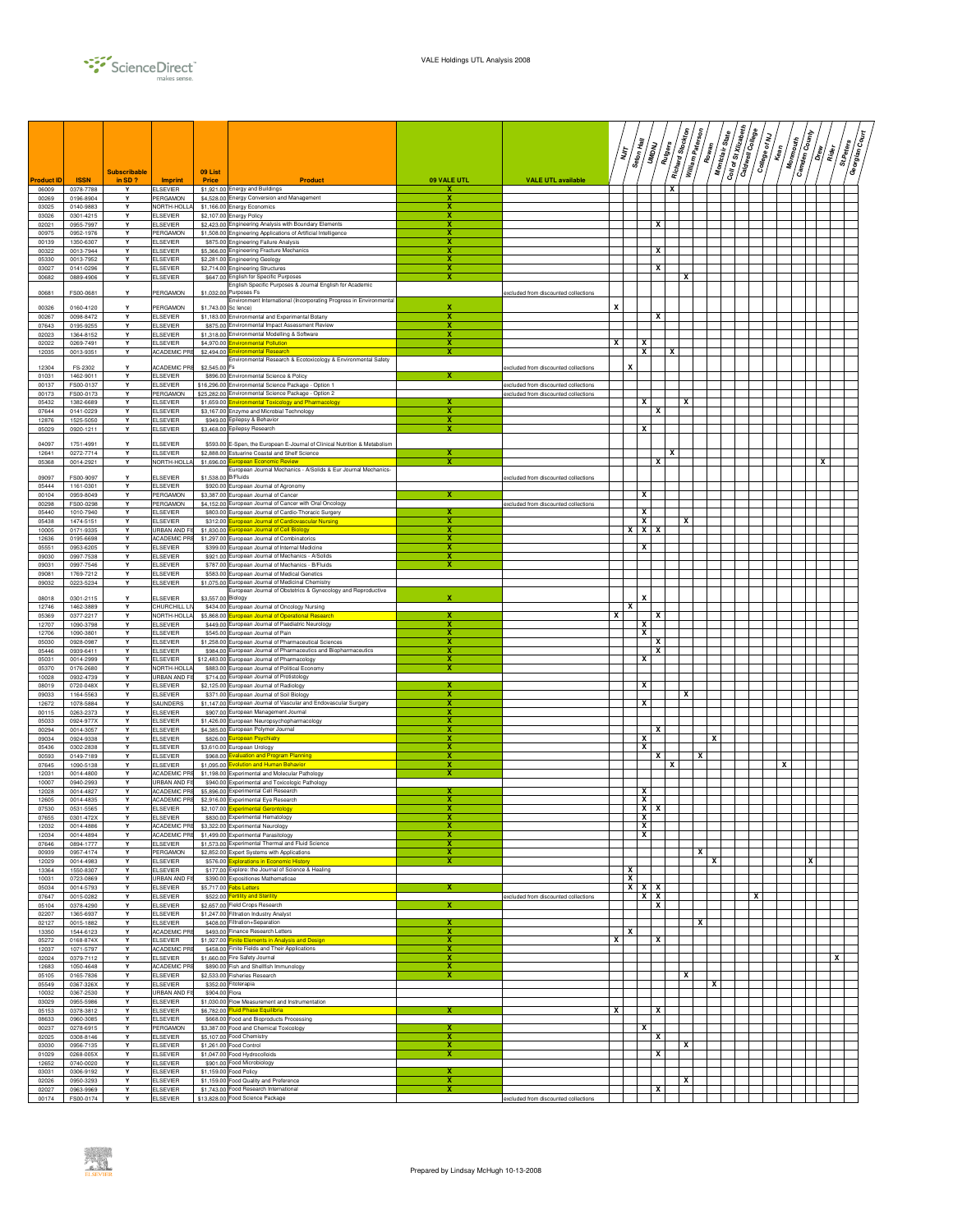

|                |                        | <b>Subscribable</b> |                                         | 09 List             |                                                                                                                    |                  |                                      |   | יל<br>ג      | Seton Hall | <b>UMDNU</b> | Rutgers | Richard Stockton<br>William Paterson | Rowan | Montclair State | Coil of St Xilzabeth | Caldwell College | College of NJ<br>Kean | <b>Monmouth</b> | <b>Camden County</b> | $\frac{2}{5}$<br>Rider<br>R | St.Peters<br>Georgian | है।<br>बाह्य |
|----------------|------------------------|---------------------|-----------------------------------------|---------------------|--------------------------------------------------------------------------------------------------------------------|------------------|--------------------------------------|---|--------------|------------|--------------|---------|--------------------------------------|-------|-----------------|----------------------|------------------|-----------------------|-----------------|----------------------|-----------------------------|-----------------------|--------------|
| Product II     | <b>ISSN</b>            | in SD ?             | <b>Imprint</b>                          | Price               | Product                                                                                                            | 09 VALE UTL      | <b>VALE UTL available</b>            |   |              |            |              |         |                                      |       |                 |                      |                  |                       |                 |                      |                             |                       |              |
| 06009<br>00269 | 0378-7788<br>0196-8904 | Y<br>Y              | <b>ELSEVIER</b><br>PERGAMON             |                     | \$1,921.00 Energy and Buildings<br>\$4,528.00 Energy Conversion and Management                                     | x<br>x           |                                      |   |              |            |              | x       |                                      |       |                 |                      |                  |                       |                 |                      |                             |                       |              |
| 03025          | 0140-9883              | Y<br>Y              | NORTH-HOLL                              |                     | \$1,166.00 Energy Economics                                                                                        | х<br>x           |                                      |   |              |            |              |         |                                      |       |                 |                      |                  |                       |                 |                      |                             |                       |              |
| 03026<br>02021 | 0301-4215<br>0955-7997 | Y                   | <b>ELSEVIER</b><br><b>ELSEVIER</b>      |                     | \$2,107.00 Energy Policy<br>\$2,423.00 Engineering Analysis with Boundary Elements                                 | x                |                                      |   |              |            | x            |         |                                      |       |                 |                      |                  |                       |                 |                      |                             |                       |              |
| 00975<br>00139 | 0952-1976<br>1350-6307 | Y<br>Y              | PERGAMON<br><b>ELSEVIER</b>             |                     | \$1,508.00 Engineering Applications of Artificial Intelligence<br>\$875.00 Engineering Failure Analysis            | x<br>x           |                                      |   |              |            |              |         |                                      |       |                 |                      |                  |                       |                 |                      |                             |                       |              |
| 00322          | 0013-7944              | Υ                   | <b>ELSEVIER</b>                         |                     | \$5,366.00 Engineering Fracture Mechanics                                                                          | x                |                                      |   |              |            | x            |         |                                      |       |                 |                      |                  |                       |                 |                      |                             |                       |              |
| 05330<br>03027 | 0013-7952<br>0141-0296 | Y<br>Y              | <b>ELSEVIER</b><br><b>ELSEVIER</b>      |                     | \$2,281.00 Engineering Geology<br>\$2,714.00 Engineering Structures                                                | x<br>x           |                                      |   |              |            | x            |         |                                      |       |                 |                      |                  |                       |                 |                      |                             |                       |              |
| 00682          | 0889-4906              | Y                   | <b>ELSEVIER</b>                         |                     | \$647.00 English for Specific Purposes                                                                             | х                |                                      |   |              |            |              |         | x                                    |       |                 |                      |                  |                       |                 |                      |                             |                       |              |
| 00681          | FS00-0681              | Y                   | PERGAMON                                | \$1,032.0           | English Specific Purposes & Journal English for Academic<br>Purposes Fs                                            |                  | excluded from discounted collections |   |              |            |              |         |                                      |       |                 |                      |                  |                       |                 |                      |                             |                       |              |
| 00326          | 0160-4120              | Y                   | PERGAMON                                |                     | Environment International (Incorporating Progress in Environmental<br>\$1,743,00 Sc lence)                         | x                |                                      | x |              |            |              |         |                                      |       |                 |                      |                  |                       |                 |                      |                             |                       |              |
| 00267          | 0098-8472              | Y                   | <b>ELSEVIER</b>                         |                     | \$1,183.00 Environmental and Experimental Botany                                                                   | x                |                                      |   |              |            | x            |         |                                      |       |                 |                      |                  |                       |                 |                      |                             |                       |              |
| 07643<br>02023 | 0195-9255<br>1364-8152 | Υ<br>Y              | <b>ELSEVIER</b><br><b>ELSEVIER</b>      |                     | \$875.00 Environmental Impact Assessment Review<br>\$1,318.00 Environmental Modelling & Software                   | x<br>x           |                                      |   |              |            |              |         |                                      |       |                 |                      |                  |                       |                 |                      |                             |                       |              |
| 02022          | 0269-7491              | Y                   | <b>ELSEVIER</b>                         |                     | \$4.970.00 Environmental Pollution                                                                                 | x                |                                      | x |              | x          |              |         |                                      |       |                 |                      |                  |                       |                 |                      |                             |                       |              |
| 12035          | 0013-9351              | Y                   | ACADEMIC PR                             |                     | \$2,494.00 Environmental Research<br>Environmental Research & Ecotoxicology & Environmental Safety                 | х                |                                      |   |              | x          |              | x       |                                      |       |                 |                      |                  |                       |                 |                      |                             |                       |              |
| 12304<br>01031 | FS-2302<br>1462-9011   | Υ<br>Y              | ACADEMIC PR<br><b>ELSEVIER</b>          | \$2,545.00 Fs       | \$896.00 Environmental Science & Policy                                                                            | x                | excluded from discounted collections |   | X            |            |              |         |                                      |       |                 |                      |                  |                       |                 |                      |                             |                       |              |
| 00137          | FS00-0137              | Y                   | <b>ELSEVIER</b>                         |                     | \$16,296.00 Environmental Science Package - Option 1                                                               |                  | excluded from discounted collections |   |              |            |              |         |                                      |       |                 |                      |                  |                       |                 |                      |                             |                       |              |
| 00173<br>05432 | FS00-0173<br>1382-6689 | Y<br>Y              | PERGAMON<br><b>ELSEVIER</b>             |                     | \$25,282.00 Environmental Science Package - Option 2<br>\$1,659.00 Environmental Toxicology and Pharmacology       | x                | excluded from discounted collections |   |              | x          |              |         | х                                    |       |                 |                      |                  |                       |                 |                      |                             |                       |              |
| 07644          | 0141-0229              | Υ                   | <b>ELSEVIER</b>                         |                     | \$3,167.00 Enzyme and Microbial Technology                                                                         | х                |                                      |   |              |            | x            |         |                                      |       |                 |                      |                  |                       |                 |                      |                             |                       |              |
| 12876<br>05029 | 1525-5050<br>0920-1211 | Y<br>Y              | <b>ELSEVIER</b><br><b>ELSEVIER</b>      |                     | \$949.00 Epilepsy & Behavior<br>\$3,468.00 Epilepsy Research                                                       | х<br>х           |                                      |   |              | x          |              |         |                                      |       |                 |                      |                  |                       |                 |                      |                             |                       |              |
| 04097          | 1751-4991              |                     | <b>ELSEVIER</b>                         |                     | \$593.00 E-Spen, the European E-Journal of Clinical Nutrition & Metabolism                                         |                  |                                      |   |              |            |              |         |                                      |       |                 |                      |                  |                       |                 |                      |                             |                       |              |
| 12641          | 0272-7714              | Υ                   | <b>ELSEVIER</b>                         |                     | \$2,888.00 Estuarine Coastal and Shelf Science                                                                     | x                |                                      |   |              |            |              | x       |                                      |       |                 |                      |                  |                       |                 |                      |                             |                       |              |
| 05368          | 0014-2921              | Y                   | NORTH-HOLL                              |                     | \$1,696.00 European Economic Review<br>European Journal Mechanics - A/Solids & Eur Journal Mechanics-              |                  |                                      |   |              |            | x            |         |                                      |       |                 |                      |                  |                       |                 |                      | x                           |                       |              |
| 09097          | FS00-9097              |                     | <b>ELSEVIER</b>                         | \$1,538.00 B/Fluids |                                                                                                                    |                  | excluded from discounted collections |   |              |            |              |         |                                      |       |                 |                      |                  |                       |                 |                      |                             |                       |              |
| 05444<br>00104 | 1161-0301<br>0959-8049 | Y<br>Y              | <b>ELSEVIER</b><br>PERGAMON             |                     | \$920.00 European Journal of Agronomy<br>\$3,387.00 European Journal of Cancer                                     | x                |                                      |   |              | x          |              |         |                                      |       |                 |                      |                  |                       |                 |                      |                             |                       |              |
| 00298          | FS00-0298              | Y                   | PERGAMON                                |                     | \$4,152.00 European Journal of Cancer with Oral Oncology                                                           |                  | excluded from discounted collections |   |              |            |              |         |                                      |       |                 |                      |                  |                       |                 |                      |                             |                       |              |
| 05440<br>05438 | 1010-7940<br>1474-5151 | Y<br>Y              | <b>ELSEVIER</b><br><b>ELSEVIER</b>      |                     | \$803.00 European Journal of Cardio-Thoracic Surgery<br>\$312.00 European Journal of Cardiovascular Nursing        | x                |                                      |   |              | x<br>x     |              |         | x                                    |       |                 |                      |                  |                       |                 |                      |                             |                       |              |
| 10005<br>12636 | 0171-9335<br>0195-6698 | Y<br>Y              | URBAN AND FI!<br><b>ACADEMIC PRE</b>    |                     | \$1,830.00 European Journal of Cell Biology<br>\$1,297.00 European Journal of Combinatorics                        | x<br>x           |                                      |   | x            | x          | х            |         |                                      |       |                 |                      |                  |                       |                 |                      |                             |                       |              |
| 05551          | 0953-6205              | Y                   | <b>ELSEVIER</b>                         |                     | \$399.00 European Journal of Internal Medicine                                                                     | х                |                                      |   |              | x          |              |         |                                      |       |                 |                      |                  |                       |                 |                      |                             |                       |              |
| 09030<br>09031 | 0997-7538<br>0997-7546 | Υ<br>Y              | <b>ELSEVIER</b><br><b>ELSEVIER</b>      |                     | \$921.00 European Journal of Mechanics - A/Solids<br>\$787.00 European Journal of Mechanics - B/Fluids             | x<br>х           |                                      |   |              |            |              |         |                                      |       |                 |                      |                  |                       |                 |                      |                             |                       |              |
| 09081          | 1769-7212              | Y                   | <b>ELSEVIER</b>                         |                     | \$583.00 European Journal of Medical Genetics                                                                      |                  |                                      |   |              |            |              |         |                                      |       |                 |                      |                  |                       |                 |                      |                             |                       |              |
| 09032          | 0223-5234              | Y                   | <b>ELSEVIER</b>                         |                     | \$1,075.00 European Journal of Medicinal Chemistry<br>European Journal of Obstetrics & Gynecology and Reproductive |                  |                                      |   |              |            |              |         |                                      |       |                 |                      |                  |                       |                 |                      |                             |                       |              |
| 08018<br>12746 | 0301-2115<br>1462-3889 | Y<br>Y              | ELSEVIER<br>CHURCHILL LI                | \$3,557.00 Biology  | \$434.00 European Journal of Oncology Nursing                                                                      | x                |                                      |   | х            |            |              |         |                                      |       |                 |                      |                  |                       |                 |                      |                             |                       |              |
| 05369          | 0377-2217              | Y                   | NORTH-HOLLA                             |                     | \$5,868,00 European Journal of Operational Research                                                                |                  |                                      |   |              |            | X            |         |                                      |       |                 |                      |                  |                       |                 |                      |                             |                       |              |
| 12707<br>12706 | 1090-3798<br>1090-3801 | Y<br>Y              | <b>ELSEVIER</b><br><b>ELSEVIER</b>      |                     | \$449.00 European Journal of Paediatric Neurology<br>\$545.00 European Journal of Pain                             | x                |                                      |   |              | x<br>x     |              |         |                                      |       |                 |                      |                  |                       |                 |                      |                             |                       |              |
| 05030          | 0928-0987              | Y                   | <b>ELSEVIER</b>                         |                     | \$1,258.00 European Journal of Pharmaceutical Sciences                                                             | x                |                                      |   |              |            | X            |         |                                      |       |                 |                      |                  |                       |                 |                      |                             |                       |              |
| 05446<br>05031 | 0939-6411<br>0014-2999 | Y<br>Y              | <b>ELSEVIER</b><br><b>ELSEVIER</b>      |                     | \$984.00 European Journal of Pharmaceutics and Biopharmaceutics<br>\$12,483.00 European Journal of Pharmacology    | x<br>х           |                                      |   |              | x          | x            |         |                                      |       |                 |                      |                  |                       |                 |                      |                             |                       |              |
| 05370          | 0176-2680              | Υ                   | NORTH-HOLLA                             |                     | \$883.00 European Journal of Political Economy                                                                     | x                |                                      |   |              |            |              |         |                                      |       |                 |                      |                  |                       |                 |                      |                             |                       |              |
| 10028<br>08019 | 0932-4739<br>0720-048X | Y<br>Y              | <b>URBAN AND FI!</b><br><b>ELSEVIER</b> |                     | \$714.00 European Journal of Protistology<br>\$2,125.00 European Journal of Radiology                              | х                |                                      |   |              | x          |              |         |                                      |       |                 |                      |                  |                       |                 |                      |                             |                       |              |
| 09033          | 1164-5563              | Y                   | <b>ELSEVIER</b>                         |                     | \$371.00 European Journal of Soil Biology                                                                          | x                |                                      |   |              |            |              |         | x                                    |       |                 |                      |                  |                       |                 |                      |                             |                       |              |
| 12672<br>00115 | 1078-5884<br>0263-2373 | Υ<br>Y              | SAUNDERS<br><b>ELSEVIER</b>             |                     | \$1,147.00 European Journal of Vascular and Endovascular Surgery<br>\$907.00 European Management Journal           | x<br>x           |                                      |   |              | X          |              |         |                                      |       |                 |                      |                  |                       |                 |                      |                             |                       |              |
| 05033          | 0924-977X              | Y                   | <b>ELSEVIER</b>                         |                     | \$1,426.00 European Neuropsychopharmacology                                                                        | x<br>x           |                                      |   |              |            |              |         |                                      |       |                 |                      |                  |                       |                 |                      |                             |                       |              |
| 00294<br>09034 | 0014-3057<br>0924-9338 | Y<br>Υ              | <b>ELSEVIER</b><br><b>ELSEVIER</b>      |                     | \$4,385.00 European Polymer Journal<br>\$826.00 European Psychiatry                                                | x                |                                      |   |              | x          | x            |         |                                      |       | x               |                      |                  |                       |                 |                      |                             |                       |              |
| 05436<br>00593 | 0302-2838<br>0149-7189 | Υ<br>Y              | <b>ELSEVIER</b><br><b>ELSEVIER</b>      |                     | \$3,610.00 European Urology                                                                                        | x<br>х           |                                      |   |              | x          | x            |         |                                      | x     |                 |                      |                  |                       |                 |                      |                             |                       |              |
| 07645          | 1090-5138              | Y                   | <b>ELSEVIER</b>                         | \$1,095.00          | \$968.00 Evaluation and Program Planning<br><b>Evolution and Human Behavior</b>                                    | х                |                                      |   |              |            |              | x       |                                      |       |                 |                      |                  |                       | x               |                      |                             |                       |              |
| 12031<br>10007 | 0014-4800<br>0940-2993 | Υ<br>Y              | ACADEMIC PRE<br>URBAN AND FI            |                     | \$1,198.00 Experimental and Molecular Pathology<br>\$940.00 Experimental and Toxicologic Pathology                 | X                |                                      |   |              |            |              |         |                                      |       |                 |                      |                  |                       |                 |                      |                             |                       |              |
| 12028          | 0014-4827              | Y                   | <b>ACADEMIC PRE</b>                     |                     | \$5,896.00 Experimental Cell Research                                                                              | x                |                                      |   |              | x          |              |         |                                      |       |                 |                      |                  |                       |                 |                      |                             |                       |              |
| 12605<br>07530 | 0014-4835<br>0531-5565 | Y<br>Υ              | ACADEMIC PRE<br><b>ELSEVIER</b>         |                     | \$2,916.00 Experimental Eye Research<br>\$2,107.00 Experimental Gerontology                                        | х<br>х           |                                      |   |              | x<br>x     | х            |         |                                      |       |                 |                      |                  |                       |                 |                      |                             |                       |              |
| 07655          | 0301-472X              | Υ                   | <b>FI SEVIER</b>                        |                     | \$830.00 Experimental Hematology                                                                                   |                  |                                      |   |              | X          |              |         |                                      |       |                 |                      |                  |                       |                 |                      |                             |                       |              |
| 12032<br>12034 | 0014-4886<br>0014-4894 | Υ<br>Y              | <b>ACADEMIC PRE</b><br>ACADEMIC PRE     |                     | \$3,322.00 Experimental Neurology<br>\$1,499.00 Experimental Parasitology                                          | х<br>x           |                                      |   |              | x<br>x     |              |         |                                      |       |                 |                      |                  |                       |                 |                      |                             |                       |              |
| 07646          | 0894-1777              | Y                   | <b>ELSEVIER</b>                         |                     | \$1,573.00 Experimental Thermal and Fluid Science                                                                  | X                |                                      |   |              |            |              |         |                                      |       |                 |                      |                  |                       |                 |                      |                             |                       |              |
| 00939<br>12029 | 0957-4174<br>0014-4983 | Y<br>Υ              | PERGAMON<br><b>ELSEVIER</b>             |                     | \$2,852.00 Expert Systems with Applications<br>\$576.00 Explorations in Economic History                           | x<br>$\mathbf x$ |                                      |   |              |            |              |         |                                      | x     | x               |                      |                  |                       |                 | X                    |                             |                       |              |
| 13364          | 1550-8307              | Y<br>Y              | <b>ELSEVIER</b>                         |                     | \$177.00 Explore: the Journal of Science & Healing<br>\$390.00 Expositiones Mathematicae                           |                  |                                      |   | х<br>x       |            |              |         |                                      |       |                 |                      |                  |                       |                 |                      |                             |                       |              |
| 10031<br>05034 | 0723-0869<br>0014-5793 | Y                   | URBAN AND F<br><b>ELSEVIER</b>          |                     | \$5,717.00 Febs Letters                                                                                            | x                |                                      |   |              | $x \mid x$ | x            |         |                                      |       |                 |                      |                  |                       |                 |                      |                             |                       |              |
| 07647<br>05104 | 0015-0282<br>0378-4290 | Y<br>Y              | <b>ELSEVIER</b><br><b>ELSEVIER</b>      |                     | \$522.00 Fertility and Sterility<br>\$2,657.00 Field Crops Research                                                | x                | excluded from discounted collections |   |              | x          | х<br>x       |         |                                      |       |                 |                      | x                |                       |                 |                      |                             |                       |              |
| 02207          | 1365-6937              | Y                   | <b>ELSEVIER</b>                         |                     | \$1,247.00 Filtration Industry Analyst                                                                             |                  |                                      |   |              |            |              |         |                                      |       |                 |                      |                  |                       |                 |                      |                             |                       |              |
| 02127<br>13350 | 0015-1882<br>1544-6123 | Y<br>Y              | <b>ELSEVIER</b><br><b>ACADEMIC PR</b>   |                     | \$408.00 Filtration+Separation<br>\$493.00 Finance Research Letters                                                | x                |                                      |   | $\mathbf{x}$ |            |              |         |                                      | X     |                 |                      |                  |                       |                 |                      |                             |                       |              |
| 05272          | 0168-874X              | Y                   | <b>ELSEVIER</b>                         |                     | \$1,927.00 Finite Elements in Analysis and Design                                                                  | x                |                                      | x |              |            | x            |         |                                      |       |                 |                      |                  |                       |                 |                      |                             |                       |              |
| 12037<br>02024 | 1071-5797<br>0379-7112 | Y<br>Υ              | ACADEMIC PRE<br><b>ELSEVIER</b>         |                     | \$458.00 Finite Fields and Their Applications<br>\$1,660.00 Fire Safety Journal                                    | х<br>х           |                                      |   |              |            |              |         |                                      |       |                 |                      |                  |                       |                 |                      |                             | x                     |              |
| 12683          | 1050-4648              | Υ                   | ACADEMIC PRE                            |                     | \$890.00 Fish and Shellfish Immunology                                                                             | x                |                                      |   |              |            |              |         |                                      |       |                 |                      |                  |                       |                 |                      |                             |                       |              |
| 05105<br>05549 | 0165-7836<br>0367-326X | Y<br>Y              | <b>ELSEVIER</b><br><b>ELSEVIER</b>      |                     | \$2.533.00 Fisheries Research<br>\$352.00 Fitoterapia                                                              | x                |                                      |   |              |            |              |         | x                                    |       | x               |                      |                  |                       |                 |                      |                             |                       |              |
| 10032          | 0367-2530              | Υ                   | URBAN AND FI                            | \$904.00 Flora      |                                                                                                                    |                  |                                      |   |              |            |              |         |                                      |       |                 |                      |                  |                       |                 |                      |                             |                       |              |
| 03029<br>05153 | 0955-5986<br>0378-3812 | Y<br>Y              | <b>ELSEVIER</b><br><b>ELSEVIER</b>      |                     | \$1,030.00 Flow Measurement and Instrumentation<br>\$6,782.00 Fluid Phase Equilibria                               | x                |                                      | х |              |            | x            |         |                                      |       |                 |                      |                  |                       |                 |                      |                             |                       |              |
| 08633          | 0960-3085              | Y                   | <b>ELSEVIER</b>                         |                     | \$668.00 Food and Bioproducts Processing                                                                           | x                |                                      |   |              |            |              |         |                                      |       |                 |                      |                  |                       |                 |                      |                             |                       |              |
| 00237<br>02025 | 0278-6915<br>0308-8146 | Υ<br>Y              | PERGAMON<br><b>ELSEVIER</b>             |                     | \$3,387.00 Food and Chemical Toxicology<br>\$5,107.00 Food Chemistry                                               | x                |                                      |   |              | x          | x            |         |                                      |       |                 |                      |                  |                       |                 |                      |                             |                       |              |
| 03030<br>01029 | 0956-7135<br>0268-005X | Y<br>Y              | <b>ELSEVIER</b><br><b>ELSEVIER</b>      |                     | \$1,261.00 Food Control<br>\$1,047.00 Food Hydrocolloids                                                           | х<br>x           |                                      |   |              |            | х            |         | X                                    |       |                 |                      |                  |                       |                 |                      |                             |                       |              |
| 12652          | 0740-0020              | Y                   | <b>ELSEVIER</b>                         |                     | \$901.00 Food Microbiology                                                                                         |                  |                                      |   |              |            |              |         |                                      |       |                 |                      |                  |                       |                 |                      |                             |                       |              |
| 03031<br>02026 | 0306-9192<br>0950-3293 | Y<br>Y              | <b>ELSEVIER</b><br><b>ELSEVIER</b>      |                     | \$1,159.00 Food Policy<br>\$1,159.00 Food Quality and Preference                                                   | x<br>x           |                                      |   |              |            |              |         | x                                    |       |                 |                      |                  |                       |                 |                      |                             |                       |              |
| 02027          | 0963-9969              | Y                   | <b>ELSEVIER</b>                         |                     | \$1,743,00 Food Research International                                                                             | X                |                                      |   |              |            | x            |         |                                      |       |                 |                      |                  |                       |                 |                      |                             |                       |              |
| 00174          | FS00-0174              | Y                   | <b>ELSEVIER</b>                         |                     | \$13,828.00 Food Science Package                                                                                   |                  | excluded from discounted collections |   |              |            |              |         |                                      |       |                 |                      |                  |                       |                 |                      |                             |                       |              |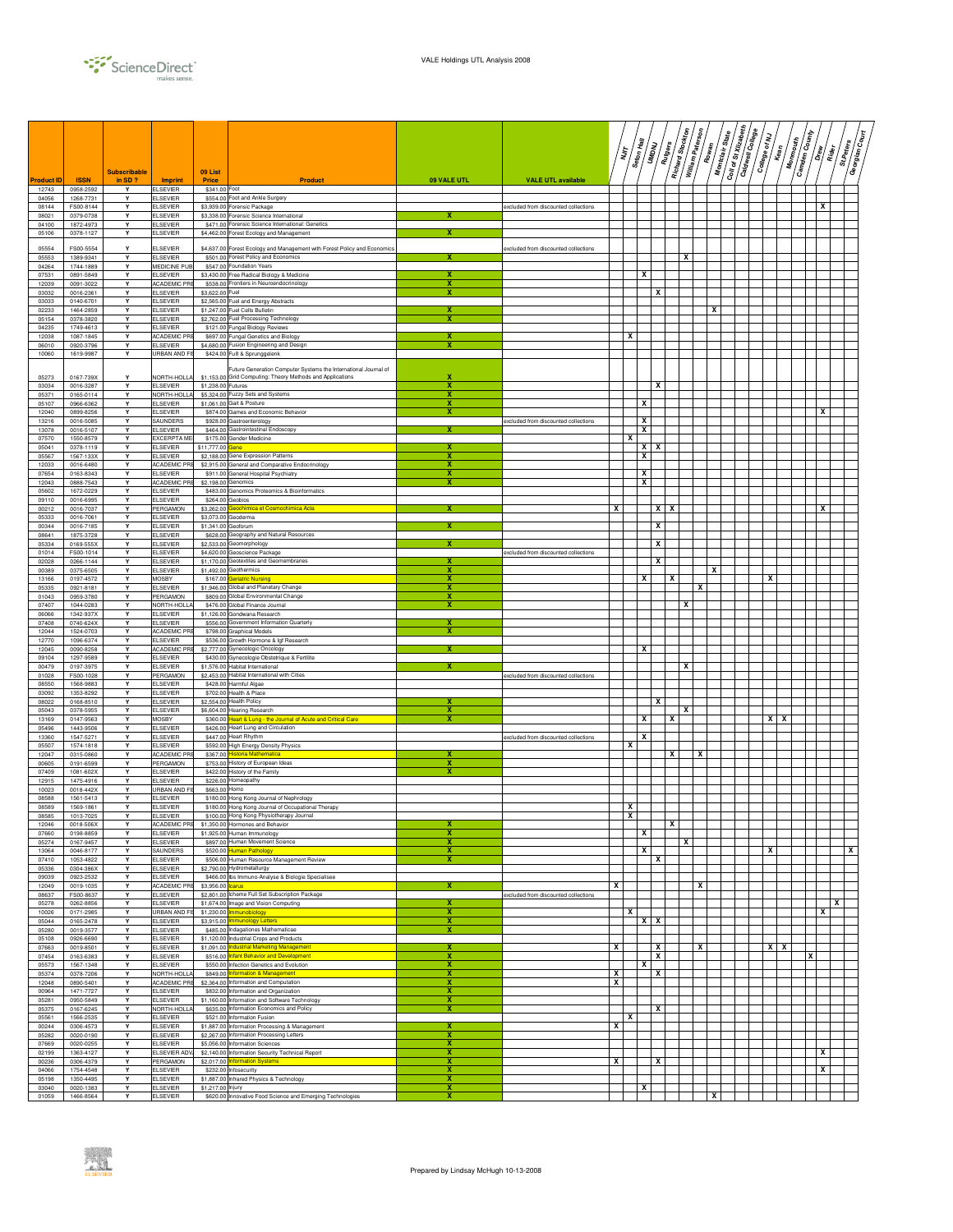

|                |                        | <b>Subscribable</b> |                                        | 09 List                          |                                                                                                |                              |                                      |        | Seton Hall<br>דן<br>דו | UMDNU                        | Richard Stockton<br>Rutgers | William Paterson<br>Rowan | Montclair State | Coll of St Xilzabeth | Caldwell College | College of NJ<br>Kean | <b>Monmouth</b> | <b>Camden County</b><br>$\frac{2}{5}$ | St.Peters<br>Rider | /៖្វី<br>Georgian |
|----------------|------------------------|---------------------|----------------------------------------|----------------------------------|------------------------------------------------------------------------------------------------|------------------------------|--------------------------------------|--------|------------------------|------------------------------|-----------------------------|---------------------------|-----------------|----------------------|------------------|-----------------------|-----------------|---------------------------------------|--------------------|-------------------|
| Product ID     | <b>ISSN</b>            | in SD?              | <b>Imprint</b>                         | Price                            | <b>Product</b>                                                                                 | 09 VALE UTL                  | <b>VALE UTL available</b>            |        |                        |                              |                             |                           |                 |                      |                  |                       |                 |                                       |                    |                   |
| 12743<br>04056 | 0958-2592<br>1268-7731 | Y<br>Y              | <b>ELSEVIER</b><br><b>ELSEVIER</b>     | \$341.00 Foot                    | \$554.00 Foot and Ankle Surgery                                                                |                              |                                      |        |                        |                              |                             |                           |                 |                      |                  |                       |                 |                                       |                    |                   |
| 08144<br>08021 | FS00-8144<br>0379-0738 | Y<br>Y              | <b>ELSEVIER</b><br><b>ELSEVIER</b>     |                                  | \$3,939.00 Forensic Package<br>\$3,338.00 Forensic Science International                       | х                            | excluded from discounted collections |        |                        |                              |                             |                           |                 |                      |                  |                       |                 | x                                     |                    |                   |
| 04100<br>05106 | 1872-4973<br>0378-1127 | Y<br>Y              | <b>ELSEVIER</b><br><b>ELSEVIER</b>     |                                  | \$471.00 Forensic Science International: Genetics<br>\$4,462.00 Forest Ecology and Management  |                              |                                      |        |                        |                              |                             |                           |                 |                      |                  |                       |                 |                                       |                    |                   |
| 05554          | FS00-5554              | Y                   | <b>ELSEVIER</b>                        |                                  | \$4,637.00 Forest Ecology and Management with Forest Policy and Economics                      |                              | xcluded from discounted collections  |        |                        |                              |                             |                           |                 |                      |                  |                       |                 |                                       |                    |                   |
| 05553          | 1389-9341              | Y                   | <b>ELSEVIER</b>                        |                                  | \$501.00 Forest Policy and Economics                                                           | x                            |                                      |        |                        |                              | x                           |                           |                 |                      |                  |                       |                 |                                       |                    |                   |
| 04264<br>07531 | 1744-1889<br>0891-5849 | Y<br>Y              | MEDICINE PUB<br><b>ELSEVIER</b>        |                                  | \$547.00 Foundation Years<br>\$3,430.00 Free Radical Biology & Medicine                        |                              |                                      |        |                        | x                            |                             |                           |                 |                      |                  |                       |                 |                                       |                    |                   |
| 12039<br>03032 | 0091-3022<br>0016-2361 | Y<br>Y              | ACADEMIC PF<br><b>ELSEVIER</b>         | \$3,622.00 Fuel                  | \$538.00 Frontiers in Neuroendocrinology                                                       | x<br>x                       |                                      |        |                        | x                            |                             |                           |                 |                      |                  |                       |                 |                                       |                    |                   |
| 03033<br>02233 | 0140-6701<br>1464-2859 | Y<br>Y              | <b>ELSEVIER</b><br><b>ELSEVIER</b>     |                                  | \$2,565.00 Fuel and Energy Abstracts<br>\$1,247.00 Fuel Cells Bulletin                         |                              |                                      |        |                        |                              |                             |                           | x               |                      |                  |                       |                 |                                       |                    |                   |
| 05154          | 0378-3820              | Y                   | <b>ELSEVIER</b>                        |                                  | \$2,762.00 Fuel Processing Technology                                                          | x                            |                                      |        |                        |                              |                             |                           |                 |                      |                  |                       |                 |                                       |                    |                   |
| 04235<br>12038 | 1749-4613<br>1087-1845 | Y<br>Y              | <b>ELSEVIER</b><br><b>ACADEMIC PRE</b> |                                  | \$121.00 Fungal Biology Reviews<br>\$697.00 Fungal Genetics and Biology                        | х                            |                                      |        | x                      |                              |                             |                           |                 |                      |                  |                       |                 |                                       |                    |                   |
| 06010<br>10060 | 0920-3796<br>1619-9987 | Y<br>Y              | <b>ELSEVIER</b><br>URBAN AND FI!       |                                  | \$4,680.00 Fusion Engineering and Design<br>\$424.00 Fuß & Sprunggelenk                        | х                            |                                      |        |                        |                              |                             |                           |                 |                      |                  |                       |                 |                                       |                    |                   |
|                |                        |                     |                                        |                                  | Future Generation Computer Systems the International Journal of                                |                              |                                      |        |                        |                              |                             |                           |                 |                      |                  |                       |                 |                                       |                    |                   |
| 05273<br>03034 | 0167-739X<br>0016-3287 | Y<br>Y              | NORTH-HOLL<br><b>ELSEVIER</b>          | \$1,153.00<br>\$1,238.00 Futures | Grid Computing: Theory Methods and Applications                                                | x                            |                                      |        |                        | x                            |                             |                           |                 |                      |                  |                       |                 |                                       |                    |                   |
| 05371          | 0165-0114              | Y<br>Y              | NORTH-HOLLA                            |                                  | \$5,324.00 Fuzzy Sets and Systems<br>\$1,061.00 Gait & Posture                                 | x<br>х                       |                                      |        |                        | x                            |                             |                           |                 |                      |                  |                       |                 |                                       |                    |                   |
| 05107<br>12040 | 0966-6362<br>0899-8256 | Y                   | <b>ELSEVIER</b><br><b>ELSEVIER</b>     |                                  | \$874.00 Games and Economic Behavior                                                           | x                            |                                      |        |                        |                              |                             |                           |                 |                      |                  |                       |                 | х                                     |                    |                   |
| 13216<br>13078 | 0016-5085<br>0016-5107 | Υ<br>Y              | SAUNDERS<br><b>ELSEVIER</b>            |                                  | \$928.00 Gastroenterology<br>\$464.00 Gastrointestinal Endoscopy                               | х                            | excluded from discounted collections |        |                        | x<br>x                       |                             |                           |                 |                      |                  |                       |                 |                                       |                    |                   |
| 07570<br>05041 | 1550-8579<br>0378-1119 | Y<br>Υ              | EXCERPTA ME<br><b>ELSEVIER</b>         | \$11,777.00                      | \$175.00 Gender Medicine<br><b>Bene</b>                                                        |                              |                                      |        | X                      | $x \mid x$                   |                             |                           |                 |                      |                  |                       |                 |                                       |                    |                   |
| 05567<br>12033 | 1567-133X<br>0016-6480 | Y<br>Υ              | <b>ELSEVIER</b><br>ACADEMIC PRE        |                                  | \$2,188.00 Gene Expression Patterns<br>\$2,915.00 General and Comparative Endocrinology        | $\overline{\mathbf{x}}$<br>x |                                      |        |                        | x                            |                             |                           |                 |                      |                  |                       |                 |                                       |                    |                   |
| 07654          | 0163-8343              | Y                   | <b>ELSEVIER</b>                        |                                  | \$911.00 General Hospital Psychiatry                                                           | х                            |                                      |        |                        | x                            |                             |                           |                 |                      |                  |                       |                 |                                       |                    |                   |
| 12043<br>05602 | 0888-7543<br>1672-0229 | Y<br>Y              | ACADEMIC PRE<br><b>ELSEVIER</b>        |                                  | \$2,198.00 Genomics<br>\$483.00 Genomics Proteomics & Bioinformatics                           | х                            |                                      |        |                        | x                            |                             |                           |                 |                      |                  |                       |                 |                                       |                    |                   |
| 09110<br>00212 | 0016-6995<br>0016-7037 | Y<br>Y              | <b>ELSEVIER</b><br>PERGAMON            | \$3,262.00                       | \$264.00 Geobios<br>Seochimica et Cosmochimica Acta                                            |                              |                                      |        |                        | x                            |                             |                           |                 |                      |                  |                       |                 | x                                     |                    |                   |
| 05333          | 0016-7061              | Y<br>Y              | <b>ELSEVIER</b>                        |                                  | \$3,073.00 Geoderma                                                                            | x                            |                                      |        |                        | X                            |                             |                           |                 |                      |                  |                       |                 |                                       |                    |                   |
| 00344<br>08641 | 0016-7185<br>1875-3728 | Υ                   | <b>ELSEVIER</b><br><b>ELSEVIER</b>     |                                  | \$1,341.00 Geoforum<br>\$628.00 Geography and Natural Resources                                |                              |                                      |        |                        |                              |                             |                           |                 |                      |                  |                       |                 |                                       |                    |                   |
| 05334<br>01014 | 0169-555X<br>FS00-1014 | Y<br>Y              | <b>ELSEVIER</b><br><b>ELSEVIER</b>     |                                  | \$2,533.00 Geomorphology<br>\$4,620.00 Geoscience Package                                      | х                            | excluded from discounted collections |        |                        | x                            |                             |                           |                 |                      |                  |                       |                 |                                       |                    |                   |
| 02028<br>00389 | 0266-1144<br>0375-6505 | Y<br>Y              | <b>ELSEVIER</b><br><b>ELSEVIER</b>     |                                  | \$1,170.00 Geotextiles and Geomembranes<br>\$1,492.00 Geothermics                              | X                            |                                      |        |                        | x                            |                             |                           | x               |                      |                  |                       |                 |                                       |                    |                   |
| 13166          | 0197-4572              | Y                   | <b>MOSBY</b>                           | \$167.00                         | <b>Seriatric Nursing</b>                                                                       | X                            |                                      |        |                        |                              |                             | $\boldsymbol{\mathsf{x}}$ |                 |                      |                  | x                     |                 |                                       |                    |                   |
| 05335<br>01043 | 0921-8181<br>0959-3780 | Y<br>Y              | <b>ELSEVIER</b><br>PERGAMON            |                                  | \$1,946.00 Global and Planetary Change<br>\$809.00 Global Environmental Change                 | X<br>x                       |                                      |        |                        |                              |                             |                           |                 |                      |                  |                       |                 |                                       |                    |                   |
| 07407<br>06066 | 1044-0283<br>1342-937X | Y<br>Y              | NORTH-HOLLA<br><b>ELSEVIER</b>         |                                  | \$476.00 Global Finance Journal<br>\$1,126.00 Gondwana Research                                | x                            |                                      |        |                        |                              | x                           |                           |                 |                      |                  |                       |                 |                                       |                    |                   |
| 07408<br>12044 | 0740-624X<br>1524-0703 | Y<br>Y              | <b>ELSEVIER</b><br>ACADEMIC PRE        |                                  | \$556.00 Government Information Quarterly<br>\$798.00 Graphical Models                         | x<br>x                       |                                      |        |                        |                              |                             |                           |                 |                      |                  |                       |                 |                                       |                    |                   |
| 12770          | 1096-6374              | Y                   | <b>ELSEVIER</b>                        |                                  | \$536.00 Growth Hormone & Igf Research                                                         |                              |                                      |        |                        |                              |                             |                           |                 |                      |                  |                       |                 |                                       |                    |                   |
| 12045<br>09104 | 0090-8258<br>1297-9589 | Y<br>Y              | ACADEMIC PRE<br><b>ELSEVIER</b>        |                                  | \$2,777.00 Gynecologic Oncology<br>\$430.00 Gynecologie Obstetrique & Fertilite                | x                            |                                      |        |                        | x                            |                             |                           |                 |                      |                  |                       |                 |                                       |                    |                   |
| 00479<br>01028 | 0197-3975<br>FS00-1028 | Υ<br>Y              | <b>ELSEVIER</b><br>PERGAMON            |                                  | \$1,576.00 Habitat International<br>\$2,453.00 Habitat International with Cities               |                              | excluded from discounted collections |        |                        |                              | х                           |                           |                 |                      |                  |                       |                 |                                       |                    |                   |
| 08550<br>03092 | 1568-9883<br>1353-8292 | Υ<br>Y              | <b>ELSEVIER</b><br><b>ELSEVIER</b>     |                                  | \$428.00 Harmful Algae<br>\$702.00 Health & Place                                              |                              |                                      |        |                        |                              |                             |                           |                 |                      |                  |                       |                 |                                       |                    |                   |
| 08022          | 0168-8510              | Y                   | <b>ELSEVIER</b>                        |                                  | \$2,554.00 Health Policy                                                                       | x<br>X                       |                                      |        |                        | X                            |                             |                           |                 |                      |                  |                       |                 |                                       |                    |                   |
| 05043<br>13169 | 0378-5955<br>0147-9563 | Y<br>Y              | <b>ELSEVIER</b><br>MOSBY               |                                  | \$6,604.00 Hearing Research<br>\$360.00 Heart & Lung - the Journal of Acute and Critical Care  | х                            |                                      |        |                        | x                            | x<br>x                      |                           |                 |                      |                  | x                     | х               |                                       |                    |                   |
| 05496<br>13360 | 1443-9506<br>1547-5271 | Y<br>Y              | <b>ELSEVIER</b><br><b>ELSEVIER</b>     |                                  | \$426.00 Heart Lung and Circulation<br>\$447.00 Heart Rhythm                                   |                              | excluded from discounted collections |        |                        | x                            |                             |                           |                 |                      |                  |                       |                 |                                       |                    |                   |
| 05507<br>12047 | 1574-1818<br>0315-0860 | Y<br>Y              | <b>ELSEVIER</b><br><b>ACADEMIC PRE</b> |                                  | \$592.00 High Energy Density Physics<br>\$367.00 Historia Mathematica                          | x                            |                                      |        | x                      |                              | x                           | x                         |                 |                      |                  |                       |                 |                                       |                    |                   |
| 00605          | 0191-6599              | Y                   | PERGAMON                               |                                  | \$753.00 History of European Ideas                                                             | x                            |                                      |        |                        |                              |                             |                           |                 |                      |                  |                       |                 |                                       |                    |                   |
| 07409<br>12915 | 1081-602X<br>1475-4916 | Y<br>Y              | <b>ELSEVIER</b><br><b>ELSEVIER</b>     |                                  | \$422.00 History of the Family<br>\$226.00 Homeopathy                                          | х                            |                                      |        |                        |                              |                             |                           |                 |                      |                  |                       |                 |                                       |                    |                   |
| 10023<br>08588 | 0018-442X<br>1561-5413 | Y<br>Y              | <b>JRBAN AND F</b><br><b>ELSEVIER</b>  | \$663,00 Homo                    | \$180.00 Hong Kong Journal of Nephrology                                                       |                              |                                      |        |                        |                              |                             |                           |                 |                      |                  |                       |                 |                                       |                    |                   |
| 08589<br>08585 | 1569-1861<br>1013-7025 | Y<br>Y              | <b>ELSEVIER</b><br><b>ELSEVIER</b>     |                                  | \$180.00 Hong Kong Journal of Occupational Therapy<br>\$100.00 Hong Kong Physiotherapy Journal |                              |                                      |        | x<br>X                 |                              |                             |                           |                 |                      |                  |                       |                 |                                       |                    |                   |
| 12046          | 0018-506X              | Y                   | <b>ACADEMIC PRE</b>                    |                                  | \$1,350.00 Hormones and Behavior<br>\$1,925.00 Human Immunology                                | x                            |                                      |        |                        |                              | x                           |                           |                 |                      |                  |                       |                 |                                       |                    |                   |
| 07660<br>05274 | 0198-8859<br>0167-9457 | Y<br>Y              | <b>ELSEVIER</b><br><b>ELSEVIER</b>     |                                  | \$897.00 Human Movement Science                                                                | х                            |                                      |        |                        | x                            | x                           |                           |                 |                      |                  |                       |                 |                                       |                    |                   |
| 13064<br>07410 | 0046-8177<br>1053-4822 | Y<br>Y              | SAUNDERS<br><b>ELSEVIER</b>            |                                  | \$520.00 Human Pathology<br>\$506.00 Human Resource Management Review                          | х<br>х                       |                                      |        |                        | x<br>x                       |                             |                           |                 |                      |                  | x                     |                 |                                       |                    | x                 |
| 05336<br>09039 | 0304-386X<br>0923-2532 | Y<br>Y              | <b>ELSEVIER</b><br><b>ELSEVIER</b>     |                                  | \$2,790.00 Hydrometallurgy<br>\$466.00 lbs Immuno-Analyse & Biologie Specialisee               |                              |                                      |        |                        |                              |                             |                           |                 |                      |                  |                       |                 |                                       |                    |                   |
| 12049          | 0019-1035              | Υ<br>Y              | ACADEMIC PRE                           | \$3,956.00 carus                 | \$2,801.00 Icheme Full Set Subscription Package                                                | X                            |                                      | X      |                        |                              |                             | X                         |                 |                      |                  |                       |                 |                                       |                    |                   |
| 08637<br>05278 | FS00-8637<br>0262-8856 | Υ                   | <b>ELSEVIER</b><br><b>ELSEVIER</b>     |                                  | \$1,674.00 Image and Vision Computing                                                          | x                            | excluded from discounted collections |        |                        |                              |                             |                           |                 |                      |                  |                       |                 |                                       | x                  |                   |
| 10026<br>05044 | 0171-2985<br>0165-2478 | Y<br>Υ              | URBAN AND F<br><b>ELSEVIER</b>         |                                  | \$1,230.00 Immunobiology<br>\$3,915.00 Immunology Letters                                      | x<br>х                       |                                      |        | x                      | $x \mid x$                   |                             |                           |                 |                      |                  |                       |                 | х                                     |                    |                   |
| 05280<br>05108 | 0019-3577<br>0926-6690 | Y<br>Y              | <b>ELSEVIER</b><br><b>ELSEVIER</b>     |                                  | \$485.00 Indagationes Mathematicae<br>\$1,120.00 Industrial Crops and Products                 | x                            |                                      |        |                        |                              |                             |                           |                 |                      |                  |                       |                 |                                       |                    |                   |
| 07663          | 0019-8501              | Y                   | <b>ELSEVIER</b>                        | \$1,091.00 <sup>1</sup>          | <mark>ndustrial Marketing Management</mark>                                                    | $\overline{\mathbf{x}}$      |                                      | x      |                        | x<br>$\overline{\mathbf{x}}$ |                             | X                         |                 |                      |                  | $x \mid x$            |                 | X                                     |                    |                   |
| 07454<br>05573 | 0163-6383<br>1567-1348 | Υ<br>Y              | <b>ELSEVIER</b><br><b>ELSEVIER</b>     |                                  | \$516.00 Infant Behavior and Development<br>\$550.00 Infection Genetics and Evolution          | $\overline{\mathbf{x}}$      |                                      |        |                        | x                            |                             |                           |                 |                      |                  |                       |                 |                                       |                    |                   |
| 05374<br>12048 | 0378-7206<br>0890-5401 | Y<br>Y              | NORTH-HOLLA<br>ACADEMIC PRE            |                                  | \$849.00 Information & Management<br>\$2,364.00 Information and Computation                    | X<br>х                       |                                      | x<br>x |                        | X                            |                             |                           |                 |                      |                  |                       |                 |                                       |                    |                   |
| 00964<br>05281 | 1471-7727<br>0950-5849 | Y<br>Υ              | <b>ELSEVIER</b><br><b>ELSEVIER</b>     |                                  | \$832.00 Information and Organization<br>\$1,160.00 Information and Software Technology        | х<br>х                       |                                      |        |                        |                              |                             |                           |                 |                      |                  |                       |                 |                                       |                    |                   |
| 05375          | 0167-6245              | Y<br>Y              | NORTH-HOLLA                            |                                  | \$635.00 Information Economics and Policy                                                      | X                            |                                      |        | x                      | x                            |                             |                           |                 |                      |                  |                       |                 |                                       |                    |                   |
| 05561<br>00244 | 1566-2535<br>0306-4573 | Y                   | <b>ELSEVIER</b><br><b>ELSEVIER</b>     |                                  | \$521.00 Information Fusion<br>\$1,887.00 Information Processing & Management                  |                              |                                      | x      |                        |                              |                             |                           |                 |                      |                  |                       |                 |                                       |                    |                   |
| 05282<br>07669 | 0020-0190<br>0020-0255 | Y<br>Y              | <b>ELSEVIER</b><br><b>ELSEVIER</b>     |                                  | \$2,267.00 Information Processing Letters<br>\$5,056.00 Information Sciences                   | x<br>x                       |                                      |        |                        |                              |                             |                           |                 |                      |                  |                       |                 |                                       |                    |                   |
| 02199<br>00236 | 1363-4127<br>0306-4379 | Y<br>Y              | ELSEVIER AD'<br>PERGAMON               |                                  | \$2,140.00 Information Security Technical Report<br>\$2,017.00 Information Systems             | x<br>х                       |                                      | x      |                        | x                            |                             |                           |                 |                      |                  |                       |                 | x                                     |                    |                   |
| 04066          | 1754-4548              | Υ                   | <b>ELSEVIER</b>                        |                                  | \$232.00 Infosecurity                                                                          | х                            |                                      |        |                        |                              |                             |                           |                 |                      |                  |                       |                 | x                                     |                    |                   |
| 05198<br>03040 | 1350-4495<br>0020-1383 | Y<br>Y              | <b>ELSEVIER</b><br><b>ELSEVIER</b>     | \$1,217,00 Injury                | \$1,887.00 Infrared Physics & Technology                                                       | x<br>х                       |                                      |        |                        | x                            |                             |                           |                 |                      |                  |                       |                 |                                       |                    |                   |
| 01059          | 1466-8564              | Y                   | <b>ELSEVIER</b>                        |                                  | \$620.00 Innovative Food Science and Emerging Technologies                                     | x                            |                                      |        |                        |                              |                             |                           | х               |                      |                  |                       |                 |                                       |                    |                   |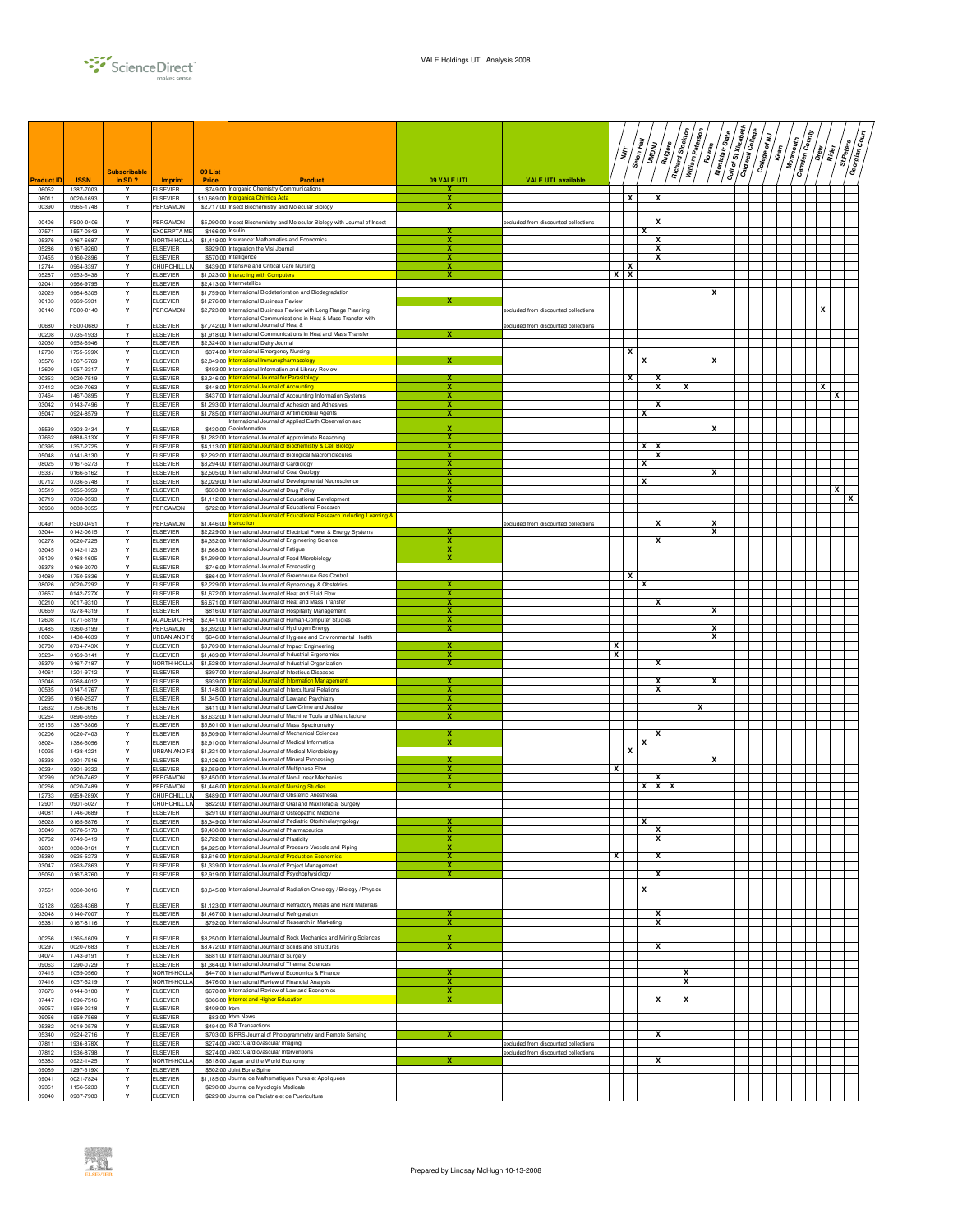

|                            |                          | <b>Subscribable</b> |                                    | 09 List          |                                                                                                                                     |                  |                                      | İ          | Seton Hall              | UMDNU             | Richard Stockton<br>Rutgers | William Paterson | Rowan  | Coll of St Xilzabeth<br>Montclair State | <b>Caldwell College</b> | College of NJ | <b>Monmouth</b><br>Kean | <b>Camden County</b><br>$\frac{1}{2}$ | St.Peters<br>$\frac{1}{2}$ | /हुँ<br>उ<br>Georgian |
|----------------------------|--------------------------|---------------------|------------------------------------|------------------|-------------------------------------------------------------------------------------------------------------------------------------|------------------|--------------------------------------|------------|-------------------------|-------------------|-----------------------------|------------------|--------|-----------------------------------------|-------------------------|---------------|-------------------------|---------------------------------------|----------------------------|-----------------------|
| <b>Product ID</b><br>06052 | <b>ISSN</b><br>1387-7003 | in SD?<br>Y         | <b>Imprint</b><br><b>ELSEVIER</b>  | <b>Price</b>     | <b>Product</b><br>\$749.00 Inorganic Chemistry Communications                                                                       | 09 VALE UTL<br>x | <b>VALE UTL available</b>            |            |                         |                   |                             |                  |        |                                         |                         |               |                         |                                       |                            |                       |
| 06011                      | 0020-1693                | Y                   | <b>ELSEVIER</b><br>PERGAMON        |                  | \$10,669.00 Inorganica Chimica Acta<br>\$2,717.00 Insect Biochemistry and Molecular Biology                                         | x                |                                      |            | x                       | x                 |                             |                  |        |                                         |                         |               |                         |                                       |                            |                       |
| 00390                      | 0965-1748                | Y                   |                                    |                  |                                                                                                                                     | x                |                                      |            |                         |                   |                             |                  |        |                                         |                         |               |                         |                                       |                            |                       |
| 00406<br>07571             | FS00-0406<br>1557-0843   | Υ<br>Y              | PERGAMON<br>EXCERPTA ME            | \$166.00 Insulin | \$5,090.00 Insect Biochemistry and Molecular Biology with Journal of Insect                                                         | x                | excluded from discounted collections |            |                         | X<br>x            |                             |                  |        |                                         |                         |               |                         |                                       |                            |                       |
| 05376<br>05286             | 0167-6687<br>0167-9260   | Υ<br>Y              | NORTH-HOLLA<br>ELSEVIER            |                  | \$1,419.00 Insurance: Mathematics and Economics<br>\$929.00 Integration the VIsi Journal                                            | x<br>х           |                                      |            |                         | x<br>x            |                             |                  |        |                                         |                         |               |                         |                                       |                            |                       |
| 07455                      | 0160-2896                | Y                   | <b>ELSEVIER</b>                    |                  | \$570.00 Intelligence                                                                                                               |                  |                                      |            |                         | X                 |                             |                  |        |                                         |                         |               |                         |                                       |                            |                       |
| 12744<br>05287             | 0964-3397<br>0953-5438   | Y<br>Y              | CHURCHILL L<br><b>ELSEVIER</b>     |                  | \$439.00 Intensive and Critical Care Nursing<br>\$1,023.00 Interacting with Computers                                               | x                |                                      | $x \mid x$ | X                       |                   |                             |                  |        |                                         |                         |               |                         |                                       |                            |                       |
| 02041                      | 0966-9795                | Y                   | <b>ELSEVIER</b>                    |                  | \$2,413.00 Intermetallics                                                                                                           |                  |                                      |            |                         |                   |                             |                  |        |                                         |                         |               |                         |                                       |                            |                       |
| 02029<br>00133             | 0964-8305<br>0969-5931   | Y<br>Υ              | ELSEVIER<br>ELSEVIER               |                  | \$1,759.00 International Biodeterioration and Biodegradation<br>\$1,276.00 International Business Review                            | х                |                                      |            |                         |                   |                             |                  | x      |                                         |                         |               |                         |                                       |                            |                       |
| 00140                      | FS00-0140                | Y                   | PERGAMON                           |                  | \$2,723.00 International Business Review with Long Range Planning<br>International Communications in Heat & Mass Transfer with      |                  | excluded from discounted collections |            |                         |                   |                             |                  |        |                                         |                         |               |                         | x                                     |                            |                       |
| 00680<br>00208             | FS00-0680<br>0735-1933   | Y<br>Y              | <b>LSEVIER</b><br><b>ELSEVIER</b>  |                  | \$7,742.00 International Journal of Heat &<br>\$1,918.00 International Communications in Heat and Mass Transfer                     | х                | excluded from discounted collections |            |                         |                   |                             |                  |        |                                         |                         |               |                         |                                       |                            |                       |
| 02030                      | 0958-6946                | Y                   | ELSEVIER                           |                  | \$2,324.00 International Dairy Journal                                                                                              |                  |                                      |            |                         |                   |                             |                  |        |                                         |                         |               |                         |                                       |                            |                       |
| 12738<br>05576             | 1755-599X<br>1567-5769   | Y<br>Y              | <b>ELSEVIER</b><br>ELSEVIER        |                  | \$374.00 International Emergency Nursing<br>\$2,849.00 International Immunopharmacology                                             |                  |                                      |            | x                       | х                 |                             |                  | X      |                                         |                         |               |                         |                                       |                            |                       |
| 12609<br>00353             | 1057-2317<br>0020-7519   | Υ<br>Y              | <b>ELSEVIER</b>                    |                  | \$493.00 International Information and Library Review                                                                               |                  |                                      |            | x                       | x                 |                             |                  |        |                                         |                         |               |                         |                                       |                            |                       |
| 07412                      | 0020-7063                | Y                   | <b>ELSEVIER</b><br><b>ELSEVIER</b> |                  | \$2,246.00 International Journal for Parasitology<br>\$448.00 International Journal of Accounting                                   | x                |                                      |            |                         | x                 |                             | X                |        |                                         |                         |               |                         | X                                     |                            |                       |
| 07464<br>03042             | 1467-0895<br>0143-7496   | Y<br>Y              | <b>ELSEVIER</b><br>ELSEVIER        |                  | \$437.00 International Journal of Accounting Information Systems<br>\$1,293.00 International Journal of Adhesion and Adhesives      |                  |                                      |            |                         | X                 |                             |                  |        |                                         |                         |               |                         |                                       |                            |                       |
| 05047                      | 0924-8579                | Y                   | <b>ELSEVIER</b>                    |                  | \$1,785.00 International Journal of Antimicrobial Agents                                                                            | х                |                                      |            |                         | x                 |                             |                  |        |                                         |                         |               |                         |                                       |                            |                       |
| 05539                      | 0303-2434                | Y                   | ELSEVIER                           |                  | International Journal of Applied Earth Observation and<br>\$430.00 Geoinformation                                                   | x                |                                      |            |                         |                   |                             |                  | X      |                                         |                         |               |                         |                                       |                            |                       |
| 07662<br>00395             | 0888-613X<br>1357-2725   | Y<br>Y              | <b>ELSEVIER</b><br><b>ELSEVIER</b> |                  | \$1,282.00 International Journal of Approximate Reasoning<br>\$4,113.00 International Journal of Biochemistry & Cell Biology        | х<br>х           |                                      |            |                         | x<br>x            |                             |                  |        |                                         |                         |               |                         |                                       |                            |                       |
| 05048                      | 0141-8130                | Y                   | ELSEVIER                           |                  | \$2,292.00 International Journal of Biological Macromolecules                                                                       | x                |                                      |            |                         | x                 |                             |                  |        |                                         |                         |               |                         |                                       |                            |                       |
| 08025<br>05337             | 0167-5273<br>0166-5162   | Y<br>Y              | <b>ELSEVIER</b><br>ELSEVIER        |                  | \$3,294.00 International Journal of Cardiology<br>\$2,505.00 International Journal of Coal Geology                                  | x                |                                      |            |                         | x                 |                             |                  | X      |                                         |                         |               |                         |                                       |                            |                       |
| 00712<br>05519             | 0736-5748<br>0955-3959   | Y<br>Y              | ELSEVIER                           |                  | \$2,029.00 International Journal of Developmental Neuroscience                                                                      | x                |                                      |            |                         | x                 |                             |                  |        |                                         |                         |               |                         |                                       |                            |                       |
| 00719                      | 0738-0593                | Y                   | <b>ELSEVIER</b><br>ELSEVIER        |                  | \$633.00 International Journal of Drug Policy<br>\$1,112.00 International Journal of Educational Development                        | x                |                                      |            |                         |                   |                             |                  |        |                                         |                         |               |                         |                                       |                            | χ                     |
| 00968                      | 0883-0355                | Y                   | PERGAMON                           |                  | \$722.00 International Journal of Educational Research<br>nternational Journal of Educational Research Including Learning &         |                  |                                      |            |                         |                   |                             |                  |        |                                         |                         |               |                         |                                       |                            |                       |
| 00491                      | FS00-0491                | Υ<br>Y              | PERGAMON                           | \$1,446.00       | <b>Instruction</b>                                                                                                                  | x                | excluded from discounted collections |            |                         | X                 |                             |                  | x<br>X |                                         |                         |               |                         |                                       |                            |                       |
| 03044<br>00278             | 0142-0615<br>0020-7225   | Y                   | <b>ELSEVIER</b><br><b>ELSEVIER</b> |                  | \$2,229.00 International Journal of Electrical Power & Energy Systems<br>\$4,352.00 International Journal of Engineering Science    | x                |                                      |            |                         | х                 |                             |                  |        |                                         |                         |               |                         |                                       |                            |                       |
| 03045<br>05109             | 0142-1123<br>0168-1605   | Y<br>Y              | <b>ELSEVIER</b><br><b>ELSEVIER</b> |                  | \$1,868.00 International Journal of Fatigue<br>\$4,299.00 International Journal of Food Microbiology                                | x<br>x           |                                      |            |                         |                   |                             |                  |        |                                         |                         |               |                         |                                       |                            |                       |
| 05378                      | 0169-2070                | Y                   | ELSEVIER                           |                  | \$746.00 International Journal of Forecasting                                                                                       |                  |                                      |            |                         |                   |                             |                  |        |                                         |                         |               |                         |                                       |                            |                       |
| 04089<br>08026             | 1750-5836<br>0020-7292   | Υ<br>Y              | <b>ELSEVIER</b><br>ELSEVIER        |                  | \$864.00 International Journal of Greenhouse Gas Control<br>\$2,229.00 International Journal of Gynecology & Obstetrics             |                  |                                      |            | x                       | х                 |                             |                  |        |                                         |                         |               |                         |                                       |                            |                       |
| 07657                      | 0142-727X                | Y                   | <b>ELSEVIER</b>                    |                  | \$1,672.00 International Journal of Heat and Fluid Flow                                                                             | x                |                                      |            |                         |                   |                             |                  |        |                                         |                         |               |                         |                                       |                            |                       |
| 00210<br>00659             | 0017-9310<br>0278-4319   | Y<br>Y              | <b>ELSEVIER</b><br>ELSEVIER        |                  | \$6,671.00 International Journal of Heat and Mass Transfer<br>\$816.00 International Journal of Hospitality Management              | x                |                                      |            |                         | X                 |                             |                  | x      |                                         |                         |               |                         |                                       |                            |                       |
| 12608                      | 1071-5819                | Y<br>Y              | <b>ACADEMIC PR</b>                 |                  | \$2,441.00 International Journal of Human-Computer Studies                                                                          |                  |                                      |            |                         |                   |                             |                  | x      |                                         |                         |               |                         |                                       |                            |                       |
| 00485<br>10024             | 0360-3199<br>1438-4639   | Υ                   | PERGAMON<br><b>JRBAN AND FI</b>    |                  | \$3,392.00 International Journal of Hydrogen Energy<br>\$646.00 International Journal of Hygiene and Environmental Health           |                  |                                      |            |                         |                   |                             |                  | x      |                                         |                         |               |                         |                                       |                            |                       |
| 00700<br>05284             | 0734-743X<br>0169-8141   | Y<br>Y              | <b>ELSEVIER</b><br><b>ELSEVIER</b> |                  | \$3,709.00 International Journal of Impact Engineering<br>\$1,489.00 International Journal of Industrial Ergonomics                 | x<br>x           |                                      | x<br>x     |                         |                   |                             |                  |        |                                         |                         |               |                         |                                       |                            |                       |
| 05379                      | 0167-7187                | Y                   | <b>NORTH-HOLLA</b>                 |                  | \$1,528.00 International Journal of Industrial Organization                                                                         | x                |                                      |            |                         | x                 |                             |                  |        |                                         |                         |               |                         |                                       |                            |                       |
| 04061<br>03046             | 1201-9712<br>0268-4012   | Y<br>Y              | <b>ELSEVIER</b><br><b>ELSEVIER</b> |                  | \$397.00 International Journal of Infectious Diseases<br>\$939.00 International Journal of Information Management                   |                  |                                      |            |                         | x                 |                             |                  | X      |                                         |                         |               |                         |                                       |                            |                       |
| 00535                      | 0147-1767                | Y                   | <b>ELSEVIER</b>                    |                  | \$1,148.00 International Journal of Intercultural Relations                                                                         | x                |                                      |            |                         | х                 |                             |                  |        |                                         |                         |               |                         |                                       |                            |                       |
| 00295<br>12632             | 0160-2527<br>1756-0616   | Y<br>Y              | <b>ELSEVIER</b><br><b>ELSEVIER</b> |                  | \$1,345.00 International Journal of Law and Psychiatry<br>\$411.00 International Journal of Law Crime and Justice                   | х<br>х           |                                      |            |                         |                   |                             | x                |        |                                         |                         |               |                         |                                       |                            |                       |
| 00264<br>05155             | 0890-6955<br>1387-3806   | Y<br>Y              | ELSEVIER<br><b>ELSEVIER</b>        |                  | \$3,632.00 International Journal of Machine Tools and Manufacture<br>\$5,801,00 International Journal of Mass Spectrometry          |                  |                                      |            |                         |                   |                             |                  |        |                                         |                         |               |                         |                                       |                            |                       |
| 00206                      | 0020-7403                | Y                   | ELSEVIER                           |                  | \$3,509.00 International Journal of Mechanical Sciences                                                                             |                  |                                      |            |                         | X                 |                             |                  |        |                                         |                         |               |                         |                                       |                            |                       |
| 08024<br>10025             | 1386-5056<br>1438-4221   | Υ<br>Y              | ELSEVIER<br>JRBAN AND              |                  | \$2,910.00 International Journal of Medical Informatics<br>\$1,321.00 International Journal of Medical Microbiology                 |                  |                                      |            | $\overline{\mathbf{x}}$ | x                 |                             |                  |        |                                         |                         |               |                         |                                       |                            |                       |
| 05338                      | 0301-7516                | Y                   | <b>ELSEVIER</b>                    |                  | \$2,126.00 International Journal of Mineral Processing                                                                              | x                |                                      |            |                         |                   |                             |                  | x      |                                         |                         |               |                         |                                       |                            |                       |
| 00234<br>00299             | 0301-9322<br>0020-7462   | Y<br>Y              | ELSEVIER<br>PERGAMON               |                  | \$3,059.00 International Journal of Multiphase Flow<br>\$2,450.00 International Journal of Non-Linear Mechanics                     | х<br>х           |                                      | х          |                         | x                 |                             |                  |        |                                         |                         |               |                         |                                       |                            |                       |
| 00266<br>12733             | 0020-7489<br>0959-289X   | Y<br>Y              | PERGAMON<br>HURCHILL LI            |                  | \$1,446.00 International Journal of Nursing Studies<br>\$489.00 International Journal of Obstetric Anesthesia                       |                  |                                      |            |                         | $\mathbf{x}$<br>x | ΙX                          |                  |        |                                         |                         |               |                         |                                       |                            |                       |
| 12901                      | 0901-5027                | Y                   | <b>HURCHILL LI</b>                 |                  | \$822.00 International Journal of Oral and Maxillofacial Surgery                                                                    |                  |                                      |            |                         |                   |                             |                  |        |                                         |                         |               |                         |                                       |                            |                       |
| 04081                      | 1746-0689<br>0105 5970   | Y<br>v              | <b>ELSEVIER</b><br>SEVIER          |                  | \$291.00 International Journal of Osteopathic Medicine<br>23 349 00 International Journal of Pediatric Otr                          |                  |                                      |            |                         |                   |                             |                  |        |                                         |                         |               |                         |                                       |                            |                       |
| 05049                      | 0378-5173                | Y                   | <b>ELSEVIER</b>                    |                  | \$9,438.00 International Journal of Pharmaceutics                                                                                   | x                |                                      |            |                         | X                 |                             |                  |        |                                         |                         |               |                         |                                       |                            |                       |
| 00762<br>02031             | 0749-6419<br>0308-0161   | Y<br>Y              | <b>ELSEVIER</b><br><b>ELSEVIER</b> |                  | \$2,722.00 International Journal of Plasticity<br>\$4,925.00 International Journal of Pressure Vessels and Piping                   | x<br>x           |                                      |            |                         | x                 |                             |                  |        |                                         |                         |               |                         |                                       |                            |                       |
| 05380<br>03047             | 0925-5273<br>0263-7863   | Y<br>Y              | <b>ELSEVIER</b><br><b>ELSEVIER</b> |                  | \$2,616.00 International Journal of Production Economics<br>\$1,339.00 International Journal of Project Management                  | х<br>x           |                                      | x          |                         | x                 |                             |                  |        |                                         |                         |               |                         |                                       |                            |                       |
| 05050                      | 0167-8760                | Υ                   | <b>ELSEVIER</b>                    |                  | \$2,919.00 International Journal of Psychophysiology                                                                                | x                |                                      |            |                         | x                 |                             |                  |        |                                         |                         |               |                         |                                       |                            |                       |
| 07551                      | 0360-3016                | Υ                   | ELSEVIER                           |                  | \$3,645.00 International Journal of Radiation Oncology / Biology / Physics                                                          |                  |                                      |            |                         | x                 |                             |                  |        |                                         |                         |               |                         |                                       |                            |                       |
| 02128                      | 0263-4368                | Y                   | ELSEVIER                           |                  | \$1,123.00 International Journal of Refractory Metals and Hard Materials                                                            |                  |                                      |            |                         |                   |                             |                  |        |                                         |                         |               |                         |                                       |                            |                       |
| 03048                      | 0140-7007                | Y                   | <b>ELSEVIER</b>                    |                  | \$1,467.00 International Journal of Refrigeration                                                                                   | x                |                                      |            |                         | x                 |                             |                  |        |                                         |                         |               |                         |                                       |                            |                       |
| 05381                      | 0167-8116                | Y                   | <b>ELSEVIER</b>                    |                  | \$792.00 International Journal of Research in Marketing                                                                             | x                |                                      |            |                         | x                 |                             |                  |        |                                         |                         |               |                         |                                       |                            |                       |
| 00256<br>00297             | 1365-1609<br>0020-7683   | Y<br>Y              | ELSEVIER<br><b>ELSEVIER</b>        |                  | \$3,250.00 International Journal of Rock Mechanics and Mining Sciences<br>\$8,472.00 International Journal of Solids and Structures | x<br>x           |                                      |            |                         | x                 |                             |                  |        |                                         |                         |               |                         |                                       |                            |                       |
| 04074                      | 1743-9191                | Y                   | <b>ELSEVIER</b>                    |                  | \$681.00 International Journal of Surgery                                                                                           |                  |                                      |            |                         |                   |                             |                  |        |                                         |                         |               |                         |                                       |                            |                       |
| 09063<br>07415             | 1290-0729<br>1059-0560   | Y<br>Y              | <b>ELSEVIER</b><br>NORTH-HOLLA     |                  | \$1,364.00 International Journal of Thermal Sciences<br>\$447.00 International Review of Economics & Finance                        | x                |                                      |            |                         |                   |                             | x                |        |                                         |                         |               |                         |                                       |                            |                       |
| 07416<br>07673             | 1057-5219<br>0144-8188   | Y                   | NORTH-HOLLA<br><b>ELSEVIER</b>     |                  | \$476.00 International Review of Financial Analysis<br>\$670.00 International Review of Law and Economics                           | x<br>х           |                                      |            |                         |                   |                             | x                |        |                                         |                         |               |                         |                                       |                            |                       |
| 07447                      | 1096-7516                | Υ<br>Y              | <b>ELSEVIER</b>                    |                  | \$366.00 Internet and Higher Education                                                                                              | x                |                                      |            |                         | x                 |                             | х                |        |                                         |                         |               |                         |                                       |                            |                       |
| 09057<br>09056             | 1959-0318<br>1959-7568   | Y<br>Y              | <b>ELSEVIER</b><br><b>ELSEVIER</b> | \$409.00 lrbm    | \$83.00 lirbm News                                                                                                                  |                  |                                      |            |                         |                   |                             |                  |        |                                         |                         |               |                         |                                       |                            |                       |
| 05382                      | 0019-0578                | Y                   | <b>ELSEVIER</b>                    |                  | \$494.00 ISA Transactions                                                                                                           |                  |                                      |            |                         |                   |                             |                  |        |                                         |                         |               |                         |                                       |                            |                       |
| 05340<br>07811             | 0924-2716<br>1936-878X   | Y<br>Y              | <b>ELSEVIER</b><br><b>ELSEVIER</b> |                  | \$703.00 ISPRS Journal of Photogrammetry and Remote Sensing<br>\$274.00 Jacc: Cardiovascular Imaging                                | x                | excluded from discounted collections |            |                         | x                 |                             |                  |        |                                         |                         |               |                         |                                       |                            |                       |
| 07812                      | 1936-8798                | Y                   | <b>ELSEVIER</b>                    |                  | \$274.00 Jacc: Cardiovascular Interventions                                                                                         |                  | excluded from discounted collections |            |                         |                   |                             |                  |        |                                         |                         |               |                         |                                       |                            |                       |
| 05383<br>09089             | 0922-1425<br>1297-319X   | Υ<br>Y              | NORTH-HOLLA<br><b>ELSEVIER</b>     |                  | \$618.00 Japan and the World Economy<br>\$502.00 Joint Bone Spine                                                                   | x                |                                      |            |                         | x                 |                             |                  |        |                                         |                         |               |                         |                                       |                            |                       |
| 09041<br>09351             | 0021-7824<br>1156-5233   | Y<br>Y              | <b>ELSEVIER</b><br><b>ELSEVIER</b> |                  | \$1,185.00 Journal de Mathematiques Pures et Appliquees<br>\$298.00 Journal de Mycologie Medicale                                   |                  |                                      |            |                         |                   |                             |                  |        |                                         |                         |               |                         |                                       |                            |                       |
| 09040                      | 0987-7983                | Y                   | <b>ELSEVIER</b>                    |                  | \$229.00 Journal de Pediatrie et de Puericulture                                                                                    |                  |                                      |            |                         |                   |                             |                  |        |                                         |                         |               |                         |                                       |                            |                       |

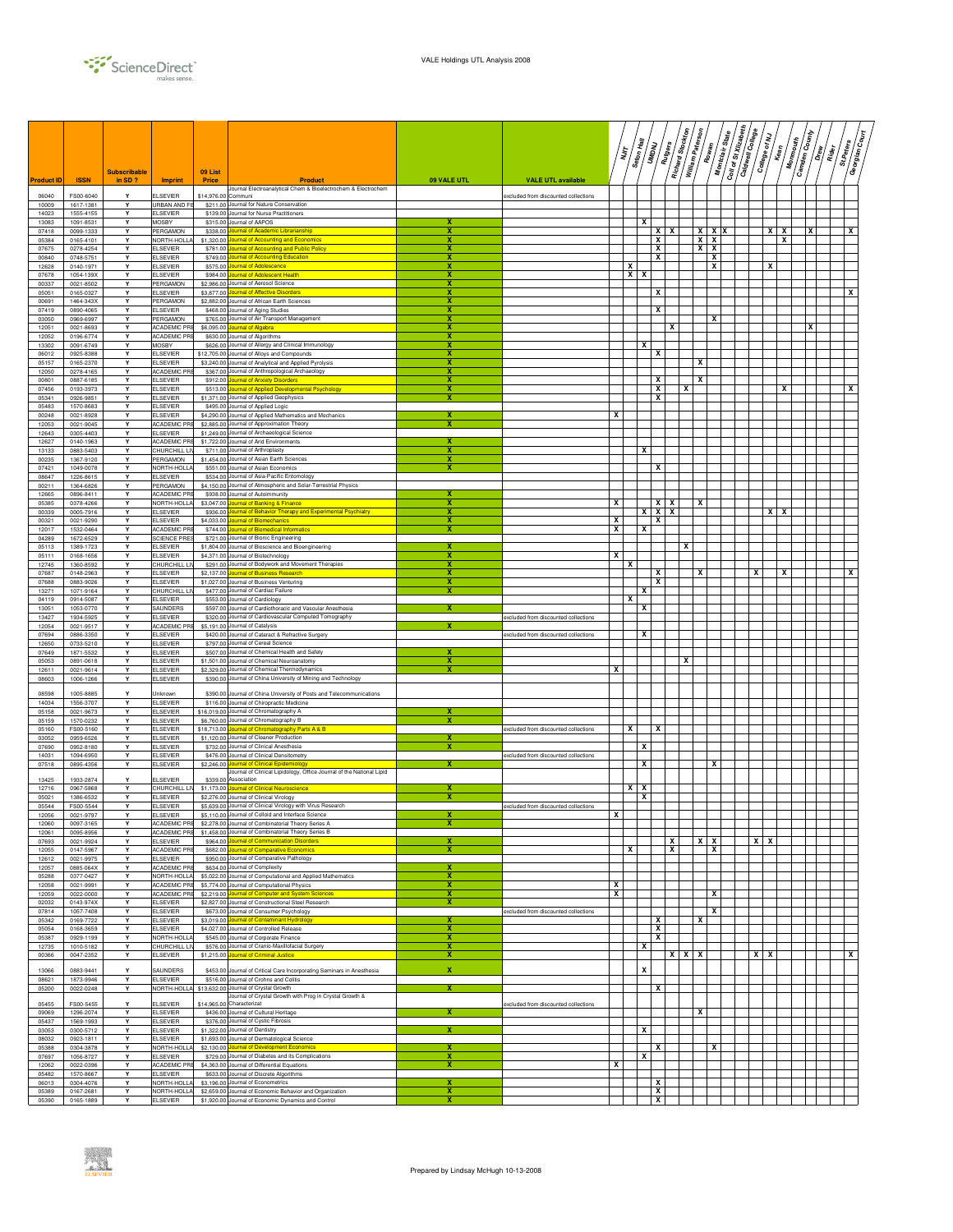

|                         |                                     | <b>Subscribable</b> |                                               | 09 List                  |                                                                                                                                           |                                                    |                                      | ה<br>ל |   | Seton Hall<br>UMDNU | Rutgers | Richard Stockton | William Paterson<br>Rowan | Montclair State | Coll of St Xilzabeth | Caldwell College | College of NJ | Kean                       | <b>Camden County</b><br><b>Monmouth</b> | $\left\langle \frac{\tilde{g}}{S}\right\rangle$<br>$\sqrt{\frac{1}{\tilde{a}^0_0}}$ | St.Peters<br>Georgian | چ/<br>چ |
|-------------------------|-------------------------------------|---------------------|-----------------------------------------------|--------------------------|-------------------------------------------------------------------------------------------------------------------------------------------|----------------------------------------------------|--------------------------------------|--------|---|---------------------|---------|------------------|---------------------------|-----------------|----------------------|------------------|---------------|----------------------------|-----------------------------------------|-------------------------------------------------------------------------------------|-----------------------|---------|
| <b>Product ID</b>       | <b>ISSN</b>                         | in SD?              | <b>Imprint</b>                                | Price                    | <b>Product</b><br>Journal Electroanalytical Chem & Bioelectrochem & Electrochem                                                           | 09 VALE UTL                                        | <b>VALE UTL available</b>            |        |   |                     |         |                  |                           |                 |                      |                  |               |                            |                                         |                                                                                     |                       |         |
| 06040<br>10009          | FS00-6040<br>1617-1381              | Y                   | <b>ELSEVIER</b><br>URBAN AND FI               | \$14,976.00 Communi      | \$211.00 Journal for Nature Conservation                                                                                                  |                                                    | excluded from discounted collections |        |   |                     |         |                  |                           |                 |                      |                  |               |                            |                                         |                                                                                     |                       |         |
| 14023<br>13083          | 1555-4155<br>1091-8531              | Y<br>Υ              | <b>ELSEVIER</b><br><b>MOSBY</b>               | \$139.00<br>\$315.00     | Journal for Nurse Practitioners<br>Journal of AAPOS                                                                                       |                                                    |                                      |        |   | x                   |         |                  |                           |                 |                      |                  |               |                            |                                         |                                                                                     |                       |         |
| 07418<br>05384          | 0099-1333<br>0165-4101              | Υ<br>Y              | PERGAMON<br>NORTH-HOLL                        | \$338.00<br>\$1,320.00   | urnal of Academic Librarianship                                                                                                           | x<br>$\overline{\mathbf{x}}$                       |                                      |        |   |                     | x<br>X  | x                | $X$ $X$                   | <b>XXX</b>      |                      |                  |               | $x \mid x$<br>$\mathbf{x}$ | х                                       |                                                                                     | X                     |         |
| 07675                   | 0278-4254                           | Y                   | <b>ELSEVIER</b>                               | \$781.00                 | urnal of Accounting and Economics<br>ournal of Accounting and Public Policy                                                               | X                                                  |                                      |        |   |                     | х       |                  | x                         | x               |                      |                  |               |                            |                                         |                                                                                     |                       |         |
| 00840<br>12628          | 0748-5751<br>0140-1971              | Y<br>Υ              | <b>ELSEVIER</b><br><b>ELSEVIER</b>            | \$749.00<br>\$575.00     | ournal of Accounting Education<br>urnal of Adolescence                                                                                    | х<br>x                                             |                                      |        | x |                     | X       |                  |                           | x<br>x          |                      |                  | x             |                            |                                         |                                                                                     |                       |         |
| 07678<br>00337          | 1054-139X<br>0021-8502              | Υ<br>Y              | <b>ELSEVIER</b><br>PERGAMON                   | \$984.00<br>\$2,986.00   | ournal of Adolescent Health<br>Journal of Aerosol Science                                                                                 | х<br>х                                             |                                      |        | x | x                   |         |                  |                           |                 |                      |                  |               |                            |                                         |                                                                                     |                       |         |
| 05051                   | 0165-0327                           | Y                   | <b>ELSEVIER</b>                               | \$3,877.00               | urnal of Affective Disorder:                                                                                                              |                                                    |                                      |        |   |                     | x       |                  |                           |                 |                      |                  |               |                            |                                         |                                                                                     | x                     |         |
| 00691<br>07419          | 1464-343X<br>0890-4065              | Υ<br>Υ              | PERGAMON<br><b>ELSEVIER</b>                   | \$2,882.00<br>\$468.00   | lournal of African Earth Sciences<br>Journal of Aging Studies                                                                             | x<br>X                                             |                                      |        |   |                     | x       |                  |                           |                 |                      |                  |               |                            |                                         |                                                                                     |                       |         |
| 03050<br>12051          | 0969-6997<br>0021-8693              | Y<br>Y              | PERGAMON<br><b>ACADEMIC PR</b>                | \$765.00<br>\$6,095.00   | Journal of Air Transport Management<br>urnal of Algebra                                                                                   | x<br>x                                             |                                      |        |   |                     |         | x                |                           | X               |                      |                  |               |                            |                                         |                                                                                     |                       |         |
| 12052                   | 0196-6774                           | Y                   | ACADEMIC PR                                   |                          | \$630.00 Journal of Algorithms                                                                                                            | x                                                  |                                      |        |   |                     |         |                  |                           |                 |                      |                  |               |                            |                                         |                                                                                     |                       |         |
| 13302<br>06012          | 0091-6749<br>0925-8388              | Y<br>Y              | <b>MOSBY</b><br><b>ELSEVIER</b>               | \$12,705.00              | \$626.00 Journal of Allergy and Clinical Immunology<br>Journal of Alloys and Compounds                                                    | x<br>x                                             |                                      |        |   | x                   | x       |                  |                           |                 |                      |                  |               |                            |                                         |                                                                                     |                       |         |
| 05157<br>12050          | 0165-2370<br>0278-4165              | Y<br>Υ              | <b>ELSEVIER</b><br>ACADEMIC PR                | \$3,240.00<br>\$367.00   | Journal of Analytical and Applied Pyrolysis<br>Journal of Anthropological Archaeology                                                     | x<br>x                                             |                                      |        |   |                     |         |                  | x                         |                 |                      |                  |               |                            |                                         |                                                                                     |                       |         |
| 00801                   | 0887-6185                           | Υ                   | <b>ELSEVIER</b>                               | \$912.00                 | urnal of Anxiety Disorders                                                                                                                | x<br>x                                             |                                      |        |   |                     | X       |                  | x                         |                 |                      |                  |               | x                          |                                         |                                                                                     |                       |         |
| 07456<br>05341          | 0193-3973<br>0926-9851              | Y<br>Y              | <b>ELSEVIER</b><br><b>ELSEVIER</b>            | \$513.00<br>\$1,371.00   | lournal of Applied Developmental Psychology<br>Journal of Applied Geophysics                                                              | x                                                  |                                      |        |   |                     | X<br>х  | x                |                           |                 |                      |                  |               |                            |                                         |                                                                                     | х                     |         |
| 05483<br>00248          | 1570-8683<br>0021-8928              | Y<br>Υ              | <b>ELSEVIER</b><br><b>ELSEVIER</b>            | \$495.00                 | Journal of Applied Logic<br>\$4,290.00 Journal of Applied Mathematics and Mechanics                                                       | х                                                  |                                      | x      |   |                     |         |                  |                           |                 |                      |                  |               |                            |                                         |                                                                                     |                       |         |
| 12053<br>12643          | 0021-9045<br>0305-4403              | Y<br>Y              | <b>ACADEMIC PR</b><br><b>ELSEVIER</b>         | \$2,885.00               | Journal of Approximation Theory                                                                                                           | X                                                  |                                      |        |   |                     |         |                  |                           |                 |                      |                  |               |                            |                                         |                                                                                     |                       |         |
| 12627                   | 0140-1963                           | Υ                   | ACADEMIC PR                                   | \$1,722.00               | \$1,249.00 Journal of Archaeological Science<br>Journal of Arid Environments                                                              |                                                    |                                      |        |   |                     |         |                  |                           |                 |                      |                  |               |                            |                                         |                                                                                     |                       |         |
| 13133<br>00235          | 0883-5403<br>1367-9120              | Υ<br>Y              | CHURCHILL LI<br>PERGAMON                      | \$1,454.00               | \$711.00 Journal of Arthroplasty<br>Journal of Asian Earth Sciences                                                                       | x<br>$\overline{\mathbf{x}}$                       |                                      |        |   | x                   |         |                  |                           |                 |                      |                  |               |                            |                                         |                                                                                     |                       |         |
| 07421<br>08647          | 1049-0078<br>1226-8615              | Y<br>Y              | NORTH-HOLL<br><b>ELSEVIER</b>                 | \$551.00<br>\$534.00     | <b>Journal of Asian Economics</b><br>Journal of Asia-Pacific Entomology                                                                   | X                                                  |                                      |        |   |                     | х       |                  |                           |                 |                      |                  |               |                            |                                         |                                                                                     |                       |         |
| 00211                   | 1364-6826                           | Υ                   | PERGAMON                                      |                          | \$4,150.00 Journal of Atmospheric and Solar-Terrestrial Physics                                                                           |                                                    |                                      |        |   |                     |         |                  |                           |                 |                      |                  |               |                            |                                         |                                                                                     |                       |         |
| 12665<br>05385          | 0896-8411<br>0378-4266              | Υ<br>Y              | ACADEMIC PR<br>NORTH-HOLLA                    | \$938.00<br>\$3,047.00   | Journal of Autoimmunity<br>ournal of Banking & Finance                                                                                    | х                                                  |                                      | x      |   |                     | x       | х                | x                         |                 |                      |                  |               |                            |                                         |                                                                                     |                       |         |
| 00339                   | 0005-7916                           | Y<br>Υ              | <b>ELSEVIER</b>                               | \$936.00                 | urnal of Behavior Therapy and Experimental Psychiatry<br><b>umal of Biomechanics</b>                                                      | x<br>x                                             |                                      | х      |   | $x \mid x$          | х       | x                |                           |                 |                      |                  | x             | x                          |                                         |                                                                                     |                       |         |
| 00321<br>12017          | 0021-9290<br>1532-0464              | Υ                   | <b>ELSEVIER</b><br>ACADEMIC PR                | \$4,033.00<br>\$744.00   | urnal of Biomedical Informatics                                                                                                           | X                                                  |                                      | X      |   | x                   |         |                  |                           |                 |                      |                  |               |                            |                                         |                                                                                     |                       |         |
| 04289<br>05113          | 1672-6529<br>1389-1723              | Y<br>Y              | <b>SCIENCE PRE</b><br><b>ELSEVIER</b>         | \$721.00<br>\$1,804.00   | Journal of Bionic Engineering<br>Journal of Bioscience and Bioengineering                                                                 | x                                                  |                                      |        |   |                     |         | x                |                           |                 |                      |                  |               |                            |                                         |                                                                                     |                       |         |
| 05111<br>12745          | 0168-1656<br>1360-8592              | Y<br>Υ              | <b>ELSEVIER</b><br>CHURCHILL LI               |                          | \$4,371.00 Journal of Biotechnology<br>\$291.00 Journal of Bodywork and Movement Therapies                                                | x<br>х                                             |                                      | х      | x |                     |         |                  |                           |                 |                      |                  |               |                            |                                         |                                                                                     |                       |         |
| 07687                   | 0148-2963                           | Y                   | <b>ELSEVIER</b>                               | \$2,137.00               | <b>Journal of Business Research</b>                                                                                                       | x                                                  |                                      |        |   |                     | x       |                  | x                         |                 |                      | x                |               | x                          |                                         |                                                                                     | х                     |         |
| 07688<br>13271          | 0883-9026<br>1071-9164              | Y<br>Y              | <b>ELSEVIER</b><br>CHURCHILL LI               | \$477.00                 | \$1,027.00 Journal of Business Venturing<br>Journal of Cardiac Failure                                                                    | х<br>х                                             |                                      |        |   | x                   | х       |                  |                           |                 |                      |                  |               |                            |                                         |                                                                                     |                       |         |
| 04119<br>13051          | 0914-5087<br>1053-0770              | Υ<br>Υ              | <b>ELSEVIER</b><br>SAUNDERS                   | \$553.00<br>\$597.01     | Journal of Cardiology<br>Journal of Cardiothoracic and Vascular Anesthesia                                                                |                                                    |                                      |        | X | x                   |         |                  |                           |                 |                      |                  |               |                            |                                         |                                                                                     |                       |         |
| 13427                   | 1934-5925                           | Y                   | <b>ELSEVIER</b>                               | \$320.00                 | Journal of Cardiovascular Computed Tomography                                                                                             |                                                    | excluded from discounted collections |        |   |                     |         |                  |                           |                 |                      |                  |               |                            |                                         |                                                                                     |                       |         |
|                         |                                     |                     |                                               |                          |                                                                                                                                           |                                                    |                                      |        |   |                     |         |                  |                           |                 |                      |                  |               |                            |                                         |                                                                                     |                       |         |
| 12054<br>07694          | 0021-9517<br>0886-3350              | Y<br>Υ              | ACADEMIC PR<br><b>ELSEVIER</b>                | \$5,191.00               | Journal of Catalysis<br>\$420.00 Journal of Cataract & Refractive Surgery                                                                 |                                                    | excluded from discounted collections |        |   | x                   |         |                  |                           |                 |                      |                  |               |                            |                                         |                                                                                     |                       |         |
| 12650<br>07649          | 0733-5210<br>1871-5532              | Y<br>Y              | <b>ELSEVIER</b><br><b>ELSEVIER</b>            | \$797.00                 | Journal of Cereal Science<br>\$507.00 Journal of Chemical Health and Safety                                                               | х                                                  |                                      |        |   |                     |         |                  |                           |                 |                      |                  |               |                            |                                         |                                                                                     |                       |         |
| 05053                   | 0891-0618                           | Y                   | <b>ELSEVIER</b>                               | \$1,501.00               | Journal of Chemical Neuroanatomy                                                                                                          | x                                                  |                                      |        |   |                     |         | x                |                           |                 |                      |                  |               |                            |                                         |                                                                                     |                       |         |
| 12611<br>08603          | 0021-9614<br>1006-1266              | Υ<br>Y              | <b>ELSEVIER</b><br><b>ELSEVIER</b>            | \$2,329.00<br>\$390.00   | Journal of Chemical Thermodynamics<br>Journal of China University of Mining and Technology                                                | X                                                  |                                      | X      |   |                     |         |                  |                           |                 |                      |                  |               |                            |                                         |                                                                                     |                       |         |
| 08598                   | 1005-8885                           | Υ                   | <b>Unknown</b>                                | \$390.00                 | Journal of China University of Posts and Telecommunications                                                                               |                                                    |                                      |        |   |                     |         |                  |                           |                 |                      |                  |               |                            |                                         |                                                                                     |                       |         |
| 14034<br>05158          | 1556-3707<br>0021-9673              | Y<br>Υ              | <b>ELSEVIER</b>                               | \$116.00                 | Journal of Chiropractic Medicine                                                                                                          |                                                    |                                      |        |   |                     |         |                  |                           |                 |                      |                  |               |                            |                                         |                                                                                     |                       |         |
| 05159                   | 1570-0232                           | Y                   | <b>ELSEVIER</b><br><b>ELSEVIER</b>            | \$6,760.00               | \$16,019.00 Journal of Chromatography A<br>Journal of Chromatography B                                                                    | $\overline{\mathbf{x}}$                            |                                      |        |   |                     |         |                  |                           |                 |                      |                  |               |                            |                                         |                                                                                     |                       |         |
| 05160<br>03052          | FS00-5160<br>0959-6526              | Y<br>Y              | <b>ELSEVIER</b><br><b>ELSEVIER</b>            | \$18,713.00              | ournal of Chromatography Parts A & B<br>\$1,120.00 Journal of Cleaner Production                                                          |                                                    | excluded from discounted collections |        | x |                     | х       |                  |                           |                 |                      |                  |               |                            |                                         |                                                                                     |                       |         |
| 07690<br>14031          | 0952-8180<br>1094-6950              | Y<br>Y              | <b>ELSEVIER</b><br><b>ELSEVIER</b>            | \$476.00                 | \$732.00 Journal of Clinical Anesthesia<br>Journal of Clinical Densitometry                                                               | х                                                  | excluded from discounted collections |        |   | x                   |         |                  |                           |                 |                      |                  |               |                            |                                         |                                                                                     |                       |         |
| 07518                   | 0895-4356                           | Y                   | <b>ELSEVIER</b>                               | \$2,246.00               | ournal of Clinical Epidemiology                                                                                                           | x                                                  |                                      |        |   | x                   |         |                  |                           | x               |                      |                  |               |                            |                                         |                                                                                     |                       |         |
| 13425                   | 1933-2874                           | Y                   | <b>ELSEVIER</b>                               | \$339.00                 | lournal of Clinical Lipidology, Office Journal of the National Lipid<br>Association                                                       |                                                    |                                      |        |   |                     |         |                  |                           |                 |                      |                  |               |                            |                                         |                                                                                     |                       |         |
| 12716<br>05021          | 0967-5868<br>1386-6532              | Υ<br>Y              | CHURCHILL LI<br><b>ELSEVIER</b>               | \$1,173.00<br>\$2,276.00 | <b>Journal of Clinical Neuroscience</b><br>Journal of Clinical Virology                                                                   | х<br>X                                             |                                      |        |   | $X$ $X$<br>x        |         |                  |                           |                 |                      |                  |               |                            |                                         |                                                                                     |                       |         |
| 05544<br>12056          | FS00-5544<br>0021-9797              | Y<br>Υ              | <b>ELSEVIER</b><br><b>ELSEVIER</b>            |                          | \$5,639.00 Journal of Clinical Virology with Virus Research<br>\$5,110.00 Journal of Colloid and Interface Science                        |                                                    | andbellon betruppeib mort behulper   | x      |   |                     |         |                  |                           |                 |                      |                  |               |                            |                                         |                                                                                     |                       |         |
| 12060<br>12061          | 0097-3165<br>0095-8956              | Y                   | ACADEMIC PRE                                  |                          | \$2,278.00 Journal of Combinatorial Theory Series A                                                                                       |                                                    |                                      |        |   |                     |         |                  |                           |                 |                      |                  |               |                            |                                         |                                                                                     |                       |         |
| 07693                   | 0021-9924                           | Y                   | ACADEMIC PRE<br><b>ELSEVIER</b>               | \$964.00                 | \$1,458.00 Journal of Combinatorial Theory Series B<br><b>burnal of Communication Disorders</b>                                           | X                                                  |                                      |        |   |                     |         | x                | x                         | x               |                      |                  | $x \mid x$    |                            |                                         |                                                                                     |                       |         |
| 12055<br>12612          | 0147-5967<br>0021-9975              | Y<br>Υ              | ACADEMIC PRI<br><b>ELSEVIER</b>               | \$682.00                 | ournal of Comparative Economics<br>\$950.00 Journal of Comparative Pathology                                                              | x                                                  |                                      |        | x |                     |         | x                |                           | x               |                      |                  |               |                            |                                         |                                                                                     |                       |         |
| 12057<br>05288          | 0885-064X<br>0377-0427              | Y<br>Y              | ACADEMIC PRI<br>NORTH-HOLLA                   |                          | \$634.00 Journal of Complexity<br>\$5,022.00 Journal of Computational and Applied Mathematics                                             | x<br>X                                             |                                      |        |   |                     |         |                  |                           |                 |                      |                  |               |                            |                                         |                                                                                     |                       |         |
| 12058                   | 0021-9991                           | Υ                   | ACADEMIC PR                                   |                          | \$5,774.00 Journal of Computational Physics                                                                                               | x                                                  |                                      | x      |   |                     |         |                  |                           |                 |                      |                  |               |                            |                                         |                                                                                     |                       |         |
| 12059<br>02032          | 0022-0000<br>0143-974X              | Υ<br>Y              | ACADEMIC PRI<br><b>ELSEVIER</b>               | \$2,219.00               | urnal of Computer and System Sci<br>\$2,827.00 Journal of Constructional Steel Research                                                   | $\overline{\mathbf{x}}$<br>$\overline{\mathbf{x}}$ |                                      | X      |   |                     |         |                  |                           | x               |                      |                  |               |                            |                                         |                                                                                     |                       |         |
| 07814<br>05342          | 1057-7408<br>0169-7722              | Y<br>Y              | <b>ELSEVIER</b><br><b>ELSEVIER</b>            | \$3,019.00               | \$673.00 Journal of Consumer Psychology<br><b>Iournal of Contaminant Hydrology</b>                                                        | х                                                  | excluded from discounted collections |        |   |                     | x       |                  | x                         | x               |                      |                  |               |                            |                                         |                                                                                     |                       |         |
| 05054                   | 0168-3659                           | Υ                   | <b>ELSEVIER</b>                               |                          | \$4,027.00 Journal of Controlled Release                                                                                                  | х                                                  |                                      |        |   |                     | x       |                  |                           |                 |                      |                  |               |                            |                                         |                                                                                     |                       |         |
| 05387<br>12735          | 0929-1199<br>1010-5182              | Υ<br>Y              | NORTH-HOLLA<br>CHURCHILL LI                   |                          | \$545.00 Journal of Corporate Finance<br>\$576.00 Journal of Cranio-Maxillofacial Surgery                                                 | ×<br>х                                             |                                      |        |   | x                   | x       |                  |                           |                 |                      |                  |               |                            |                                         |                                                                                     |                       |         |
| 00366                   | 0047-2352                           | Y                   | <b>ELSEVIER</b>                               | \$1,215.00               | Journal of Criminal Justice                                                                                                               | X                                                  |                                      |        |   |                     |         | $x \mid x$       | x                         |                 |                      |                  | <b>XX</b>     |                            |                                         |                                                                                     | x                     |         |
| 13066<br>08621          | 0883-9441<br>1873-9946              | Υ<br>Y              | SAUNDERS<br><b>ELSEVIER</b>                   |                          | \$453.00 Journal of Critical Care Incorporating Seminars in Anesthesia<br>\$516.00 Journal of Crohns and Colitis                          | x                                                  |                                      |        |   | X                   |         |                  |                           |                 |                      |                  |               |                            |                                         |                                                                                     |                       |         |
| 05200                   | 0022-0248                           | Y                   | NORTH-HOLLA                                   |                          | \$13,632.00 Journal of Crystal Growth                                                                                                     | x                                                  |                                      |        |   |                     | x       |                  |                           |                 |                      |                  |               |                            |                                         |                                                                                     |                       |         |
| 05455                   | FS00-5455                           | Υ                   | <b>ELSEVIER</b>                               |                          | Journal of Crystal Growth with Prog in Crystal Growth &<br>\$14,965.00 Characterizat                                                      |                                                    | excluded from discounted collections |        |   |                     |         |                  |                           |                 |                      |                  |               |                            |                                         |                                                                                     |                       |         |
| 09069<br>05437          | 1296-2074<br>1569-1993              | Υ<br>Y              | <b>ELSEVIER</b><br><b>ELSEVIER</b>            |                          | \$436.00 Journal of Cultural Heritage<br>\$376.00 Journal of Cystic Fibrosis                                                              | x                                                  |                                      |        |   |                     |         |                  | x                         |                 |                      |                  |               |                            |                                         |                                                                                     |                       |         |
| 03053<br>08032          | 0300-5712<br>0923-1811              | Y<br>Υ              | <b>ELSEVIER</b><br><b>ELSEVIER</b>            | \$1,693.00               | \$1,322.00 Journal of Dentistry<br>Journal of Dermatological Science                                                                      | X                                                  |                                      |        |   | x                   |         |                  |                           |                 |                      |                  |               |                            |                                         |                                                                                     |                       |         |
| 05388                   | 0304-3878                           | Υ<br>Y              | NORTH-HOLL/                                   | \$2,130.00               | ournal of Development Economics<br>Journal of Diabetes and its Complications                                                              | $\overline{\mathbf{x}}$                            |                                      |        |   |                     | x       |                  |                           | X               |                      |                  |               |                            |                                         |                                                                                     |                       |         |
| 07697<br>12062          | 1056-8727<br>0022-0396              | Y                   | <b>ELSEVIER</b><br>ACADEMIC PRI               | \$729.00<br>\$4,363.00   | Journal of Differential Equations                                                                                                         | X                                                  |                                      | х      |   | $\mathbf{x}$        |         |                  |                           |                 |                      |                  |               |                            |                                         |                                                                                     |                       |         |
| 05482<br>06013<br>05389 | 1570-8667<br>0304-4076<br>0167-2681 | Y<br>Υ<br>Y         | <b>ELSEVIER</b><br>NORTH-HOLLA<br>NORTH-HOLLA |                          | \$633.00 Journal of Discrete Algorithms<br>\$3,196.00 Journal of Econometrics<br>\$2,659.00 Journal of Economic Behavior and Organization | x<br>x                                             |                                      |        |   |                     | x<br>X  |                  |                           |                 |                      |                  |               |                            |                                         |                                                                                     |                       |         |

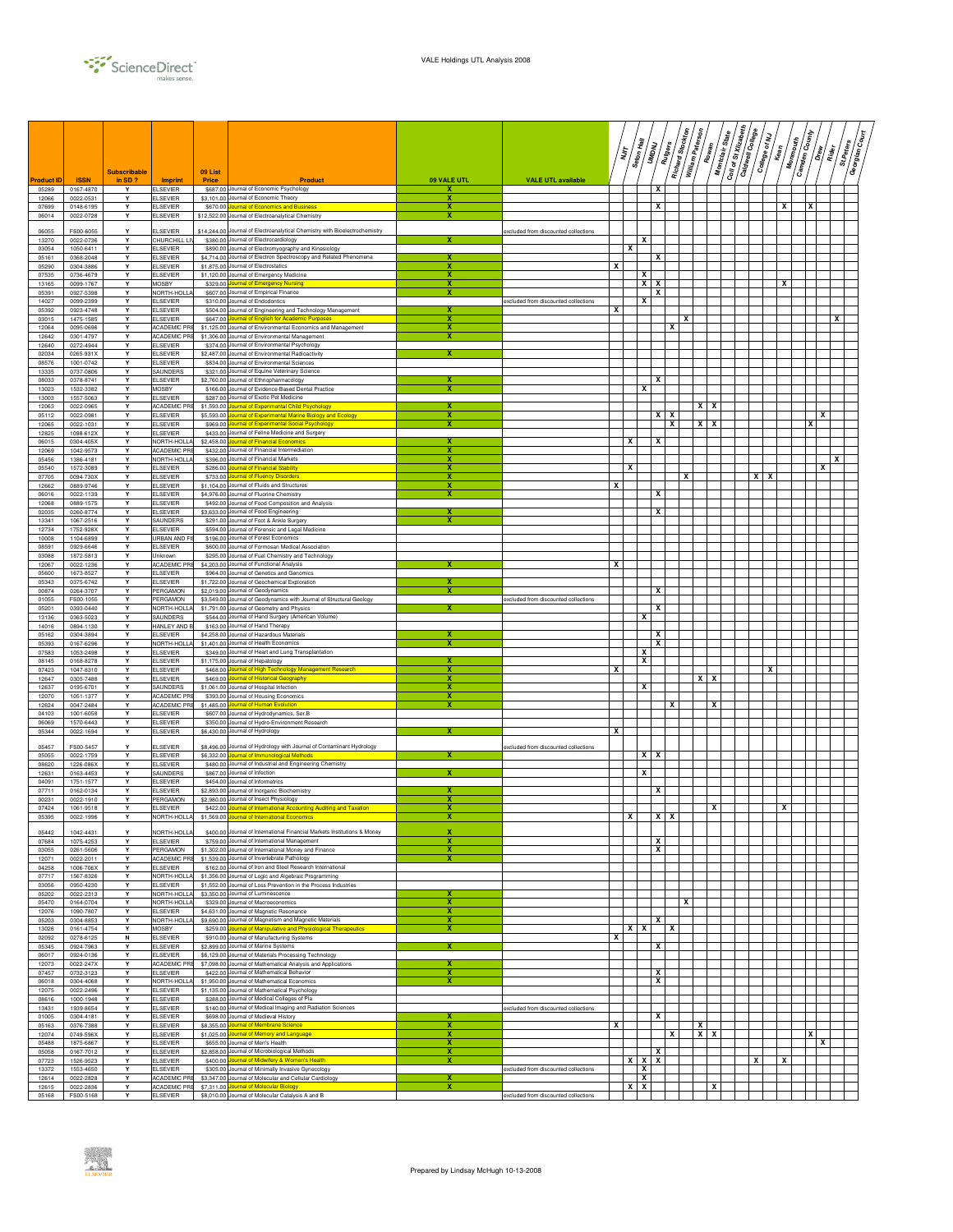

|                            |                          | <b>Subscribable</b> |                                     | 09 List                |                                                                                                                           |                              |                                      |              | דן<br>דו                | Seton Hall<br>UMDNU | Rutgers    | Richard Stockton | William Paterson | Rowan             | $s_{\text{large}}$<br>Montclair | Coll of St Xizabeth<br>Caldwell College | <b>College of My</b> | y<br>Mean | <b>Camden County</b><br><b>Monmouth</b> | / ถ้   | St.Peters<br>  gr<br>  gr | /៖<br>ខ<br>Georgian |
|----------------------------|--------------------------|---------------------|-------------------------------------|------------------------|---------------------------------------------------------------------------------------------------------------------------|------------------------------|--------------------------------------|--------------|-------------------------|---------------------|------------|------------------|------------------|-------------------|---------------------------------|-----------------------------------------|----------------------|-----------|-----------------------------------------|--------|---------------------------|---------------------|
| <b>Product ID</b><br>05289 | <b>ISSN</b><br>0167-4870 | in $SD$ ?<br>Y      | <b>Imprint</b><br><b>ELSEVIER</b>   | Price                  | Product<br>\$687.00 Journal of Economic Psychology                                                                        | 09 VALE UTL<br>x             | <b>VALE UTL available</b>            |              |                         |                     | x          |                  |                  |                   |                                 |                                         |                      |           |                                         |        |                           |                     |
| 12066                      | 0022-0531                | Y                   | <b>ELSEVIER</b>                     |                        | \$3,101.00 Journal of Economic Theory                                                                                     | x                            |                                      |              |                         |                     |            |                  |                  |                   |                                 |                                         |                      |           |                                         |        |                           |                     |
| 07699<br>06014             | 0148-6195<br>0022-0728   | Y<br>Y              | <b>ELSEVIER</b><br>ELSEVIER         |                        | \$670.00 Journal of Economics and Business<br>\$12,522.00 Journal of Electroanalytical Chemistry                          | х<br>x                       |                                      |              |                         |                     | x          |                  |                  |                   |                                 |                                         |                      | x         |                                         | x      |                           |                     |
| 06055                      | FS00-6055                |                     | ELSEVIER                            |                        | \$14,244.00 Journal of Electroanalytical Chemistry with Bioelectrochemistry                                               |                              | excluded from discounted collections |              |                         |                     |            |                  |                  |                   |                                 |                                         |                      |           |                                         |        |                           |                     |
| 13270<br>03054             | 0022-0736<br>1050-6411   | Y<br>Y              | CHURCHILL LIV<br><b>ELSEVIER</b>    |                        | \$380.00 Journal of Electrocardiology<br>\$890.00 Journal of Electromyography and Kinesiology                             | x                            |                                      |              | x                       | x                   |            |                  |                  |                   |                                 |                                         |                      |           |                                         |        |                           |                     |
| 05161                      | 0368-2048                | Y                   | <b>ELSEVIER</b>                     |                        | \$4,714.00 Journal of Electron Spectroscopy and Related Phenomena                                                         | X                            |                                      |              |                         |                     | x          |                  |                  |                   |                                 |                                         |                      |           |                                         |        |                           |                     |
| 05290<br>07535             | 0304-3886<br>0736-4679   | Y<br>Y              | <b>ELSEVIER</b><br><b>ELSEVIER</b>  |                        | \$1,875.00 Journal of Electrostatics<br>\$1,120.00 Journal of Emergency Medicine                                          | X<br>X                       |                                      | x            |                         | x                   |            |                  |                  |                   |                                 |                                         |                      |           |                                         |        |                           |                     |
| 13165<br>05391             | 0099-1767<br>0927-5398   | Y<br>Y              | MOSBY<br>NORTH-HOLLA                |                        | \$329.00 Journal of Emergency Nursing<br>\$607.00 Journal of Empirical Finance                                            | x<br>x                       |                                      |              |                         | ×                   | x<br>x     |                  |                  |                   |                                 |                                         |                      | x         |                                         |        |                           |                     |
| 14027                      | 0099-2399                | Y                   | <b>ELSEVIER</b>                     |                        | \$310.00 Journal of Endodontics                                                                                           |                              | excluded from discounted collections |              |                         | x                   |            |                  |                  |                   |                                 |                                         |                      |           |                                         |        |                           |                     |
| 05392<br>03015             | 0923-4748<br>1475-1585   | Y<br>Y              | <b>ELSEVIER</b><br><b>ELSEVIER</b>  |                        | \$504.00 Journal of Engineering and Technology Management<br>\$647.00 Journal of English for Academic Purposes            | х                            |                                      | x            |                         |                     |            |                  | x                |                   |                                 |                                         |                      |           |                                         |        | x                         |                     |
| 12064<br>12642             | 0095-0696<br>0301-4797   | Y<br>Y              | <b>ACADEMIC PRE</b><br>ACADEMIC PRE |                        | \$1,125.00 Journal of Environmental Economics and Management<br>\$1,306.00 Journal of Environmental Management            | x<br>x                       |                                      |              |                         |                     |            | x                |                  |                   |                                 |                                         |                      |           |                                         |        |                           |                     |
| 12640                      | 0272-4944                | Y                   | ELSEVIER                            |                        | \$374.00 Journal of Environmental Psychology                                                                              |                              |                                      |              |                         |                     |            |                  |                  |                   |                                 |                                         |                      |           |                                         |        |                           |                     |
| 02034<br>08576             | 0265-931X<br>1001-0742   | Y<br>Y              | <b>ELSEVIER</b><br><b>ELSEVIER</b>  |                        | \$2,487.00 Journal of Environmental Radioactivity<br>\$834.00 Journal of Environmental Sciences                           |                              |                                      |              |                         |                     |            |                  |                  |                   |                                 |                                         |                      |           |                                         |        |                           |                     |
| 13335<br>08033             | 0737-0806<br>0378-8741   | Y<br>Y              | SAUNDERS<br><b>ELSEVIER</b>         |                        | \$321.00 Journal of Equine Veterinary Science<br>\$2,760.00 Journal of Ethnopharmacology                                  | х                            |                                      |              |                         |                     | x          |                  |                  |                   |                                 |                                         |                      |           |                                         |        |                           |                     |
| 13023<br>13003             | 1532-3382<br>1557-5063   | Y<br>Y              | <b>MOSBY</b><br><b>ELSEVIER</b>     |                        | \$166.00 Journal of Evidence-Based Dental Practice<br>\$287.00 Journal of Exotic Pet Medicine                             | х                            |                                      |              |                         | x                   |            |                  |                  |                   |                                 |                                         |                      |           |                                         |        |                           |                     |
| 12063                      | 0022-0965                | Y                   | ACADEMIC PRE                        |                        | \$1,593.00 Journal of Experimental Child Psychology                                                                       | х                            |                                      |              |                         |                     |            |                  |                  | $x \mid x$        |                                 |                                         |                      |           |                                         |        |                           |                     |
| 05112<br>12065             | 0022-0981<br>0022-1031   | Y<br>Y              | <b>ELSEVIER</b><br><b>ELSEVIER</b>  | \$5,593.00<br>\$969.00 | urnal of Experimental Marine Biology and Ecology<br>ournal of Experimental Social Psychology                              | x<br>$\overline{\mathbf{x}}$ |                                      |              |                         |                     | $x \mid x$ | $\mathbf{x}$     |                  | $\mathbf{x}$<br>x |                                 |                                         |                      |           |                                         | x<br>x |                           |                     |
| 12825<br>06015             | 1098-612X<br>0304-405X   | Y<br>Y              | <b>ELSEVIER</b><br>NORTH-HOLLA      |                        | \$433.00 Journal of Feline Medicine and Surgery<br>\$2.458.00 Journal of Financial Economics                              | x                            |                                      |              | x                       |                     | x          |                  |                  |                   |                                 |                                         |                      |           |                                         |        |                           |                     |
| 12069                      | 1042-9573                | Y                   | <b>ACADEMIC PRI</b>                 |                        | \$432.00 Journal of Financial Intermediation                                                                              | х                            |                                      |              |                         |                     |            |                  |                  |                   |                                 |                                         |                      |           |                                         |        |                           |                     |
| 05456<br>05540             | 1386-4181<br>1572-3089   | Y<br>Y              | NORTH-HOLLA<br><b>ELSEVIER</b>      |                        | \$396.00 Journal of Financial Markets<br>\$286.00 Journal of Financial Stability                                          | х<br>x                       |                                      |              | x                       |                     |            |                  |                  |                   |                                 |                                         |                      |           |                                         | x      | X                         |                     |
| 07705<br>12662             | 0094-730X<br>0889-9746   | Y<br>Y              | <b>ELSEVIER</b><br>ELSEVIER         |                        | \$733.00 Journal of Fluency Disorders<br>\$1,104.00 Journal of Fluids and Structures                                      | х<br>x                       |                                      | X            |                         |                     |            |                  | x                |                   |                                 |                                         | X.                   | x         |                                         |        |                           |                     |
| 06016                      | 0022-1139                | Y                   | ELSEVIER                            |                        | \$4,976.00 Journal of Fluorine Chemistry                                                                                  | x                            |                                      |              |                         |                     | x          |                  |                  |                   |                                 |                                         |                      |           |                                         |        |                           |                     |
| 12068<br>02035             | 0889-1575<br>0260-8774   | Y<br>Y              | <b>ELSEVIER</b><br><b>ELSEVIER</b>  |                        | \$492.00 Journal of Food Composition and Analysis<br>\$3,633.00 Journal of Food Engineering                               | x                            |                                      |              |                         |                     | x          |                  |                  |                   |                                 |                                         |                      |           |                                         |        |                           |                     |
| 13341<br>12734             | 1067-2516<br>1752-928X   | Y<br>Y              | <b>SAUNDERS</b><br><b>ELSEVIER</b>  |                        | \$291.00 Journal of Foot & Ankle Surgery<br>\$594.00 Journal of Forensic and Legal Medicine                               | x                            |                                      |              |                         |                     |            |                  |                  |                   |                                 |                                         |                      |           |                                         |        |                           |                     |
| 10008                      | 1104-6899                | Y                   | URBAN AND FI                        |                        | \$196,00 Journal of Forest Economics                                                                                      |                              |                                      |              |                         |                     |            |                  |                  |                   |                                 |                                         |                      |           |                                         |        |                           |                     |
| 08591<br>03088             | 0929-6646<br>1872-5813   | Y<br>Y              | <b>ELSEVIER</b><br>Unknown          |                        | \$600.00 Journal of Formosan Medical Association<br>\$295.00 Journal of Fuel Chemistry and Technology                     |                              |                                      |              |                         |                     |            |                  |                  |                   |                                 |                                         |                      |           |                                         |        |                           |                     |
| 12067<br>05600             | 0022-1236<br>1673-8527   | Y<br>Y              | ACADEMIC PRI<br><b>ELSEVIER</b>     |                        | \$4,203.00 Journal of Functional Analysis<br>\$964.00 Journal of Genetics and Genomics                                    |                              |                                      | x            |                         |                     |            |                  |                  |                   |                                 |                                         |                      |           |                                         |        |                           |                     |
| 05343                      | 0375-6742                | Y                   | <b>ELSEVIER</b>                     |                        | \$1,722.00 Journal of Geochemical Exploration                                                                             | x<br>x                       |                                      |              |                         |                     |            |                  |                  |                   |                                 |                                         |                      |           |                                         |        |                           |                     |
| 00874<br>01055             | 0264-3707<br>FS00-1055   | Y<br>Y              | PERGAMON<br>PERGAMON                |                        | \$2,019.00 Journal of Geodynamics<br>\$3,549.00 Journal of Geodynamics with Journal of Structural Geology                 |                              | excluded from discounted collections |              |                         |                     | x          |                  |                  |                   |                                 |                                         |                      |           |                                         |        |                           |                     |
| 05201<br>13136             | 0393-0440<br>0363-5023   | Y<br>Y              | NORTH-HOLLA<br>SAUNDERS             |                        | \$1,791.00 Journal of Geometry and Physics<br>\$544.00 Journal of Hand Surgery (American Volume)                          |                              |                                      |              |                         | x                   | x          |                  |                  |                   |                                 |                                         |                      |           |                                         |        |                           |                     |
| 14016                      | 0894-1130                | Y<br>Y              | <b>HANLEY AND B</b>                 |                        | \$163.00 Journal of Hand Therapy                                                                                          |                              |                                      |              |                         |                     | x          |                  |                  |                   |                                 |                                         |                      |           |                                         |        |                           |                     |
| 05162<br>05393             | 0304-3894<br>0167-6296   | Y                   | ELSEVIER<br>NORTH-HOLLA             |                        | \$4,258.00 Journal of Hazardous Materials<br>\$1,401.00 Journal of Health Economics                                       | х                            |                                      |              |                         |                     | x          |                  |                  |                   |                                 |                                         |                      |           |                                         |        |                           |                     |
| 07583<br>08145             | 1053-2498<br>0168-8278   | Y<br>Y              | <b>ELSEVIER</b><br><b>ELSEVIER</b>  |                        | \$349.00 Journal of Heart and Lung Transplantation<br>\$1,175.00 Journal of Hepatology                                    | x                            |                                      |              |                         | x<br>x              |            |                  |                  |                   |                                 |                                         |                      |           |                                         |        |                           |                     |
| 07423<br>12647             | 1047-8310<br>0305-7488   | Y<br>Y              | <b>ELSEVIER</b><br><b>ELSEVIER</b>  |                        | \$468.00 Journal of High Technology Management Research<br>\$469.00 Journal of Historical Geography                       | х<br>х                       |                                      | x            |                         |                     |            |                  |                  | $x \mid x$        |                                 |                                         |                      | x         |                                         |        |                           |                     |
| 12637                      | 0195-6701                | Y                   | <b>SAUNDERS</b>                     |                        | \$1,061.00 Journal of Hospital Infection                                                                                  | x                            |                                      |              |                         | x                   |            |                  |                  |                   |                                 |                                         |                      |           |                                         |        |                           |                     |
| 12070<br>12624             | 1051-1377<br>0047-2484   | Y<br>Y              | ACADEMIC PRE<br>ACADEMIC PRE        | \$1,485.00             | \$393.00 Journal of Housing Economics<br><b>Journal of Human Evolution</b>                                                | х<br>x                       |                                      |              |                         |                     |            |                  |                  | x                 |                                 |                                         |                      |           |                                         |        |                           |                     |
| 04103<br>06069             | 1001-6058<br>1570-6443   | Y<br>Y              | <b>ELSEVIER</b><br><b>ELSEVIER</b>  |                        | \$607.00 Journal of Hydrodynamics, Ser.B<br>\$350.00 Journal of Hydro-Environment Research                                |                              |                                      |              |                         |                     |            |                  |                  |                   |                                 |                                         |                      |           |                                         |        |                           |                     |
| 05344                      | 0022-1694                | Y                   | <b>ELSEVIER</b>                     |                        | \$6,430.00 Journal of Hydrology                                                                                           |                              |                                      | x            |                         |                     |            |                  |                  |                   |                                 |                                         |                      |           |                                         |        |                           |                     |
| 05457                      | FS00-5457                |                     | ELSEVIER                            |                        | \$8,496.00 Journal of Hydrology with Journal of Contaminant Hydrology                                                     |                              | excluded from discounted collections |              |                         |                     |            |                  |                  |                   |                                 |                                         |                      |           |                                         |        |                           |                     |
| 05055<br>08620             | 0022-1759<br>1226-086X   | Y<br>Y              | <b>ELSEVIER</b><br><b>ELSEVIER</b>  |                        | \$6,332.00 Journal of Immunological Methods<br>\$480.00 Journal of Industrial and Engineering Chemistry                   | х                            |                                      |              |                         | $x \mid x$          |            |                  |                  |                   |                                 |                                         |                      |           |                                         |        |                           |                     |
| 12631<br>04091             | 0163-4453<br>1751-1577   | Y<br>Y              | SAUNDERS<br><b>ELSEVIER</b>         |                        | \$867.00 Journal of Infection<br>\$454.00 Journal of Informetrics                                                         | x                            |                                      |              |                         | x                   |            |                  |                  |                   |                                 |                                         |                      |           |                                         |        |                           |                     |
| 07711                      | 0162-0134                | Y                   | <b>ELSEVIER</b>                     |                        | \$2,893.00 Journal of Inorganic Biochemistry                                                                              | x<br>x                       |                                      |              |                         |                     | x          |                  |                  |                   |                                 |                                         |                      |           |                                         |        |                           |                     |
| 00231<br>07424             | 0022-1910<br>1061-9518   | Y<br>Y              | PERGAMON<br><b>ELSEVIER</b>         |                        | \$2,980.00 Journal of Insect Physiology<br>\$422.00 Journal of International Accounting Auditing and Taxation             | х                            |                                      |              |                         |                     |            |                  |                  | x                 |                                 |                                         |                      | x         |                                         |        |                           |                     |
| 05395                      | 0022-1996                |                     | NORTH-HOLLA                         |                        | \$1,569.00 Journal of International Econom                                                                                | x                            |                                      |              | X                       |                     | $X$ $X$    |                  |                  |                   |                                 |                                         |                      |           |                                         |        |                           |                     |
| 05442<br>07684             | 1042-4431<br>1075-4253   | Y                   | NORTH-HOLLA<br><b>ELSEVIER</b>      |                        | \$400.00 Journal of International Financial Markets Institutions & Money<br>\$759.00 Journal of International Management  | X<br>x                       |                                      |              |                         |                     | x          |                  |                  |                   |                                 |                                         |                      |           |                                         |        |                           |                     |
| 03055                      | 0261-5606                | Y<br>Y              | PERGAMON<br><b>ACADEMIC PRE</b>     |                        | \$1,302.00 Journal of International Money and Finance                                                                     | х<br>х                       |                                      |              |                         |                     | x          |                  |                  |                   |                                 |                                         |                      |           |                                         |        |                           |                     |
| 12071<br>04258             | 0022-2011<br>1006-706X   | Y                   | <b>ELSEVIER</b>                     |                        | \$1,539.00 Journal of Invertebrate Pathology<br>\$162.00 Journal of Iron and Steel Research International                 |                              |                                      |              |                         |                     |            |                  |                  |                   |                                 |                                         |                      |           |                                         |        |                           |                     |
| 07717<br>03056             | 1567-8326<br>0950-4230   | Y<br>Y              | NORTH-HOLLA<br><b>ELSEVIER</b>      |                        | \$1,356.00 Journal of Logic and Algebraic Programming<br>\$1,552.00 Journal of Loss Prevention in the Process Industries  |                              |                                      |              |                         |                     |            |                  |                  |                   |                                 |                                         |                      |           |                                         |        |                           |                     |
| 05202<br>05470             | 0022-2313<br>0164-0704   | Y<br>Y              | NORTH-HOLLA<br>NORTH-HOLLA          |                        | \$3,350.00 Journal of Luminescence<br>\$329.00 Journal of Macroeconomics                                                  | х<br>х                       |                                      |              |                         |                     |            |                  | x                |                   |                                 |                                         |                      |           |                                         |        |                           |                     |
| 12076                      | 1090-7807                | Y                   | <b>ELSEVIER</b>                     |                        | \$4,631.00 Journal of Magnetic Resonance                                                                                  | X                            |                                      |              |                         |                     |            |                  |                  |                   |                                 |                                         |                      |           |                                         |        |                           |                     |
| 05203<br>13026             | 0304-8853<br>0161-4754   | Y<br>Y              | NORTH-HOLLA<br>MOSBY                |                        | \$9,690.00 Journal of Magnetism and Magnetic Materials<br>\$259.00 Journal of Manipulative and Physiological Therapeutics | X<br>х                       |                                      |              | x                       | x                   | x          |                  |                  |                   |                                 |                                         |                      |           |                                         |        |                           |                     |
| 02092<br>05345             | 0278-6125<br>0924-7963   | N<br>Y              | <b>ELSEVIER</b><br><b>ELSEVIER</b>  |                        | \$910.00 Journal of Manufacturing Systems<br>\$2,899.00 Journal of Marine Systems                                         | х                            |                                      | x            |                         |                     | x          |                  |                  |                   |                                 |                                         |                      |           |                                         |        |                           |                     |
| 06017                      | 0924-0136                | Y                   | <b>ELSEVIER</b>                     |                        | \$6,129.00 Journal of Materials Processing Technology                                                                     |                              |                                      |              |                         |                     |            |                  |                  |                   |                                 |                                         |                      |           |                                         |        |                           |                     |
| 12073<br>07457             | 0022-247X<br>0732-3123   | Y<br>Y              | ACADEMIC PR<br><b>ELSEVIER</b>      |                        | \$7.098.00 Journal of Mathematical Analysis and Applications<br>\$422.00 Journal of Mathematical Behavior                 | x<br>x                       |                                      |              |                         |                     | x          |                  |                  |                   |                                 |                                         |                      |           |                                         |        |                           |                     |
| 06018<br>12075             | 0304-4068<br>0022-2496   | Y<br>Y              | NORTH-HOLLA<br>ELSEVIER             |                        | \$1,950.00 Journal of Mathematical Economics<br>\$1,135.00 Journal of Mathematical Psychology                             | x                            |                                      |              |                         |                     | x          |                  |                  |                   |                                 |                                         |                      |           |                                         |        |                           |                     |
| 08616                      | 1000-1948                | Y<br>Y              | <b>ELSEVIER</b>                     |                        | \$288.00 Journal of Medical Colleges of Pla                                                                               |                              |                                      |              |                         |                     |            |                  |                  |                   |                                 |                                         |                      |           |                                         |        |                           |                     |
| 13431<br>01005             | 1939-8654<br>0304-4181   | Y                   | <b>ELSEVIER</b><br><b>ELSEVIER</b>  |                        | \$140.00 Journal of Medical Imaging and Radiation Sciences<br>\$698.00 Journal of Medieval History                        |                              | excluded from discounted collections |              |                         |                     | x          |                  |                  |                   |                                 |                                         |                      |           |                                         |        |                           |                     |
| 05163<br>12074             | 0376-7388<br>0749-596X   | Y<br>Y              | <b>ELSEVIER</b><br><b>ELSEVIER</b>  |                        | \$8,355.00 Journal of Membrane Science<br>\$1,025.00 Journal of Memory and Language                                       | $\overline{\mathbf{x}}$<br>x |                                      | $\mathbf{x}$ |                         |                     |            | $\mathbf{x}$     | $\mathbf{x}$     | $x \times$        |                                 |                                         |                      |           |                                         | x      |                           |                     |
| 05488<br>05058             | 1875-6867<br>0167-7012   | Y<br>Y              | <b>ELSEVIER</b><br><b>ELSEVIER</b>  |                        | \$655.00 Journal of Men's Health<br>\$2,858.00 Journal of Microbiological Methods                                         | x<br>х                       |                                      |              |                         |                     | x          |                  |                  |                   |                                 |                                         |                      |           |                                         | x      |                           |                     |
| 07723                      | 1526-9523                | Y                   | <b>ELSEVIER</b>                     |                        | \$400.00 Journal of Midwifery & Women's Health                                                                            | x                            |                                      |              | x                       | x                   | x          |                  |                  |                   |                                 |                                         | x                    | x         |                                         |        |                           |                     |
| 13372<br>12614             | 1553-4650<br>0022-2828   | Y<br>Y              | <b>ELSEVIER</b><br>ACADEMIC PRE     |                        | \$305.00 Journal of Minimally Invasive Gynecology<br>\$3,347.00 Journal of Molecular and Cellular Cardiology              | х                            | excluded from discounted collections |              |                         | x<br>x              |            |                  |                  |                   |                                 |                                         |                      |           |                                         |        |                           |                     |
| 12615<br>05168             | 0022-2836<br>FS00-5168   | Y<br>Y              | ACADEMIC PRE                        |                        | \$7,311.00 Journal of Molecular Biology<br>ELSEVIER \$8,010.00 Journal of Molecular Catalysis A and B                     | $\overline{\mathbf{x}}$      | excluded from discounted collections |              | $\overline{\mathbf{x}}$ | ×                   |            |                  |                  | x                 |                                 |                                         |                      |           |                                         |        |                           |                     |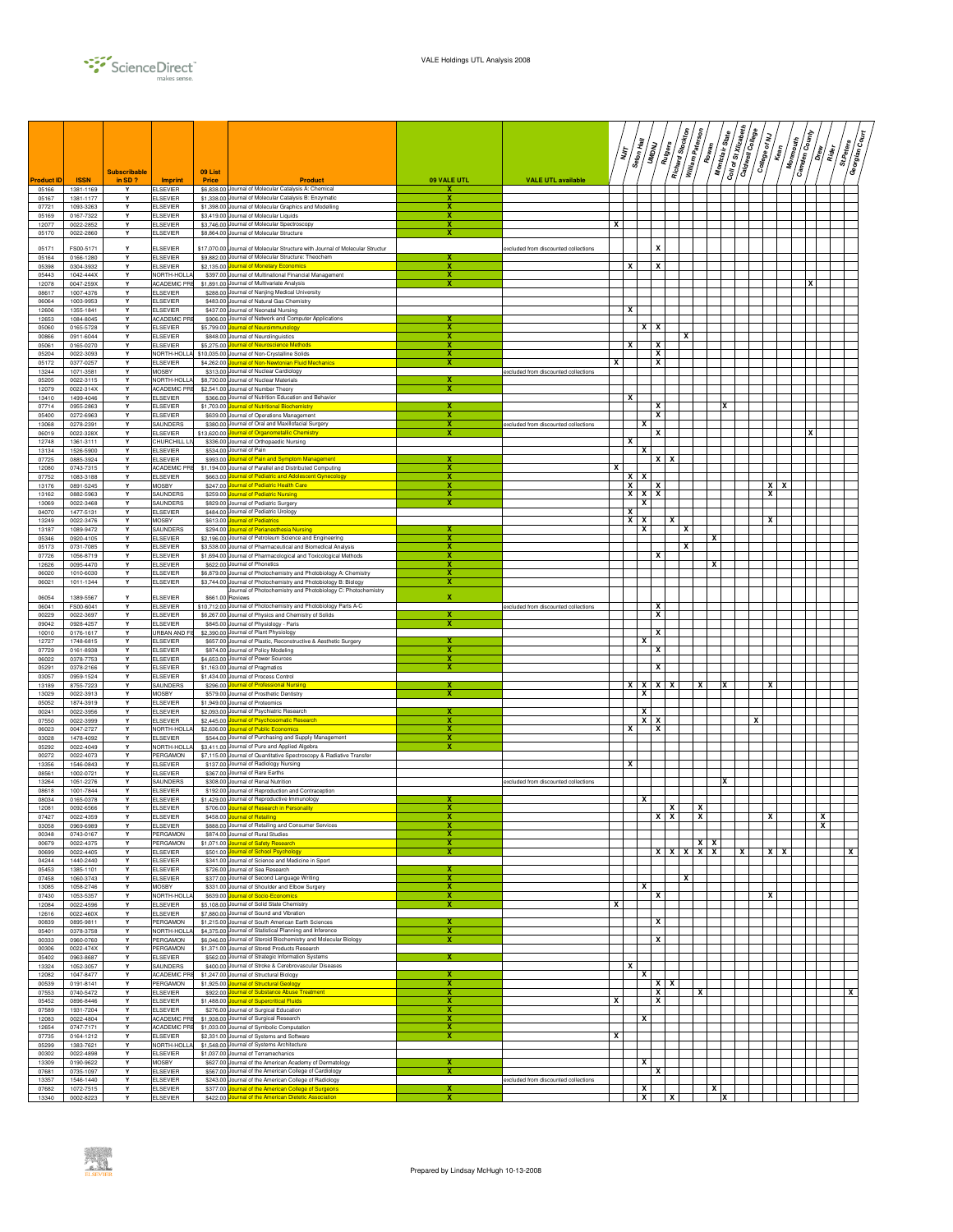

|                  |                        | <b>Subscribable</b> |                                      | 09 List                  |                                                                                                                          |                              |                                      |   | דן<br>דו | Seton Hall     | Rutgers<br><b>UMDNU</b>        | Richard Stockton | William Paterson | Rowan      | Coll of St Xizabeth<br>Montclair State | Caldwell College<br>College of NJ | <b>Kean</b>      | <b>Monmouth</b> | <b>Camden County</b><br>/ผู้ | Rider<br>R | /៖<br>ខ<br>St.Peters<br>Georgian |  |
|------------------|------------------------|---------------------|--------------------------------------|--------------------------|--------------------------------------------------------------------------------------------------------------------------|------------------------------|--------------------------------------|---|----------|----------------|--------------------------------|------------------|------------------|------------|----------------------------------------|-----------------------------------|------------------|-----------------|------------------------------|------------|----------------------------------|--|
| <b>roduct ID</b> | <b>ISSN</b>            | in SD ?             | Imprint                              | <b>Price</b>             | Product                                                                                                                  | 09 VALE UTL                  | <b>VALE UTL available</b>            |   |          |                |                                |                  |                  |            |                                        |                                   |                  |                 |                              |            |                                  |  |
| 05166<br>05167   | 1381-1169<br>1381-1177 | Y<br>Y              | <b>ELSEVIER</b><br>ELSEVIER          | \$1,338.00               | \$6,838.00 Journal of Molecular Catalysis A: Chemical<br>Journal of Molecular Catalysis B: Enzymatic                     | x<br>х                       |                                      |   |          |                |                                |                  |                  |            |                                        |                                   |                  |                 |                              |            |                                  |  |
| 07721<br>05169   | 1093-3263<br>0167-7322 | Y<br>Y              | ELSEVIER<br>ELSEVIER                 | \$3,419.00               | \$1,398.00 Journal of Molecular Graphics and Modelling<br>Journal of Molecular Liquids                                   | х<br>х                       |                                      |   |          |                |                                |                  |                  |            |                                        |                                   |                  |                 |                              |            |                                  |  |
| 12077            | 0022-2852              | Υ                   | ELSEVIER                             | \$3,746.00               | Journal of Molecular Spectroscopy                                                                                        | х                            |                                      | x |          |                |                                |                  |                  |            |                                        |                                   |                  |                 |                              |            |                                  |  |
| 05170            | 0022-2860              | Y                   | <b>LSEVIER</b>                       | \$8,864.00               | Journal of Molecular Structure                                                                                           | х                            |                                      |   |          |                |                                |                  |                  |            |                                        |                                   |                  |                 |                              |            |                                  |  |
| 05171<br>05164   | FS00-5171<br>0166-1280 | Y<br>Υ              | <b>ELSEVIER</b><br>ELSEVIER          | \$17,070.00              | Journal of Molecular Structure with Journal of Molecular Structur<br>\$9,882.00 Journal of Molecular Structure: Theochem | х                            | excluded from discounted collections |   |          |                | X                              |                  |                  |            |                                        |                                   |                  |                 |                              |            |                                  |  |
| 05398            | 0304-3932              | Y<br>Y              | <b>LSEVIER</b>                       | \$2,135.00               | <b>burnal of Monetary Economics</b>                                                                                      | x<br>X                       |                                      |   | X        |                | x                              |                  |                  |            |                                        |                                   |                  |                 |                              |            |                                  |  |
| 05443<br>12078   | 1042-444X<br>0047-259X | Y                   | NORTH-HOLL<br>ACADEMIC PR            | \$397.00<br>\$1,891.00   | Journal of Multinational Financial Management<br>Journal of Multivariate Analysis                                        |                              |                                      |   |          |                |                                |                  |                  |            |                                        |                                   |                  |                 |                              |            |                                  |  |
| 08617<br>06064   | 1007-4376<br>1003-9953 | Y<br>Y              | <b>ELSEVIER</b><br><b>ELSEVIER</b>   | \$288.0<br>\$483.0       | Journal of Nanjing Medical University<br>Journal of Natural Gas Chemistry                                                |                              |                                      |   |          |                |                                |                  |                  |            |                                        |                                   |                  |                 |                              |            |                                  |  |
| 12606            | 1355-1841              | Y                   | ELSEVIER                             | \$437.00                 | Journal of Neonatal Nursing                                                                                              |                              |                                      |   | x        |                |                                |                  |                  |            |                                        |                                   |                  |                 |                              |            |                                  |  |
| 12653<br>05060   | 1084-8045<br>0165-5728 | Y<br>Y              | ACADEMIC PRE<br><b>ELSEVIER</b>      | \$906.00<br>\$5,799.00   | Journal of Network and Computer Applications<br>ournal of Neuroimmunology                                                | х                            |                                      |   |          |                | $x \mid x$                     |                  |                  |            |                                        |                                   |                  |                 |                              |            |                                  |  |
| 00866<br>05061   | 0911-6044<br>0165-0270 | Υ<br>Y              | ELSEVIER<br>LSEVIER                  | \$848.00<br>\$5,275.0    | ournal of Neurolinguistics<br>urnal of Neuroscience Methods                                                              | х<br>х                       |                                      |   | x        |                | x                              | x                |                  |            |                                        |                                   |                  |                 |                              |            |                                  |  |
| 05204            | 0022-3093              | Y                   | NORTH-HOLL                           | \$10,035.00              | Journal of Non-Crystalline Solids                                                                                        | x                            |                                      |   |          |                | $\mathbf{x}$                   |                  |                  |            |                                        |                                   |                  |                 |                              |            |                                  |  |
| 05172<br>13244   | 0377-0257<br>1071-3581 | Y<br>Y              | <b>ELSEVIER</b><br><b>MOSBY</b>      | \$4,262.0<br>\$313.00    | purnal of Non-Newtonian Fluid Mechanics<br>Journal of Nuclear Cardiology                                                 | $\overline{\mathbf{x}}$      | excluded from discounted collections | X |          |                | $\mathbf{x}$                   |                  |                  |            |                                        |                                   |                  |                 |                              |            |                                  |  |
| 05205<br>12079   | 0022-3115<br>0022-314X | Y<br>Y              | NORTH-HOLLA<br>ACADEMIC PRE          | \$8,730.00               | Journal of Nuclear Materials<br>\$2,541.00 Journal of Number Theory                                                      | х<br>x                       |                                      |   |          |                |                                |                  |                  |            |                                        |                                   |                  |                 |                              |            |                                  |  |
| 13410            | 1499-4046              | Y                   | <b>ELSEVIER</b>                      | \$366.00                 | Journal of Nutrition Education and Behavior                                                                              |                              |                                      |   | x        |                |                                |                  |                  |            |                                        |                                   |                  |                 |                              |            |                                  |  |
| 07714<br>05400   | 0955-2863<br>0272-6963 | Y<br>Y              | ELSEVIER<br>ELSEVIER                 | \$1,703.00<br>\$639.00   | <b>urnal of Nutritional Biochemistry</b><br>Journal of Operations Management                                             | x<br>x                       |                                      |   |          |                | x<br>х                         |                  |                  |            | x                                      |                                   |                  |                 |                              |            |                                  |  |
| 13068            | 0278-2391              | Υ                   | SAUNDERS                             | \$380.00                 | Journal of Oral and Maxillofacial Surgery                                                                                | X<br>x                       | excluded from discounted collections |   |          | x              | x                              |                  |                  |            |                                        |                                   |                  |                 |                              |            |                                  |  |
| 06019<br>12748   | 0022-328X<br>1361-3111 | Y<br>Υ              | <b>ELSEVIER</b><br>CHURCHILL L       | \$13,620.0<br>\$336.00   | urnal of Organometallic Chemistry<br>Journal of Orthopaedic Nursing                                                      |                              |                                      |   | x        |                |                                |                  |                  |            |                                        |                                   |                  |                 |                              |            |                                  |  |
| 13134<br>07725   | 1526-5900<br>0885-3924 | Y<br>Y              | ELSEVIER<br>ELSEVIER                 | \$534.00<br>\$993.00     | Journal of Pain<br><b>burnal of Pain and Symptom Management</b>                                                          | x                            |                                      |   |          |                | $X$   $X$                      |                  |                  |            |                                        |                                   |                  |                 |                              |            |                                  |  |
| 12080            | 0743-7315              | Y                   | <b>ACADEMIC PRE</b>                  | \$1,194.00               | Journal of Parallel and Distributed Computing                                                                            | х                            |                                      | x |          |                |                                |                  |                  |            |                                        |                                   |                  |                 |                              |            |                                  |  |
| 07752<br>13176   | 1083-3188<br>0891-5245 | Y<br>Y              | <b>ELSEVIER</b><br><b>MOSBY</b>      | \$663.00<br>\$247.00     | curnal of Pediatric and Adolescent Gynecology<br>urnal of Pediatric Health Care                                          | х<br>х                       |                                      |   | x<br>x   | x              | x                              |                  |                  |            |                                        |                                   | x<br>X           |                 |                              |            |                                  |  |
| 13162<br>13069   | 0882-5963<br>0022-3468 | Y<br>Y              | SAUNDERS<br>SAUNDERS                 | \$259.00<br>\$829.0      | <b>Jurnal of Pediatric Nursing</b><br>Journal of Pediatric Surgery                                                       | х<br>x                       |                                      |   | x        | $X$   $X$<br>x |                                |                  |                  |            |                                        |                                   | x                |                 |                              |            |                                  |  |
| 04070            | 1477-5131              | Y                   | <b>ELSEVIER</b>                      | \$484.00                 | Journal of Pediatric Urology                                                                                             |                              |                                      |   | x        |                |                                |                  |                  |            |                                        |                                   |                  |                 |                              |            |                                  |  |
| 13249<br>13187   | 0022-3476<br>1089-9472 | Y<br>Y              | <b>MOSBY</b><br>SAUNDERS             | \$613.00<br>\$294.00     | ournal of Pediatrics<br>ournal of Perianesthesia Nursing                                                                 |                              |                                      |   | x        | x<br>x         |                                | х<br>x           |                  |            |                                        |                                   | x                |                 |                              |            |                                  |  |
| 05346<br>05173   | 0920-4105<br>0731-7085 | Y<br>Y              | ELSEVIER<br><b>ELSEVIER</b>          | \$3,538.00               | \$2,196.00 Journal of Petroleum Science and Engineering<br><b>Journal of Pharmaceutical and Biomedical Analysis</b>      | х<br>x                       |                                      |   |          |                |                                | x                |                  | х          |                                        |                                   |                  |                 |                              |            |                                  |  |
| 07726            | 1056-8719              | Y                   | <b>ELSEVIER</b>                      | \$1,694.00               | Journal of Pharmacological and Toxicological Methods                                                                     | х                            |                                      |   |          |                | x                              |                  |                  |            |                                        |                                   |                  |                 |                              |            |                                  |  |
| 12626<br>06020   | 0095-4470<br>1010-6030 | Y<br>Y              | ELSEVIER<br><b>ELSEVIER</b>          | \$622.00<br>\$6,879.00   | Journal of Phonetics<br>Journal of Photochemistry and Photobiology A: Chemistry                                          | x<br>x                       |                                      |   |          |                |                                |                  |                  | x          |                                        |                                   |                  |                 |                              |            |                                  |  |
| 06021            | 1011-1344              | Y                   | <b>ELSEVIER</b>                      | \$3,744.0                | Journal of Photochemistry and Photobiology B: Biology<br>Journal of Photochemistry and Photobiology C: Photochemistry    | x                            |                                      |   |          |                |                                |                  |                  |            |                                        |                                   |                  |                 |                              |            |                                  |  |
| 06054            | 1389-5567              |                     | LSEVIER                              | \$661.0                  | Reviews                                                                                                                  | $\pmb{\mathsf{x}}$           |                                      |   |          |                |                                |                  |                  |            |                                        |                                   |                  |                 |                              |            |                                  |  |
| 06041<br>00229   | FS00-6041<br>0022-3697 | Y<br>Y              | <b>LSEVIER</b><br><b>ELSEVIER</b>    | \$10,712.00<br>\$6,267.0 | Journal of Photochemistry and Photobiology Parts A-C<br>Journal of Physics and Chemistry of Solids                       |                              | excluded from discounted collections |   |          |                | x<br>$\boldsymbol{\mathsf{x}}$ |                  |                  |            |                                        |                                   |                  |                 |                              |            |                                  |  |
| 09042<br>10010   | 0928-4257<br>0176-1617 | Y<br>Y              | ELSEVIER<br>URBAN AND FI             | \$845.0<br>\$2,390.00    | Journal of Physiology - Paris<br>Journal of Plant Physiology                                                             | x                            |                                      |   |          |                | х                              |                  |                  |            |                                        |                                   |                  |                 |                              |            |                                  |  |
| 12727            | 1748-6815              | Y                   | ELSEVIER                             | \$657.00                 | Journal of Plastic, Reconstructive & Aesthetic Surgery                                                                   |                              |                                      |   |          | x              |                                |                  |                  |            |                                        |                                   |                  |                 |                              |            |                                  |  |
| 07729<br>06022   | 0161-8938<br>0378-7753 | Y<br>Y              | ELSEVIER<br><b>ELSEVIER</b>          | \$4,653.00               | \$874.00 Journal of Policy Modeling<br>Journal of Power Sources                                                          | х<br>х                       |                                      |   |          |                | x                              |                  |                  |            |                                        |                                   |                  |                 |                              |            |                                  |  |
| 05291<br>03057   | 0378-2166<br>0959-1524 | Y<br>Y              | <b>ELSEVIER</b><br>ELSEVIER          | \$1,163.00<br>\$1,434.00 | Journal of Pragmatics<br>Journal of Process Control                                                                      | х                            |                                      |   |          |                | x                              |                  |                  |            |                                        |                                   |                  |                 |                              |            |                                  |  |
| 13189            | 8755-7223              | Y                   | SAUNDERS                             | \$296.0                  | <b><u>purnal of Professional Nursing</u></b>                                                                             |                              |                                      |   |          |                | $X$ $X$ $X$ $X$                |                  | x                |            | ΙX                                     |                                   | x                |                 |                              |            |                                  |  |
| 13029<br>05052   | 0022-3913<br>1874-3919 | Y<br>Υ              | MOSBY<br><b>ELSEVIER</b>             | \$579.0<br>\$1,949.0     | Journal of Prosthetic Dentistry<br>Journal of Proteomics                                                                 | $\overline{\mathbf{x}}$      |                                      |   |          | x              |                                |                  |                  |            |                                        |                                   |                  |                 |                              |            |                                  |  |
| 00241            | 0022-3956              | Y<br>Y              | ELSEVIER                             | \$2,093.0                | Journal of Psychiatric Research<br><b>burnal of Psychosomatic Research</b>                                               | х                            |                                      |   |          | x              |                                |                  |                  |            |                                        | x                                 |                  |                 |                              |            |                                  |  |
| 07550<br>06023   | 0022-3999<br>0047-2727 | Y                   | ELSEVIER<br>NORTH-HOLL/              | \$2,445.00<br>\$2,636.00 | ournal of Public Economics                                                                                               | х                            |                                      |   | x        | $x \mid x$     | x                              |                  |                  |            |                                        |                                   |                  |                 |                              |            |                                  |  |
| 03028<br>05292   | 1478-4092<br>0022-4049 | Y<br>Y              | <b>ELSEVIER</b><br><b>NORTH-HOLL</b> | \$544.00<br>\$3,411.00   | Journal of Purchasing and Supply Management<br>Journal of Pure and Applied Algebra                                       | х                            |                                      |   |          |                |                                |                  |                  |            |                                        |                                   |                  |                 |                              |            |                                  |  |
| 00272            | 0022-4073              | Y<br>Y              | PERGAMON                             | \$7,115.00               | Journal of Quantitative Spectroscopy & Radiative Transfer                                                                |                              |                                      |   | X        |                |                                |                  |                  |            |                                        |                                   |                  |                 |                              |            |                                  |  |
| 13356<br>08561   | 1546-0843<br>1002-0721 | $\mathbf{v}$        | <b>ELSEVIER</b><br><b>ELSEVIER</b>   | \$137.00<br>\$367.00     | Journal of Radiology Nursing<br>Journal of Rare Earths                                                                   |                              |                                      |   |          |                |                                |                  |                  |            |                                        |                                   |                  |                 |                              |            |                                  |  |
| 13264<br>08618   | 1051-2276<br>1001-7844 | Y<br>Y              | SAUNDERS<br><b>ELSEVIER</b>          | \$308.00                 | Journal of Renal Nutrition<br>\$192.00 Journal of Reproduction and Contraception                                         |                              | excluded from discounted collections |   |          |                |                                |                  |                  |            | x                                      |                                   |                  |                 |                              |            |                                  |  |
| 08034            | 0165-0378              | Y                   | <b>ELSEVIER</b>                      | \$1,429.00               | Journal of Reproductive Immunology                                                                                       | x                            |                                      |   |          | x              |                                |                  |                  |            |                                        |                                   |                  |                 |                              |            |                                  |  |
| 12081<br>07427   | 0092-6566<br>0022-4359 | Y<br>Y              | <b>ELSEVIER</b><br>ELSEVIER          | \$706.00<br>\$458.00     | Inumal of Research in Personality<br><b>Jurnal of Retailing</b>                                                          | x<br>x                       |                                      |   |          |                | $x \mid x$                     | x                | x<br>x           |            |                                        |                                   | $\boldsymbol{x}$ |                 |                              | x          |                                  |  |
| 03058            | 0969-6989              | Y                   | <b>ELSEVIER</b>                      |                          | \$888.00 Journal of Retailing and Consumer Services                                                                      | x                            |                                      |   |          |                |                                |                  |                  |            |                                        |                                   |                  |                 |                              | x          |                                  |  |
| 00348<br>00679   | 0743-0167<br>0022-4375 | Y                   | PERGAMON<br>PERGAMON                 | \$874.00<br>\$1,071.00   | Journal of Rural Studies<br>ournal of Safety Research                                                                    | x                            |                                      |   |          |                |                                |                  |                  | $x \mid x$ |                                        |                                   |                  |                 |                              |            |                                  |  |
| 00699<br>04244   | 0022-4405<br>1440-2440 | Y<br>Y              | <b>ELSEVIER</b><br>ELSEVIER          | \$501.00                 | ournal of School Psychology<br>\$341.00 Journal of Science and Medicine in Sport                                         | x                            |                                      |   |          |                |                                |                  | $X$ $X$ $X$ $X$  |            | x                                      |                                   | $x \mid x$       |                 |                              |            | x                                |  |
| 05453            | 1385-1101              | Y                   | <b>ELSEVIER</b>                      |                          | \$726.00 Journal of Sea Research<br>Journal of Second Language Writing                                                   | х                            |                                      |   |          |                |                                |                  |                  |            |                                        |                                   |                  |                 |                              |            |                                  |  |
| 07458<br>13085   | 1060-3743<br>1058-2746 | Y<br>Y              | <b>ELSEVIER</b><br>MOSBY             | \$377.00<br>\$331.00     | Journal of Shoulder and Elbow Surgery                                                                                    | х<br>х                       |                                      |   |          | x              |                                | x                |                  |            |                                        |                                   |                  |                 |                              |            |                                  |  |
| 07430<br>12084   | 1053-5357<br>0022-4596 | Y<br>Y              | <b>NORTH-HOLL</b><br><b>ELSEVIER</b> | \$639.00<br>\$5,108.00   | urnal of Socio-Economics<br>Journal of Solid State Chemistry                                                             | x<br>$\overline{\mathbf{x}}$ |                                      | x |          |                | x                              |                  |                  |            |                                        |                                   | x                |                 |                              |            |                                  |  |
| 12616            | 0022-460X              | Y                   | <b>ELSEVIER</b>                      | \$7,880.00               | Journal of Sound and Vibration                                                                                           |                              |                                      |   |          |                |                                |                  |                  |            |                                        |                                   |                  |                 |                              |            |                                  |  |
| 00839<br>05401   | 0895-9811<br>0378-3758 | Y<br>Y              | PERGAMON<br>NORTH-HOLLA              | \$1,215.00<br>\$4,375.00 | Journal of South American Earth Sciences<br>Journal of Statistical Planning and Inference                                | х<br>x                       |                                      |   |          |                | x                              |                  |                  |            |                                        |                                   |                  |                 |                              |            |                                  |  |
| 00333<br>00306   | 0960-0760<br>0022-474X | Y<br>Y              | PERGAMON<br>PERGAMON                 | \$1,371.00               | \$6,046.00 Journal of Steroid Biochemistry and Molecular Biology<br>Journal of Stored Products Research                  | x                            |                                      |   |          |                | х                              |                  |                  |            |                                        |                                   |                  |                 |                              |            |                                  |  |
| 05402            | 0963-8687              | Υ                   | ELSEVIER                             | \$562.00                 | Journal of Strategic Information Systems                                                                                 | х                            |                                      |   |          |                |                                |                  |                  |            |                                        |                                   |                  |                 |                              |            |                                  |  |
| 13324<br>12082   | 1052-3057<br>1047-8477 | Y<br>Y              | SAUNDERS<br>ACADEMIC PRE             | \$400.00<br>\$1,247.00   | Journal of Stroke & Cerebrovascular Diseases<br>Journal of Structural Biology                                            |                              |                                      |   | X        | x              |                                |                  |                  |            |                                        |                                   |                  |                 |                              |            |                                  |  |
| 00539<br>07553   | 0191-8141<br>0740-5472 | Y<br>Y              | PERGAMON<br><b>ELSEVIER</b>          | \$1,925.00<br>\$922.00   | <b>burnal of Structural Geology</b><br>ournal of Substance Abuse Treatment                                               | $\overline{\mathbf{x}}$<br>x |                                      |   |          |                | XX<br><b>X</b>                 |                  | x                |            |                                        |                                   |                  |                 |                              |            | х                                |  |
| 05452            | 0896-8446              | Y                   | <b>ELSEVIER</b>                      | \$1,488.00               | Journal of Supercritical Fluids                                                                                          | x                            |                                      | x |          |                | x                              |                  |                  |            |                                        |                                   |                  |                 |                              |            |                                  |  |
| 07589<br>12083   | 1931-7204<br>0022-4804 | Y<br>Y              | ELSEVIER<br><b>ACADEMIC PRE</b>      |                          | \$276.00 Journal of Surgical Education<br>\$1,938.00 Journal of Surgical Research                                        | х<br>х                       |                                      |   |          | x              |                                |                  |                  |            |                                        |                                   |                  |                 |                              |            |                                  |  |
| 12654            | 0747-7171              | Υ<br>Y              | ACADEMIC PRE                         |                          | \$1,033.00 Journal of Symbolic Computation                                                                               | х<br>х                       |                                      | x |          |                |                                |                  |                  |            |                                        |                                   |                  |                 |                              |            |                                  |  |
| 07735<br>05299   | 0164-1212<br>1383-7621 | Y                   | ELSEVIER<br>NORTH-HOLL               | \$2,331.00<br>\$1,548.00 | Journal of Systems and Software<br>Journal of Systems Architecture                                                       |                              |                                      |   |          |                |                                |                  |                  |            |                                        |                                   |                  |                 |                              |            |                                  |  |
| 00302<br>13309   | 0022-4898<br>0190-9622 | Y<br>Y              | <b>ELSEVIER</b><br><b>MOSBY</b>      | \$1,037.00<br>\$627.0    | Journal of Terramechanics<br>Journal of the American Academy of Dermatology                                              | x                            |                                      |   |          | x              |                                |                  |                  |            |                                        |                                   |                  |                 |                              |            |                                  |  |
| 07681            | 0735-1097              | Y                   | <b>ELSEVIER</b>                      | \$567.0                  | Journal of the American College of Cardiology<br>Journal of the American College of Radiology                            | x                            |                                      |   |          |                | x                              |                  |                  |            |                                        |                                   |                  |                 |                              |            |                                  |  |
| 13357<br>07682   | 1546-1440<br>1072-7515 | Y<br>Y              | <b>ELSEVIER</b><br>ELSEVIER          | \$243.00<br>\$377.00     | ournal of the American College of Surgeons                                                                               | x                            | excluded from discounted collections |   |          | x              |                                |                  |                  | x          |                                        |                                   |                  |                 |                              |            |                                  |  |
| 13340            | 0002-8223              | Y                   | <b>ELSEVIER</b>                      | \$422.00                 | Journal of the American Dietetic Association                                                                             |                              |                                      |   |          | X I            |                                | $\mathbf{X}$     |                  |            | $\mathbf{X}$                           |                                   |                  |                 |                              |            |                                  |  |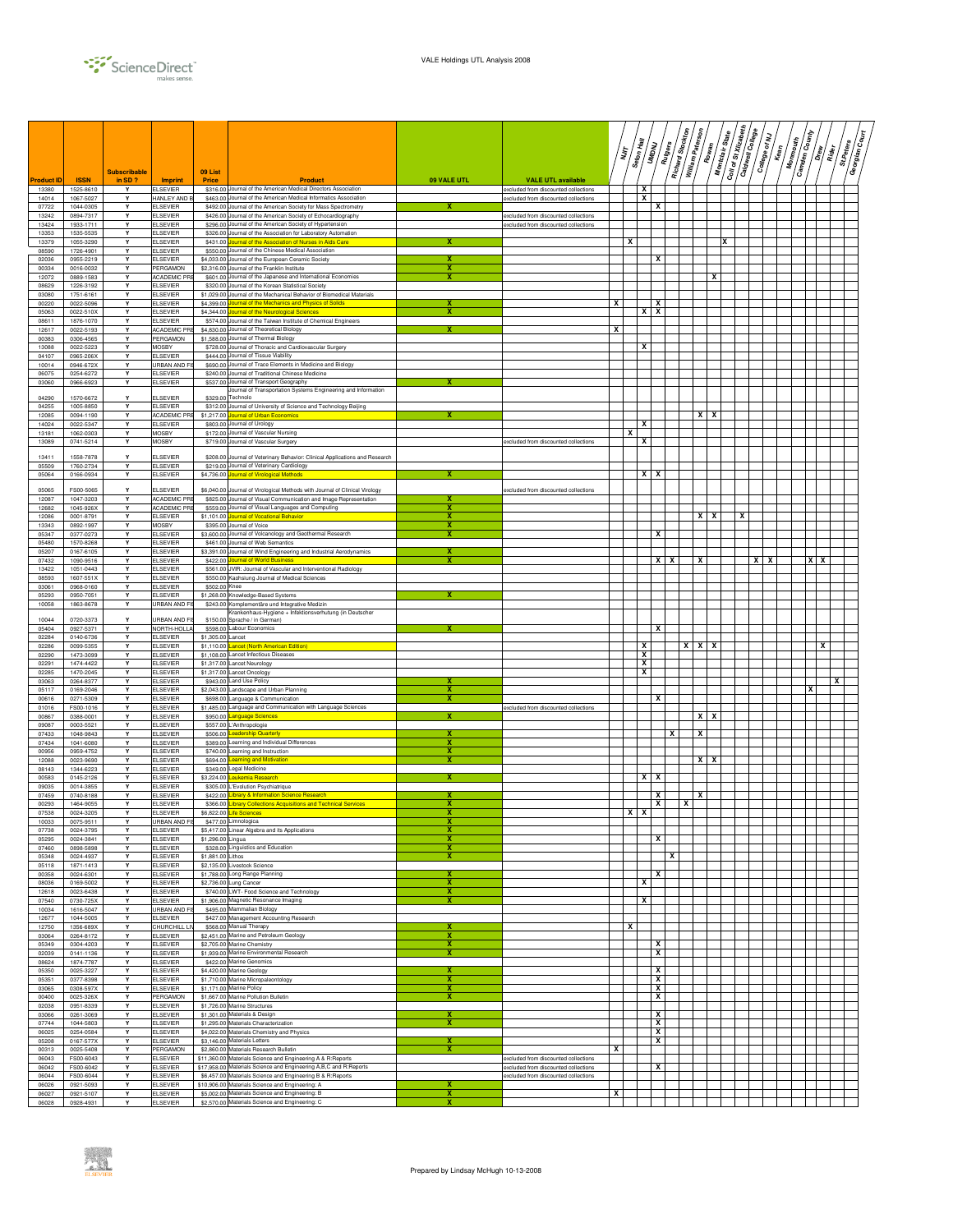

|                |                        | <b>Subscribable</b> |                                         | 09 List                  |                                                                                                                                    |                              |                                                                              |   | ΪŢ | Seton Hall | Rutgers<br><b>SHADAY</b> | Richard Stockton | William Paterson<br>Rowan | Montclair State | Coll of St Xilzabeth | Caldwell College | College of NJ<br>Kean | Monmouth | <b>Camden County</b><br>/รู้ | Rider | St.Peters | ∫§<br>S<br>Georgian |
|----------------|------------------------|---------------------|-----------------------------------------|--------------------------|------------------------------------------------------------------------------------------------------------------------------------|------------------------------|------------------------------------------------------------------------------|---|----|------------|--------------------------|------------------|---------------------------|-----------------|----------------------|------------------|-----------------------|----------|------------------------------|-------|-----------|---------------------|
| roduct ID      | <b>ISSN</b>            | in SD?              | Imprint                                 | <b>Price</b>             | <b>Product</b>                                                                                                                     | 09 VALE UTL                  | <b>VALE UTL available</b>                                                    |   |    |            |                          |                  |                           |                 |                      |                  |                       |          |                              |       |           |                     |
| 13380<br>14014 | 1525-8610<br>1067-5027 | Y<br>Y              | <b>ELSEVIER</b><br>HANLEY AND E         |                          | \$316.00 Journal of the American Medical Directors Association<br>\$463.00 Journal of the American Medical Informatics Association |                              | excluded from discounted collections<br>excluded from discounted collections |   |    | x<br>x     |                          |                  |                           |                 |                      |                  |                       |          |                              |       |           |                     |
| 07722<br>13242 | 1044-0305              | Y<br>Y              | <b>ELSEVIER</b><br><b>ELSEVIER</b>      |                          | \$492.00 Journal of the American Society for Mass Spectrometry<br>\$426.00 Journal of the American Society of Echocardiography     |                              |                                                                              |   |    |            | x                        |                  |                           |                 |                      |                  |                       |          |                              |       |           |                     |
| 13424          | 0894-7317<br>1933-1711 | Y                   | <b>ELSEVIER</b>                         |                          | \$296.00 Journal of the American Society of Hypertension                                                                           |                              | excluded from discounted collections<br>excluded from discounted collections |   |    |            |                          |                  |                           |                 |                      |                  |                       |          |                              |       |           |                     |
| 13353<br>13379 | 1535-5535<br>1055-3290 | Y<br>Y              | <b>ELSEVIER</b><br><b>ELSEVIER</b>      | \$431.00                 | \$326.00 Journal of the Association for Laboratory Automation<br>Journal of the Association of Nurses in Aids                      |                              |                                                                              |   | x  |            |                          |                  |                           | x               |                      |                  |                       |          |                              |       |           |                     |
| 08590<br>02036 | 1726-4901<br>0955-2219 | Y<br>Y              | <b>ELSEVIER</b><br><b>ELSEVIER</b>      |                          | \$550.00 Journal of the Chinese Medical Association<br>\$4,033.00 Journal of the European Ceramic Society                          | x                            |                                                                              |   |    |            | x                        |                  |                           |                 |                      |                  |                       |          |                              |       |           |                     |
| 00334          | 0016-0032              | Y                   | PERGAMON                                |                          | \$2,316.00 Journal of the Franklin Institute                                                                                       | x                            |                                                                              |   |    |            |                          |                  |                           |                 |                      |                  |                       |          |                              |       |           |                     |
| 12072<br>08629 | 0889-1583<br>1226-3192 | Υ<br>Y              | ACADEMIC PRE<br><b>ELSEVIER</b>         |                          | \$601.00 Journal of the Japanese and International Economies<br>\$320.00 Journal of the Korean Statistical Society                 | x                            |                                                                              |   |    |            |                          |                  |                           | x               |                      |                  |                       |          |                              |       |           |                     |
| 03080          | 1751-6161              | Y                   | <b>ELSEVIER</b>                         | \$1,029.00               | Journal of the Mechanical Behavior of Biomedical Materials                                                                         |                              |                                                                              |   |    |            |                          |                  |                           |                 |                      |                  |                       |          |                              |       |           |                     |
| 00220<br>05063 | 0022-5096<br>0022-510X | Y<br>Y              | <b>ELSEVIER</b><br><b>ELSEVIER</b>      | \$4,399.00<br>\$4,344.00 | ournal of the Mechanics and Physics of Solids<br>Journal of the Neurological Sciences                                              | x                            |                                                                              | x |    | $x \mid x$ | x                        |                  |                           |                 |                      |                  |                       |          |                              |       |           |                     |
| 08611<br>12617 | 1876-1070<br>0022-5193 | Y<br>Υ              | <b>ELSEVIER</b><br><b>ACADEMIC PF</b>   |                          | \$574.00 Journal of the Taiwan Institute of Chemical Engineers<br>\$4,830.00 Journal of Theoretical Biology                        |                              |                                                                              | x |    |            |                          |                  |                           |                 |                      |                  |                       |          |                              |       |           |                     |
| 00383          | 0306-4565              | Y                   | PERGAMON                                |                          | \$1,588.00 Journal of Thermal Biology                                                                                              |                              |                                                                              |   |    |            |                          |                  |                           |                 |                      |                  |                       |          |                              |       |           |                     |
| 13088<br>04107 | 0022-5223<br>0965-206X | Υ<br>Y              | <b>MOSBY</b><br><b>ELSEVIER</b>         |                          | \$728.00 Journal of Thoracic and Cardiovascular Surgery<br>\$444.00 Journal of Tissue Viability                                    |                              |                                                                              |   |    | x          |                          |                  |                           |                 |                      |                  |                       |          |                              |       |           |                     |
| 10014<br>06075 | 0946-672X<br>0254-6272 | Y<br>Υ              | <b>JRBAN AND FIS</b><br><b>ELSEVIER</b> |                          | \$690.00 Journal of Trace Elements in Medicine and Biology<br>\$240.00 Journal of Traditional Chinese Medicine                     |                              |                                                                              |   |    |            |                          |                  |                           |                 |                      |                  |                       |          |                              |       |           |                     |
| 03060          | 0966-6923              | Υ                   | <b>ELSEVIER</b>                         |                          | \$537.00 Journal of Transport Geography                                                                                            |                              |                                                                              |   |    |            |                          |                  |                           |                 |                      |                  |                       |          |                              |       |           |                     |
| 04290          | 1570-6672              | Y                   | <b>ELSEVIER</b>                         |                          | Journal of Transportation Systems Engineering and Information<br>\$329.00 Technolo                                                 |                              |                                                                              |   |    |            |                          |                  |                           |                 |                      |                  |                       |          |                              |       |           |                     |
| 04255<br>12085 | 1005-8850<br>0094-1190 | Y<br>Y              | <b>ELSEVIER</b><br>ACADEMIC PRE         | \$1,217.00               | \$312.00 Journal of University of Science and Technology Beijing<br><b>Iournal of Urban Economics</b>                              |                              |                                                                              |   |    |            |                          |                  | $x \mid x$                |                 |                      |                  |                       |          |                              |       |           |                     |
| 14024<br>13181 | 0022-5347<br>1062-0303 | Y<br>Y              | <b>ELSEVIER</b><br><b>MOSBY</b>         |                          | \$803.00 Journal of Urology<br>\$172.00 Journal of Vascular Nursing                                                                |                              |                                                                              |   | x  | x          |                          |                  |                           |                 |                      |                  |                       |          |                              |       |           |                     |
| 13089          | 0741-5214              | Y                   | <b>MOSBY</b>                            |                          | \$719.00 Journal of Vascular Surgery                                                                                               |                              | excluded from discounted collections                                         |   |    | x          |                          |                  |                           |                 |                      |                  |                       |          |                              |       |           |                     |
| 13411          | 1558-7878              | Y                   | ELSEVIER                                |                          | \$208.00 Journal of Veterinary Behavior: Clinical Applications and Research                                                        |                              |                                                                              |   |    |            |                          |                  |                           |                 |                      |                  |                       |          |                              |       |           |                     |
| 05509<br>05064 | 1760-2734<br>0166-0934 | Υ<br>Y              | <b>ELSEVIER</b><br><b>ELSEVIER</b>      |                          | \$219.00 Journal of Veterinary Cardiology<br>\$4,736.00 Journal of Virological Methods                                             |                              |                                                                              |   |    |            | $X$   $X$                |                  |                           |                 |                      |                  |                       |          |                              |       |           |                     |
| 05065          | FS00-5065              | Y                   | <b>ELSEVIER</b>                         |                          | \$6,040.00 Journal of Virological Methods with Journal of Clinical Virology                                                        |                              | excluded from discounted collections                                         |   |    |            |                          |                  |                           |                 |                      |                  |                       |          |                              |       |           |                     |
| 12087          | 1047-3203              | Y                   | ACADEMIC PRE                            |                          | \$825.00 Journal of Visual Communication and Image Representation                                                                  |                              |                                                                              |   |    |            |                          |                  |                           |                 |                      |                  |                       |          |                              |       |           |                     |
| 12682<br>12086 | 1045-926X<br>0001-8791 | Υ<br>Y              | ACADEMIC PRI<br><b>ELSEVIER</b>         |                          | \$559.00 Journal of Visual Languages and Computing<br>\$1,101.00 Journal of Vocational Behavior                                    | x<br>x                       |                                                                              |   |    |            |                          |                  | $x \mid x$                |                 | X                    |                  |                       |          |                              |       |           |                     |
| 13343<br>05347 | 0892-1997<br>0377-0273 | Y<br>Y              | <b>MOSBY</b><br><b>ELSEVIER</b>         |                          | \$395.00 Journal of Voice<br>\$3,600.00 Journal of Volcanology and Geothermal Research                                             | x<br>х                       |                                                                              |   |    |            | x                        |                  |                           |                 |                      |                  |                       |          |                              |       |           |                     |
| 05480          | 1570-8268              | Y                   | <b>ELSEVIER</b>                         |                          | \$461.00 Journal of Web Semantics                                                                                                  |                              |                                                                              |   |    |            |                          |                  |                           |                 |                      |                  |                       |          |                              |       |           |                     |
| 05207<br>07432 | 0167-6105<br>1090-9516 | Y<br>Y              | <b>ELSEVIER</b><br><b>ELSEVIER</b>      | \$422.00                 | \$3,391.00 Journal of Wind Engineering and Industrial Aerodynamics<br><b>Journal of World Business</b>                             | x                            |                                                                              |   |    |            | x<br>x                   |                  | x                         |                 |                      | x                | x                     |          | xх                           |       |           |                     |
| 13422<br>08593 | 1051-0443<br>1607-551X | Υ<br>Y              | <b>ELSEVIER</b><br><b>ELSEVIER</b>      |                          | \$561.00 JVIR: Journal of Vascular and Interventional Radiology<br>\$550.00 Kaohsiung Journal of Medical Sciences                  |                              |                                                                              |   |    |            |                          |                  |                           |                 |                      |                  |                       |          |                              |       |           |                     |
| 03061          | 0968-0160              | Y                   | <b>ELSEVIER</b>                         | \$502.00 Knee            |                                                                                                                                    |                              |                                                                              |   |    |            |                          |                  |                           |                 |                      |                  |                       |          |                              |       |           |                     |
| 05293<br>10058 | 0950-7051<br>1863-8678 | Y<br>Y              | <b>ELSEVIER</b><br>URBAN AND F          |                          | \$1,268.00 Knowledge-Based Systems<br>\$243.00 Komplementäre und Integrative Medizin                                               |                              |                                                                              |   |    |            |                          |                  |                           |                 |                      |                  |                       |          |                              |       |           |                     |
| 10044          | 0720-3373              | Y                   | JRBAN AND F                             | \$150.0                  | Krankenhaus-Hygiene + Infektionsverhutung (in Deutscher<br>Sprache / in German)                                                    |                              |                                                                              |   |    |            |                          |                  |                           |                 |                      |                  |                       |          |                              |       |           |                     |
| 05404          | 0927-5371              | Y                   | NORTH-HOLLA                             |                          | \$598.00 Labour Economics                                                                                                          |                              |                                                                              |   |    |            | x                        |                  |                           |                 |                      |                  |                       |          |                              |       |           |                     |
| 02284<br>02286 | 0140-6736<br>0099-5355 | Y<br>Y              | <b>ELSEVIER</b><br><b>ELSEVIER</b>      | \$1,305,00 Lancet        | \$1,110.00 Lancet (North American Edition)                                                                                         |                              |                                                                              |   |    | x          |                          | $\boldsymbol{x}$ | <b>XX</b>                 |                 |                      |                  |                       |          |                              | x     |           |                     |
| 02290<br>02291 | 1473-3099<br>1474-4422 | Υ<br>Y              | <b>ELSEVIER</b><br><b>ELSEVIER</b>      |                          | \$1,108.00 Lancet Infectious Diseases<br>\$1,317.00 Lancet Neurology                                                               |                              |                                                                              |   |    | x<br>x     |                          |                  |                           |                 |                      |                  |                       |          |                              |       |           |                     |
| 02285          | 1470-2045              | Y                   | <b>ELSEVIER</b>                         |                          | \$1,317.00 Lancet Oncology                                                                                                         |                              |                                                                              |   |    | x          |                          |                  |                           |                 |                      |                  |                       |          |                              |       |           |                     |
| 03063<br>05117 | 0264-8377<br>0169-2046 | Υ<br>Y              | <b>ELSEVIER</b><br><b>ELSEVIER</b>      | \$943.00                 | <b>Land Use Policy</b><br>\$2,043.00 Landscape and Urban Planning                                                                  | х                            |                                                                              |   |    |            |                          |                  |                           |                 |                      |                  |                       |          | x                            |       |           |                     |
| 00616<br>01016 | 0271-5309<br>FS00-1016 | Y<br>Y              | <b>ELSEVIER</b><br><b>ELSEVIER</b>      |                          | \$698.00 Language & Communication<br>\$1,485.00 Language and Communication with Language Sciences                                  | X                            | excluded from discounted collections                                         |   |    |            | x                        |                  |                           |                 |                      |                  |                       |          |                              |       |           |                     |
| 00867          | 0388-0001              | Y                   | <b>ELSEVIER</b>                         |                          | \$950.00 Language Sciences                                                                                                         | x                            |                                                                              |   |    |            |                          |                  | $x \mid x$                |                 |                      |                  |                       |          |                              |       |           |                     |
| 09087<br>07433 | 0003-5521<br>1048-9843 | Y<br>Y              | <b>ELSEVIER</b><br><b>ELSEVIER</b>      | \$506.00                 | \$557.00 L'Anthropologie<br>Leadership Quarterly                                                                                   | x                            |                                                                              |   |    |            | x                        |                  | x                         |                 |                      |                  |                       |          |                              |       |           |                     |
| 07434<br>00956 | 1041-6080<br>0959-4752 | Y<br>Υ              | <b>ELSEVIER</b><br><b>ELSEVIER</b>      |                          | \$389.00 Learning and Individual Differences<br>\$740.00 Learning and Instruction                                                  | x<br>x                       |                                                                              |   |    |            |                          |                  |                           |                 |                      |                  |                       |          |                              |       |           |                     |
| 12088          | 0023-9690              | Υ                   | <b>ELSEVIER</b>                         | \$694.00                 | Learning and Motivation                                                                                                            | x                            |                                                                              |   |    |            |                          |                  | $X$   $X$                 |                 |                      |                  |                       |          |                              |       |           |                     |
| 08143<br>00583 | 1344-6223<br>0145-2126 | Y<br>Y              | <b>ELSEVIER</b><br><b>ELSEVIER</b>      | \$3,224.00               | \$349.00 Legal Medicine<br>eukemia Research                                                                                        | x                            |                                                                              |   |    |            | $x \mid x$               |                  |                           |                 |                      |                  |                       |          |                              |       |           |                     |
| 09035<br>07459 | 0014-3855<br>0740-8188 | Y<br>Y              | <b>ELSEVIER</b><br><b>ELSEVIER</b>      |                          | \$305.00 L'Evolution Psychiatrique<br>\$422.00 Library & Information Science Research                                              |                              |                                                                              |   |    |            | x                        |                  | x                         |                 |                      |                  |                       |          |                              |       |           |                     |
| 00293<br>07538 | 1464-9055<br>0024-3205 | Y<br>Y              | <b>ELSEVIER</b><br><b>ELSEVIER</b>      | \$366.00                 | Library Collections Acquisitions and Technical Services<br>\$6,822.00 Life Sciences                                                | x<br>х                       |                                                                              |   |    | x          | x                        | x                |                           |                 |                      |                  |                       |          |                              |       |           |                     |
| 10033          | $00/5 - 9511$          |                     | JRBAN AND FI                            |                          | \$4/7.00 Limnologica                                                                                                               |                              |                                                                              |   | x  |            |                          |                  |                           |                 |                      |                  |                       |          |                              |       |           |                     |
| 07738<br>05295 | 0024-3795<br>0024-3841 | Y<br>Υ              | <b>ELSEVIER</b><br><b>ELSEVIER</b>      | \$1,296.00 Lingua        | \$5,417.00 Linear Algebra and its Applications                                                                                     | x                            |                                                                              |   |    |            | x                        |                  |                           |                 |                      |                  |                       |          |                              |       |           |                     |
| 07460<br>05348 | 0898-5898              | Y<br>Y              | <b>ELSEVIER</b><br><b>ELSEVIER</b>      | \$1,881.00 Lithos        | \$328.00 Linguistics and Education                                                                                                 | x<br>x                       |                                                                              |   |    |            | x                        |                  |                           |                 |                      |                  |                       |          |                              |       |           |                     |
| 05118          | 0024-4937<br>1871-1413 | Y                   | <b>ELSEVIER</b>                         |                          | \$2,135.00 Livestock Science                                                                                                       |                              |                                                                              |   |    |            |                          |                  |                           |                 |                      |                  |                       |          |                              |       |           |                     |
| 00358<br>08036 | 0024-6301<br>0169-5002 | Y<br>Y              | <b>ELSEVIER</b><br><b>ELSEVIER</b>      |                          | \$1,788.00 Long Range Planning<br>\$2,736.00 Lung Cancer                                                                           | х<br>х                       |                                                                              |   |    | x          | x                        |                  |                           |                 |                      |                  |                       |          |                              |       |           |                     |
| 12618          | 0023-6438              | Y<br>Y              | <b>ELSEVIER</b>                         |                          | \$740.00 LWT- Food Science and Technology                                                                                          | х                            |                                                                              |   |    | x          |                          |                  |                           |                 |                      |                  |                       |          |                              |       |           |                     |
| 07540<br>10034 | 0730-725X<br>1616-5047 | Υ                   | <b>ELSEVIER</b><br>URBAN AND FI         |                          | \$1,906.00 Magnetic Resonance Imaging<br>\$495.00 Mammalian Biology                                                                | x                            |                                                                              |   |    |            |                          |                  |                           |                 |                      |                  |                       |          |                              |       |           |                     |
| 12677<br>12750 | 1044-5005<br>1356-689X | Y<br>Y              | <b>ELSEVIER</b><br>CHURCHILL LIV        |                          | \$427.00 Management Accounting Research<br>\$568.00 Manual Therapy                                                                 | x                            |                                                                              |   | x  |            |                          |                  |                           |                 |                      |                  |                       |          |                              |       |           |                     |
| 03064          | 0264-8172              | Y                   | <b>ELSEVIER</b>                         |                          | \$2,451.00 Marine and Petroleum Geology                                                                                            | x                            |                                                                              |   |    |            |                          |                  |                           |                 |                      |                  |                       |          |                              |       |           |                     |
| 05349<br>02039 | 0304-4203<br>0141-1136 | Y<br>Y              | <b>ELSEVIER</b><br><b>ELSEVIER</b>      |                          | \$2,705.00 Marine Chemistry<br>\$1,939.00 Marine Environmental Research                                                            | x<br>x                       |                                                                              |   |    |            | x<br>x                   |                  |                           |                 |                      |                  |                       |          |                              |       |           |                     |
| 08624<br>05350 | 1874-7787<br>0025-3227 | Y<br>Y              | <b>ELSEVIER</b><br><b>ELSEVIER</b>      |                          | \$422.00 Marine Genomics<br>\$4,420.00 Marine Geology                                                                              |                              |                                                                              |   |    |            | x                        |                  |                           |                 |                      |                  |                       |          |                              |       |           |                     |
| 05351          | 0377-8398              | Y                   | <b>ELSEVIER</b>                         |                          | \$1,710.00 Marine Micropaleontology                                                                                                | х                            |                                                                              |   |    |            | x                        |                  |                           |                 |                      |                  |                       |          |                              |       |           |                     |
| 03065<br>00400 | 0308-597X<br>0025-326X | Y<br>Y              | <b>ELSEVIER</b><br>PERGAMON             |                          | \$1,171.00 Marine Policy<br>\$1,667,00 Marine Pollution Bulletin                                                                   | $\overline{\mathbf{x}}$<br>x |                                                                              |   |    |            | $\mathbf{x}$<br>X        |                  |                           |                 |                      |                  |                       |          |                              |       |           |                     |
| 02038<br>03066 | 0951-8339<br>0261-3069 | Y<br>Υ              | <b>ELSEVIER</b><br><b>ELSEVIER</b>      |                          | \$1,726.00 Marine Structures<br>\$1,301.00 Materials & Design                                                                      | х                            |                                                                              |   |    |            | x                        |                  |                           |                 |                      |                  |                       |          |                              |       |           |                     |
| 07744          | 1044-5803              | Y                   | <b>ELSEVIER</b>                         |                          | \$1,295.00 Materials Characterization                                                                                              | x                            |                                                                              |   |    |            | x                        |                  |                           |                 |                      |                  |                       |          |                              |       |           |                     |
| 06025<br>05208 | 0254-0584<br>0167-577X | Y<br>Y              | <b>ELSEVIER</b><br><b>ELSEVIER</b>      |                          | \$4,022.00 Materials Chemistry and Physics<br>\$3,146.00 Materials Letters                                                         | х                            |                                                                              |   |    |            | x<br>х                   |                  |                           |                 |                      |                  |                       |          |                              |       |           |                     |
| 00313<br>06043 | 0025-5408<br>FS00-6043 | Y<br>Y              | PERGAMON<br><b>ELSEVIER</b>             |                          | \$2,860.00 Materials Research Bulletin<br>\$11,360.00 Materials Science and Engineering A & R:Reports                              | x                            | xcluded from discounted collections                                          | x |    |            |                          |                  |                           |                 |                      |                  |                       |          |                              |       |           |                     |
| 06042          | FS00-6042              | Y                   | <b>ELSEVIER</b>                         |                          | \$17,958.00 Materials Science and Engineering A,B,C and R:Reports                                                                  |                              | excluded from discounted collections                                         |   |    |            | X                        |                  |                           |                 |                      |                  |                       |          |                              |       |           |                     |
| 06044<br>06026 | FS00-6044<br>0921-5093 | Y<br>Y              | <b>ELSEVIER</b><br><b>ELSEVIER</b>      |                          | \$6,457.00 Materials Science and Engineering B & R:Reports<br>\$10,906.00 Materials Science and Engineering: A                     | х                            | excluded from discounted collections                                         |   |    |            |                          |                  |                           |                 |                      |                  |                       |          |                              |       |           |                     |
| 06027<br>06028 | 0921-5107<br>0928-4931 | Y<br>Y              | <b>ELSEVIER</b><br><b>ELSEVIER</b>      |                          | \$5,002.00 Materials Science and Engineering: B<br>\$2,570.00 Materials Science and Engineering: C                                 | x<br>x                       |                                                                              | X |    |            |                          |                  |                           |                 |                      |                  |                       |          |                              |       |           |                     |
|                |                        |                     |                                         |                          |                                                                                                                                    |                              |                                                                              |   |    |            |                          |                  |                           |                 |                      |                  |                       |          |                              |       |           |                     |

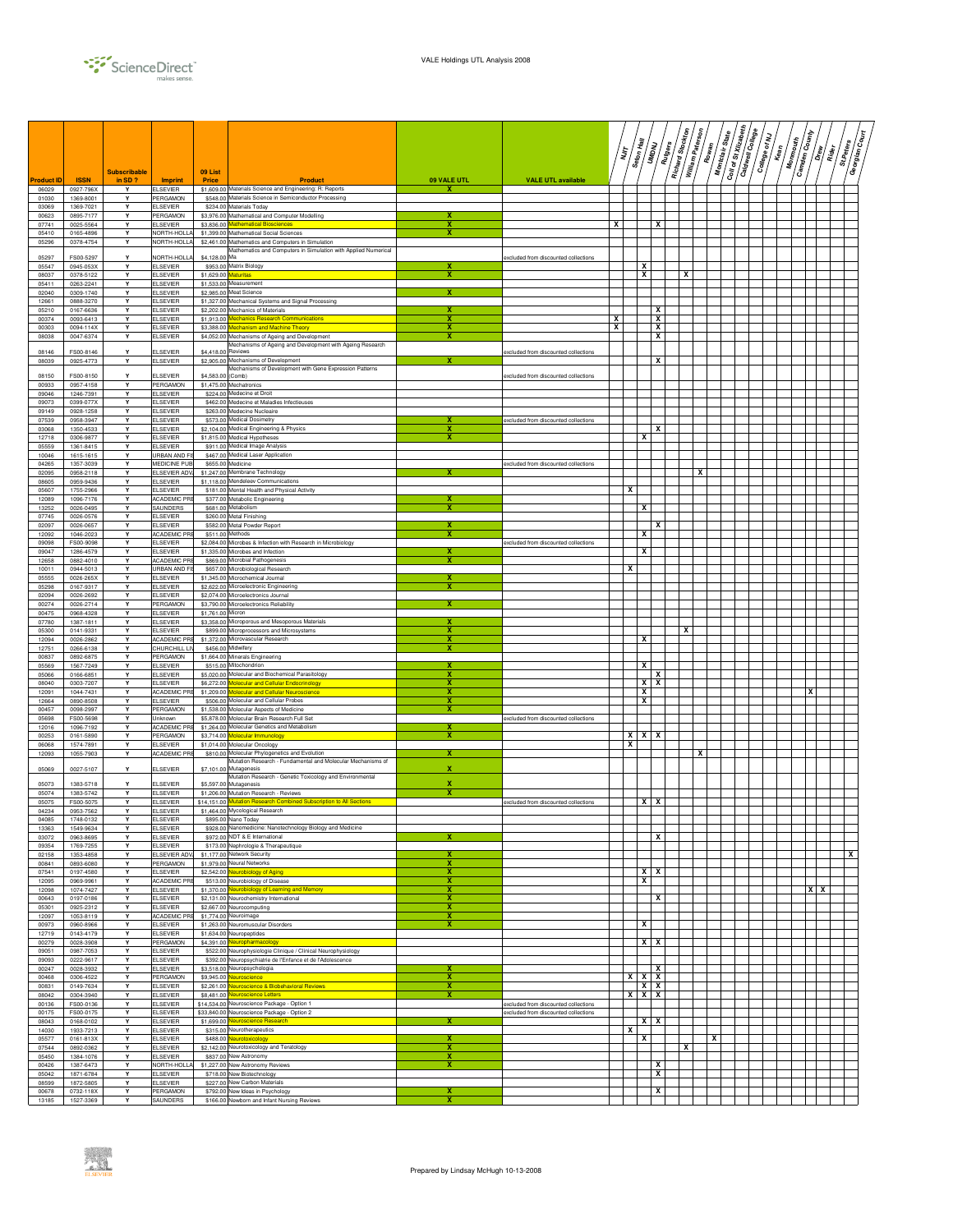

|                   |                        | <b>Subscribable</b> |                                         | 09 List              |                                                                                                                             |                         |                                                                               |   | דן<br>דו | Seton Hall              | <b>UNDNU</b>            | Richard Stockton<br>Rutgers | William Paterson | Rowan | Montclair State | $\boxed{\frac{C_{0ll}}{\sigma\ell\,S\ell\,Xllzab_{0\ell\ell\ell}}$<br>Caldwell College | College of NJ | $\sqrt{\frac{2}{n}}$ | Monmouth | <b>Camden County</b><br>  -<br>  1 | Rider<br>R | / โัฐ<br>St.Peters<br>Georgian |  |
|-------------------|------------------------|---------------------|-----------------------------------------|----------------------|-----------------------------------------------------------------------------------------------------------------------------|-------------------------|-------------------------------------------------------------------------------|---|----------|-------------------------|-------------------------|-----------------------------|------------------|-------|-----------------|----------------------------------------------------------------------------------------|---------------|----------------------|----------|------------------------------------|------------|--------------------------------|--|
| <b>Product ID</b> | <b>ISSN</b>            | in $SD$ ?           | <b>Imprint</b>                          | Price                | Product                                                                                                                     | 09 VALE UTL             | <b>VALE UTL available</b>                                                     |   |          |                         |                         |                             |                  |       |                 |                                                                                        |               |                      |          |                                    |            |                                |  |
| 06029<br>01030    | 0927-796X<br>1369-8001 | Y<br>Y              | <b>ELSEVIER</b><br>PERGAMON             |                      | \$1,609.00 Materials Science and Engineering: R: Reports<br>\$548.00 Materials Science in Semiconductor Processing          | x                       |                                                                               |   |          |                         |                         |                             |                  |       |                 |                                                                                        |               |                      |          |                                    |            |                                |  |
| 03069<br>00623    | 1369-7021<br>0895-7177 | Y<br>Y              | <b>ELSEVIER</b><br>PERGAMON             |                      | \$234.00 Materials Today<br>\$3,976.00 Mathematical and Computer Modelling                                                  | x                       |                                                                               |   |          |                         |                         |                             |                  |       |                 |                                                                                        |               |                      |          |                                    |            |                                |  |
| 07741             | 0025-5564              | Y                   | <b>ELSEVIER</b>                         |                      | \$3,836.00 Mathematical Biosciences                                                                                         | х                       |                                                                               | x |          |                         | x                       |                             |                  |       |                 |                                                                                        |               |                      |          |                                    |            |                                |  |
| 05410<br>05296    | 0165-4896<br>0378-4754 | Y<br>Y              | <b>JORTH-HOLL</b><br>NORTH-HOLLA        |                      | \$1,399.00 Mathematical Social Sciences<br>\$2,461.00 Mathematics and Computers in Simulation                               | х                       |                                                                               |   |          |                         |                         |                             |                  |       |                 |                                                                                        |               |                      |          |                                    |            |                                |  |
|                   |                        |                     |                                         |                      | Mathematics and Computers in Simulation with Applied Numerical                                                              |                         |                                                                               |   |          |                         |                         |                             |                  |       |                 |                                                                                        |               |                      |          |                                    |            |                                |  |
| 05297<br>05547    | FS00-5297<br>0945-053X | Y<br>Y              | <b>VORTH-HOLL</b><br>ELSEVIER           | \$4,128,00 Ma        | \$953.00 Matrix Biology                                                                                                     |                         | xcluded from discounted collections                                           |   |          | x                       |                         |                             |                  |       |                 |                                                                                        |               |                      |          |                                    |            |                                |  |
| 08037             | 0378-5122              | Y                   | <b>ELSEVIER</b>                         | \$1,629.00 Maturitas |                                                                                                                             | x                       |                                                                               |   |          | x                       |                         |                             | x                |       |                 |                                                                                        |               |                      |          |                                    |            |                                |  |
| 05411<br>02040    | 0263-2241<br>0309-1740 | Y<br>Y              | <b>ELSEVIER</b><br><b>ELSEVIER</b>      |                      | \$1,533.00 Measurement<br>\$2,985.00 Meat Science                                                                           | x                       |                                                                               |   |          |                         |                         |                             |                  |       |                 |                                                                                        |               |                      |          |                                    |            |                                |  |
| 12661             | 0888-3270              | Y<br>Y              | <b>ELSEVIER</b>                         |                      | \$1,327,00 Mechanical Systems and Signal Processing<br>\$2,202.00 Mechanics of Materials                                    |                         |                                                                               |   |          |                         | x                       |                             |                  |       |                 |                                                                                        |               |                      |          |                                    |            |                                |  |
| 05210<br>00374    | 0167-6636<br>0093-6413 | Y                   | <b>ELSEVIER</b><br><b>ELSEVIER</b>      |                      | \$1,913.00 Mechanics Research Communications                                                                                | х                       |                                                                               | х |          |                         | x                       |                             |                  |       |                 |                                                                                        |               |                      |          |                                    |            |                                |  |
| 00303<br>08038    | 0094-114X<br>0047-6374 | Y<br>Y              | <b>ELSEVIER</b><br><b>ELSEVIER</b>      |                      | \$3,388.00 Mechanism and Machine Theory<br>\$4,052,00 Mechanisms of Ageing and Development                                  | x<br>x                  |                                                                               | X |          |                         | x<br>x                  |                             |                  |       |                 |                                                                                        |               |                      |          |                                    |            |                                |  |
|                   |                        |                     |                                         |                      | Mechanisms of Ageing and Development with Ageing Research                                                                   |                         |                                                                               |   |          |                         |                         |                             |                  |       |                 |                                                                                        |               |                      |          |                                    |            |                                |  |
| 08146<br>08039    | FS00-8146<br>0925-4773 | v<br>Y              | ELSEVIER<br><b>ELSEVIER</b>             | \$4,418.00 Reviews   | \$2,905.00 Mechanisms of Development                                                                                        | x                       | excluded from discounted collections                                          |   |          |                         | x                       |                             |                  |       |                 |                                                                                        |               |                      |          |                                    |            |                                |  |
| 08150             | FS00-8150              | Υ                   | <b>ELSEVIER</b>                         | \$4,583,00 (Comb)    | Mechanisms of Development with Gene Expression Patterns                                                                     |                         | xcluded from discounted collections                                           |   |          |                         |                         |                             |                  |       |                 |                                                                                        |               |                      |          |                                    |            |                                |  |
| 00933             | 0957-4158              | Y                   | PERGAMON                                |                      | \$1,475.00 Mechatronics                                                                                                     |                         |                                                                               |   |          |                         |                         |                             |                  |       |                 |                                                                                        |               |                      |          |                                    |            |                                |  |
| 09046<br>09073    | 1246-7391<br>0399-077X | Y<br>Y              | <b>ELSEVIER</b><br><b>ELSEVIER</b>      |                      | \$224.00 Medecine et Droit<br>\$462.00 Medecine et Maladies Infectieuses                                                    |                         |                                                                               |   |          |                         |                         |                             |                  |       |                 |                                                                                        |               |                      |          |                                    |            |                                |  |
| 09149             | 0928-1258              | Y                   | <b>ELSEVIER</b>                         |                      | \$263.00 Medecine Nucleaire                                                                                                 |                         |                                                                               |   |          |                         |                         |                             |                  |       |                 |                                                                                        |               |                      |          |                                    |            |                                |  |
| 07539<br>03068    | 0958-3947<br>1350-4533 | Y<br>Y              | ELSEVIER<br><b>ELSEVIER</b>             |                      | \$573.00 Medical Dosimetry<br>\$2,104.00 Medical Engineering & Physics                                                      | x                       | excluded from discounted collections                                          |   |          |                         | x                       |                             |                  |       |                 |                                                                                        |               |                      |          |                                    |            |                                |  |
| 12718             | 0306-9877              | Y                   | <b>ELSEVIER</b>                         |                      | \$1,815.00 Medical Hypotheses                                                                                               | $\overline{\mathbf{x}}$ |                                                                               |   |          | x                       |                         |                             |                  |       |                 |                                                                                        |               |                      |          |                                    |            |                                |  |
| 05559<br>10046    | 1361-8415<br>1615-1615 | Y<br>Y              | <b>ELSEVIER</b><br>URBAN AND FI         |                      | \$911.00 Medical Image Analysis<br>\$467.00 Medical Laser Application                                                       |                         |                                                                               |   |          |                         |                         |                             |                  |       |                 |                                                                                        |               |                      |          |                                    |            |                                |  |
| 04265             | 1357-3039              | Y                   | MEDICINE PUB                            |                      | \$655.00 Medicine                                                                                                           |                         | excluded from discounted collections                                          |   |          |                         |                         |                             |                  |       |                 |                                                                                        |               |                      |          |                                    |            |                                |  |
| 02095<br>08605    | 0958-2118<br>0959-9436 | Y<br>Y              | <b>FI SEVIER ADV</b><br><b>ELSEVIER</b> |                      | \$1,247.00 Membrane Technology<br>\$1.118.00 Mendeleev Communications                                                       | x                       |                                                                               |   |          |                         |                         |                             |                  | x     |                 |                                                                                        |               |                      |          |                                    |            |                                |  |
| 05607             | 1755-2966              | Y                   | ELSEVIER                                |                      | \$181.00 Mental Health and Physical Activity                                                                                |                         |                                                                               |   | x        |                         |                         |                             |                  |       |                 |                                                                                        |               |                      |          |                                    |            |                                |  |
| 12089             | 1096-7176              | Y                   | ACADEMIC PRI                            |                      | \$377.00 Metabolic Engineering                                                                                              |                         |                                                                               |   |          |                         |                         |                             |                  |       |                 |                                                                                        |               |                      |          |                                    |            |                                |  |
| 13252<br>07745    | 0026-0495<br>0026-0576 | Υ<br>Y              | SAUNDERS<br><b>ELSEVIER</b>             |                      | \$681.00 Metabolism<br>\$260.00 Metal Finishing                                                                             | x                       |                                                                               |   |          | x                       |                         |                             |                  |       |                 |                                                                                        |               |                      |          |                                    |            |                                |  |
| 02097             | 0026-0657              | Y                   | <b>ELSEVIER</b>                         |                      | \$582.00 Metal Powder Report                                                                                                | x                       |                                                                               |   |          |                         | x                       |                             |                  |       |                 |                                                                                        |               |                      |          |                                    |            |                                |  |
| 12092<br>09098    | 1046-2023<br>FS00-9098 | Y<br>Y              | ACADEMIC PR<br><b>ELSEVIER</b>          |                      | \$511.00 Methods<br>\$2,084.00 Microbes & Infection with Research in Microbiology                                           | х                       | excluded from discounted collections                                          |   |          | x                       |                         |                             |                  |       |                 |                                                                                        |               |                      |          |                                    |            |                                |  |
| 09047             | 1286-4579              | Y                   | <b>ELSEVIER</b>                         |                      | \$1,335.00 Microbes and Infection                                                                                           | x                       |                                                                               |   |          | x                       |                         |                             |                  |       |                 |                                                                                        |               |                      |          |                                    |            |                                |  |
| 12658<br>10011    | 0882-4010<br>0944-5013 | Y<br>Y              | ACADEMIC PRE<br><b>JRBAN AND FI</b>     |                      | \$869.00 Microbial Pathogenesis<br>\$657.00 Microbiological Research                                                        | x                       |                                                                               |   | x        |                         |                         |                             |                  |       |                 |                                                                                        |               |                      |          |                                    |            |                                |  |
| 05555             | 0026-265X              | Y                   | <b>ELSEVIER</b>                         |                      | \$1,345.00 Microchemical Journal                                                                                            |                         |                                                                               |   |          |                         |                         |                             |                  |       |                 |                                                                                        |               |                      |          |                                    |            |                                |  |
| 05298<br>02094    | 0167-9317<br>0026-2692 | Y<br>Y              | <b>ELSEVIER</b><br><b>ELSEVIER</b>      |                      | \$2,622.00 Microelectronic Engineering<br>\$2,074.00 Microelectronics Journal                                               | $\overline{\mathbf{x}}$ |                                                                               |   |          |                         |                         |                             |                  |       |                 |                                                                                        |               |                      |          |                                    |            |                                |  |
| 00274             | 0026-2714              | Y                   | PERGAMON                                |                      | \$3,790.00 Microelectronics Reliability                                                                                     | x                       |                                                                               |   |          |                         |                         |                             |                  |       |                 |                                                                                        |               |                      |          |                                    |            |                                |  |
| 00475<br>07780    | 0968-4328<br>1387-1811 | Y<br>Y              | <b>ELSEVIER</b><br><b>ELSEVIER</b>      | \$1,761.00 Micron    | \$3,358.00 Microporous and Mesoporous Materials                                                                             | x                       |                                                                               |   |          |                         |                         |                             |                  |       |                 |                                                                                        |               |                      |          |                                    |            |                                |  |
| 05300             | 0141-9331              | Y                   | <b>ELSEVIER</b>                         |                      | \$899.00 Microprocessors and Microsystems                                                                                   | X                       |                                                                               |   |          |                         |                         |                             | x                |       |                 |                                                                                        |               |                      |          |                                    |            |                                |  |
| 12094<br>12751    | 0026-2862<br>0266-6138 | Y<br>Y              | ACADEMIC PRI<br>CHURCHILL LI            |                      | \$1,372.00 Microvascular Research<br>\$456.00 Midwifery                                                                     | x<br>x                  |                                                                               |   |          |                         |                         |                             |                  |       |                 |                                                                                        |               |                      |          |                                    |            |                                |  |
| 00837             | 0892-6875              | Y                   | PERGAMON                                |                      | \$1,664.00 Minerals Engineering                                                                                             |                         |                                                                               |   |          |                         |                         |                             |                  |       |                 |                                                                                        |               |                      |          |                                    |            |                                |  |
| 05569             | 1567-7249              | Y<br>Y              | <b>ELSEVIER</b>                         |                      | \$515.00 Mitochondrion                                                                                                      | x<br>x                  |                                                                               |   |          | x                       |                         |                             |                  |       |                 |                                                                                        |               |                      |          |                                    |            |                                |  |
| 05066<br>08040    | 0166-6851<br>0303-7207 | Y                   | <b>ELSEVIER</b><br><b>ELSEVIER</b>      |                      | \$5,020.00 Molecular and Biochemical Parasitology<br>\$6,272.00 Molecular and Cellular Endocrinology                        | х                       |                                                                               |   |          |                         | x<br>$X$   $X$          |                             |                  |       |                 |                                                                                        |               |                      |          |                                    |            |                                |  |
| 12091<br>12664    | 1044-7431<br>0890-8508 | Y<br>Y              | ACADEMIC PR<br><b>ELSEVIER</b>          |                      | \$1,209.00 Molecular and Cellular Neuroscience<br>\$506.00 Molecular and Cellular Probes                                    | х<br>х                  |                                                                               |   |          | x<br>x                  |                         |                             |                  |       |                 |                                                                                        |               |                      |          |                                    |            |                                |  |
| 00457             | 0098-2997              | Y                   | <b>ERGAMON</b>                          |                      | \$1,538.00 Molecular Aspects of Medicine                                                                                    | х                       |                                                                               |   |          |                         |                         |                             |                  |       |                 |                                                                                        |               |                      |          |                                    |            |                                |  |
| 05698             | FS00-5698              | Y                   | Jnknown                                 |                      | \$5,878.00 Molecular Brain Research Full Set                                                                                |                         | excluded from discounted collections                                          |   |          |                         |                         |                             |                  |       |                 |                                                                                        |               |                      |          |                                    |            |                                |  |
| 12016<br>00253    | 1096-7192<br>0161-5890 | Y<br>Y              | ACADEMIC PR<br>PERGAMON                 |                      | \$1,264.00 Molecular Genetics and Metabolism<br>\$3,714.00 Molecular Immunology                                             | x                       |                                                                               |   | x        |                         | $x \mid x$              |                             |                  |       |                 |                                                                                        |               |                      |          |                                    |            |                                |  |
| 06068             | 1574-7891              | Y                   | <b>ELSEVIER</b>                         |                      | \$1.014.00 Molecular Oncology                                                                                               |                         |                                                                               |   | x        |                         |                         |                             |                  |       |                 |                                                                                        |               |                      |          |                                    |            |                                |  |
| 12093             | 1055-7903              | Y                   | ACADEMIC PR                             |                      | \$810.00 Molecular Phylogenetics and Evolution<br>Mutation Research - Fundamental and Molecular Mechanisms of               | х                       |                                                                               |   |          |                         |                         |                             |                  | x     |                 |                                                                                        |               |                      |          |                                    |            |                                |  |
| 05069             | 0027-5107              | Y                   | ELSEVIER                                |                      | \$7,101.00 Mutagenesis<br>Mutation Research - Genetic Toxicology and Environmental                                          | $\mathbf{x}$            |                                                                               |   |          |                         |                         |                             |                  |       |                 |                                                                                        |               |                      |          |                                    |            |                                |  |
| 05073             | 1383-5718              | Y                   | ELSEVIER                                |                      | \$5,597.00 Mutagenesis                                                                                                      | $\mathbf x$             |                                                                               |   |          |                         |                         |                             |                  |       |                 |                                                                                        |               |                      |          |                                    |            |                                |  |
| 05074<br>05075    | 1383-5742<br>FS00-5075 | Y<br>Y              | <b>ELSEVIER</b><br><b>ELSEVIER</b>      |                      | \$1,206.00 Mutation Research - Reviews<br>\$14,151.00 Mutation Research Combined Subscription to All Sections               | x                       | xcluded from discounted collections                                           |   |          |                         | $x \mid x$              |                             |                  |       |                 |                                                                                        |               |                      |          |                                    |            |                                |  |
| 04234<br>04085    | 0953-7562<br>1748-0132 | Y                   | <b>ELSEVIER</b><br><b>FLSEVIER</b>      |                      | \$1,464.00 Mycological Research<br>\$895.00 Nano Today                                                                      |                         |                                                                               |   |          |                         |                         |                             |                  |       |                 |                                                                                        |               |                      |          |                                    |            |                                |  |
| 13363             | 1549-9634              | Y                   | <b>ELSEVIER</b>                         |                      | \$928.00 Nanomedicine: Nanotechnology Biology and Medicine                                                                  |                         |                                                                               |   |          |                         |                         |                             |                  |       |                 |                                                                                        |               |                      |          |                                    |            |                                |  |
| 03072             | 0963-8695              | Y                   | <b>ELSEVIER</b>                         |                      | \$972.00 NDT & E International                                                                                              | x                       |                                                                               |   |          |                         | x                       |                             |                  |       |                 |                                                                                        |               |                      |          |                                    |            |                                |  |
| 09354<br>02158    | 1769-7255<br>1353-4858 | Y<br>Y              | <b>ELSEVIER</b><br>ELSEVIER ADV.        |                      | \$173.00 Nephrologie & Therapeutique<br>\$1.177.00 Network Security                                                         | х                       |                                                                               |   |          |                         |                         |                             |                  |       |                 |                                                                                        |               |                      |          |                                    |            | x                              |  |
| 00841             | 0893-6080              | Y<br>Y              | PERGAMON                                |                      | \$1,979.00 Neural Networks                                                                                                  | X<br>x                  |                                                                               |   |          |                         | $x \mid x$              |                             |                  |       |                 |                                                                                        |               |                      |          |                                    |            |                                |  |
| 07541<br>12095    | 0197-4580<br>0969-9961 | Y                   | <b>ELSEVIER</b><br>ACADEMIC PRI         |                      | \$2,542.00 Neurobiology of Aging<br>\$513.00 Neurobiology of Disease                                                        | $\overline{\mathbf{x}}$ |                                                                               |   |          | $\overline{\mathbf{x}}$ |                         |                             |                  |       |                 |                                                                                        |               |                      |          |                                    |            |                                |  |
| 12098             | 1074-7427              | Y                   | <b>ELSEVIER</b>                         |                      | \$1,370.00 Neurobiology of Learning and Memory                                                                              | x                       |                                                                               |   |          |                         |                         |                             |                  |       |                 |                                                                                        |               |                      |          | <b>XX</b>                          |            |                                |  |
| 00643<br>05301    | 0197-0186<br>0925-2312 | Y<br>Y              | <b>ELSEVIER</b><br><b>ELSEVIER</b>      |                      | \$2,131.00 Neurochemistry International<br>\$2,667.00 Neurocomputing                                                        | x<br>х                  |                                                                               |   |          |                         | x                       |                             |                  |       |                 |                                                                                        |               |                      |          |                                    |            |                                |  |
| 12097             | 1053-8119              | Y                   | ACADEMIC PR                             |                      | \$1,774.00 Neuroimage                                                                                                       | x                       |                                                                               |   |          |                         |                         |                             |                  |       |                 |                                                                                        |               |                      |          |                                    |            |                                |  |
| 00973<br>12719    | 0960-8966<br>0143-4179 | Y<br>Y              | <b>ELSEVIER</b><br>ELSEVIER             |                      | \$1,263.00 Neuromuscular Disorders<br>\$1,634.00 Neuropeptides                                                              | х                       |                                                                               |   |          | x                       |                         |                             |                  |       |                 |                                                                                        |               |                      |          |                                    |            |                                |  |
| 00279             | 0028-3908              | Y                   | PERGAMON                                |                      | \$4,391.00 Neuropharmacology                                                                                                |                         |                                                                               |   |          |                         | $X$ $X$                 |                             |                  |       |                 |                                                                                        |               |                      |          |                                    |            |                                |  |
| 09051<br>09093    | 0987-7053<br>0222-9617 | Υ<br>Y              | <b>ELSEVIER</b><br><b>ELSEVIER</b>      |                      | \$522.00 Neurophysiologie Clinique / Clinical Neurophysiology<br>\$392.00 Neuropsychiatrie de l'Enfance et de l'Adolescence |                         |                                                                               |   |          |                         |                         |                             |                  |       |                 |                                                                                        |               |                      |          |                                    |            |                                |  |
| 00247             | 0028-3932              | Y                   | <b>ELSEVIER</b>                         |                      | \$3,518.00 Neuropsychologia                                                                                                 | x                       |                                                                               |   |          |                         | x                       |                             |                  |       |                 |                                                                                        |               |                      |          |                                    |            |                                |  |
| 00468<br>00831    | 0306-4522<br>0149-7634 | Y<br>Y              | PERGAMON<br><b>ELSEVIER</b>             |                      | \$9,945.00 Neuroscience<br>\$2,261.00 Neuroscience & Biobehavioral Reviews                                                  | x<br>х                  |                                                                               |   | x        |                         | $x \mid x$<br>$X$   $X$ |                             |                  |       |                 |                                                                                        |               |                      |          |                                    |            |                                |  |
| 08042             | 0304-3940              | Y                   | <b>ELSEVIER</b>                         |                      | \$8,481.00 Neuroscience Letters                                                                                             | x                       |                                                                               |   | x        |                         | $x \overline{x}$        |                             |                  |       |                 |                                                                                        |               |                      |          |                                    |            |                                |  |
| 00136<br>00175    | FS00-0136<br>FS00-0175 | Y<br>Y              | <b>ELSEVIER</b><br>ELSEVIER             |                      | \$14.534.00 Neuroscience Package - Option 1<br>\$33,840.00 Neuroscience Package - Option 2                                  |                         | excluded from discounted collections.<br>excluded from discounted collections |   |          |                         |                         |                             |                  |       |                 |                                                                                        |               |                      |          |                                    |            |                                |  |
| 08043             | 0168-0102              | Y                   | <b>ELSEVIER</b>                         |                      | \$1,699.00 Neuroscience Research                                                                                            | X                       |                                                                               |   |          |                         | $X$   $X$               |                             |                  |       |                 |                                                                                        |               |                      |          |                                    |            |                                |  |
| 14030<br>05577    | 1933-7213<br>0161-813X | Y<br>Y              | ELSEVIER<br><b>ELSEVIER</b>             |                      | \$315.00 Neurotherapeutics<br>\$488.00 Neurotoxicology                                                                      | x                       |                                                                               |   | X        | x                       |                         |                             |                  |       | $\mathbf{x}$    |                                                                                        |               |                      |          |                                    |            |                                |  |
| 07544             | 0892-0362              | Y                   | <b>ELSEVIER</b>                         |                      | \$2,142.00 Neurotoxicology and Teratology                                                                                   | x                       |                                                                               |   |          |                         |                         |                             | x                |       |                 |                                                                                        |               |                      |          |                                    |            |                                |  |
| 05450<br>00426    | 1384-1076<br>1387-6473 | Y<br>Y              | <b>ELSEVIER</b><br>NORTH-HOLLA          |                      | \$837.00 New Astronomy<br>\$1,227.00 New Astronomy Reviews                                                                  | х<br>х                  |                                                                               |   |          |                         | x                       |                             |                  |       |                 |                                                                                        |               |                      |          |                                    |            |                                |  |
| 05042             | 1871-6784              | Y                   | <b>ELSEVIER</b>                         |                      | \$718.00 New Biotechnology                                                                                                  |                         |                                                                               |   |          |                         | x                       |                             |                  |       |                 |                                                                                        |               |                      |          |                                    |            |                                |  |
| 08599<br>00678    | 1872-5805<br>0732-118X | Y<br>Y              | ELSEVIER<br>PERGAMON                    |                      | \$227.00 New Carbon Materials<br>\$792.00 New Ideas in Psychology                                                           |                         |                                                                               |   |          |                         | X                       |                             |                  |       |                 |                                                                                        |               |                      |          |                                    |            |                                |  |
| 13185             | 1527-3369              | Y                   | SAUNDERS                                |                      | \$166.00 Newborn and Infant Nursing Reviews                                                                                 | x                       |                                                                               |   |          |                         |                         |                             |                  |       |                 |                                                                                        |               |                      |          |                                    |            |                                |  |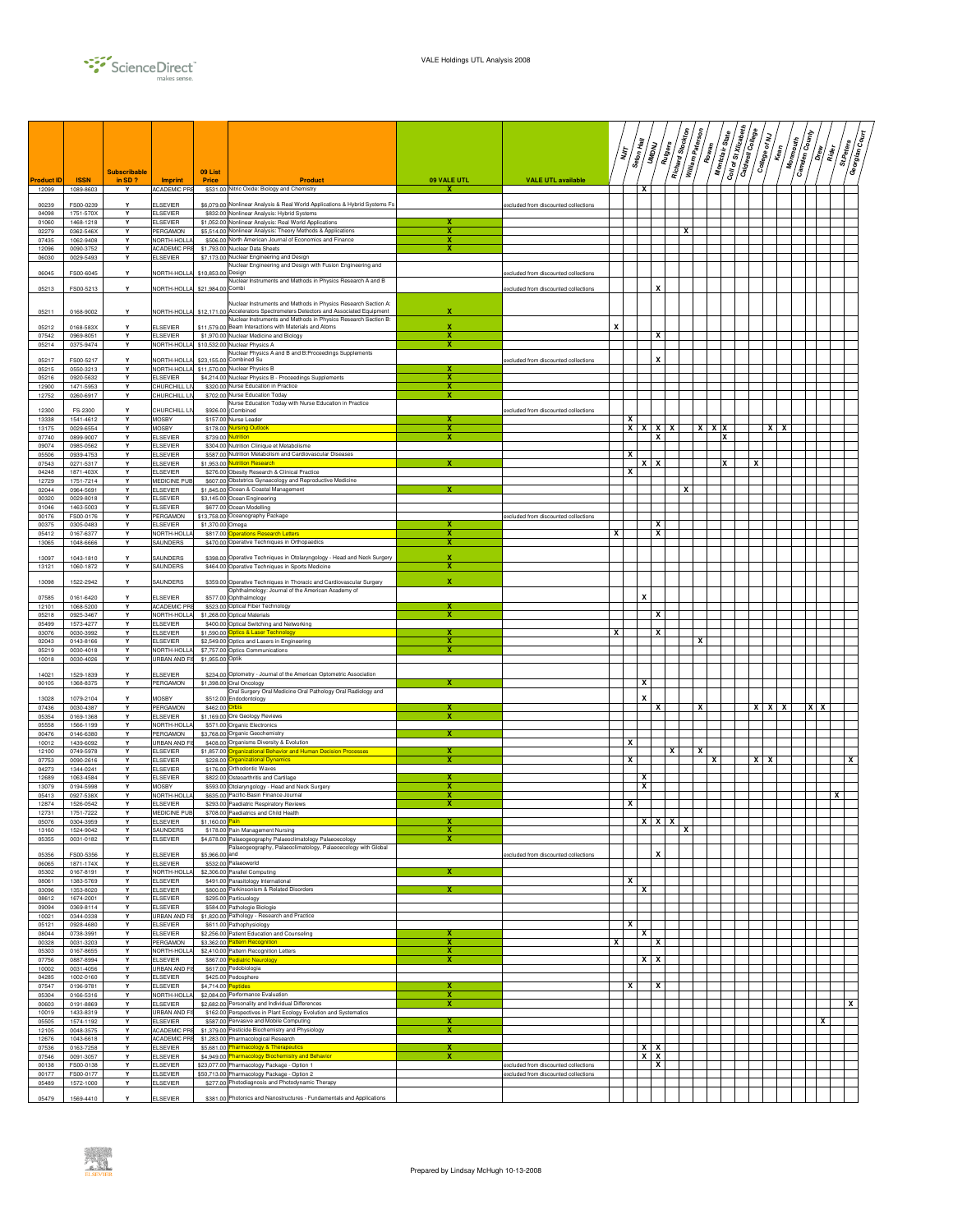

|                     |                          | <b>Subscribable</b> |                                         | 09 List                |                                                                                                                                             |                         |                                      |   | יל<br>ג | Seton Hall<br>UMDNU | <b>Rutgers</b> | Richard Stockton | William Paterson | Rowan             | Coll of St Xilzabeth<br>$s_{\text{tare}}$<br>Montclair | Caldwell College | College of NJ | Kean | <b>Camden County</b><br><b>Monmouth</b> | -<br>  10 <br>Rider<br>R | St.Peters | हु<br> हु<br>Georgian |
|---------------------|--------------------------|---------------------|-----------------------------------------|------------------------|---------------------------------------------------------------------------------------------------------------------------------------------|-------------------------|--------------------------------------|---|---------|---------------------|----------------|------------------|------------------|-------------------|--------------------------------------------------------|------------------|---------------|------|-----------------------------------------|--------------------------|-----------|-----------------------|
| Product ID<br>12099 | <b>ISSN</b><br>1089-8603 | in $SD$ ?<br>Y      | <b>Imprint</b><br>ACADEMIC PRE          | Price                  | <b>Product</b><br>\$531.00 Nitric Oxide: Biology and Chemistry                                                                              | 09 VALE UTL<br>x        | <b>VALE UTL available</b>            |   |         | x                   |                |                  |                  |                   |                                                        |                  |               |      |                                         |                          |           |                       |
| 00239               | FS00-0239                |                     | <b>ELSEVIER</b>                         |                        | \$6,079.00 Nonlinear Analysis & Real World Applications & Hybrid Systems Fs                                                                 |                         | excluded from discounted collections |   |         |                     |                |                  |                  |                   |                                                        |                  |               |      |                                         |                          |           |                       |
| 04098<br>01060      | 1751-570X<br>1468-1218   | Y<br>Y              | <b>ELSEVIER</b><br><b>ELSEVIER</b>      |                        | \$832.00 Nonlinear Analysis: Hybrid Systems<br>\$1,052.00 Nonlinear Analysis: Real World Applications                                       | x                       |                                      |   |         |                     |                |                  |                  |                   |                                                        |                  |               |      |                                         |                          |           |                       |
| 02279<br>07435      | 0362-546X<br>1062-9408   | Y<br>Y              | PERGAMON<br>NORTH-HOLLA                 |                        | \$5,514.00 Nonlinear Analysis: Theory Methods & Applications<br>\$506.00 North American Journal of Economics and Finance                    | x<br>х                  |                                      |   |         |                     |                |                  | x                |                   |                                                        |                  |               |      |                                         |                          |           |                       |
| 12096               | 0090-3752                | Y                   | <b>ACADEMIC PRE</b>                     |                        | \$1,793.00 Nuclear Data Sheets                                                                                                              | x                       |                                      |   |         |                     |                |                  |                  |                   |                                                        |                  |               |      |                                         |                          |           |                       |
| 06030               | 0029-5493                | Υ                   | <b>ELSEVIER</b>                         |                        | \$7,173.00 Nuclear Engineering and Design<br>Nuclear Engineering and Design with Fusion Engineering and                                     |                         |                                      |   |         |                     |                |                  |                  |                   |                                                        |                  |               |      |                                         |                          |           |                       |
| 06045               | FS00-6045                | Y                   | NORTH-HOLLA                             | \$10,853.00 Design     | Nuclear Instruments and Methods in Physics Research A and B                                                                                 |                         | excluded from discounted collections |   |         |                     |                |                  |                  |                   |                                                        |                  |               |      |                                         |                          |           |                       |
| 05213               | FS00-5213                | Y                   | NORTH-HOLL                              | \$21,984.00            | Combi                                                                                                                                       |                         | excluded from discounted collections |   |         |                     | X              |                  |                  |                   |                                                        |                  |               |      |                                         |                          |           |                       |
| 05211               | 0168-9002                | Y                   | NORTH-HOLLA                             |                        | Nuclear Instruments and Methods in Physics Research Section A:<br>\$12,171.00 Accelerators Spectrometers Detectors and Associated Equipment | x                       |                                      |   |         |                     |                |                  |                  |                   |                                                        |                  |               |      |                                         |                          |           |                       |
| 05212               | 0168-583X                | Y                   | <b>ELSEVIER</b>                         |                        | Nuclear Instruments and Methods in Physics Research Section B:<br>\$11,579.00 Beam Interactions with Materials and Atoms                    | $\mathbf x$             |                                      | x |         |                     |                |                  |                  |                   |                                                        |                  |               |      |                                         |                          |           |                       |
| 07542               | 0969-8051                | Y                   | <b>ELSEVIER</b>                         |                        | \$1,970.00 Nuclear Medicine and Biology                                                                                                     | x                       |                                      |   |         |                     | x              |                  |                  |                   |                                                        |                  |               |      |                                         |                          |           |                       |
| 05214               | 0375-9474                | Y                   | NORTH-HOLL/                             |                        | \$10,532.00 Nuclear Physics A<br>Nuclear Physics A and B and B:Proceedings Supplements                                                      | x                       |                                      |   |         |                     |                |                  |                  |                   |                                                        |                  |               |      |                                         |                          |           |                       |
| 05217<br>05215      | FS00-5217<br>0550-3213   | Y<br>Y              | NORTH-HOLL<br>NORTH-HOLLA               |                        | \$23.155.00 Combined Su<br>\$11,570.00 Nuclear Physics B                                                                                    |                         | excluded from discounted collections |   |         |                     | X              |                  |                  |                   |                                                        |                  |               |      |                                         |                          |           |                       |
| 05216<br>12900      | 0920-5632<br>1471-5953   | Y<br>Y              | <b>ELSEVIER</b><br>CHURCHILL LI         |                        | \$4,214.00 Nuclear Physics B - Proceedings Supplements<br>\$320.00 Nurse Education in Practice                                              | X<br>x                  |                                      |   |         |                     |                |                  |                  |                   |                                                        |                  |               |      |                                         |                          |           |                       |
| 12752               | 0260-6917                | Y                   | CHURCHILL LIV                           |                        | \$702.00 Nurse Education Today                                                                                                              | x                       |                                      |   |         |                     |                |                  |                  |                   |                                                        |                  |               |      |                                         |                          |           |                       |
| 12300               | FS-2300                  | Y                   | CHURCHILL LI                            |                        | Nurse Education Today with Nurse Education in Practice<br>\$926.00 (Combined                                                                |                         | excluded from discounted collections |   |         |                     |                |                  |                  |                   |                                                        |                  |               |      |                                         |                          |           |                       |
| 13338<br>13175      | 1541-4612<br>0029-6554   | Υ<br>Y              | <b>MOSBY</b><br><b>MOSBY</b>            |                        | \$157.00 Nurse Leader<br>\$178.00 Nursing Outlook                                                                                           | x                       |                                      |   | x<br>X  | $\mathbf{x}$        | $X$ $X$        |                  |                  | $x \mid x \mid x$ |                                                        |                  | $X$ $X$       |      |                                         |                          |           |                       |
| 07740<br>09074      | 0899-9007<br>0985-0562   | Y<br>Y              | <b>ELSEVIER</b><br><b>ELSEVIER</b>      |                        | \$739.00 Nutrition<br>\$304.00 Nutrition Clinique et Metabolisme                                                                            | x                       |                                      |   |         |                     | x              |                  |                  |                   | x                                                      |                  |               |      |                                         |                          |           |                       |
| 05506               | 0939-4753                | Υ                   | <b>ELSEVIER</b>                         |                        | \$587.00 Nutrition Metabolism and Cardiovascular Diseases                                                                                   |                         |                                      |   | х       |                     |                |                  |                  |                   |                                                        |                  |               |      |                                         |                          |           |                       |
| 07543<br>04248      | 0271-5317<br>1871-403X   | Υ<br>Y              | <b>ELSEVIER</b><br><b>ELSEVIER</b>      |                        | \$1,953.00 Nutrition Research<br>\$276.00 Obesity Research & Clinical Practice                                                              |                         |                                      |   | х       | x                   | x              |                  |                  |                   | x                                                      | x                |               |      |                                         |                          |           |                       |
| 12729               | 1751-7214                | Y                   | MEDICINE PUI                            |                        | \$607.00 Obstetrics Gynaecology and Reproductive Medicine                                                                                   |                         |                                      |   |         |                     |                |                  | x                |                   |                                                        |                  |               |      |                                         |                          |           |                       |
| 02044<br>00320      | 0964-5691<br>0029-8018   | Y<br>Y              | <b>ELSEVIER</b><br><b>ELSEVIER</b>      |                        | \$1,845.00 Ocean & Coastal Management<br>\$3,145.00 Ocean Engineering                                                                       |                         |                                      |   |         |                     |                |                  |                  |                   |                                                        |                  |               |      |                                         |                          |           |                       |
| 01046<br>00176      | 1463-5003<br>FS00-0176   | Y<br>Y              | <b>ELSEVIER</b><br>PERGAMON             |                        | \$677.00 Ocean Modelling<br>\$13,758.00 Oceanography Package                                                                                |                         | excluded from discounted collections |   |         |                     |                |                  |                  |                   |                                                        |                  |               |      |                                         |                          |           |                       |
| 00375               | 0305-0483                | Y                   | <b>ELSEVIER</b>                         | \$1,370.00 Omega       |                                                                                                                                             |                         |                                      |   |         |                     | x              |                  |                  |                   |                                                        |                  |               |      |                                         |                          |           |                       |
| 05412<br>13065      | 0167-6377<br>1048-6666   | Y<br>Υ              | NORTH-HOLLA<br>SAUNDERS                 |                        | \$817.00 Operations Research Letters<br>\$470.00 Operative Techniques in Orthopaedics                                                       | x<br>х                  |                                      | x |         |                     | x              |                  |                  |                   |                                                        |                  |               |      |                                         |                          |           |                       |
| 13097               | 1043-1810                | Y                   | SAUNDERS                                |                        | \$398.00 Operative Techniques in Otolaryngology - Head and Neck Surgery                                                                     | X                       |                                      |   |         |                     |                |                  |                  |                   |                                                        |                  |               |      |                                         |                          |           |                       |
| 13121               | 1060-1872                | Υ                   | SAUNDERS                                |                        | \$464.00 Operative Techniques in Sports Medicine                                                                                            | x                       |                                      |   |         |                     |                |                  |                  |                   |                                                        |                  |               |      |                                         |                          |           |                       |
| 13098               | 1522-2942                | Y                   | SAUNDERS                                |                        | \$359.00 Operative Techniques in Thoracic and Cardiovascular Surgery<br>Ophthalmology: Journal of the American Academy of                   | x                       |                                      |   |         |                     |                |                  |                  |                   |                                                        |                  |               |      |                                         |                          |           |                       |
| 07585               | 0161-6420                | Y                   | <b>ELSEVIER</b>                         |                        | \$577.00 Ophthalmology                                                                                                                      |                         |                                      |   |         | x                   |                |                  |                  |                   |                                                        |                  |               |      |                                         |                          |           |                       |
| 12101<br>05218      | 1068-5200<br>0925-3467   | Y<br>Y              | ACADEMIC PRE<br>NORTH-HOLLA             |                        | \$523.00 Optical Fiber Technology<br>\$1,268.00 Optical Materials                                                                           | x                       |                                      |   |         |                     | х              |                  |                  |                   |                                                        |                  |               |      |                                         |                          |           |                       |
| 05499<br>03076      | 1573-4277<br>0030-3992   | Y<br>Y              | <b>ELSEVIER</b><br><b>ELSEVIER</b>      |                        | \$400.00 Optical Switching and Networking<br>\$1,590.00 Optics & Laser Technology                                                           | x                       |                                      | х |         |                     | х              |                  |                  |                   |                                                        |                  |               |      |                                         |                          |           |                       |
| 02043               | 0143-8166                | Y                   | <b>ELSEVIER</b>                         |                        | \$2,549.00 Optics and Lasers in Engineering                                                                                                 | х                       |                                      |   |         |                     |                |                  | x                |                   |                                                        |                  |               |      |                                         |                          |           |                       |
| 05219<br>10018      | 0030-4018<br>0030-4026   | Υ<br>Υ              | NORTH-HOLLA<br>URBAN AND FIS            | \$1,955.00 Optik       | \$7,757.00 Optics Communications                                                                                                            | х                       |                                      |   |         |                     |                |                  |                  |                   |                                                        |                  |               |      |                                         |                          |           |                       |
| 14021               | 1529-1839                | Y                   | ELSEVIER                                |                        | \$234.00 Optometry - Journal of the American Optometric Association                                                                         |                         |                                      |   |         |                     |                |                  |                  |                   |                                                        |                  |               |      |                                         |                          |           |                       |
| 00105               | 1368-8375                | Y                   | PERGAMON                                |                        | \$1,398.00 Oral Oncology<br>Oral Surgery Oral Medicine Oral Pathology Oral Radiology and                                                    |                         |                                      |   |         | x                   |                |                  |                  |                   |                                                        |                  |               |      |                                         |                          |           |                       |
| 13028               | 1079-2104                | Y                   | <b>MOSBY</b>                            | \$512.0                | Endodontology                                                                                                                               |                         |                                      |   |         | x                   |                |                  |                  |                   |                                                        |                  |               |      | x                                       |                          |           |                       |
| 07436<br>05354      | 0030-4387<br>0169-1368   | Υ<br>Y              | PERGAMON<br><b>ELSEVIER</b>             | \$462.00 Orbis         | \$1,169.00 Ore Geology Reviews                                                                                                              | x<br>х                  |                                      |   |         |                     | x              |                  | x                |                   |                                                        |                  | $X$ $X$ $X$   |      |                                         |                          |           |                       |
| 05558<br>00476      | 1566-1199<br>0146-6380   | Υ<br>Y              | NORTH-HOLLA<br>PERGAMON                 |                        | \$571.00 Organic Electronics<br>\$3,768.00 Organic Geochemistry                                                                             | x                       |                                      |   |         |                     |                |                  |                  |                   |                                                        |                  |               |      |                                         |                          |           |                       |
| 10012               | 1439-6092                | Y                   | URBAN AND FI                            |                        | \$408.00 Organisms Diversity & Evolution                                                                                                    |                         |                                      |   | x       |                     |                |                  |                  |                   |                                                        |                  |               |      |                                         |                          |           |                       |
| 12100<br>07753      | 0749-5978<br>0090-2616   | Y<br>Y              | <b>ELSEVIER</b><br><b>ELSEVIER</b>      | \$1,857.00<br>\$228.00 | Irganizational Behavior and Human Decision Processes<br><b>Organizational Dynamics</b>                                                      | x                       |                                      |   | X       |                     |                | x                |                  | x                 |                                                        |                  | $X$   $X$     |      |                                         |                          | X         |                       |
| 04273<br>12689      | 1344-0241<br>1063-4584   | Y<br>Y              | <b>ELSEVIER</b><br><b>ELSEVIER</b>      |                        | \$176.00 Orthodontic Waves<br>\$822.00 Osteoarthritis and Cartilage                                                                         | x                       |                                      |   |         | x                   |                |                  |                  |                   |                                                        |                  |               |      |                                         |                          |           |                       |
| 13079               | 0194-5998                | Y                   | <b>MOSBY</b>                            |                        | \$593.00 Otolaryngology - Head and Neck Surgery                                                                                             | х                       |                                      |   |         | x                   |                |                  |                  |                   |                                                        |                  |               |      |                                         |                          |           |                       |
| 05413<br>12874      | 0927-538X<br>1526-0542   | Y<br>Y              | NORTH-HOLLA<br><b>ELSEVIER</b>          |                        | \$635.00 Pacific-Basin Finance Journal<br>\$293.00 Paediatric Respiratory Reviews                                                           | x<br>x                  |                                      |   | х       |                     |                |                  |                  |                   |                                                        |                  |               |      |                                         |                          | x         |                       |
| 12731<br>05076      | 1751-7222<br>0304-3959   | Y<br>Y              | MEDICINE PUB<br>ELSEVIER                | \$1,160.00             | \$708.00 Paediatrics and Child Health                                                                                                       |                         |                                      |   |         | л.                  | $\lambda$      | ^                |                  |                   |                                                        |                  |               |      |                                         |                          |           |                       |
| 13160               | 1524-9042                | Y                   | SAUNDERS                                |                        | \$178.00 Pain Management Nursing                                                                                                            | x<br>x                  |                                      |   |         |                     |                | X                |                  |                   |                                                        |                  |               |      |                                         |                          |           |                       |
| 05355               | 0031-0182                | Y                   | <b>ELSEVIER</b>                         |                        | \$4,678.00 Palaeogeography Palaeoclimatology Palaeoecology<br>Palaeogeography, Palaeoclimatology, Palaeoecology with Global                 |                         |                                      |   |         |                     |                |                  |                  |                   |                                                        |                  |               |      |                                         |                          |           |                       |
| 05356<br>06065      | FS00-5356<br>1871-174X   | Y<br>Y              | <b>ELSEVIER</b><br><b>ELSEVIER</b>      | \$5,966,00 and         | \$532.00 Palaeoworld                                                                                                                        |                         | excluded from discounted collections |   |         |                     | X              |                  |                  |                   |                                                        |                  |               |      |                                         |                          |           |                       |
| 05302<br>08061      | 0167-8191<br>1383-5769   | Υ<br>Y              | NORTH-HOLLA<br><b>ELSEVIER</b>          |                        | \$2,306.00 Parallel Computing<br>\$491.00 Parasitology International                                                                        | Х                       |                                      |   | X       |                     |                |                  |                  |                   |                                                        |                  |               |      |                                         |                          |           |                       |
| 03096               | 1353-8020                | Y                   | <b>ELSEVIER</b>                         |                        | \$800.00 Parkinsonism & Related Disorders                                                                                                   | x                       |                                      |   |         | x                   |                |                  |                  |                   |                                                        |                  |               |      |                                         |                          |           |                       |
| 08612<br>09094      | 1674-2001<br>0369-8114   | Y<br>Υ              | <b>ELSEVIER</b><br><b>ELSEVIER</b>      |                        | \$295.00 Particuology<br>\$584.00 Pathologie Biologie                                                                                       |                         |                                      |   |         |                     |                |                  |                  |                   |                                                        |                  |               |      |                                         |                          |           |                       |
| 10021<br>05121      | 0344-0338<br>0928-4680   | Y<br>Y              | <b>URBAN AND FIS</b><br><b>ELSEVIER</b> |                        | \$1,820.00 Pathology - Research and Practice<br>\$611.00 Pathophysiology                                                                    |                         |                                      |   | x       |                     |                |                  |                  |                   |                                                        |                  |               |      |                                         |                          |           |                       |
| 08044               | 0738-3991                | Y                   | <b>ELSEVIER</b>                         |                        | \$2,256.00 Patient Education and Counseling                                                                                                 |                         |                                      |   |         | x                   |                |                  |                  |                   |                                                        |                  |               |      |                                         |                          |           |                       |
| 00328<br>05303      | 0031-3203<br>0167-8655   | Y<br>Y              | PERGAMON<br>NORTH-HOLL/                 |                        | \$3,362.00 Pattern Recognition<br>\$2,410.00 Pattern Recognition Letters                                                                    | х<br>x                  |                                      | х |         |                     | x              |                  |                  |                   |                                                        |                  |               |      |                                         |                          |           |                       |
| 07756<br>10002      | 0887-8994<br>0031-4056   | Y<br>Y              | <b>ELSEVIER</b><br><b>URBAN AND FI!</b> |                        | \$867.00 Pediatric Neurology<br>\$617.00 Pedobiologia                                                                                       | $\mathbf{x}$            |                                      |   |         | x                   | x              |                  |                  |                   |                                                        |                  |               |      |                                         |                          |           |                       |
| 04285               | 1002-0160                | Y                   | <b>ELSEVIER</b>                         |                        | \$425.00 Pedosphere                                                                                                                         |                         |                                      |   |         |                     |                |                  |                  |                   |                                                        |                  |               |      |                                         |                          |           |                       |
| 07547<br>05304      | 0196-9781<br>0166-5316   | Υ<br>Y              | <b>ELSEVIER</b><br>NORTH-HOLLA          | \$4,714.00 Peptides    | \$2,084.00 Performance Evaluation                                                                                                           | x<br>x                  |                                      |   | x       |                     | x              |                  |                  |                   |                                                        |                  |               |      |                                         |                          |           |                       |
| 00603<br>10019      | 0191-8869<br>1433-8319   | Y<br>Y              | <b>ELSEVIER</b><br>URBAN AND F          |                        | \$2.682.00 Personality and Individual Differences<br>\$162.00 Perspectives in Plant Ecology Evolution and Systematics                       | х                       |                                      |   |         |                     |                |                  |                  |                   |                                                        |                  |               |      |                                         |                          | х         |                       |
| 05505               | 1574-1192                | Υ                   | <b>ELSEVIER</b>                         |                        | \$587.00 Pervasive and Mobile Computing                                                                                                     | x                       |                                      |   |         |                     |                |                  |                  |                   |                                                        |                  |               |      |                                         | x                        |           |                       |
| 12105<br>12676      | 0048-3575<br>1043-6618   | Y<br>Y              | ACADEMIC PRE<br>ACADEMIC PRE            |                        | \$1,379.00 Pesticide Biochemistry and Physiology<br>\$1,283.00 Pharmacological Research                                                     | $\overline{\mathbf{x}}$ |                                      |   |         |                     |                |                  |                  |                   |                                                        |                  |               |      |                                         |                          |           |                       |
| 07536<br>07546      | 0163-7258<br>0091-3057   | Y<br>Υ              | <b>ELSEVIER</b><br><b>ELSEVIER</b>      |                        | \$5,681.00 Pharmacology & Therapeutics<br>\$4,949.00 Pharmacology Biochemistry and Behavior                                                 | x<br>x                  |                                      |   |         | x<br>$x \mid x$     | x              |                  |                  |                   |                                                        |                  |               |      |                                         |                          |           |                       |
| 00138               | FS00-0138                | Υ                   | <b>ELSEVIER</b>                         |                        | \$23,077.00 Pharmacology Package - Option 1                                                                                                 |                         | excluded from discounted collections |   |         |                     | x              |                  |                  |                   |                                                        |                  |               |      |                                         |                          |           |                       |
| 00177<br>05489      | FS00-0177<br>1572-1000   | Y<br>Υ              | <b>ELSEVIER</b><br><b>ELSEVIER</b>      |                        | \$50,713.00 Pharmacology Package - Option 2<br>\$277.00 Photodiagnosis and Photodynamic Therapy                                             |                         | excluded from discounted collections |   |         |                     |                |                  |                  |                   |                                                        |                  |               |      |                                         |                          |           |                       |
| 05479               | 1569-4410                | Υ                   | <b>ELSEVIER</b>                         |                        | \$381.00 Photonics and Nanostructures - Fundamentals and Applications                                                                       |                         |                                      |   |         |                     |                |                  |                  |                   |                                                        |                  |               |      |                                         |                          |           |                       |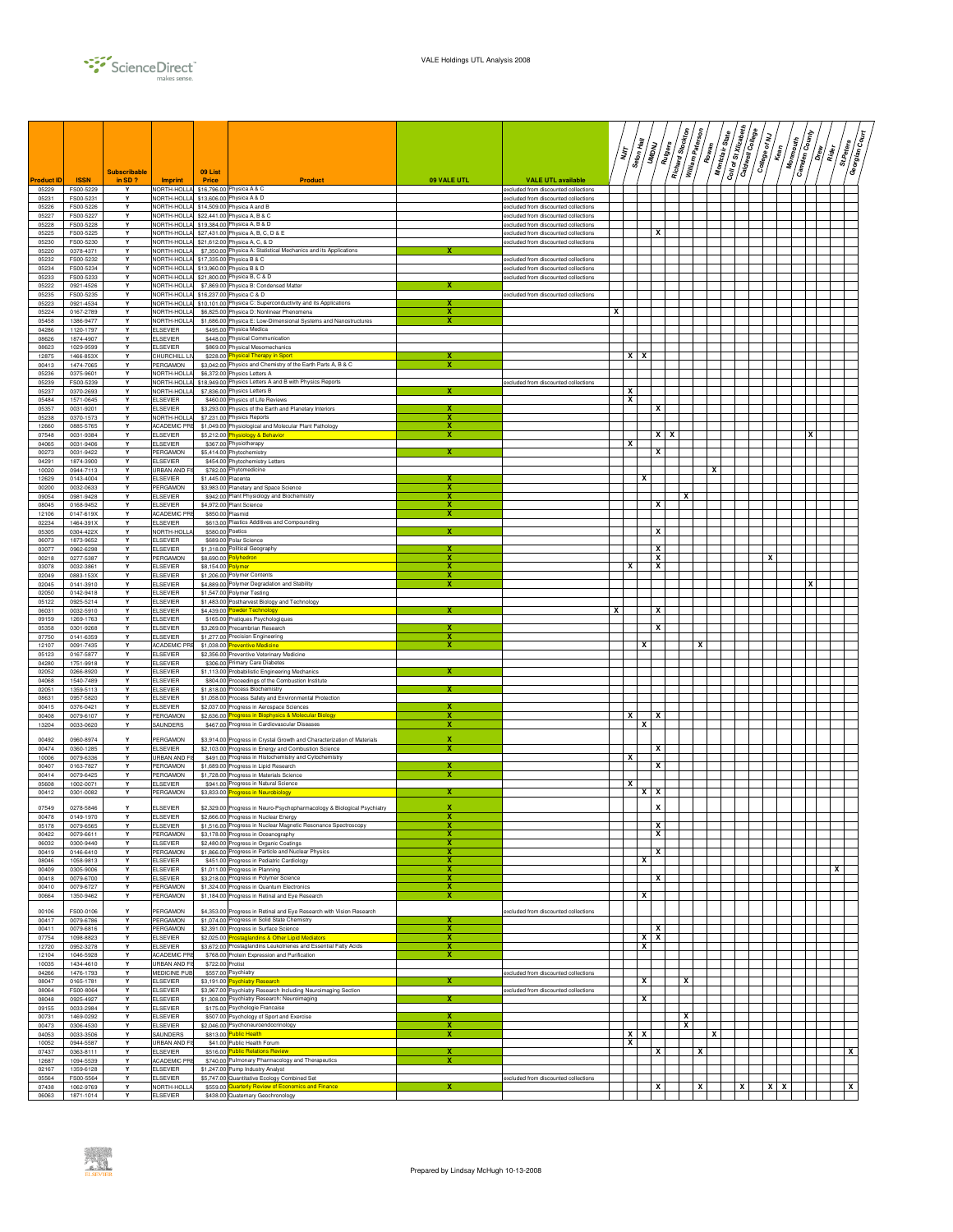

|                           | <b>ISSN</b>            | <b>Subscribable</b> |                                       | 09 List            |                                                                                                                                 |             |                                                                              | Ş |                           | $\frac{\partial e}{\partial \phi} H_{\overline{a} \overline{b} \overline{b}}$<br>UMDNU | $\sqrt{\frac{2}{3}}$ | Richard Stockton | William Paterson<br>Rowan | Montclair State | Coll of St Xilzabeth | Caldwell College | College of NJ | Monmouth<br>$k_{\text{em}}$ | <b>Camden County</b><br>$\frac{2}{5}$ | $/\frac{\dot{\sigma}}{\dot{\epsilon}}/$ | / ੌु<br>St.Peters<br>Georgian |
|---------------------------|------------------------|---------------------|---------------------------------------|--------------------|---------------------------------------------------------------------------------------------------------------------------------|-------------|------------------------------------------------------------------------------|---|---------------------------|----------------------------------------------------------------------------------------|----------------------|------------------|---------------------------|-----------------|----------------------|------------------|---------------|-----------------------------|---------------------------------------|-----------------------------------------|-------------------------------|
| <b>roduct ID</b><br>05229 | FS00-5229              | in SD ?<br>Y        | <b>Imprint</b>                        | Price              | <b>Product</b><br>NORTH-HOLLA \$16,796.00 Physica A & C                                                                         | 09 VALE UTL | <b>VALE UTL available</b><br>excluded from discounted collections            |   |                           |                                                                                        |                      |                  |                           |                 |                      |                  |               |                             |                                       |                                         |                               |
| 05231<br>05226            | FS00-5231<br>FS00-5226 | Y<br>Y              |                                       |                    | NORTH-HOLLA \$13,606.00 Physica A & D<br>NORTH-HOLLA \$14,509.00 Physica A and B                                                |             | excluded from discounted collections<br>excluded from discounted collections |   |                           |                                                                                        |                      |                  |                           |                 |                      |                  |               |                             |                                       |                                         |                               |
| 05227                     | FS00-5227              | Y                   |                                       |                    | VORTH-HOLLA \$22,441.00 Physica A, B & C                                                                                        |             | excluded from discounted collections                                         |   |                           |                                                                                        |                      |                  |                           |                 |                      |                  |               |                             |                                       |                                         |                               |
| 05228<br>05225            | FS00-5228<br>FS00-5225 | Y<br>Y              |                                       |                    | NORTH-HOLLA \$19,384.00 Physica A, B & D<br>NORTH-HOLLA \$27,431.00 Physica A, B, C, D & E                                      |             | excluded from discounted collections<br>excluded from discounted collections |   |                           |                                                                                        | x                    |                  |                           |                 |                      |                  |               |                             |                                       |                                         |                               |
| 05230                     | FS00-5230              | Y<br>Y              | <b>NORTH-HOLLA</b>                    |                    | \$21,612.00 Physica A, C, & D<br>\$7,350.00 Physica A: Statistical Mechanics and its Applications                               |             | excluded from discounted collections                                         |   |                           |                                                                                        |                      |                  |                           |                 |                      |                  |               |                             |                                       |                                         |                               |
| 05220<br>05232            | 0378-4371<br>FS00-5232 | Υ                   | <b>NORTH-HOLLA</b>                    |                    | NORTH-HOLLA \$17,335.00 Physica B & C                                                                                           |             | excluded from discounted collections                                         |   |                           |                                                                                        |                      |                  |                           |                 |                      |                  |               |                             |                                       |                                         |                               |
| 05234<br>05233            | FS00-5234<br>FS00-5233 | Y<br>Y              |                                       |                    | NORTH-HOLLA \$13,960.00 Physica B & D<br>NORTH-HOLLA \$21,800.00 Physica B, C & D                                               |             | excluded from discounted collections<br>excluded from discounted collections |   |                           |                                                                                        |                      |                  |                           |                 |                      |                  |               |                             |                                       |                                         |                               |
| 05222                     | 0921-4526              | Y                   |                                       |                    | NORTH-HOLLA \$7,869.00 Physica B: Condensed Matter                                                                              | x           |                                                                              |   |                           |                                                                                        |                      |                  |                           |                 |                      |                  |               |                             |                                       |                                         |                               |
| 05235<br>05223            | FS00-5235<br>0921-4534 | Y<br>Y              |                                       |                    | NORTH-HOLLA \$16,237.00 Physica C & D<br>NORTH-HOLLA \$10,101.00 Physica C: Superconductivity and its Applications              | x           | excluded from discounted collections                                         |   |                           |                                                                                        |                      |                  |                           |                 |                      |                  |               |                             |                                       |                                         |                               |
| 05224                     | 0167-2789              | Υ                   | NORTH-HOLLA                           |                    | \$6,825.00 Physica D: Nonlinear Phenomena                                                                                       | x           |                                                                              | x |                           |                                                                                        |                      |                  |                           |                 |                      |                  |               |                             |                                       |                                         |                               |
| 05458<br>04286            | 1386-9477<br>1120-1797 | Y<br>Y              | NORTH-HOLLA<br><b>ELSEVIER</b>        |                    | \$1,686.00 Physica E: Low-Dimensional Systems and Nanostructures<br>\$495.00 Physica Medica                                     |             |                                                                              |   |                           |                                                                                        |                      |                  |                           |                 |                      |                  |               |                             |                                       |                                         |                               |
| 08626<br>08623            | 1874-4907<br>1029-9599 | Y<br>Y              | <b>ELSEVIER</b><br><b>ELSEVIER</b>    |                    | \$448.00 Physical Communication<br>\$869.00 Physical Mesomechanics                                                              |             |                                                                              |   |                           |                                                                                        |                      |                  |                           |                 |                      |                  |               |                             |                                       |                                         |                               |
| 12875                     | 1466-853X              | Y                   | CHURCHILL LI                          |                    | \$228.00 Physical Therapy in Sport                                                                                              |             |                                                                              |   | $X$ $X$                   |                                                                                        |                      |                  |                           |                 |                      |                  |               |                             |                                       |                                         |                               |
| 00413<br>05236            | 1474-7065<br>0375-9601 | Υ<br>Y              | PERGAMON<br>NORTH-HOLLA               |                    | \$3,042.00 Physics and Chemistry of the Earth Parts A, B & C<br>\$6,372.00 Physics Letters A                                    |             |                                                                              |   |                           |                                                                                        |                      |                  |                           |                 |                      |                  |               |                             |                                       |                                         |                               |
| 05239                     | FS00-5239              | Y                   | NORTH-HOLLA                           |                    | \$18,949.00 Physics Letters A and B with Physics Reports                                                                        |             | excluded from discounted collections                                         |   |                           |                                                                                        |                      |                  |                           |                 |                      |                  |               |                             |                                       |                                         |                               |
| 05237<br>05484            | 0370-2693<br>1571-0645 | Y<br>Y              | NORTH-HOLLA<br><b>ELSEVIER</b>        |                    | \$7,836.00 Physics Letters B<br>\$460.00 Physics of Life Reviews                                                                |             |                                                                              |   | x<br>х                    |                                                                                        |                      |                  |                           |                 |                      |                  |               |                             |                                       |                                         |                               |
| 05357                     | 0031-9201              | Y<br>Y              | <b>ELSEVIER</b>                       |                    | \$3,293.00 Physics of the Earth and Planetary Interiors                                                                         | x           |                                                                              |   |                           |                                                                                        | х                    |                  |                           |                 |                      |                  |               |                             |                                       |                                         |                               |
| 05238<br>12660            | 0370-1573<br>0885-5765 | Y                   | NORTH-HOLL<br><b>ACADEMIC PRE</b>     |                    | \$7,231.00 Physics Reports<br>\$1,049.00 Physiological and Molecular Plant Pathology                                            | x           |                                                                              |   |                           |                                                                                        |                      |                  |                           |                 |                      |                  |               |                             |                                       |                                         |                               |
| 07548<br>04065            | 0031-9384<br>0031-9406 | Y<br>Y              | <b>ELSEVIER</b><br><b>ELSEVIER</b>    |                    | \$5,212.00 Physiology & Behavior<br>\$367.00 Physiotherapy                                                                      | x           |                                                                              |   | x                         |                                                                                        | $x \mid x$           |                  |                           |                 |                      |                  |               |                             | x                                     |                                         |                               |
| 00273                     | 0031-9422              | Y                   | PERGAMON                              |                    | \$5,414.00 Phytochemistry                                                                                                       | x           |                                                                              |   |                           |                                                                                        | x                    |                  |                           |                 |                      |                  |               |                             |                                       |                                         |                               |
| 04291<br>10020            | 1874-3900<br>0944-7113 | Y<br>Y              | <b>ELSEVIER</b><br><b>JRBAN AND F</b> |                    | \$454.00 Phytochemistry Letters<br>\$782.00 Phytomedicine                                                                       |             |                                                                              |   |                           |                                                                                        |                      |                  |                           | x               |                      |                  |               |                             |                                       |                                         |                               |
| 12629                     | 0143-4004              | Υ                   | ELSEVIER                              |                    | \$1,445.00 Placenta                                                                                                             | x           |                                                                              |   |                           | X                                                                                      |                      |                  |                           |                 |                      |                  |               |                             |                                       |                                         |                               |
| 00200<br>09054            | 0032-0633<br>0981-9428 | Y<br>Y              | PERGAMON<br>ELSEVIER                  |                    | \$3,983.00 Planetary and Space Science<br>\$942.00 Plant Physiology and Biochemistry                                            | x           |                                                                              |   |                           |                                                                                        |                      | x                |                           |                 |                      |                  |               |                             |                                       |                                         |                               |
| 08045<br>12106            | 0168-9452<br>0147-619X | Y<br>Υ              | ELSEVIER<br>ACADEMIC PF               |                    | \$4,972.00 Plant Science<br>\$850.00 Plasmid                                                                                    | х<br>х      |                                                                              |   |                           |                                                                                        | x                    |                  |                           |                 |                      |                  |               |                             |                                       |                                         |                               |
| 02234                     | 1464-391X              | Y                   | <b>ELSEVIER</b>                       |                    | \$613.00 Plastics Additives and Compounding                                                                                     |             |                                                                              |   |                           |                                                                                        |                      |                  |                           |                 |                      |                  |               |                             |                                       |                                         |                               |
| 05305<br>06073            | 0304-422X<br>1873-9652 | Y<br>Y              | NORTH-HOLLA<br><b>ELSEVIER</b>        |                    | \$580.00 Poetics<br>\$689.00 Polar Science                                                                                      |             |                                                                              |   |                           |                                                                                        | x                    |                  |                           |                 |                      |                  |               |                             |                                       |                                         |                               |
| 03077                     | 0962-6298              | Y                   | <b>ELSEVIER</b>                       |                    | \$1,318.00 Political Geography                                                                                                  |             |                                                                              |   |                           |                                                                                        | х                    |                  |                           |                 |                      |                  |               |                             |                                       |                                         |                               |
| 00218<br>03078            | 0277-5387<br>0032-3861 | Y<br>Y              | PERGAMON<br><b>ELSEVIER</b>           | \$8.154.00 Polymer | \$8,690.00 Polyhedron                                                                                                           | x<br>x      |                                                                              |   | х                         |                                                                                        | х<br>x               |                  |                           |                 |                      |                  | x             |                             |                                       |                                         |                               |
| 02049                     | 0883-153X              | Y                   | <b>ELSEVIER</b>                       |                    | \$1,206.00 Polymer Contents                                                                                                     | x           |                                                                              |   |                           |                                                                                        |                      |                  |                           |                 |                      |                  |               |                             |                                       |                                         |                               |
| 02045<br>02050            | 0141-3910<br>0142-9418 | Y<br>Υ              | <b>ELSEVIER</b><br>ELSEVIER           |                    | \$4,889.00 Polymer Degradation and Stability<br>\$1,547.00 Polymer Testing                                                      |             |                                                                              |   |                           |                                                                                        |                      |                  |                           |                 |                      |                  |               |                             |                                       |                                         |                               |
| 05122<br>06031            | 0925-5214<br>0032-5910 | Υ<br>Y              | <b>ELSEVIER</b><br>ELSEVIER           |                    | \$1,483.00 Postharvest Biology and Technology<br>\$4,439.00 Powder Technology                                                   |             |                                                                              | x |                           |                                                                                        | X                    |                  |                           |                 |                      |                  |               |                             |                                       |                                         |                               |
| 09159                     | 1269-1763              | Y                   | <b>ELSEVIER</b>                       |                    | \$165.00 Pratiques Psychologiques                                                                                               |             |                                                                              |   |                           |                                                                                        |                      |                  |                           |                 |                      |                  |               |                             |                                       |                                         |                               |
| 05358<br>07750            | 0301-9268<br>0141-6359 | Y<br>Y              | <b>ELSEVIER</b><br><b>ELSEVIER</b>    |                    | \$3,269.00 Precambrian Research<br>\$1,277.00 Precision Engineering                                                             | x           |                                                                              |   |                           |                                                                                        | х                    |                  |                           |                 |                      |                  |               |                             |                                       |                                         |                               |
| 12107                     | 0091-7435              | Y                   | <b>ACADEMIC PF</b>                    |                    | \$1,038.00 Preventive Medicine                                                                                                  |             |                                                                              |   |                           | X                                                                                      |                      |                  | x                         |                 |                      |                  |               |                             |                                       |                                         |                               |
| 05123<br>04280            | 0167-5877<br>1751-9918 | Y<br>Y              | ELSEVIER<br><b>ELSEVIER</b>           |                    | \$2,356.00 Preventive Veterinary Medicine<br>\$306.00 Primary Care Diabetes                                                     |             |                                                                              |   |                           |                                                                                        |                      |                  |                           |                 |                      |                  |               |                             |                                       |                                         |                               |
| 02052<br>04068            | 0266-8920<br>1540-7489 | Y                   | <b>ELSEVIER</b><br><b>ELSEVIER</b>    |                    | \$1,113.00 Probabilistic Engineering Mechanics<br>\$804.00 Proceedings of the Combustion Institute                              |             |                                                                              |   |                           |                                                                                        |                      |                  |                           |                 |                      |                  |               |                             |                                       |                                         |                               |
| 02051                     | 1359-5113              | Y<br>Y              | ELSEVIER                              |                    | \$1,818.00 Process Biochemistry                                                                                                 |             |                                                                              |   |                           |                                                                                        |                      |                  |                           |                 |                      |                  |               |                             |                                       |                                         |                               |
| 08631<br>00415            | 0957-5820<br>0376-0421 | Y<br>Y              | ELSEVIER<br><b>ELSEVIER</b>           |                    | \$1,058.00 Process Safety and Environmental Protection<br>\$2,037.00 Progress in Aerospace Sciences                             |             |                                                                              |   |                           |                                                                                        |                      |                  |                           |                 |                      |                  |               |                             |                                       |                                         |                               |
| 00408                     | 0079-6107              | Y                   | PERGAMON                              |                    | \$2,636.00 Progress in Biophysics & Molecular Biology                                                                           | x           |                                                                              |   | х                         |                                                                                        | x                    |                  |                           |                 |                      |                  |               |                             |                                       |                                         |                               |
| 13204                     | 0033-0620              | Y                   | SAUNDERS                              |                    | \$467.00 Progress in Cardiovascular Diseases                                                                                    | х           |                                                                              |   |                           | X                                                                                      |                      |                  |                           |                 |                      |                  |               |                             |                                       |                                         |                               |
| 00492<br>00474            | 0960-8974<br>0360-1285 | Υ<br>Y              | <b>ERGAMON</b><br>ELSEVIER            |                    | \$3,914.00 Progress in Crystal Growth and Characterization of Materials<br>\$2,103.00 Progress in Energy and Combustion Science | x<br>x      |                                                                              |   |                           |                                                                                        | x                    |                  |                           |                 |                      |                  |               |                             |                                       |                                         |                               |
| 10006                     | 0079-6336              | Y                   | <b>JRBAN AND F</b>                    |                    | \$491.00 Progress in Histochemistry and Cytochemistry                                                                           |             |                                                                              |   | x                         |                                                                                        |                      |                  |                           |                 |                      |                  |               |                             |                                       |                                         |                               |
| 00407<br>00414            | 0163-7827<br>0079-6425 | Y<br>Y              | PERGAMON<br>PERGAMON                  |                    | \$1,689.00 Progress in Lipid Research<br>\$1,728.00 Progress in Materials Science                                               | x           |                                                                              |   |                           |                                                                                        | X                    |                  |                           |                 |                      |                  |               |                             |                                       |                                         |                               |
| 05608                     | 1002-0071              | Y                   | <b>ELSEVIER</b>                       |                    | \$941.00 Progress in Natural Science                                                                                            |             |                                                                              |   | x                         |                                                                                        |                      |                  |                           |                 |                      |                  |               |                             |                                       |                                         |                               |
| 00412                     | 0301-0082              | Υ                   | PERGAMON                              |                    | \$3,833.00 Progress in Neurobiology                                                                                             | х           |                                                                              |   |                           | x                                                                                      | х                    |                  |                           |                 |                      |                  |               |                             |                                       |                                         |                               |
| 07549<br>00478            | 0278-5846<br>0149-1970 | Y<br>Y              | LSEVIER<br><b>ELSEVIER</b>            |                    | \$2,329.00 Progress in Neuro-Psychopharmacology & Biological Psychiatry<br>\$2,666.00 Progress in Nuclear Energy                | x<br>x      |                                                                              |   |                           |                                                                                        | X                    |                  |                           |                 |                      |                  |               |                             |                                       |                                         |                               |
| 05178                     | 0079-6565              | Y                   | <b>ELSEVIER</b><br>PERGAMON           |                    | \$1,516.00 Progress in Nuclear Magnetic Resonance Spectroscopy                                                                  | x           |                                                                              |   |                           |                                                                                        | x                    |                  |                           |                 |                      |                  |               |                             |                                       |                                         |                               |
| 00422<br>06032            | 0079-6611<br>0300-9440 | Y<br>Y              | <b>ELSEVIER</b>                       |                    | \$3,178.00 Progress in Oceanography<br>\$2,480.00 Progress in Organic Coatings                                                  |             |                                                                              |   |                           |                                                                                        | x                    |                  |                           |                 |                      |                  |               |                             |                                       |                                         |                               |
| 00419<br>08046            | 0146-6410<br>1058-9813 | Y<br>Y              | PERGAMON<br><b>ELSEVIER</b>           |                    | \$1,866.00 Progress in Particle and Nuclear Physics<br>\$451.00 Progress in Pediatric Cardiology                                | x<br>x      |                                                                              |   |                           | X                                                                                      | x                    |                  |                           |                 |                      |                  |               |                             |                                       |                                         |                               |
| 00409                     | 0305-9006              | Y                   | <b>ELSEVIER</b>                       |                    | \$1,011.00 Progress in Planning                                                                                                 | x           |                                                                              |   |                           |                                                                                        |                      |                  |                           |                 |                      |                  |               |                             |                                       | х                                       |                               |
| 00418<br>00410            | 0079-6700<br>0079-6727 | Y<br>Y              | <b>ELSEVIER</b><br>PERGAMON           |                    | \$3,218.00 Progress in Polymer Science<br>\$1,324.00 Progress in Quantum Electronics                                            | x<br>х      |                                                                              |   |                           |                                                                                        | x                    |                  |                           |                 |                      |                  |               |                             |                                       |                                         |                               |
| 00664                     | 1350-9462              | Y                   | PERGAMON                              |                    | \$1,184.00 Progress in Retinal and Eye Research                                                                                 | х           |                                                                              |   |                           | x                                                                                      |                      |                  |                           |                 |                      |                  |               |                             |                                       |                                         |                               |
| 00106                     | FS00-0106              | Y                   | PERGAMON                              |                    | \$4,353.00 Progress in Retinal and Eye Research with Vision Research                                                            |             | excluded from discounted collections                                         |   |                           |                                                                                        |                      |                  |                           |                 |                      |                  |               |                             |                                       |                                         |                               |
| 00417<br>00411            | 0079-6786<br>0079-6816 | Y<br>Y              | PERGAMON<br>PERGAMON                  |                    | \$1,074.00 Progress in Solid State Chemistry<br>\$2,391.00 Progress in Surface Science                                          | x<br>х      |                                                                              |   |                           |                                                                                        | x                    |                  |                           |                 |                      |                  |               |                             |                                       |                                         |                               |
| 07754                     | 1098-8823              | Y                   | ELSEVIER                              |                    | \$2.025.00 Prostaglandins & Other Lipid Mediators                                                                               | x           |                                                                              |   |                           | x                                                                                      | x                    |                  |                           |                 |                      |                  |               |                             |                                       |                                         |                               |
| 12720<br>12104            | 0952-3278<br>1046-5928 | Y<br>Y              | <b>ELSEVIER</b><br>ACADEMIC PRI       |                    | \$3,672.00 Prostaglandins Leukotrienes and Essential Fatty Acids<br>\$768.00 Protein Expression and Purification                | x           |                                                                              |   |                           | x                                                                                      |                      |                  |                           |                 |                      |                  |               |                             |                                       |                                         |                               |
| 10035                     | 1434-4610              | Y<br>Y              | URBAN AND FI                          |                    | \$722.00 Protist                                                                                                                |             |                                                                              |   |                           |                                                                                        |                      |                  |                           |                 |                      |                  |               |                             |                                       |                                         |                               |
| 04266<br>08047            | 1476-1793<br>0165-1781 | Y                   | MEDICINE PUB<br><b>ELSEVIER</b>       |                    | \$557.00 Psychiatry<br>\$3,191.00 Psychiatry Research                                                                           | x           | excluded from discounted collections                                         |   |                           | х                                                                                      |                      | x                |                           |                 |                      |                  |               |                             |                                       |                                         |                               |
| 08064<br>08048            | FS00-8064<br>0925-4927 | Y<br>Y              | <b>ELSEVIER</b><br><b>ELSEVIER</b>    |                    | \$3,967.00 Psychiatry Research Including Neuroimaging Section<br>\$1,308.00 Psychiatry Research: Neuroimaging                   | x           | excluded from discounted collections                                         |   |                           | x                                                                                      |                      |                  |                           |                 |                      |                  |               |                             |                                       |                                         |                               |
| 09155                     | 0033-2984              | Y                   | <b>ELSEVIER</b>                       |                    | \$175.00 Psychologie Francaise                                                                                                  |             |                                                                              |   |                           |                                                                                        |                      |                  |                           |                 |                      |                  |               |                             |                                       |                                         |                               |
| 00731<br>00473            | 1469-0292<br>0306-4530 | Y<br>Y              | <b>ELSEVIER</b><br><b>ELSEVIER</b>    |                    | \$507.00 Psychology of Sport and Exercise<br>\$2,046.00 Psychoneuroendocrinology                                                | х<br>x      |                                                                              |   |                           |                                                                                        |                      | X<br>х           |                           |                 |                      |                  |               |                             |                                       |                                         |                               |
| 04053                     | 0033-3506              | Y<br>Y              | SAUNDERS                              |                    | \$813.00 Public Health                                                                                                          | х           |                                                                              |   | $X$   $X$<br>$\mathbf{x}$ |                                                                                        |                      |                  |                           | X               |                      |                  |               |                             |                                       |                                         |                               |
| 10052<br>07437            | 0944-5587<br>0363-8111 | Y                   | URBAN AND FI<br><b>ELSEVIER</b>       |                    | \$41.00 Public Health Forum<br>\$516.00 Public Relations Review                                                                 | x           |                                                                              |   |                           |                                                                                        | x                    |                  | x                         |                 |                      |                  |               |                             |                                       |                                         | X                             |
| 12687<br>02167            | 1094-5539<br>1359-6128 | Y<br>Y              | ACADEMIC PRE<br><b>ELSEVIER</b>       |                    | \$740.00 Pulmonary Pharmacology and Therapeutics<br>\$1,247.00 Pump Industry Analyst                                            | x           |                                                                              |   |                           |                                                                                        |                      |                  |                           |                 |                      |                  |               |                             |                                       |                                         |                               |
| 05564                     | FS00-5564              | Y                   | <b>ELSEVIER</b>                       |                    | \$5,747.00 Quantitative Ecology Combined Set                                                                                    |             | excluded from discounted collections                                         |   |                           |                                                                                        |                      |                  |                           |                 |                      |                  |               |                             |                                       |                                         |                               |
| 07438<br>06063            | 1062-9769<br>1871-1014 | Υ<br>Y              | NORTH-HOLLA<br><b>ELSEVIER</b>        |                    | \$559.00 Quarterly Review of Economics and Finance<br>\$438.00 Quaternary Geochronology                                         | х           |                                                                              |   |                           |                                                                                        | x                    |                  | x                         |                 |                      | x                |               | <b>XX</b>                   |                                       |                                         | X                             |
|                           |                        |                     |                                       |                    |                                                                                                                                 |             |                                                                              |   |                           |                                                                                        |                      |                  |                           |                 |                      |                  |               |                             |                                       |                                         |                               |

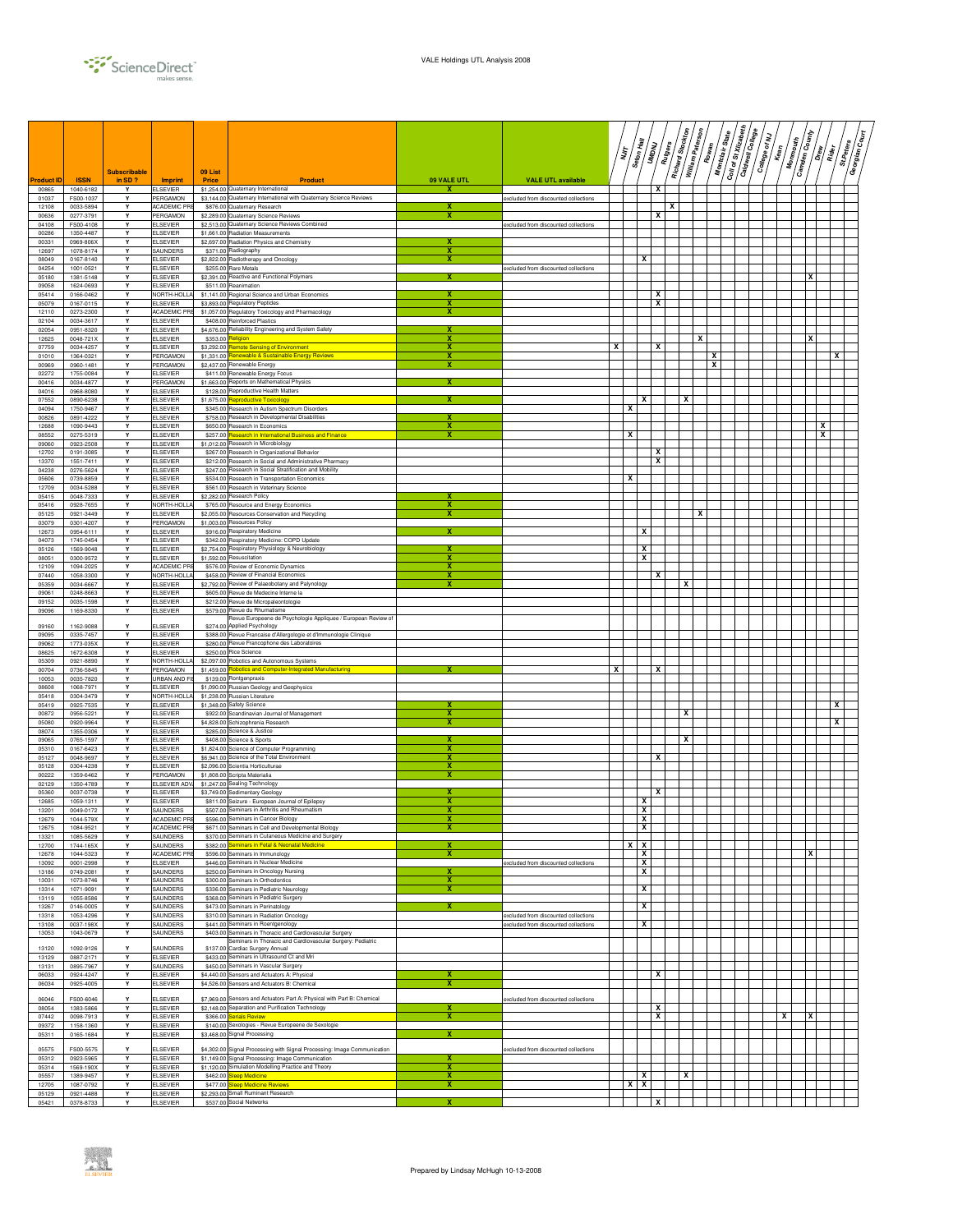

|                  |                        | <b>Subscribable</b> |                                    | 09 List  |                                                                                                                              |                              |                                                                              | דן<br>דו |   | Seton Hall<br>$\sqrt{\frac{2}{3}}$ | Rutgers | Richard Stockton | William Paterson | Rowan | Coil of St Xizabeth<br>$s_{\rm{tare}}$<br>Montclair | Caldwell College | College of NJ | Kean | <b>Camden County</b><br>Monmouth | __<br>  a  <br>Rider | St.Peters<br>Georgian | چ<br>چ |
|------------------|------------------------|---------------------|------------------------------------|----------|------------------------------------------------------------------------------------------------------------------------------|------------------------------|------------------------------------------------------------------------------|----------|---|------------------------------------|---------|------------------|------------------|-------|-----------------------------------------------------|------------------|---------------|------|----------------------------------|----------------------|-----------------------|--------|
| <b>roduct II</b> | <b>ISSN</b>            | in SD?<br>Y         | <b>Imprint</b>                     | Price    | Product                                                                                                                      | 09 VALE UTL<br>x             | <b>VALE UTL available</b>                                                    |          |   |                                    | x       |                  |                  |       |                                                     |                  |               |      |                                  |                      |                       |        |
| 00865<br>01037   | 1040-6182<br>FS00-1037 | Y                   | ELSEVIER<br>PERGAMON               |          | \$1,254.00 Quaternary International<br>\$3,144.00 Quaternary International with Quaternary Science Reviews                   |                              | excluded from discounted collections                                         |          |   |                                    |         |                  |                  |       |                                                     |                  |               |      |                                  |                      |                       |        |
| 12108<br>00636   | 0033-5894<br>0277-3791 | Y<br>Y              | ACADEMIC PR<br>PERGAMON            |          | \$876.00 Quaternary Research<br>\$2,289.00 Quaternary Science Reviews                                                        | x                            |                                                                              |          |   |                                    | x       | х                |                  |       |                                                     |                  |               |      |                                  |                      |                       |        |
| 04108<br>00286   | FS00-4108<br>1350-4487 | Y<br>Y              | ELSEVIER<br><b>ELSEVIER</b>        |          | \$2,513.00 Quaternary Science Reviews Combined<br>\$1.661.00 Radiation Measurements                                          |                              | excluded from discounted collections                                         |          |   |                                    |         |                  |                  |       |                                                     |                  |               |      |                                  |                      |                       |        |
| 00331            | 0969-806X              | Y                   | ELSEVIER                           |          | \$2,697.00 Radiation Physics and Chemistry                                                                                   |                              |                                                                              |          |   |                                    |         |                  |                  |       |                                                     |                  |               |      |                                  |                      |                       |        |
| 12697<br>08049   | 1078-8174<br>0167-8140 | Y<br>Y              | SAUNDERS<br><b>ELSEVIER</b>        |          | \$371.00 Radiography<br>\$2,822.00 Radiotherapy and Oncology                                                                 | x<br>$\overline{\mathbf{x}}$ |                                                                              |          |   | x                                  |         |                  |                  |       |                                                     |                  |               |      |                                  |                      |                       |        |
| 04254            | 1001-0521              | Y<br>Y              | <b>ELSEVIER</b>                    |          | \$255.00 Rare Metals<br>\$2,391.00 Reactive and Functional Polymers                                                          | x                            | excluded from discounted collections                                         |          |   |                                    |         |                  |                  |       |                                                     |                  |               |      |                                  |                      |                       |        |
| 05180<br>09058   | 1381-5148<br>1624-0693 | Y                   | <b>ELSEVIER</b><br><b>ELSEVIER</b> |          | \$511.00 Reanimation                                                                                                         |                              |                                                                              |          |   |                                    |         |                  |                  |       |                                                     |                  |               |      |                                  |                      |                       |        |
| 05414<br>05079   | 0166-0462<br>0167-0115 | Y<br>Y              | NORTH-HOLLA<br><b>ELSEVIER</b>     |          | \$1,141.00 Regional Science and Urban Economics<br>\$3,893.00 Regulatory Peptides                                            | х<br>х                       |                                                                              |          |   |                                    | х<br>x  |                  |                  |       |                                                     |                  |               |      |                                  |                      |                       |        |
| 12110            | 0273-2300              | Y                   | ACADEMIC PRE                       |          | \$1,057.00 Regulatory Toxicology and Pharmacology                                                                            | х                            |                                                                              |          |   |                                    |         |                  |                  |       |                                                     |                  |               |      |                                  |                      |                       |        |
| 02104<br>02054   | 0034-3617<br>0951-8320 | Y<br>Y              | <b>ELSEVIER</b><br><b>ELSEVIER</b> |          | \$408.00 Reinforced Plastics<br>\$4,676.00 Reliability Engineering and System Safety                                         | x                            |                                                                              |          |   |                                    |         |                  |                  |       |                                                     |                  |               |      |                                  |                      |                       |        |
| 12625<br>07759   | 0048-721X<br>0034-4257 | Y<br>Y              | <b>ELSEVIER</b><br><b>ELSEVIER</b> |          | \$353.00 Religion<br>\$3,292.00 Remote Sensing of Environment                                                                | x<br>х                       |                                                                              | X        |   |                                    | x       |                  | x                |       |                                                     |                  |               |      | X                                |                      |                       |        |
| 01010            | 1364-0321              | Y                   | PERGAMON                           |          | \$1,331.00 Renewable & Sustainable Energy Reviews                                                                            | х                            |                                                                              |          |   |                                    |         |                  |                  | x     |                                                     |                  |               |      |                                  |                      | x                     |        |
| 00969<br>02272   | 0960-1481<br>1755-0084 | Y<br>Y              | PERGAMON<br><b>ELSEVIER</b>        |          | \$2,437.00 Renewable Energy<br>\$411.00 Renewable Energy Focus                                                               | х                            |                                                                              |          |   |                                    |         |                  |                  | x     |                                                     |                  |               |      |                                  |                      |                       |        |
| 00416<br>04016   | 0034-4877<br>0968-8080 | Y<br>Y              | PERGAMON<br>ELSEVIER               |          | \$1,663.00 Reports on Mathematical Physics<br>\$128.00 Reproductive Health Matters                                           |                              |                                                                              |          |   |                                    |         |                  |                  |       |                                                     |                  |               |      |                                  |                      |                       |        |
| 07552            | 0890-6238              | Y                   | <b>ELSEVIER</b>                    |          | \$1,675.00 Reproductive Tox                                                                                                  |                              |                                                                              |          |   | x                                  |         |                  | х                |       |                                                     |                  |               |      |                                  |                      |                       |        |
| 04094<br>00826   | 1750-9467<br>0891-4222 | Y<br>Y              | <b>ELSEVIER</b><br><b>ELSEVIER</b> |          | \$345.00 Research in Autism Spectrum Disorders<br>\$758.00 Research in Developmental Disabilities                            | x                            |                                                                              |          | х |                                    |         |                  |                  |       |                                                     |                  |               |      |                                  |                      |                       |        |
| 12688            | 1090-9443              | Y<br>Y              | <b>ELSEVIER</b>                    |          | \$650.00 Research in Economics<br>\$257.00 Research in International Business and Finance                                    | х                            |                                                                              |          |   |                                    |         |                  |                  |       |                                                     |                  |               |      |                                  | x                    |                       |        |
| 08552<br>09060   | 0275-5319<br>0923-2508 | Y                   | <b>ELSEVIER</b><br><b>ELSEVIER</b> |          | \$1,012.00 Research in Microbiology                                                                                          | х                            |                                                                              |          | x |                                    |         |                  |                  |       |                                                     |                  |               |      |                                  | x                    |                       |        |
| 12702<br>13370   | 0191-3085<br>1551-7411 | Y<br>Y              | <b>ELSEVIER</b><br><b>ELSEVIER</b> |          | \$267.00 Research in Organizational Behavior<br>\$212.00 Research in Social and Administrative Pharmacy                      |                              |                                                                              |          |   |                                    | x<br>x  |                  |                  |       |                                                     |                  |               |      |                                  |                      |                       |        |
| 04238            | 0276-5624              | Y                   | <b>ELSEVIER</b>                    |          | \$247.00 Research in Social Stratification and Mobility                                                                      |                              |                                                                              |          |   |                                    |         |                  |                  |       |                                                     |                  |               |      |                                  |                      |                       |        |
| 05606<br>12709   | 0739-8859<br>0034-5288 | Y<br>Y              | <b>ELSEVIER</b><br><b>ELSEVIER</b> |          | \$534.00 Research in Transportation Economics<br>\$561.00 Research in Veterinary Science                                     |                              |                                                                              |          | x |                                    |         |                  |                  |       |                                                     |                  |               |      |                                  |                      |                       |        |
| 05415<br>05416   | 0048-7333<br>0928-7655 | Y<br>Y              | <b>ELSEVIER</b><br>NORTH-HOLLA     |          | \$2,282.00 Research Policy<br>\$765.00 Resource and Energy Economics                                                         | х                            |                                                                              |          |   |                                    |         |                  |                  |       |                                                     |                  |               |      |                                  |                      |                       |        |
| 05125            | 0921-3449              | Y                   | <b>ELSEVIER</b>                    |          | \$2,055.00 Resources Conservation and Recycling                                                                              | х                            |                                                                              |          |   |                                    |         |                  | х                |       |                                                     |                  |               |      |                                  |                      |                       |        |
| 03079<br>12673   | 0301-4207<br>0954-6111 | Y<br>Y              | PERGAMON<br><b>LSEVIER</b>         |          | \$1,003.00 Resources Policy<br>\$916.00 Respiratory Medicine                                                                 | х                            |                                                                              |          |   | x                                  |         |                  |                  |       |                                                     |                  |               |      |                                  |                      |                       |        |
| 04073            | 1745-0454              | Y                   | <b>ELSEVIER</b>                    |          | \$342.00 Respiratory Medicine: COPD Update                                                                                   |                              |                                                                              |          |   |                                    |         |                  |                  |       |                                                     |                  |               |      |                                  |                      |                       |        |
| 05126<br>08051   | 1569-9048<br>0300-9572 | Y<br>Y              | <b>ELSEVIER</b><br><b>ELSEVIER</b> |          | \$2,754.00 Respiratory Physiology & Neurobiology<br>\$1,592.00 Resuscitation                                                 | x                            |                                                                              |          |   | x<br>x                             |         |                  |                  |       |                                                     |                  |               |      |                                  |                      |                       |        |
| 12109            | 1094-2025              | Y                   | ACADEMIC PRI                       |          | \$576.00 Review of Economic Dynamics                                                                                         | х                            |                                                                              |          |   |                                    |         |                  |                  |       |                                                     |                  |               |      |                                  |                      |                       |        |
| 07440<br>05359   | 1058-3300<br>0034-6667 | Y<br>Y              | NORTH-HOLLA<br><b>ELSEVIER</b>     |          | \$458.00 Review of Financial Economics<br>\$2,792.00 Review of Palaeobotany and Palynology                                   | х<br>х                       |                                                                              |          |   |                                    | x       |                  | x                |       |                                                     |                  |               |      |                                  |                      |                       |        |
| 09061<br>09152   | 0248-8663<br>0035-1598 | Y<br>Y              | <b>ELSEVIER</b><br><b>ELSEVIER</b> |          | \$605.00 Revue de Medecine Interne la<br>\$212.00 Revue de Micropaleontologie                                                |                              |                                                                              |          |   |                                    |         |                  |                  |       |                                                     |                  |               |      |                                  |                      |                       |        |
| 09096            | 1169-8330              | Y                   | <b>ELSEVIER</b>                    |          | \$579.00 Revue du Rhumatisme                                                                                                 |                              |                                                                              |          |   |                                    |         |                  |                  |       |                                                     |                  |               |      |                                  |                      |                       |        |
| 09160            | 1162-9088              | Y                   | <b>ELSEVIER</b>                    |          | Revue Europeene de Psychologie Appliquee / European Review of<br>\$274.00 Applied Psychology                                 |                              |                                                                              |          |   |                                    |         |                  |                  |       |                                                     |                  |               |      |                                  |                      |                       |        |
| 09095<br>09062   | 0335-7457<br>1773-035X | Y<br>Y              | <b>ELSEVIER</b><br>ELSEVIER        |          | \$388.00 Revue Francaise d'Allergologie et d'Immunologie Clinique<br>\$280.00 Revue Francophone des Laboratoires             |                              |                                                                              |          |   |                                    |         |                  |                  |       |                                                     |                  |               |      |                                  |                      |                       |        |
| 08625            | 1672-6308              | Y                   | <b>ELSEVIER</b>                    |          | \$250.00 Rice Science                                                                                                        |                              |                                                                              |          |   |                                    |         |                  |                  |       |                                                     |                  |               |      |                                  |                      |                       |        |
| 05309<br>00704   | 0921-8890<br>0736-5845 | Y<br>Y              | NORTH-HOLLA<br>PERGAMON            |          | \$2,097.00 Robotics and Autonomous Systems<br>\$1,459.00 Robotics and Computer-Integrated Manufacturing                      |                              |                                                                              | x        |   |                                    | x       |                  |                  |       |                                                     |                  |               |      |                                  |                      |                       |        |
| 10053<br>08608   | 0035-7820<br>1068-7971 | Y<br>Y              | JRBAN AND F<br><b>ELSEVIER</b>     |          | \$139.00 Rontgenpraxis                                                                                                       |                              |                                                                              |          |   |                                    |         |                  |                  |       |                                                     |                  |               |      |                                  |                      |                       |        |
| 05418            | 0304-3479              | Y                   | NORTH-HOLLA                        |          | \$1,090.00 Russian Geology and Geophysics<br>\$1,238.00 Russian Literature                                                   |                              |                                                                              |          |   |                                    |         |                  |                  |       |                                                     |                  |               |      |                                  |                      |                       |        |
| 05419<br>00872   | 0925-7535<br>0956-5221 | Y<br>Y              | <b>ELSEVIER</b><br><b>ELSEVIER</b> |          | \$1,348.00 Safety Science<br>\$922.00 Scandinavian Journal of Management                                                     | х<br>x                       |                                                                              |          |   |                                    |         |                  | x                |       |                                                     |                  |               |      |                                  |                      | x                     |        |
| 05080            | 0920-9964              | Y                   | <b>ELSEVIER</b>                    |          | \$4,828.00 Schizophrenia Research                                                                                            |                              |                                                                              |          |   |                                    |         |                  |                  |       |                                                     |                  |               |      |                                  |                      | x                     |        |
| 08074<br>09065   | 1355-0306<br>0765-1597 | Y<br>Y              | <b>ELSEVIER</b><br><b>ELSEVIER</b> |          | \$285.00 Science & Justice<br>\$408.00 Science & Sports                                                                      | x                            |                                                                              |          |   |                                    |         |                  | x                |       |                                                     |                  |               |      |                                  |                      |                       |        |
| 05310            | 0167-6423              | Y<br>Y              | <b>ELSEVIER</b>                    |          | \$1,824.00 Science of Computer Programming                                                                                   | x<br>х                       |                                                                              |          |   |                                    |         |                  |                  |       |                                                     |                  |               |      |                                  |                      |                       |        |
| 05127<br>05128   | 0048-9697<br>0304-4238 | Y                   | <b>ELSEVIER</b><br><b>ELSEVIER</b> |          | \$6,941.00 Science of the Total Environment<br>\$2,096.00 Scientia Horticulturae                                             | х                            |                                                                              |          |   |                                    | x       |                  |                  |       |                                                     |                  |               |      |                                  |                      |                       |        |
| 00222<br>02129   | 1359-6462<br>1350-4789 | Y<br>Y              | PERGAMON<br>ELSEVIER ADV           |          | \$1,808.00 Scripta Materialia<br>\$1,247.00 Sealing Technology                                                               | х                            |                                                                              |          |   |                                    |         |                  |                  |       |                                                     |                  |               |      |                                  |                      |                       |        |
| 05360            | 0037-0738              |                     | ELSEVIER                           |          | \$3,749.00 Sedimentary Geology                                                                                               |                              |                                                                              |          |   |                                    | x       |                  |                  |       |                                                     |                  |               |      |                                  |                      |                       |        |
| 12685<br>13201   | 1059-1311<br>0049-0172 | Y<br>Y              | <b>ELSEVIER</b><br>SAUNDERS        |          | \$811.00 Seizure - European Journal of Epilepsy<br>\$507.00 Seminars in Arthritis and Rheumatism                             | X<br>$\overline{\mathbf{x}}$ |                                                                              |          |   | x<br>X                             |         |                  |                  |       |                                                     |                  |               |      |                                  |                      |                       |        |
| 12679<br>12675   | 1044-579X<br>1084-9521 | Y                   | ACADEMIC PR<br><b>ACADEMIC PRE</b> |          | \$596.00 Seminars in Cancer Biolor<br>\$671.00 Seminars in Cell and Developmental Biology                                    | X<br>х                       |                                                                              |          |   | x<br>x                             |         |                  |                  |       |                                                     |                  |               |      |                                  |                      |                       |        |
| 13321            | 1085-5629              | Y                   | SAUNDERS                           |          | \$370.00 Seminars in Cutaneous Medicine and Surgery                                                                          |                              |                                                                              |          |   |                                    |         |                  |                  |       |                                                     |                  |               |      |                                  |                      |                       |        |
| 12700<br>12678   | 1744-165X<br>1044-5323 | Y<br>Y              | SAUNDERS<br><b>ACADEMIC PRE</b>    |          | \$382.00 Seminars in Fetal & Neonatal Medicine<br>\$596.00 Seminars in Immunology                                            | x<br>x                       |                                                                              |          | x | х<br>x                             |         |                  |                  |       |                                                     |                  |               |      | x                                |                      |                       |        |
| 13092            | 0001-2998              | Y                   | ELSEVIER                           |          | \$446.00 Seminars in Nuclear Medicine                                                                                        | x                            | excluded from discounted collections                                         |          |   | x                                  |         |                  |                  |       |                                                     |                  |               |      |                                  |                      |                       |        |
| 13186<br>13031   | 0749-2081<br>1073-8746 | Y<br>Y              | SAUNDERS<br>SAUNDERS               |          | \$250.00 Seminars in Oncology Nursing<br>\$300.00 Seminars in Orthodontics                                                   | $\overline{\mathbf{x}}$      |                                                                              |          |   | x                                  |         |                  |                  |       |                                                     |                  |               |      |                                  |                      |                       |        |
| 13314<br>13119   | 1071-9091<br>1055-8586 | Y<br>Y              | SAUNDERS<br>SAUNDERS               |          | \$336.00 Seminars in Pediatric Neurology<br>\$368.00 Seminars in Pediatric Surgery                                           | x                            |                                                                              |          |   | x                                  |         |                  |                  |       |                                                     |                  |               |      |                                  |                      |                       |        |
| 13267            | 0146-0005              | Y                   | SAUNDERS                           |          | \$473.00 Seminars in Perinatology                                                                                            | х                            |                                                                              |          |   | x                                  |         |                  |                  |       |                                                     |                  |               |      |                                  |                      |                       |        |
| 13318<br>13108   | 1053-4296<br>0037-198X | Y<br>Y              | SAUNDERS<br>SAUNDERS               |          | \$310.00 Seminars in Radiation Oncology<br>\$441.00 Seminars in Roentgenology                                                |                              | excluded from discounted collections<br>excluded from discounted collections |          |   | x                                  |         |                  |                  |       |                                                     |                  |               |      |                                  |                      |                       |        |
| 13053            | 1043-0679              | Y                   | SAUNDERS                           |          | \$403.00 Seminars in Thoracic and Cardiovascular Surgery                                                                     |                              |                                                                              |          |   |                                    |         |                  |                  |       |                                                     |                  |               |      |                                  |                      |                       |        |
| 13120            | 1092-9126              | Y                   | SAUNDERS                           |          | Seminars in Thoracic and Cardiovascular Surgery: Pediatric<br>\$137.00 Cardiac Surgery Annual                                |                              |                                                                              |          |   |                                    |         |                  |                  |       |                                                     |                  |               |      |                                  |                      |                       |        |
| 13129<br>13131   | 0887-2171<br>0895-7967 | Y<br>Y              | ELSEVIER<br>SAUNDERS               |          | \$433.00 Seminars in Ultrasound Ct and Mri<br>\$450.00 Seminars in Vascular Surgery                                          |                              |                                                                              |          |   |                                    |         |                  |                  |       |                                                     |                  |               |      |                                  |                      |                       |        |
| 06033<br>06034   | 0924-4247<br>0925-4005 | Y<br>Y              | ELSEVIER<br><b>ELSEVIER</b>        |          | \$4,440.00 Sensors and Actuators A: Physical                                                                                 | X                            |                                                                              |          |   |                                    | x       |                  |                  |       |                                                     |                  |               |      |                                  |                      |                       |        |
|                  |                        |                     |                                    |          | \$4,526.00 Sensors and Actuators B: Chemical                                                                                 |                              |                                                                              |          |   |                                    |         |                  |                  |       |                                                     |                  |               |      |                                  |                      |                       |        |
| 06046<br>08054   | FS00-6046<br>1383-5866 | Y<br>Υ              | <b>ELSEVIER</b><br><b>ELSEVIER</b> |          | \$7,969.00 Sensors and Actuators Part A: Physical with Part B: Chemical<br>\$2,148.00 Separation and Purification Technology | х                            | excluded from discounted collections                                         |          |   |                                    | x       |                  |                  |       |                                                     |                  |               |      |                                  |                      |                       |        |
| 07442<br>09372   | 0098-7913<br>1158-1360 | Y<br>Y              | ELSEVIER<br><b>ELSEVIER</b>        | \$366.00 | erials Review<br>\$140.00 Sexologies - Revue Europeene de Sexologie                                                          | x                            |                                                                              |          |   |                                    | x       |                  |                  |       |                                                     |                  |               | x    | x                                |                      |                       |        |
| 05311            | 0165-1684              | Y                   | <b>ELSEVIER</b>                    |          | \$3,468.00 Signal Processing                                                                                                 | $\overline{\mathbf{x}}$      |                                                                              |          |   |                                    |         |                  |                  |       |                                                     |                  |               |      |                                  |                      |                       |        |
| 05575            | FS00-5575              |                     | <b>ELSEVIER</b>                    |          | \$4,302.00 Signal Processing with Signal Processing: Image Communication                                                     |                              | excluded from discounted collections                                         |          |   |                                    |         |                  |                  |       |                                                     |                  |               |      |                                  |                      |                       |        |
| 05312<br>05314   | 0923-5965<br>1569-190X | Y<br>Y              | <b>ELSEVIER</b><br><b>ELSEVIER</b> |          | \$1,149.00 Signal Processing: Image Communication<br>\$1,120.00 Simulation Modelling Practice and Theory                     | X<br>х                       |                                                                              |          |   |                                    |         |                  |                  |       |                                                     |                  |               |      |                                  |                      |                       |        |
| 05557            | 1389-9457              | Y                   | <b>ELSEVIER</b>                    |          | \$462.00 Sleep Medicine                                                                                                      | x                            |                                                                              |          |   | x                                  |         |                  | x                |       |                                                     |                  |               |      |                                  |                      |                       |        |
| 12705<br>05129   | 1087-0792<br>0921-4488 | Y<br>Y              | <b>ELSEVIER</b><br><b>ELSEVIER</b> |          | \$477.00 Sleep Medicine Reviews<br>\$2,293.00 Small Ruminant Research                                                        | X                            |                                                                              |          | x | x                                  |         |                  |                  |       |                                                     |                  |               |      |                                  |                      |                       |        |
| 05421            | 0378-8733              | Y                   | <b>ELSEVIER</b>                    |          | \$537.00 Social Networks                                                                                                     | x                            |                                                                              |          |   |                                    | x       |                  |                  |       |                                                     |                  |               |      |                                  |                      |                       |        |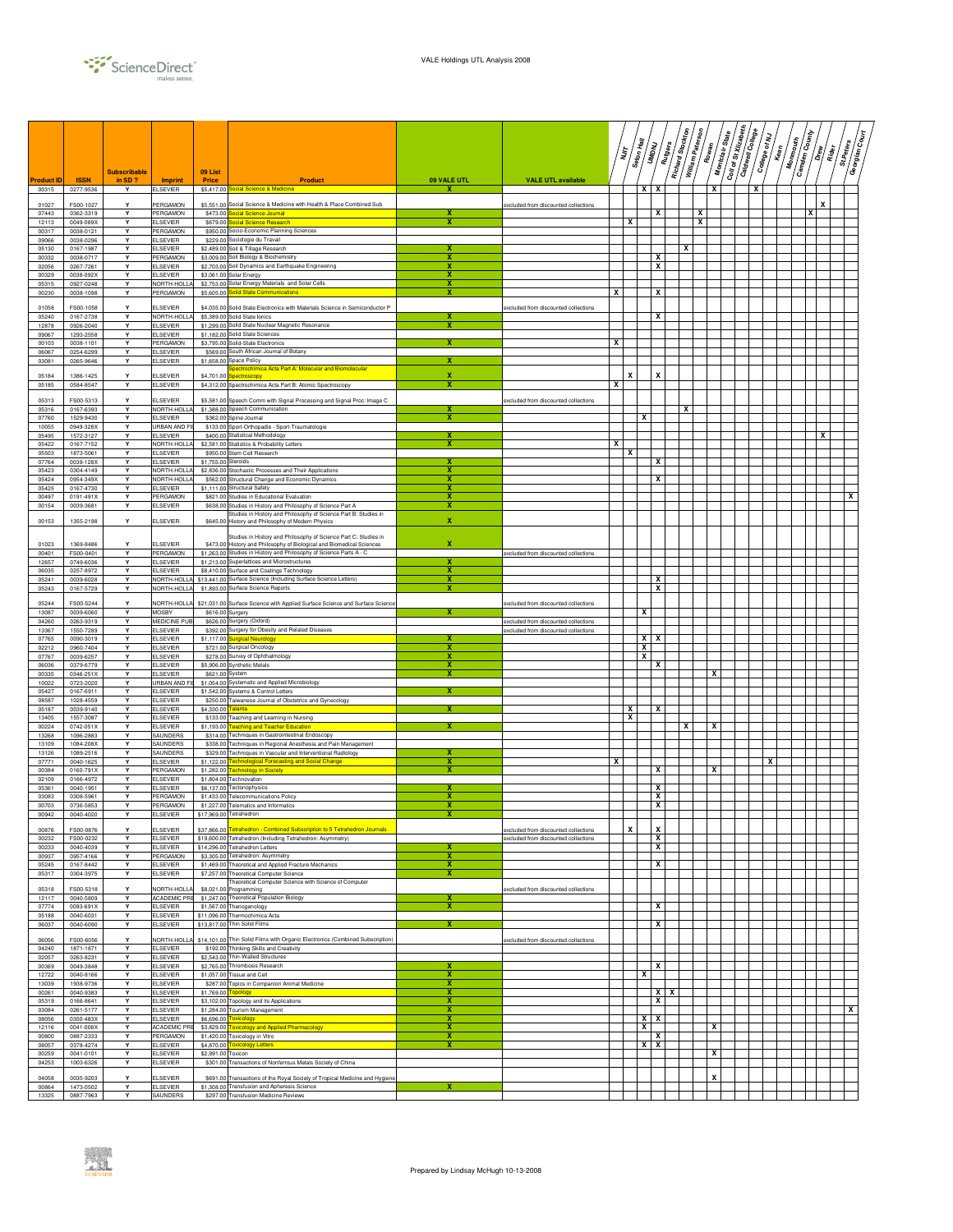

| Product ID     | <b>ISSN</b>            | <b>Subscribable</b><br>in SD? | <b>Imprint</b>                       | 09 List<br>Price    | <b>Product</b>                                                                                                                          | 09 VALE UTL                  | <b>VALE UTL available</b>                                                    |                         | ΪŢ     | Seton Hall | $\sqrt{Mg_{\rm erg}}$<br>UMDNU | Richard Stockton | William Paterson | Montclair State<br>Rowan | Coll of St Xillabeth | Caldwell College | College of NJ | <b>Monmouth</b><br>Kean | <b>Gamden County</b> | $\frac{1}{2}$<br>$\sqrt{\frac{1}{2}}$ | St.Peters | چ/<br>چ<br>Georgian |
|----------------|------------------------|-------------------------------|--------------------------------------|---------------------|-----------------------------------------------------------------------------------------------------------------------------------------|------------------------------|------------------------------------------------------------------------------|-------------------------|--------|------------|--------------------------------|------------------|------------------|--------------------------|----------------------|------------------|---------------|-------------------------|----------------------|---------------------------------------|-----------|---------------------|
| 00315          | 0277-9536              | Y                             | ELSEVIER                             |                     | \$5,417.00 Social Science & Medicine                                                                                                    | х                            |                                                                              |                         |        | x          | X                              |                  |                  | X                        |                      | х                |               |                         |                      |                                       |           |                     |
| 01027          | FS00-1027              | Y                             | <b>PERGAMON</b>                      |                     | \$5,551.00 Social Science & Medicine with Health & Place Combined Sub                                                                   |                              | excluded from discounted collections                                         |                         |        |            |                                |                  |                  |                          |                      |                  |               |                         |                      | x                                     |           |                     |
| 07443<br>12113 | 0362-3319<br>0049-089X | Y<br>Y                        | PERGAMON<br>ELSEVIER                 | \$679.00            | \$473.00 Social Science Journal<br><b>Social Science Research</b>                                                                       | X<br>х                       |                                                                              |                         | х      |            | x                              |                  | x<br>x           |                          |                      |                  |               |                         | x                    |                                       |           |                     |
| 00317          | 0038-0121              | Y                             | PERGAMON                             |                     | \$950.00 Socio-Economic Planning Sciences                                                                                               |                              |                                                                              |                         |        |            |                                |                  |                  |                          |                      |                  |               |                         |                      |                                       |           |                     |
| 09066<br>05130 | 0038-0296<br>0167-1987 | Y<br>$\mathbf{v}$             | ELSEVIER<br><b>ELSEVIER</b>          |                     | \$229.00 Sociologie du Travail<br>\$2,489.00 Soil & Tillage Research                                                                    | x                            |                                                                              |                         |        |            |                                | х                |                  |                          |                      |                  |               |                         |                      |                                       |           |                     |
| 00332          | 0038-0717              | Y                             | PERGAMON                             |                     | \$3,009.00 Soil Biology & Biochemistry                                                                                                  | ×                            |                                                                              |                         |        |            | x                              |                  |                  |                          |                      |                  |               |                         |                      |                                       |           |                     |
| 02056<br>00329 | 0267-7261<br>0038-092X | Y<br>Y                        | <b>ELSEVIER</b><br><b>ELSEVIER</b>   |                     | \$2,703.00 Soil Dynamics and Earthquake Engineering<br>\$3,061.00 Solar Energy                                                          | х<br>х                       |                                                                              |                         |        |            | x                              |                  |                  |                          |                      |                  |               |                         |                      |                                       |           |                     |
| 05315<br>00230 | 0927-0248<br>0038-1098 | Y<br>Y                        | NORTH-HOLL<br>PERGAMON               |                     | \$2,753.00 Solar Energy Materials and Solar Cells<br>\$5,605.00 Solid State Communications                                              | x                            |                                                                              | x                       |        |            | х                              |                  |                  |                          |                      |                  |               |                         |                      |                                       |           |                     |
|                |                        |                               |                                      |                     |                                                                                                                                         |                              |                                                                              |                         |        |            |                                |                  |                  |                          |                      |                  |               |                         |                      |                                       |           |                     |
| 01058<br>05240 | FS00-1058<br>0167-2738 | Y<br>Y                        | ELSEVIER<br>NORTH-HOLLA              |                     | \$4,035.00 Solid State Electronics with Materials Science in Semiconductor P<br>\$5,389.00 Solid State Ionics                           | x                            | excluded from discounted collections                                         |                         |        |            | x                              |                  |                  |                          |                      |                  |               |                         |                      |                                       |           |                     |
| 12878          | 0926-2040              | Y                             | ELSEVIER                             |                     | \$1,299.00 Solid State Nuclear Magnetic Resonance                                                                                       |                              |                                                                              |                         |        |            |                                |                  |                  |                          |                      |                  |               |                         |                      |                                       |           |                     |
| 09067<br>00103 | 1293-2558<br>0038-1101 | Y<br>Y                        | ELSEVIER<br>PERGAMON                 |                     | \$1,182.00 Solid State Sciences<br>\$3.795.00 Solid-State Electronics                                                                   |                              |                                                                              | x                       |        |            |                                |                  |                  |                          |                      |                  |               |                         |                      |                                       |           |                     |
| 06067<br>03081 | 0254-6299<br>0265-9646 | Y<br>Υ                        | <b>ELSEVIER</b><br><b>ELSEVIER</b>   |                     | \$569.00 South African Journal of Botany<br>\$1,658.00 Space Policy                                                                     | x                            |                                                                              |                         |        |            |                                |                  |                  |                          |                      |                  |               |                         |                      |                                       |           |                     |
|                |                        |                               |                                      |                     | Spectrochimica Acta Part A: Molecular and Biomolecular                                                                                  |                              |                                                                              |                         |        |            |                                |                  |                  |                          |                      |                  |               |                         |                      |                                       |           |                     |
| 05184<br>05185 | 1386-1425<br>0584-8547 | Y                             | <b>LSEVIER</b><br><b>ELSEVIER</b>    | \$4,701.00          | pectroscopy<br>\$4,312.00 Spectrochimica Acta Part B: Atomic Spectroscopy                                                               |                              |                                                                              | $\overline{\mathbf{x}}$ | X      |            | X                              |                  |                  |                          |                      |                  |               |                         |                      |                                       |           |                     |
| 05313          | FS00-5313              |                               | <b>ELSEVIER</b>                      |                     | \$5,581.00 Speech Comm with Signal Processing and Signal Proc: Image C                                                                  |                              | excluded from discounted collections                                         |                         |        |            |                                |                  |                  |                          |                      |                  |               |                         |                      |                                       |           |                     |
| 05316          | 0167-6393              | Υ                             | NORTH-HOLLA                          |                     | \$1,388.00 Speech Communication                                                                                                         |                              |                                                                              |                         |        |            |                                | х                |                  |                          |                      |                  |               |                         |                      |                                       |           |                     |
| 07760<br>10055 | 1529-9430<br>0949-328X | Y<br>Y                        | <b>ELSEVIER</b><br>JRBAN AND FI      |                     | \$362.00 Spine Journal<br>\$133.00 Sport-Orthopadie - Sport-Traumatologie                                                               | x                            |                                                                              |                         |        | х          |                                |                  |                  |                          |                      |                  |               |                         |                      |                                       |           |                     |
| 05495          | 1572-3127              | Y                             | ELSEVIER<br>NORTH-HOLLA              |                     | \$400.00 Statistical Methodology                                                                                                        | x<br>x                       |                                                                              |                         |        |            |                                |                  |                  |                          |                      |                  |               |                         |                      |                                       |           |                     |
| 05422<br>05503 | 0167-7152<br>1873-5061 | Υ<br>Y                        | <b>ELSEVIER</b>                      |                     | \$2,581.00 Statistics & Probability Letters<br>\$950.00 Stem Cell Research                                                              |                              |                                                                              | x                       | х      |            |                                |                  |                  |                          |                      |                  |               |                         |                      |                                       |           |                     |
| 07764          | 0039-128X<br>0304-4149 | Y<br>Y                        | <b>ELSEVIER</b><br>NORTH-HOLLA       | \$1,755.00 Steroids | \$2,836.00 Stochastic Processes and Their Applications                                                                                  | x<br>x                       |                                                                              |                         |        |            | x                              |                  |                  |                          |                      |                  |               |                         |                      |                                       |           |                     |
| 05423<br>05424 | 0954-349X              | Y                             | NORTH-HOLLA                          |                     | \$562.00 Structural Change and Economic Dynamics                                                                                        | х                            |                                                                              |                         |        |            | x                              |                  |                  |                          |                      |                  |               |                         |                      |                                       |           |                     |
| 05425<br>00497 | 0167-4730<br>0191-491X | Y<br>Y                        | ELSEVIER<br>PERGAMON                 |                     | \$1,111.00 Structural Safety<br>\$821.00 Studies in Educational Evaluation                                                              | x<br>x                       |                                                                              |                         |        |            |                                |                  |                  |                          |                      |                  |               |                         |                      |                                       | x         |                     |
| 00154          | 0039-3681              | Y                             | ELSEVIER                             |                     | \$638.00 Studies in History and Philosophy of Science Part A                                                                            | X                            |                                                                              |                         |        |            |                                |                  |                  |                          |                      |                  |               |                         |                      |                                       |           |                     |
| 00153          | 1355-2198              | Y                             | ELSEVIER                             |                     | Studies in History and Philosophy of Science Part B: Studies in<br>\$645.00 History and Philosophy of Modern Physics                    | x                            |                                                                              |                         |        |            |                                |                  |                  |                          |                      |                  |               |                         |                      |                                       |           |                     |
|                |                        |                               |                                      |                     | Studies in History and Philosophy of Science Part C: Studies in                                                                         |                              |                                                                              |                         |        |            |                                |                  |                  |                          |                      |                  |               |                         |                      |                                       |           |                     |
| 01023          | 1369-8486              | Y                             | ELSEVIER                             |                     | \$473.00 History and Philosophy of Biological and Biomedical Sciences                                                                   | x                            |                                                                              |                         |        |            |                                |                  |                  |                          |                      |                  |               |                         |                      |                                       |           |                     |
| 00401<br>12657 | FS00-0401<br>0749-6036 | Y<br>Y                        | PERGAMON<br>ELSEVIER                 |                     | \$1,263.00 Studies in History and Philosophy of Science Parts A - C<br>\$1,213.00 Superlattices and Microstructures                     | x                            | excluded from discounted collections                                         |                         |        |            |                                |                  |                  |                          |                      |                  |               |                         |                      |                                       |           |                     |
| 06035<br>05241 | 0257-8972<br>0039-6028 | Y<br>Y                        | <b>ELSEVIER</b><br><b>NORTH-HOLL</b> |                     | \$8,410.00 Surface and Coatings Technology<br>\$13,441.00 Surface Science (Including Surface Science Letters)                           | x<br>x                       |                                                                              |                         |        |            | x                              |                  |                  |                          |                      |                  |               |                         |                      |                                       |           |                     |
| 05243          | 0167-5729              | Y                             | NORTH-HOLLA                          |                     | \$1,893.00 Surface Science Reports                                                                                                      | х                            |                                                                              |                         |        |            | x                              |                  |                  |                          |                      |                  |               |                         |                      |                                       |           |                     |
| 05244          | FS00-5244              | Y                             | <b>VORTH-HOLL</b>                    |                     | \$21,031.00 Surface Science with Applied Surface Science and Surface Science                                                            |                              | xcluded from discounted collections                                          |                         |        |            |                                |                  |                  |                          |                      |                  |               |                         |                      |                                       |           |                     |
| 13087          | 0039-6060              | Υ<br>Y                        | <b>MOSBY</b>                         |                     | \$616.00 Surgery<br>\$626.00 Surgery (Oxford)                                                                                           | x                            |                                                                              |                         |        | x          |                                |                  |                  |                          |                      |                  |               |                         |                      |                                       |           |                     |
| 04260<br>13367 | 0263-9319<br>1550-7289 | Y                             | MEDICINE PUB<br><b>ELSEVIER</b>      |                     | \$392.00 Surgery for Obesity and Related Diseases                                                                                       |                              | excluded from discounted collections<br>excluded from discounted collections |                         |        |            |                                |                  |                  |                          |                      |                  |               |                         |                      |                                       |           |                     |
| 07765<br>02212 | 0090-3019<br>0960-7404 | Y<br>Y                        | <b>ELSEVIER</b><br><b>ELSEVIER</b>   |                     | \$1,117.00 Surgical Neurology<br>\$721.00 Surgical Oncology                                                                             | x<br>х                       |                                                                              |                         |        | x<br>х     | x                              |                  |                  |                          |                      |                  |               |                         |                      |                                       |           |                     |
| 07767          | 0039-6257              | Y                             | <b>ELSEVIER</b>                      |                     | \$278.00 Survey of Ophthalmology                                                                                                        | x                            |                                                                              |                         |        | x          |                                |                  |                  |                          |                      |                  |               |                         |                      |                                       |           |                     |
| 06036<br>00335 | 0379-6779<br>0346-251X | Y<br>Y                        | <b>ELSEVIER</b><br>ELSEVIER          |                     | \$5,906.00 Synthetic Metals<br>\$621.00 System                                                                                          | x<br>x                       |                                                                              |                         |        |            | x                              |                  |                  | x                        |                      |                  |               |                         |                      |                                       |           |                     |
| 10022          | 0723-2020              | Y                             | <b>JRBAN AND F</b>                   |                     | \$1,054.00 Systematic and Applied Microbiology                                                                                          |                              |                                                                              |                         |        |            |                                |                  |                  |                          |                      |                  |               |                         |                      |                                       |           |                     |
| 05427<br>08587 | 0167-6911<br>1028-4559 | Y<br>Y                        | <b>ELSEVIER</b><br><b>ELSEVIER</b>   |                     | \$1,542.00 Systems & Control Letters<br>\$250.00 Taiwanese Journal of Obstetrics and Gynecology                                         |                              |                                                                              |                         |        |            |                                |                  |                  |                          |                      |                  |               |                         |                      |                                       |           |                     |
| 05187<br>13405 | 0039-9140<br>1557-3087 | Y                             | <b>ELSEVIER</b><br><b>ELSEVIER</b>   |                     | \$4,330.00 Talanta                                                                                                                      |                              |                                                                              |                         | x<br>x |            | х                              |                  |                  |                          |                      |                  |               |                         |                      |                                       |           |                     |
| 00224          | 0742-051X              | Y<br>Y                        | <b>ELSEVIER</b>                      |                     | \$133.00 Teaching and Learning in Nursing<br>\$1,193.00 Teaching and Teacher Education                                                  |                              |                                                                              |                         |        |            |                                | x                |                  | X                        |                      |                  |               |                         |                      |                                       |           |                     |
| 13268<br>13109 | 1096-2883<br>1084-208X | Y<br>Y                        | SAUNDERS<br>SAUNDERS                 |                     | \$314.00 Techniques in Gastrointestinal Endoscopy<br>\$338.00 Techniques in Regional Anesthesia and Pain Management                     |                              |                                                                              |                         |        |            |                                |                  |                  |                          |                      |                  |               |                         |                      |                                       |           |                     |
| 13126          | 1089-2516              | Y                             | SAUNDERS                             |                     | \$329.00 Techniques in Vascular and Interventional Radiology                                                                            | x                            |                                                                              |                         |        |            |                                |                  |                  |                          |                      |                  |               |                         |                      |                                       |           |                     |
| 07771<br>00384 | 0040-1625<br>0160-791X | Y<br>Y                        | <b>ELSEVIER</b><br>PERGAMON          |                     | \$1,122.00 Technological Forecasting and Social Change<br>\$1,282.00 Technology in Society                                              | x<br>x                       |                                                                              | x                       |        |            | x                              |                  |                  | x                        |                      |                  |               |                         |                      |                                       |           |                     |
| 02109          | 0166-4972              | Y                             | <b>ELSEVIER</b>                      |                     | \$1,804.00 Technovation                                                                                                                 |                              |                                                                              |                         |        |            |                                |                  |                  |                          |                      |                  |               |                         |                      |                                       |           |                     |
| 05361<br>03083 | 0040-1951<br>0308-5961 | Y<br>Y                        | <b>ELSEVIER</b><br>PERGAMON          |                     | \$6,137.00 Tectonophysics<br>\$1,433.00 Telecommunications Policy                                                                       | х<br>X                       |                                                                              |                         |        |            | x<br>х                         |                  |                  |                          |                      |                  |               |                         |                      |                                       |           |                     |
| 00703<br>00942 | 0736-5853<br>0040-4020 | Y<br>Y                        | PERGAMON<br><b>ELSEVIER</b>          |                     | \$1,227.00 Telematics and Informatics<br>\$17,969.00 Tetrahedron                                                                        | x                            |                                                                              |                         |        |            | х                              |                  |                  |                          |                      |                  |               |                         |                      |                                       |           |                     |
|                |                        |                               |                                      |                     |                                                                                                                                         |                              |                                                                              |                         |        |            |                                |                  |                  |                          |                      |                  |               |                         |                      |                                       |           |                     |
| 00876<br>00232 | FS00-0876<br>FS00-0232 | Υ                             | <b>ELSEVIER</b><br><b>ELSEVIER</b>   |                     | \$37,866.00 Tetrahedron - Combined Subscription to 5 Tetrahedron Journals<br>\$19,600.00 Tetrahedron (Including Tetrahedron: Asymmetry) |                              | excluded from discounted collections<br>excluded from discounted collections |                         | x      |            | X<br>x                         |                  |                  |                          |                      |                  |               |                         |                      |                                       |           |                     |
| 00233          | 0040-4039              | Y<br>Y                        | <b>ELSEVIER</b>                      |                     | \$14,296.00 Tetrahedron Letters                                                                                                         | X                            |                                                                              |                         |        |            | х                              |                  |                  |                          |                      |                  |               |                         |                      |                                       |           |                     |
| 00937<br>05245 | 0957-4166<br>0167-8442 | Y                             | PERGAMON<br><b>ELSEVIER</b>          |                     | \$3,305.00 Tetrahedron: Asymmetry<br>\$1,469.00 Theoretical and Applied Fracture Mechanics                                              | $\overline{\mathbf{x}}$      |                                                                              |                         |        |            | х                              |                  |                  |                          |                      |                  |               |                         |                      |                                       |           |                     |
| 05317          | 0304-3975              | Y                             | <b>ELSEVIER</b>                      |                     | \$7,257.00 Theoretical Computer Science<br>Theoretical Computer Science with Science of Computer                                        | x                            |                                                                              |                         |        |            |                                |                  |                  |                          |                      |                  |               |                         |                      |                                       |           |                     |
| 05318          | FS00-5318              | Y<br>Y                        | NORTH-HOLL                           |                     | \$8,021.00 Programming                                                                                                                  | x                            | excluded from discounted collections                                         |                         |        |            |                                |                  |                  |                          |                      |                  |               |                         |                      |                                       |           |                     |
| 12117<br>07774 | 0040-5809<br>0093-691X | Y                             | ACADEMIC PR<br><b>ELSEVIER</b>       |                     | \$1,247.00 Theoretical Population Biology<br>\$1,567.00 Theriogenology                                                                  | x                            |                                                                              |                         |        |            | x                              |                  |                  |                          |                      |                  |               |                         |                      |                                       |           |                     |
| 05188<br>06037 | 0040-6031<br>0040-6090 | Y<br>Y                        | <b>ELSEVIER</b><br><b>ELSEVIER</b>   |                     | \$11,096.00 Thermochimica Acta<br>\$13,817.00 Thin Solid Films                                                                          | x                            |                                                                              |                         |        |            | x                              |                  |                  |                          |                      |                  |               |                         |                      |                                       |           |                     |
|                |                        |                               |                                      |                     |                                                                                                                                         |                              |                                                                              |                         |        |            |                                |                  |                  |                          |                      |                  |               |                         |                      |                                       |           |                     |
| 06056<br>04240 | FS00-6056<br>1871-1871 | Y<br>Υ                        | NORTH-HOLL<br><b>ELSEVIER</b>        |                     | \$14,101.00 Thin Solid Films with Organic Electronics (Combined Subscription)<br>\$192.00 Thinking Skills and Creativity                |                              | excluded from discounted collections                                         |                         |        |            |                                |                  |                  |                          |                      |                  |               |                         |                      |                                       |           |                     |
| 02057<br>00369 | 0263-8231<br>0049-3848 | Y<br>Y                        | <b>ELSEVIER</b><br><b>ELSEVIER</b>   |                     | \$2,543.00 Thin-Walled Structures<br>\$2,765.00 Thrombosis Research                                                                     | x                            |                                                                              |                         |        |            | x                              |                  |                  |                          |                      |                  |               |                         |                      |                                       |           |                     |
| 12722          | 0040-8166              | Y                             | <b>ELSEVIER</b>                      |                     | \$1,057.00 Tissue and Cell                                                                                                              | $\mathbf x$                  |                                                                              |                         |        | x          |                                |                  |                  |                          |                      |                  |               |                         |                      |                                       |           |                     |
| 13039<br>00261 | 1938-9736<br>0040-9383 | Y<br>Y                        | <b>ELSEVIER</b><br><b>ELSEVIER</b>   |                     | \$287.00 Topics in Companion Animal Medicine<br>\$1,769.00 Topology                                                                     | х<br>x                       |                                                                              |                         |        |            | $X$   $X$                      |                  |                  |                          |                      |                  |               |                         |                      |                                       |           |                     |
| 05319          | 0166-8641              | Y                             | <b>ELSEVIER</b>                      |                     | \$3,102.00 Topology and its Applications                                                                                                | x                            |                                                                              |                         |        |            | х                              |                  |                  |                          |                      |                  |               |                         |                      |                                       |           |                     |
| 03084<br>08056 | 0261-5177<br>0300-483X | Y<br>Y                        | <b>ELSEVIER</b><br><b>ELSEVIER</b>   |                     | \$1,284.00 Tourism Management<br>\$6,696.00 Toxicology                                                                                  | $\overline{\mathbf{x}}$<br>x |                                                                              |                         |        | х          | x                              |                  |                  |                          |                      |                  |               |                         |                      |                                       | X         |                     |
| 12116          | 0041-008X              | Y                             | ACADEMIC PF                          |                     | \$3,829.00 Toxicology and Applied Pharmacology                                                                                          | x                            |                                                                              |                         |        | x          |                                |                  |                  | x                        |                      |                  |               |                         |                      |                                       |           |                     |
| 00800<br>08057 | 0887-2333<br>0378-4274 | Y<br>Y                        | PERGAMON<br><b>ELSEVIER</b>          |                     | \$1,420.00 Toxicology in Vitro<br>\$4,870.00 Toxicology Letters                                                                         | x<br>x                       |                                                                              |                         |        |            | х<br>$x \mid x$                |                  |                  |                          |                      |                  |               |                         |                      |                                       |           |                     |
| 00259          | 0041-0101              | Y                             | ELSEVIER                             | \$2,991.00 Toxicon  |                                                                                                                                         |                              |                                                                              |                         |        |            |                                |                  |                  | х                        |                      |                  |               |                         |                      |                                       |           |                     |
| 04253          | 1003-6326              | Y                             | ELSEVIER                             |                     | \$301.00 Transactions of Nonferrous Metals Society of China                                                                             |                              |                                                                              |                         |        |            |                                |                  |                  |                          |                      |                  |               |                         |                      |                                       |           |                     |
| 04058<br>00864 | 0035-9203<br>1473-0502 | Y<br>Y                        | ELSEVIER<br><b>ELSEVIER</b>          |                     | \$691.00 Transactions of the Royal Society of Tropical Medicine and Hygiene<br>\$1,308.00 Transfusion and Apheresis Science             | X.                           |                                                                              |                         |        |            |                                |                  |                  | X                        |                      |                  |               |                         |                      |                                       |           |                     |
| 13325          | 0887-7963              | Y                             | SAUNDERS                             |                     | \$297.00 Transfusion Medicine Reviews                                                                                                   |                              |                                                                              |                         |        |            |                                |                  |                  |                          |                      |                  |               |                         |                      |                                       |           |                     |